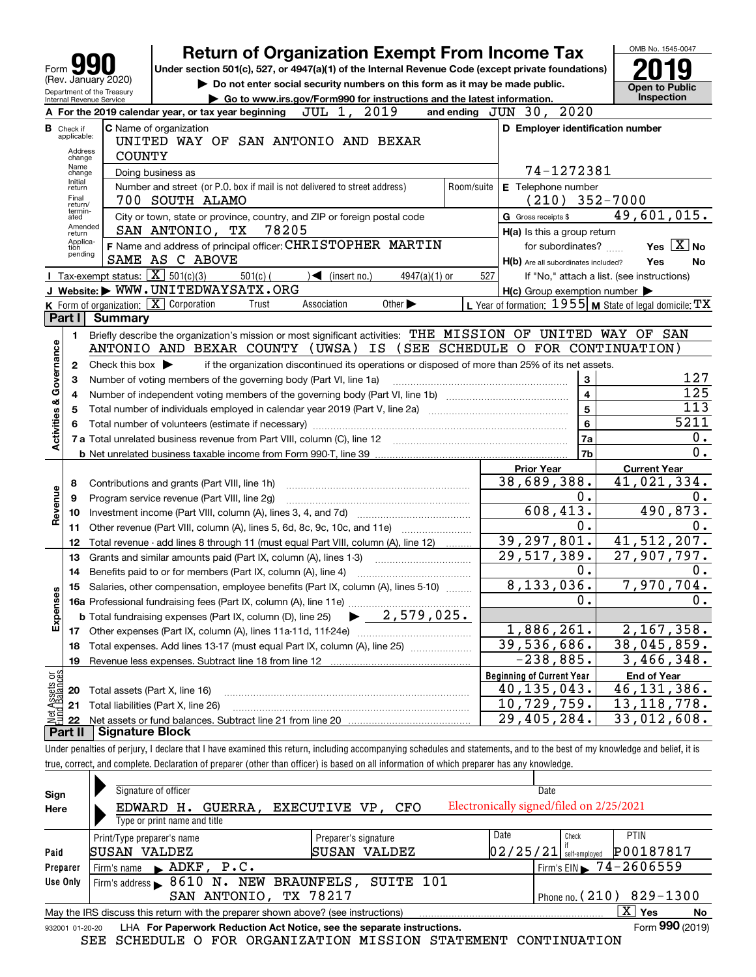|                           |                                  |                                                                   | <b>Return of Organization Exempt From Income Tax</b>                                                                                                                       |                      |                                                     | OMB No. 1545-0047                                         |
|---------------------------|----------------------------------|-------------------------------------------------------------------|----------------------------------------------------------------------------------------------------------------------------------------------------------------------------|----------------------|-----------------------------------------------------|-----------------------------------------------------------|
| Form                      |                                  |                                                                   | Under section 501(c), 527, or 4947(a)(1) of the Internal Revenue Code (except private foundations)                                                                         |                      |                                                     |                                                           |
|                           |                                  | (Rev. January 2020)                                               | Do not enter social security numbers on this form as it may be made public.                                                                                                |                      |                                                     | <b>Open to Public</b>                                     |
|                           |                                  | Department of the Treasury<br>Internal Revenue Service            | Go to www.irs.gov/Form990 for instructions and the latest information.                                                                                                     |                      |                                                     | <b>Inspection</b>                                         |
|                           |                                  |                                                                   | JUL 1,<br>2019<br>A For the 2019 calendar year, or tax year beginning                                                                                                      | and ending $JUN$ 30, | 2020                                                |                                                           |
|                           | <b>B</b> Check if<br>applicable: |                                                                   | C Name of organization<br>UNITED WAY OF SAN ANTONIO AND BEXAR                                                                                                              |                      | D Employer identification number                    |                                                           |
|                           | Address<br>change<br>Name        | <b>COUNTY</b>                                                     |                                                                                                                                                                            |                      |                                                     |                                                           |
|                           | change<br>Initial                |                                                                   | Doing business as                                                                                                                                                          |                      | 74-1272381                                          |                                                           |
|                           | return<br>Final<br>return/       |                                                                   | Number and street (or P.O. box if mail is not delivered to street address)<br>700 SOUTH ALAMO                                                                              | Room/suite           | E Telephone number<br>(210)                         | $352 - 7000$                                              |
|                           | termin-<br>ated<br>Amended       |                                                                   | City or town, state or province, country, and ZIP or foreign postal code                                                                                                   |                      | G Gross receipts \$                                 | 49,601,015.                                               |
|                           | return<br>Applica-               |                                                                   | 78205<br>SAN ANTONIO, TX<br>F Name and address of principal officer: CHRISTOPHER MARTIN                                                                                    |                      | H(a) Is this a group return                         | Yes $X$ No                                                |
|                           | tion<br>pending                  |                                                                   | SAME AS C ABOVE                                                                                                                                                            |                      | for subordinates?                                   | Yes                                                       |
|                           |                                  | <b>I</b> Tax-exempt status: $\boxed{\textbf{X}}$ 501(c)(3)        | $501(c)$ (<br>4947(a)(1) or<br>$\sim$ (insert no.)                                                                                                                         | 527                  | H(b) Are all subordinates included?                 | No<br>If "No," attach a list. (see instructions)          |
|                           |                                  |                                                                   | J Website: WWW.UNITEDWAYSATX.ORG                                                                                                                                           |                      | $H(c)$ Group exemption number $\blacktriangleright$ |                                                           |
|                           |                                  | K Form of organization: X Corporation                             | Association<br>Trust<br>Other $\blacktriangleright$                                                                                                                        |                      |                                                     | L Year of formation: $1955$ M State of legal domicile: TX |
|                           | Part I                           | <b>Summary</b>                                                    |                                                                                                                                                                            |                      |                                                     |                                                           |
|                           | 1.                               |                                                                   | Briefly describe the organization's mission or most significant activities: THE MISSION OF UNITED WAY OF SAN                                                               |                      |                                                     |                                                           |
|                           |                                  |                                                                   | ANTONIO AND BEXAR COUNTY<br>ΙS<br>(UWSA)                                                                                                                                   |                      | (SEE SCHEDULE O FOR CONTINUATION)                   |                                                           |
| Governance                | $\mathbf{2}$                     | Check this box $\blacktriangleright$                              | if the organization discontinued its operations or disposed of more than 25% of its net assets.                                                                            |                      |                                                     |                                                           |
|                           | 3                                | Number of voting members of the governing body (Part VI, line 1a) | 127                                                                                                                                                                        |                      |                                                     |                                                           |
|                           | 4                                |                                                                   | $\overline{125}$                                                                                                                                                           |                      |                                                     |                                                           |
|                           | 5                                |                                                                   |                                                                                                                                                                            |                      | 5                                                   | 113                                                       |
|                           | 6                                |                                                                   | Total number of volunteers (estimate if necessary)                                                                                                                         |                      | 6                                                   | 5211                                                      |
| <b>Activities &amp;</b>   |                                  |                                                                   |                                                                                                                                                                            |                      | 7a                                                  | 0.                                                        |
|                           |                                  |                                                                   |                                                                                                                                                                            |                      | 7b                                                  | 0.                                                        |
|                           |                                  |                                                                   |                                                                                                                                                                            |                      | <b>Prior Year</b>                                   | <b>Current Year</b>                                       |
|                           | 8                                |                                                                   | Contributions and grants (Part VIII, line 1h)                                                                                                                              |                      | 38,689,388.                                         | 41,021,334.                                               |
|                           | 9                                |                                                                   | Program service revenue (Part VIII, line 2g)                                                                                                                               |                      | 0.                                                  | Ο.                                                        |
| Revenue                   | 10                               |                                                                   |                                                                                                                                                                            |                      | 608,413.                                            | 490,873.                                                  |
|                           | 11                               |                                                                   | Other revenue (Part VIII, column (A), lines 5, 6d, 8c, 9c, 10c, and 11e)                                                                                                   |                      | 0.                                                  | 0.                                                        |
|                           | 12                               |                                                                   | Total revenue - add lines 8 through 11 (must equal Part VIII, column (A), line 12)                                                                                         |                      | 39,297,801.                                         | 41,512,207.                                               |
|                           | 13                               |                                                                   | Grants and similar amounts paid (Part IX, column (A), lines 1-3)                                                                                                           |                      | $\overline{29}$ , 517, 389.                         | 27,907,797.                                               |
|                           | 14                               |                                                                   | Benefits paid to or for members (Part IX, column (A), line 4)                                                                                                              |                      | υ.                                                  | Ο.                                                        |
|                           |                                  |                                                                   | 15 Salaries, other compensation, employee benefits (Part IX, column (A), lines 5-10)                                                                                       | 8                    | , 133, 036.                                         | 7,970,704.                                                |
| Expenses                  |                                  |                                                                   |                                                                                                                                                                            |                      | $0$ .                                               | $\mathbf 0$ .                                             |
|                           |                                  |                                                                   | 2,579,025.<br><b>b</b> Total fundraising expenses (Part IX, column (D), line 25)                                                                                           |                      |                                                     |                                                           |
|                           |                                  |                                                                   |                                                                                                                                                                            |                      | 1,886,261.                                          | 2,167,358.                                                |
|                           | 18                               |                                                                   | Total expenses. Add lines 13-17 (must equal Part IX, column (A), line 25)                                                                                                  |                      | 39,536,686.                                         | 38,045,859.                                               |
|                           | 19                               |                                                                   |                                                                                                                                                                            |                      | $-238,885$ .                                        | 3,466,348.                                                |
| t Assets or<br>d Balances |                                  |                                                                   |                                                                                                                                                                            |                      | <b>Beginning of Current Year</b>                    | <b>End of Year</b>                                        |
|                           | 20                               | Total assets (Part X, line 16)                                    |                                                                                                                                                                            |                      | 40,135,043.                                         | 46,131,386.                                               |
| 혊                         | 21                               |                                                                   | Total liabilities (Part X, line 26)                                                                                                                                        |                      | 10,729,759.                                         | 13, 118, 778.                                             |
|                           | 22                               |                                                                   |                                                                                                                                                                            |                      | 29,405,284.                                         | 33,012,608.                                               |
|                           | Part II                          | <b>Signature Block</b>                                            |                                                                                                                                                                            |                      |                                                     |                                                           |
|                           |                                  |                                                                   | Under penalties of perjury, I declare that I have examined this return, including accompanying schedules and statements, and to the best of my knowledge and belief, it is |                      |                                                     |                                                           |

| Sign<br>Here    | Signature of officer<br>Date<br>Electronically signed/filed on 2/25/2021<br>EXECUTIVE VP, CFO<br>GUERRA,<br>EDWARD H.<br>Type or print name and title |                      |          |               |                                        |  |  |  |  |  |  |
|-----------------|-------------------------------------------------------------------------------------------------------------------------------------------------------|----------------------|----------|---------------|----------------------------------------|--|--|--|--|--|--|
|                 | Print/Type preparer's name                                                                                                                            | Preparer's signature | Date     | Check         | <b>PTIN</b>                            |  |  |  |  |  |  |
| Paid            | SUSAN VALDEZ                                                                                                                                          | SUSAN VALDEZ         | 02/25/21 | self-emploved | P00187817                              |  |  |  |  |  |  |
| Preparer        | Firm's name $\blacktriangleright$ ADKF, $P.C.$                                                                                                        |                      |          |               | Firm's EIN $\triangleright$ 74-2606559 |  |  |  |  |  |  |
| Use Only        | Firm's address > 8610 N. NEW BRAUNFELS, SUITE 101                                                                                                     |                      |          |               |                                        |  |  |  |  |  |  |
|                 | SAN ANTONIO, TX 78217                                                                                                                                 |                      |          |               | Phone no. $(210)$ 829-1300             |  |  |  |  |  |  |
|                 | May the IRS discuss this return with the preparer shown above? (see instructions)                                                                     |                      |          |               | $X \mid Y$ es<br>No                    |  |  |  |  |  |  |
| 932001 01-20-20 | LHA For Paperwork Reduction Act Notice, see the separate instructions.                                                                                |                      |          |               | Form 990 (2019)                        |  |  |  |  |  |  |
|                 | SEE SCHEDULE O FOR ORGANIZATION MISSION STATEMENT CONTINUATION                                                                                        |                      |          |               |                                        |  |  |  |  |  |  |

true, correct, and complete. Declaration of preparer (other than officer) is based on all information of which preparer has any knowledge.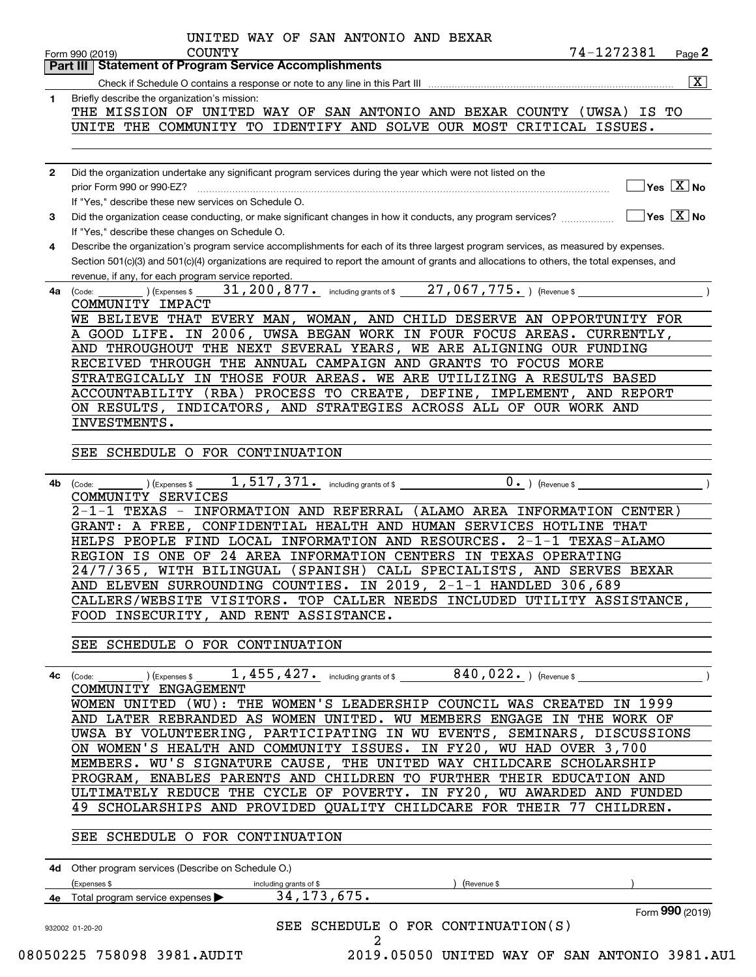|              | Part III   Statement of Program Service Accomplishments                                                                                                                                                                                                                                                                            |
|--------------|------------------------------------------------------------------------------------------------------------------------------------------------------------------------------------------------------------------------------------------------------------------------------------------------------------------------------------|
|              | $\overline{\mathbf{x}}$                                                                                                                                                                                                                                                                                                            |
| 1.           | Briefly describe the organization's mission:                                                                                                                                                                                                                                                                                       |
|              | THE MISSION OF UNITED WAY OF SAN ANTONIO AND BEXAR COUNTY (UWSA)<br>IS TO                                                                                                                                                                                                                                                          |
|              | UNITE THE COMMUNITY TO IDENTIFY AND SOLVE OUR MOST CRITICAL ISSUES.                                                                                                                                                                                                                                                                |
| $\mathbf{2}$ | Did the organization undertake any significant program services during the year which were not listed on the                                                                                                                                                                                                                       |
|              | $\overline{\ }$ Yes $\overline{\ \ X}$ No<br>prior Form 990 or 990-EZ?                                                                                                                                                                                                                                                             |
|              | If "Yes," describe these new services on Schedule O.                                                                                                                                                                                                                                                                               |
| 3            | $\boxed{\phantom{1}}$ Yes $\boxed{\text{X}}$ No<br>Did the organization cease conducting, or make significant changes in how it conducts, any program services?                                                                                                                                                                    |
|              | If "Yes," describe these changes on Schedule O.                                                                                                                                                                                                                                                                                    |
| 4            | Describe the organization's program service accomplishments for each of its three largest program services, as measured by expenses.                                                                                                                                                                                               |
|              | Section 501(c)(3) and 501(c)(4) organizations are required to report the amount of grants and allocations to others, the total expenses, and                                                                                                                                                                                       |
|              | revenue, if any, for each program service reported.                                                                                                                                                                                                                                                                                |
| 4a           | 31, 200, 877. including grants of \$27, 067, 775. ) (Revenue \$<br>) (Expenses \$<br>(Code:                                                                                                                                                                                                                                        |
|              | COMMUNITY IMPACT                                                                                                                                                                                                                                                                                                                   |
|              | WE BELIEVE THAT EVERY MAN, WOMAN, AND CHILD DESERVE AN OPPORTUNITY FOR                                                                                                                                                                                                                                                             |
|              | A GOOD LIFE. IN 2006, UWSA BEGAN WORK IN FOUR FOCUS AREAS. CURRENTLY,                                                                                                                                                                                                                                                              |
|              | AND THROUGHOUT THE NEXT SEVERAL YEARS, WE ARE ALIGNING OUR FUNDING                                                                                                                                                                                                                                                                 |
|              | RECEIVED THROUGH THE ANNUAL CAMPAIGN AND GRANTS TO FOCUS MORE                                                                                                                                                                                                                                                                      |
|              | STRATEGICALLY IN THOSE FOUR AREAS. WE ARE UTILIZING A RESULTS BASED                                                                                                                                                                                                                                                                |
|              | ACCOUNTABILITY (RBA) PROCESS TO CREATE, DEFINE, IMPLEMENT, AND REPORT                                                                                                                                                                                                                                                              |
|              | ON RESULTS, INDICATORS, AND STRATEGIES ACROSS ALL OF OUR WORK AND                                                                                                                                                                                                                                                                  |
|              | INVESTMENTS.                                                                                                                                                                                                                                                                                                                       |
|              |                                                                                                                                                                                                                                                                                                                                    |
|              | SEE SCHEDULE O FOR CONTINUATION                                                                                                                                                                                                                                                                                                    |
|              | COMMUNITY SERVICES<br>2-1-1 TEXAS - INFORMATION AND REFERRAL (ALAMO AREA INFORMATION CENTER)<br>GRANT: A FREE, CONFIDENTIAL HEALTH AND HUMAN SERVICES HOTLINE THAT<br>HELPS PEOPLE FIND LOCAL INFORMATION AND RESOURCES.<br>$2-1-1$ TEXAS-ALAMO                                                                                    |
|              | REGION IS ONE OF 24 AREA INFORMATION CENTERS IN TEXAS OPERATING<br>24/7/365, WITH BILINGUAL<br>(SPANISH) CALL SPECIALISTS, AND SERVES BEXAR<br>AND ELEVEN SURROUNDING COUNTIES. IN 2019, 2-1-1 HANDLED 306,689<br>CALLERS/WEBSITE VISITORS. TOP CALLER NEEDS INCLUDED UTILITY ASSISTANCE,<br>FOOD INSECURITY, AND RENT ASSISTANCE. |
|              | SEE SCHEDULE O FOR CONTINUATION                                                                                                                                                                                                                                                                                                    |
|              |                                                                                                                                                                                                                                                                                                                                    |
|              |                                                                                                                                                                                                                                                                                                                                    |
|              | COMMUNITY ENGAGEMENT                                                                                                                                                                                                                                                                                                               |
|              | WOMEN UNITED (WU): THE WOMEN'S LEADERSHIP COUNCIL WAS CREATED IN 1999                                                                                                                                                                                                                                                              |
|              | AND LATER REBRANDED AS WOMEN UNITED. WU MEMBERS ENGAGE IN THE WORK OF                                                                                                                                                                                                                                                              |
|              | UWSA BY VOLUNTEERING, PARTICIPATING IN WU EVENTS, SEMINARS, DISCUSSIONS                                                                                                                                                                                                                                                            |
|              | ON WOMEN'S HEALTH AND COMMUNITY ISSUES. IN FY20, WU HAD OVER 3,700                                                                                                                                                                                                                                                                 |
|              | MEMBERS. WU'S SIGNATURE CAUSE, THE UNITED WAY CHILDCARE SCHOLARSHIP                                                                                                                                                                                                                                                                |
|              | PROGRAM, ENABLES PARENTS AND CHILDREN TO FURTHER THEIR EDUCATION AND<br>ULTIMATELY REDUCE THE CYCLE OF POVERTY. IN FY20, WU AWARDED AND FUNDED                                                                                                                                                                                     |
|              | 49 SCHOLARSHIPS AND PROVIDED QUALITY CHILDCARE FOR THEIR 77 CHILDREN.                                                                                                                                                                                                                                                              |
|              |                                                                                                                                                                                                                                                                                                                                    |
|              | SEE SCHEDULE O FOR CONTINUATION                                                                                                                                                                                                                                                                                                    |
|              | 4d Other program services (Describe on Schedule O.)                                                                                                                                                                                                                                                                                |
| 4с           | (Expenses \$<br>) (Revenue \$<br>including grants of \$                                                                                                                                                                                                                                                                            |
|              | 34, 173, 675.<br>4e Total program service expenses ><br>Form 990 (2019)                                                                                                                                                                                                                                                            |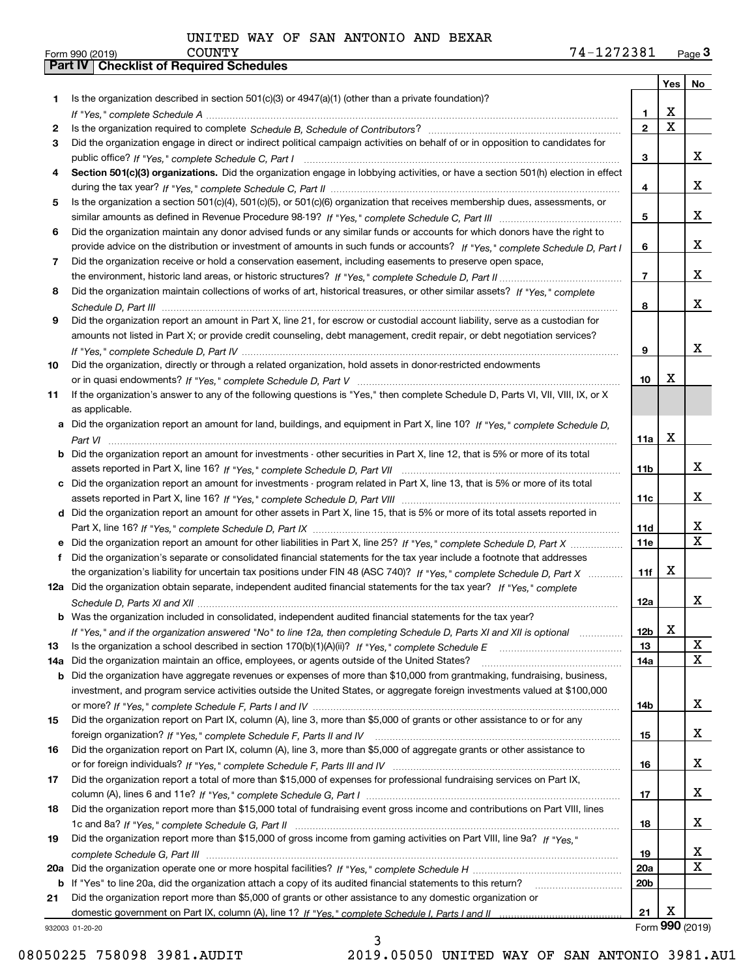|          |                                                                                                                                                                                                                                                   |                 | Yes   No                |                         |
|----------|---------------------------------------------------------------------------------------------------------------------------------------------------------------------------------------------------------------------------------------------------|-----------------|-------------------------|-------------------------|
| 1        | Is the organization described in section $501(c)(3)$ or $4947(a)(1)$ (other than a private foundation)?                                                                                                                                           |                 |                         |                         |
|          |                                                                                                                                                                                                                                                   | 1               | X                       |                         |
| 2        |                                                                                                                                                                                                                                                   | $\mathbf{2}$    | $\overline{\mathbf{x}}$ |                         |
| 3        | Did the organization engage in direct or indirect political campaign activities on behalf of or in opposition to candidates for                                                                                                                   |                 |                         |                         |
|          |                                                                                                                                                                                                                                                   | 3               |                         | x                       |
| 4        | Section 501(c)(3) organizations. Did the organization engage in lobbying activities, or have a section 501(h) election in effect                                                                                                                  |                 |                         |                         |
|          |                                                                                                                                                                                                                                                   | 4               |                         | x                       |
| 5        | Is the organization a section 501(c)(4), 501(c)(5), or 501(c)(6) organization that receives membership dues, assessments, or                                                                                                                      |                 |                         |                         |
|          |                                                                                                                                                                                                                                                   | 5               |                         | x                       |
| 6        | Did the organization maintain any donor advised funds or any similar funds or accounts for which donors have the right to                                                                                                                         |                 |                         |                         |
|          | provide advice on the distribution or investment of amounts in such funds or accounts? If "Yes," complete Schedule D, Part I                                                                                                                      | 6               |                         | x                       |
| 7        | Did the organization receive or hold a conservation easement, including easements to preserve open space,                                                                                                                                         |                 |                         |                         |
|          |                                                                                                                                                                                                                                                   | $\overline{7}$  |                         | x                       |
| 8        | Did the organization maintain collections of works of art, historical treasures, or other similar assets? If "Yes," complete                                                                                                                      |                 |                         |                         |
|          |                                                                                                                                                                                                                                                   | 8               |                         | x                       |
| 9        | Did the organization report an amount in Part X, line 21, for escrow or custodial account liability, serve as a custodian for                                                                                                                     |                 |                         |                         |
|          | amounts not listed in Part X; or provide credit counseling, debt management, credit repair, or debt negotiation services?                                                                                                                         |                 |                         |                         |
|          |                                                                                                                                                                                                                                                   | 9               |                         | x                       |
| 10       | Did the organization, directly or through a related organization, hold assets in donor-restricted endowments                                                                                                                                      |                 |                         |                         |
|          |                                                                                                                                                                                                                                                   | 10              | X                       |                         |
| 11       | If the organization's answer to any of the following questions is "Yes," then complete Schedule D, Parts VI, VII, VIII, IX, or X                                                                                                                  |                 |                         |                         |
|          | as applicable.                                                                                                                                                                                                                                    |                 |                         |                         |
|          | a Did the organization report an amount for land, buildings, and equipment in Part X, line 10? If "Yes," complete Schedule D.                                                                                                                     |                 |                         |                         |
|          |                                                                                                                                                                                                                                                   | 11a             | X                       |                         |
|          | Did the organization report an amount for investments - other securities in Part X, line 12, that is 5% or more of its total                                                                                                                      |                 |                         |                         |
|          |                                                                                                                                                                                                                                                   | 11 <sub>b</sub> |                         | x                       |
|          | c Did the organization report an amount for investments - program related in Part X, line 13, that is 5% or more of its total                                                                                                                     |                 |                         | x                       |
|          |                                                                                                                                                                                                                                                   | 11c             |                         |                         |
|          | d Did the organization report an amount for other assets in Part X, line 15, that is 5% or more of its total assets reported in                                                                                                                   |                 |                         | X                       |
|          |                                                                                                                                                                                                                                                   | 11d             |                         | $\overline{\mathbf{X}}$ |
|          |                                                                                                                                                                                                                                                   | 11e             |                         |                         |
| f        | Did the organization's separate or consolidated financial statements for the tax year include a footnote that addresses                                                                                                                           |                 | x                       |                         |
|          | the organization's liability for uncertain tax positions under FIN 48 (ASC 740)? If "Yes," complete Schedule D, Part X<br>12a Did the organization obtain separate, independent audited financial statements for the tax year? If "Yes," complete | 11f             |                         |                         |
|          |                                                                                                                                                                                                                                                   |                 |                         | x                       |
|          | <b>b</b> Was the organization included in consolidated, independent audited financial statements for the tax year?                                                                                                                                | 12a             |                         |                         |
|          |                                                                                                                                                                                                                                                   | 12 <sub>b</sub> | X                       |                         |
| 13       | If "Yes," and if the organization answered "No" to line 12a, then completing Schedule D, Parts XI and XII is optional<br>Is the organization a school described in section 170(b)(1)(A)(ii)? If "Yes," complete Schedule E                        | 13              |                         | X                       |
|          | Did the organization maintain an office, employees, or agents outside of the United States?                                                                                                                                                       | 14a             |                         | $\mathbf{X}$            |
| 14a<br>b | Did the organization have aggregate revenues or expenses of more than \$10,000 from grantmaking, fundraising, business,                                                                                                                           |                 |                         |                         |
|          | investment, and program service activities outside the United States, or aggregate foreign investments valued at \$100,000                                                                                                                        |                 |                         |                         |
|          |                                                                                                                                                                                                                                                   | 14b             |                         | X                       |
| 15       | Did the organization report on Part IX, column (A), line 3, more than \$5,000 of grants or other assistance to or for any                                                                                                                         |                 |                         |                         |
|          |                                                                                                                                                                                                                                                   | 15              |                         | x                       |
| 16       | Did the organization report on Part IX, column (A), line 3, more than \$5,000 of aggregate grants or other assistance to                                                                                                                          |                 |                         |                         |
|          |                                                                                                                                                                                                                                                   | 16              |                         | x                       |
| 17       | Did the organization report a total of more than \$15,000 of expenses for professional fundraising services on Part IX,                                                                                                                           |                 |                         |                         |
|          |                                                                                                                                                                                                                                                   | 17              |                         | x                       |
| 18       | Did the organization report more than \$15,000 total of fundraising event gross income and contributions on Part VIII, lines                                                                                                                      |                 |                         |                         |
|          |                                                                                                                                                                                                                                                   | 18              |                         | x                       |
| 19       | Did the organization report more than \$15,000 of gross income from gaming activities on Part VIII, line 9a? If "Yes."                                                                                                                            |                 |                         |                         |
|          |                                                                                                                                                                                                                                                   | 19              |                         | x                       |
| 20a      |                                                                                                                                                                                                                                                   | <b>20a</b>      |                         | X                       |
|          | b If "Yes" to line 20a, did the organization attach a copy of its audited financial statements to this return?                                                                                                                                    | 20 <sub>b</sub> |                         |                         |
| 21       | Did the organization report more than \$5,000 of grants or other assistance to any domestic organization or                                                                                                                                       |                 |                         |                         |
|          |                                                                                                                                                                                                                                                   | 21              | Χ                       |                         |
|          | 932003 01-20-20                                                                                                                                                                                                                                   |                 |                         | Form 990 (2019)         |

932003 01-20-20

08050225 758098 3981.AUDIT 2019.05050 UNITED WAY OF SAN ANTONIO 3981.AU1

3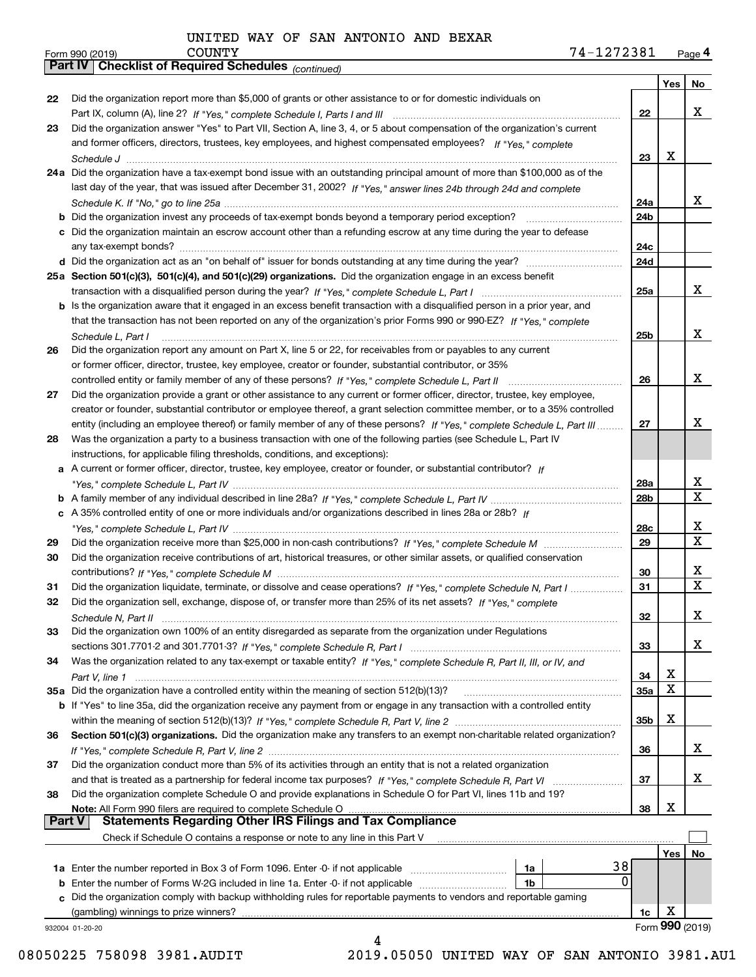|               | Parl IV  <br>Crieckist of Required Scriedules (continued)                                                                          |                 |     |                 |
|---------------|------------------------------------------------------------------------------------------------------------------------------------|-----------------|-----|-----------------|
|               |                                                                                                                                    |                 | Yes | No              |
| 22            | Did the organization report more than \$5,000 of grants or other assistance to or for domestic individuals on                      |                 |     |                 |
|               |                                                                                                                                    | 22              |     | x               |
| 23            | Did the organization answer "Yes" to Part VII, Section A, line 3, 4, or 5 about compensation of the organization's current         |                 |     |                 |
|               | and former officers, directors, trustees, key employees, and highest compensated employees? If "Yes," complete                     |                 |     |                 |
|               |                                                                                                                                    | 23              | х   |                 |
|               | 24a Did the organization have a tax-exempt bond issue with an outstanding principal amount of more than \$100,000 as of the        |                 |     |                 |
|               | last day of the year, that was issued after December 31, 2002? If "Yes," answer lines 24b through 24d and complete                 |                 |     |                 |
|               |                                                                                                                                    | 24a             |     | X.              |
|               | <b>b</b> Did the organization invest any proceeds of tax-exempt bonds beyond a temporary period exception?                         | 24b             |     |                 |
|               | c Did the organization maintain an escrow account other than a refunding escrow at any time during the year to defease             |                 |     |                 |
|               |                                                                                                                                    | 24c             |     |                 |
|               |                                                                                                                                    | 24d             |     |                 |
|               | 25a Section 501(c)(3), 501(c)(4), and 501(c)(29) organizations. Did the organization engage in an excess benefit                   |                 |     |                 |
|               |                                                                                                                                    | 25a             |     | x               |
|               | b Is the organization aware that it engaged in an excess benefit transaction with a disqualified person in a prior year, and       |                 |     |                 |
|               | that the transaction has not been reported on any of the organization's prior Forms 990 or 990-EZ? If "Yes," complete              |                 |     |                 |
|               | Schedule L, Part I                                                                                                                 | 25b             |     | x               |
| 26            | Did the organization report any amount on Part X, line 5 or 22, for receivables from or payables to any current                    |                 |     |                 |
|               | or former officer, director, trustee, key employee, creator or founder, substantial contributor, or 35%                            |                 |     |                 |
|               |                                                                                                                                    | 26              |     | x               |
| 27            | Did the organization provide a grant or other assistance to any current or former officer, director, trustee, key employee,        |                 |     |                 |
|               | creator or founder, substantial contributor or employee thereof, a grant selection committee member, or to a 35% controlled        |                 |     |                 |
|               | entity (including an employee thereof) or family member of any of these persons? If "Yes," complete Schedule L, Part III           | 27              |     | x               |
| 28            | Was the organization a party to a business transaction with one of the following parties (see Schedule L, Part IV                  |                 |     |                 |
|               | instructions, for applicable filing thresholds, conditions, and exceptions):                                                       |                 |     |                 |
|               | a A current or former officer, director, trustee, key employee, creator or founder, or substantial contributor? If                 |                 |     |                 |
|               |                                                                                                                                    | 28a             |     | x               |
|               |                                                                                                                                    | 28 <sub>b</sub> |     | X               |
|               | c A 35% controlled entity of one or more individuals and/or organizations described in lines 28a or 28b? If                        |                 |     |                 |
|               |                                                                                                                                    | 28c             |     | x               |
| 29            |                                                                                                                                    | 29              |     | X               |
| 30            | Did the organization receive contributions of art, historical treasures, or other similar assets, or qualified conservation        |                 |     |                 |
|               |                                                                                                                                    | 30              |     | х               |
| 31            | Did the organization liquidate, terminate, or dissolve and cease operations? If "Yes," complete Schedule N, Part I                 | 31              |     | х               |
| 32            | Did the organization sell, exchange, dispose of, or transfer more than 25% of its net assets? If "Yes," complete                   |                 |     |                 |
|               | Schedule N. Part II                                                                                                                | 32              |     | х               |
| 33            | Did the organization own 100% of an entity disregarded as separate from the organization under Regulations                         |                 |     |                 |
|               |                                                                                                                                    | 33              |     | x               |
| 34            | Was the organization related to any tax-exempt or taxable entity? If "Yes," complete Schedule R, Part II, III, or IV, and          |                 |     |                 |
|               |                                                                                                                                    | 34              | х   |                 |
|               | 35a Did the organization have a controlled entity within the meaning of section 512(b)(13)?                                        | 35a             | х   |                 |
|               | <b>b</b> If "Yes" to line 35a, did the organization receive any payment from or engage in any transaction with a controlled entity |                 |     |                 |
|               |                                                                                                                                    | 35b             | х   |                 |
| 36            | Section 501(c)(3) organizations. Did the organization make any transfers to an exempt non-charitable related organization?         |                 |     |                 |
|               |                                                                                                                                    | 36              |     | x               |
| 37            | Did the organization conduct more than 5% of its activities through an entity that is not a related organization                   |                 |     |                 |
|               | and that is treated as a partnership for federal income tax purposes? If "Yes," complete Schedule R, Part VI                       | 37              |     | x               |
| 38            | Did the organization complete Schedule O and provide explanations in Schedule O for Part VI, lines 11b and 19?                     |                 |     |                 |
| <b>Part V</b> | Note: All Form 990 filers are required to complete Schedule O<br><b>Statements Regarding Other IRS Filings and Tax Compliance</b>  | 38              | х   |                 |
|               | Check if Schedule O contains a response or note to any line in this Part V                                                         |                 |     |                 |
|               |                                                                                                                                    |                 |     |                 |
|               | 38<br>1a                                                                                                                           |                 | Yes | No              |
|               | 0<br><b>b</b> Enter the number of Forms W-2G included in line 1a. Enter -0- if not applicable<br>1b                                |                 |     |                 |
|               | c Did the organization comply with backup withholding rules for reportable payments to vendors and reportable gaming               |                 |     |                 |
|               | (gambling) winnings to prize winners?                                                                                              | 1c              | Χ   |                 |
|               | 932004 01-20-20                                                                                                                    |                 |     | Form 990 (2019) |
|               |                                                                                                                                    |                 |     |                 |

 <sup>08050225 758098 3981.</sup>AUDIT 2019.05050 UNITED WAY OF SAN ANTONIO 3981.AU1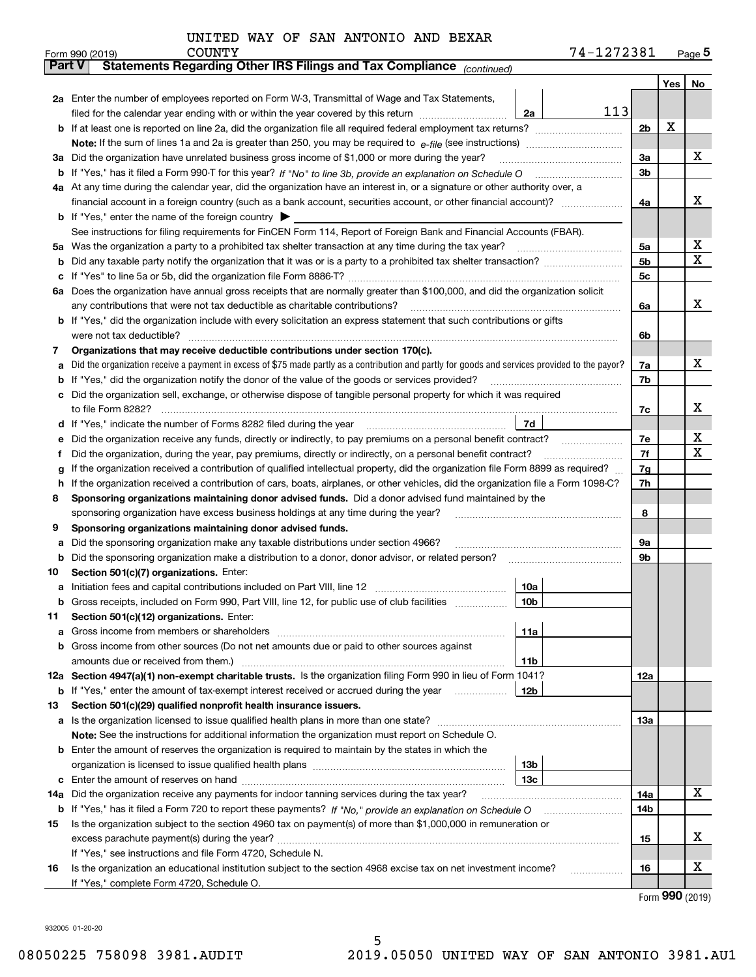| UNITED WAY OF SAN ANTONIO AND BEXAR |  |
|-------------------------------------|--|
|-------------------------------------|--|

|        |                                                                                                                                                                                                 | <b>COUNTY</b><br>Form 990 (2019)                                                                                                                                                                                                |                 | 74-1272381 |                |     | $_{\text{Page}}$ 5 |  |  |  |
|--------|-------------------------------------------------------------------------------------------------------------------------------------------------------------------------------------------------|---------------------------------------------------------------------------------------------------------------------------------------------------------------------------------------------------------------------------------|-----------------|------------|----------------|-----|--------------------|--|--|--|
| Part V |                                                                                                                                                                                                 | Statements Regarding Other IRS Filings and Tax Compliance (continued)                                                                                                                                                           |                 |            |                |     |                    |  |  |  |
|        |                                                                                                                                                                                                 |                                                                                                                                                                                                                                 |                 |            |                | Yes | No                 |  |  |  |
|        |                                                                                                                                                                                                 | 2a Enter the number of employees reported on Form W-3, Transmittal of Wage and Tax Statements,                                                                                                                                  |                 |            |                |     |                    |  |  |  |
|        | 113<br>filed for the calendar year ending with or within the year covered by this return<br>2a                                                                                                  |                                                                                                                                                                                                                                 |                 |            |                |     |                    |  |  |  |
|        |                                                                                                                                                                                                 |                                                                                                                                                                                                                                 |                 |            |                |     |                    |  |  |  |
|        |                                                                                                                                                                                                 |                                                                                                                                                                                                                                 |                 |            |                |     |                    |  |  |  |
|        |                                                                                                                                                                                                 | 3a Did the organization have unrelated business gross income of \$1,000 or more during the year?                                                                                                                                |                 |            | 3a             |     | x                  |  |  |  |
| b      |                                                                                                                                                                                                 |                                                                                                                                                                                                                                 |                 |            | 3 <sub>b</sub> |     |                    |  |  |  |
|        |                                                                                                                                                                                                 | 4a At any time during the calendar year, did the organization have an interest in, or a signature or other authority over, a                                                                                                    |                 |            |                |     |                    |  |  |  |
|        |                                                                                                                                                                                                 |                                                                                                                                                                                                                                 |                 |            | 4a             |     | x                  |  |  |  |
|        |                                                                                                                                                                                                 | <b>b</b> If "Yes," enter the name of the foreign country $\triangleright$                                                                                                                                                       |                 |            |                |     |                    |  |  |  |
|        |                                                                                                                                                                                                 | See instructions for filing requirements for FinCEN Form 114, Report of Foreign Bank and Financial Accounts (FBAR).                                                                                                             |                 |            |                |     |                    |  |  |  |
| 5a     |                                                                                                                                                                                                 | Was the organization a party to a prohibited tax shelter transaction at any time during the tax year?                                                                                                                           |                 |            | 5a             |     | x                  |  |  |  |
| b      |                                                                                                                                                                                                 |                                                                                                                                                                                                                                 |                 |            | 5 <sub>b</sub> |     | x                  |  |  |  |
| с      |                                                                                                                                                                                                 |                                                                                                                                                                                                                                 |                 |            | 5c             |     |                    |  |  |  |
|        |                                                                                                                                                                                                 | 6a Does the organization have annual gross receipts that are normally greater than \$100,000, and did the organization solicit                                                                                                  |                 |            |                |     |                    |  |  |  |
|        |                                                                                                                                                                                                 | any contributions that were not tax deductible as charitable contributions?                                                                                                                                                     |                 |            | 6a             |     | x                  |  |  |  |
|        |                                                                                                                                                                                                 | b If "Yes," did the organization include with every solicitation an express statement that such contributions or gifts                                                                                                          |                 |            |                |     |                    |  |  |  |
|        |                                                                                                                                                                                                 | were not tax deductible?                                                                                                                                                                                                        |                 |            | 6b             |     |                    |  |  |  |
| 7      |                                                                                                                                                                                                 | Organizations that may receive deductible contributions under section 170(c).                                                                                                                                                   |                 |            |                |     |                    |  |  |  |
| a      |                                                                                                                                                                                                 | Did the organization receive a payment in excess of \$75 made partly as a contribution and partly for goods and services provided to the payor?                                                                                 |                 |            | 7a             |     | x                  |  |  |  |
| b      |                                                                                                                                                                                                 | If "Yes," did the organization notify the donor of the value of the goods or services provided?                                                                                                                                 |                 |            | 7b             |     |                    |  |  |  |
|        |                                                                                                                                                                                                 | Did the organization sell, exchange, or otherwise dispose of tangible personal property for which it was required                                                                                                               |                 |            |                |     | x                  |  |  |  |
|        |                                                                                                                                                                                                 |                                                                                                                                                                                                                                 | 7d              |            | 7c             |     |                    |  |  |  |
| d      |                                                                                                                                                                                                 |                                                                                                                                                                                                                                 |                 |            | 7e             |     | х                  |  |  |  |
| е      |                                                                                                                                                                                                 | Did the organization receive any funds, directly or indirectly, to pay premiums on a personal benefit contract?<br>Did the organization, during the year, pay premiums, directly or indirectly, on a personal benefit contract? |                 |            | 7f             |     | x                  |  |  |  |
| f      |                                                                                                                                                                                                 |                                                                                                                                                                                                                                 |                 |            | 7g             |     |                    |  |  |  |
|        | If the organization received a contribution of qualified intellectual property, did the organization file Form 8899 as required?<br>g                                                           |                                                                                                                                                                                                                                 |                 |            |                |     |                    |  |  |  |
|        | If the organization received a contribution of cars, boats, airplanes, or other vehicles, did the organization file a Form 1098-C?<br>h                                                         |                                                                                                                                                                                                                                 |                 |            |                |     |                    |  |  |  |
|        | Sponsoring organizations maintaining donor advised funds. Did a donor advised fund maintained by the<br>8<br>sponsoring organization have excess business holdings at any time during the year? |                                                                                                                                                                                                                                 |                 |            |                |     |                    |  |  |  |
| 9      |                                                                                                                                                                                                 | Sponsoring organizations maintaining donor advised funds.                                                                                                                                                                       |                 |            | 8              |     |                    |  |  |  |
| a      |                                                                                                                                                                                                 | Did the sponsoring organization make any taxable distributions under section 4966?                                                                                                                                              |                 |            | 9а             |     |                    |  |  |  |
| b      |                                                                                                                                                                                                 | Did the sponsoring organization make a distribution to a donor, donor advisor, or related person?                                                                                                                               |                 |            | 9b             |     |                    |  |  |  |
| 10     |                                                                                                                                                                                                 | Section 501(c)(7) organizations. Enter:                                                                                                                                                                                         |                 |            |                |     |                    |  |  |  |
|        |                                                                                                                                                                                                 |                                                                                                                                                                                                                                 | 10a             |            |                |     |                    |  |  |  |
|        |                                                                                                                                                                                                 | Gross receipts, included on Form 990, Part VIII, line 12, for public use of club facilities                                                                                                                                     | 10b             |            |                |     |                    |  |  |  |
| 11     |                                                                                                                                                                                                 | Section 501(c)(12) organizations. Enter:                                                                                                                                                                                        |                 |            |                |     |                    |  |  |  |
| a      |                                                                                                                                                                                                 | Gross income from members or shareholders                                                                                                                                                                                       | 11a             |            |                |     |                    |  |  |  |
| b      |                                                                                                                                                                                                 | Gross income from other sources (Do not net amounts due or paid to other sources against                                                                                                                                        |                 |            |                |     |                    |  |  |  |
|        |                                                                                                                                                                                                 |                                                                                                                                                                                                                                 | 11 <sub>b</sub> |            |                |     |                    |  |  |  |
|        |                                                                                                                                                                                                 | 12a Section 4947(a)(1) non-exempt charitable trusts. Is the organization filing Form 990 in lieu of Form 1041?                                                                                                                  |                 |            | 12a            |     |                    |  |  |  |
|        |                                                                                                                                                                                                 | <b>b</b> If "Yes," enter the amount of tax-exempt interest received or accrued during the year                                                                                                                                  | 12b             |            |                |     |                    |  |  |  |
| 13     |                                                                                                                                                                                                 | Section 501(c)(29) qualified nonprofit health insurance issuers.                                                                                                                                                                |                 |            |                |     |                    |  |  |  |
|        |                                                                                                                                                                                                 | a Is the organization licensed to issue qualified health plans in more than one state?                                                                                                                                          |                 |            | 13a            |     |                    |  |  |  |
|        |                                                                                                                                                                                                 | Note: See the instructions for additional information the organization must report on Schedule O.                                                                                                                               |                 |            |                |     |                    |  |  |  |
|        |                                                                                                                                                                                                 | <b>b</b> Enter the amount of reserves the organization is required to maintain by the states in which the                                                                                                                       |                 |            |                |     |                    |  |  |  |
|        |                                                                                                                                                                                                 |                                                                                                                                                                                                                                 | 13 <sub>b</sub> |            |                |     |                    |  |  |  |
| c      |                                                                                                                                                                                                 |                                                                                                                                                                                                                                 | 13 <sub>c</sub> |            |                |     |                    |  |  |  |
| 14a    |                                                                                                                                                                                                 | Did the organization receive any payments for indoor tanning services during the tax year?                                                                                                                                      |                 |            | 14a            |     | X                  |  |  |  |
|        |                                                                                                                                                                                                 | <b>b</b> If "Yes," has it filed a Form 720 to report these payments? If "No," provide an explanation on Schedule O                                                                                                              |                 |            | 14b            |     |                    |  |  |  |
| 15     |                                                                                                                                                                                                 | Is the organization subject to the section 4960 tax on payment(s) of more than \$1,000,000 in remuneration or                                                                                                                   |                 |            |                |     |                    |  |  |  |
|        |                                                                                                                                                                                                 |                                                                                                                                                                                                                                 |                 |            | 15             |     | x                  |  |  |  |
|        |                                                                                                                                                                                                 | If "Yes," see instructions and file Form 4720, Schedule N.                                                                                                                                                                      |                 |            |                |     |                    |  |  |  |
| 16     |                                                                                                                                                                                                 | Is the organization an educational institution subject to the section 4968 excise tax on net investment income?                                                                                                                 |                 |            | 16             |     | х                  |  |  |  |
|        |                                                                                                                                                                                                 | If "Yes," complete Form 4720, Schedule O.                                                                                                                                                                                       |                 |            |                |     |                    |  |  |  |

Form (2019) **990**

932005 01-20-20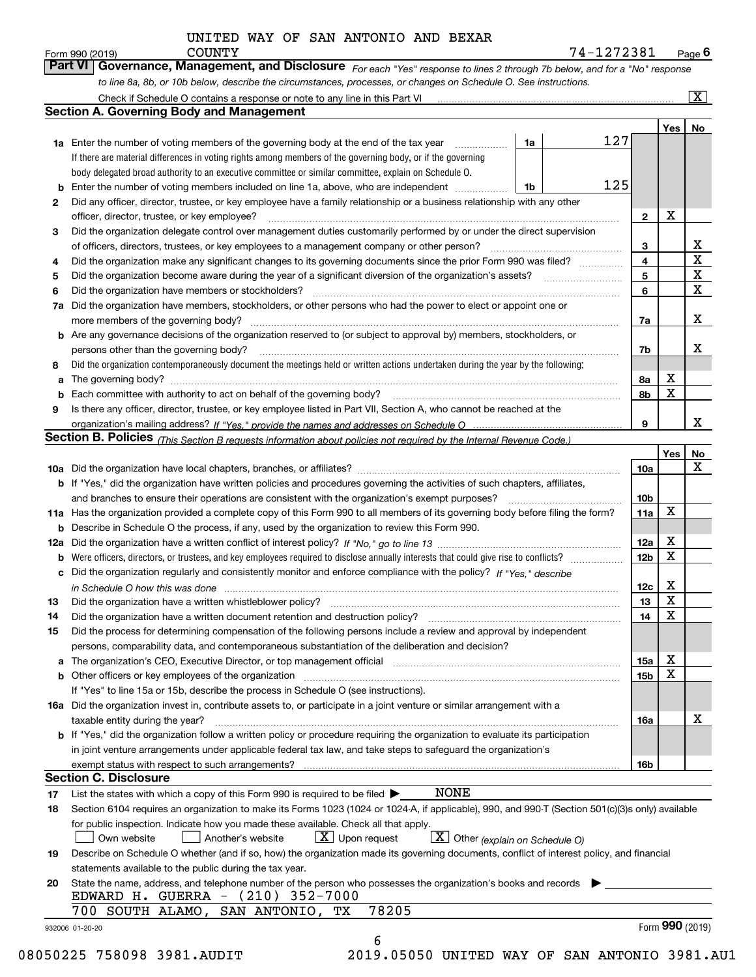| UNITED WAY OF SAN ANTONIO AND BEXAR |  |
|-------------------------------------|--|
|-------------------------------------|--|

*For each "Yes" response to lines 2 through 7b below, and for a "No" response*

|    | <b>Section A. Governing Body and Management</b>                                                                                                                                                                                           |                         |                 |                         |
|----|-------------------------------------------------------------------------------------------------------------------------------------------------------------------------------------------------------------------------------------------|-------------------------|-----------------|-------------------------|
|    |                                                                                                                                                                                                                                           |                         | Yes   No        |                         |
|    | 127<br><b>1a</b> Enter the number of voting members of the governing body at the end of the tax year <i>manumum</i><br>1a                                                                                                                 |                         |                 |                         |
|    | If there are material differences in voting rights among members of the governing body, or if the governing                                                                                                                               |                         |                 |                         |
|    | body delegated broad authority to an executive committee or similar committee, explain on Schedule O.                                                                                                                                     |                         |                 |                         |
| b  | 125<br>Enter the number of voting members included on line 1a, above, who are independent<br>1b                                                                                                                                           |                         |                 |                         |
| 2  | Did any officer, director, trustee, or key employee have a family relationship or a business relationship with any other                                                                                                                  |                         |                 |                         |
|    | officer, director, trustee, or key employee?                                                                                                                                                                                              | $\mathbf{2}$            | х               |                         |
| 3  | Did the organization delegate control over management duties customarily performed by or under the direct supervision                                                                                                                     |                         |                 |                         |
|    |                                                                                                                                                                                                                                           | 3                       |                 | $\overline{\mathbf{X}}$ |
| 4  | Did the organization make any significant changes to its governing documents since the prior Form 990 was filed?                                                                                                                          | $\overline{\mathbf{4}}$ |                 | $\overline{\mathbf{x}}$ |
| 5  |                                                                                                                                                                                                                                           | 5                       |                 | $\overline{\textbf{X}}$ |
| 6  | Did the organization have members or stockholders?                                                                                                                                                                                        | 6                       |                 | $\overline{\mathbf{x}}$ |
| 7a | Did the organization have members, stockholders, or other persons who had the power to elect or appoint one or                                                                                                                            |                         |                 |                         |
|    |                                                                                                                                                                                                                                           | 7a                      |                 | X                       |
|    | b Are any governance decisions of the organization reserved to (or subject to approval by) members, stockholders, or                                                                                                                      |                         |                 |                         |
|    |                                                                                                                                                                                                                                           |                         |                 | X                       |
|    | persons other than the governing body?                                                                                                                                                                                                    | 7b                      |                 |                         |
| 8  | Did the organization contemporaneously document the meetings held or written actions undertaken during the year by the following:                                                                                                         |                         |                 |                         |
| а  |                                                                                                                                                                                                                                           | 8a                      | х               |                         |
|    |                                                                                                                                                                                                                                           | 8b                      | $\mathbf X$     |                         |
| 9  | Is there any officer, director, trustee, or key employee listed in Part VII, Section A, who cannot be reached at the                                                                                                                      |                         |                 |                         |
|    |                                                                                                                                                                                                                                           | 9                       |                 | X                       |
|    | Section B. Policies <i>(This Section B requests information about policies not required by the Internal Revenue Code.)</i>                                                                                                                |                         |                 |                         |
|    |                                                                                                                                                                                                                                           |                         | Yes             | <u>No</u>               |
|    |                                                                                                                                                                                                                                           | 10a                     |                 | X                       |
|    | b If "Yes," did the organization have written policies and procedures governing the activities of such chapters, affiliates,                                                                                                              |                         |                 |                         |
|    |                                                                                                                                                                                                                                           | 10 <sub>b</sub>         |                 |                         |
|    | 11a Has the organization provided a complete copy of this Form 990 to all members of its governing body before filing the form?                                                                                                           | 11a                     | X               |                         |
|    | <b>b</b> Describe in Schedule O the process, if any, used by the organization to review this Form 990.                                                                                                                                    |                         |                 |                         |
|    |                                                                                                                                                                                                                                           | 12a                     | x               |                         |
| b  |                                                                                                                                                                                                                                           | 12 <sub>b</sub>         | X               |                         |
|    | c Did the organization regularly and consistently monitor and enforce compliance with the policy? If "Yes," describe                                                                                                                      |                         |                 |                         |
|    |                                                                                                                                                                                                                                           | 12c                     | X               |                         |
|    | in Schedule O how this was done manufactured and continuum and contact the state of the state of the state of t                                                                                                                           | 13                      | X               |                         |
| 13 |                                                                                                                                                                                                                                           | 14                      | X               |                         |
| 14 |                                                                                                                                                                                                                                           |                         |                 |                         |
| 15 | Did the process for determining compensation of the following persons include a review and approval by independent                                                                                                                        |                         |                 |                         |
|    | persons, comparability data, and contemporaneous substantiation of the deliberation and decision?                                                                                                                                         |                         |                 |                         |
|    | a The organization's CEO, Executive Director, or top management official [11] [12] The organization's CEO, Executive Director, or top management official [12] [12] [12] [12] The organization's CEO, Executive Director, or t            | 15a                     | x               |                         |
|    | <b>b</b> Other officers or key employees of the organization <i>manufacture content of the content of the content of the content of the content of the content of the content of the content of the content of the content of the con</i> | 15 <sub>b</sub>         | X               |                         |
|    | If "Yes" to line 15a or 15b, describe the process in Schedule O (see instructions).                                                                                                                                                       |                         |                 |                         |
|    | 16a Did the organization invest in, contribute assets to, or participate in a joint venture or similar arrangement with a                                                                                                                 |                         |                 |                         |
|    | taxable entity during the year?                                                                                                                                                                                                           | 16a                     |                 | х                       |
|    | b If "Yes," did the organization follow a written policy or procedure requiring the organization to evaluate its participation                                                                                                            |                         |                 |                         |
|    | in joint venture arrangements under applicable federal tax law, and take steps to safeguard the organization's                                                                                                                            |                         |                 |                         |
|    |                                                                                                                                                                                                                                           | 16b                     |                 |                         |
|    | <b>Section C. Disclosure</b>                                                                                                                                                                                                              |                         |                 |                         |
| 17 | NONE<br>List the states with which a copy of this Form 990 is required to be filed $\blacktriangleright$                                                                                                                                  |                         |                 |                         |
| 18 | Section 6104 requires an organization to make its Forms 1023 (1024 or 1024-A, if applicable), 990, and 990-T (Section 501(c)(3)s only) available                                                                                          |                         |                 |                         |
|    | for public inspection. Indicate how you made these available. Check all that apply.                                                                                                                                                       |                         |                 |                         |
|    | $X$ Upon request<br>$\boxed{\textbf{X}}$ Other (explain on Schedule O)<br>Own website<br>Another's website                                                                                                                                |                         |                 |                         |
| 19 | Describe on Schedule O whether (and if so, how) the organization made its governing documents, conflict of interest policy, and financial                                                                                                 |                         |                 |                         |
|    | statements available to the public during the tax year.                                                                                                                                                                                   |                         |                 |                         |
|    | State the name, address, and telephone number of the person who possesses the organization's books and records                                                                                                                            |                         |                 |                         |
| 20 | EDWARD H. GUERRA - (210) 352-7000                                                                                                                                                                                                         |                         |                 |                         |
|    |                                                                                                                                                                                                                                           |                         |                 |                         |
|    | 78205<br>700 SOUTH ALAMO,<br>SAN ANTONIO,<br>TХ                                                                                                                                                                                           |                         |                 |                         |
|    | 932006 01-20-20                                                                                                                                                                                                                           |                         | Form 990 (2019) |                         |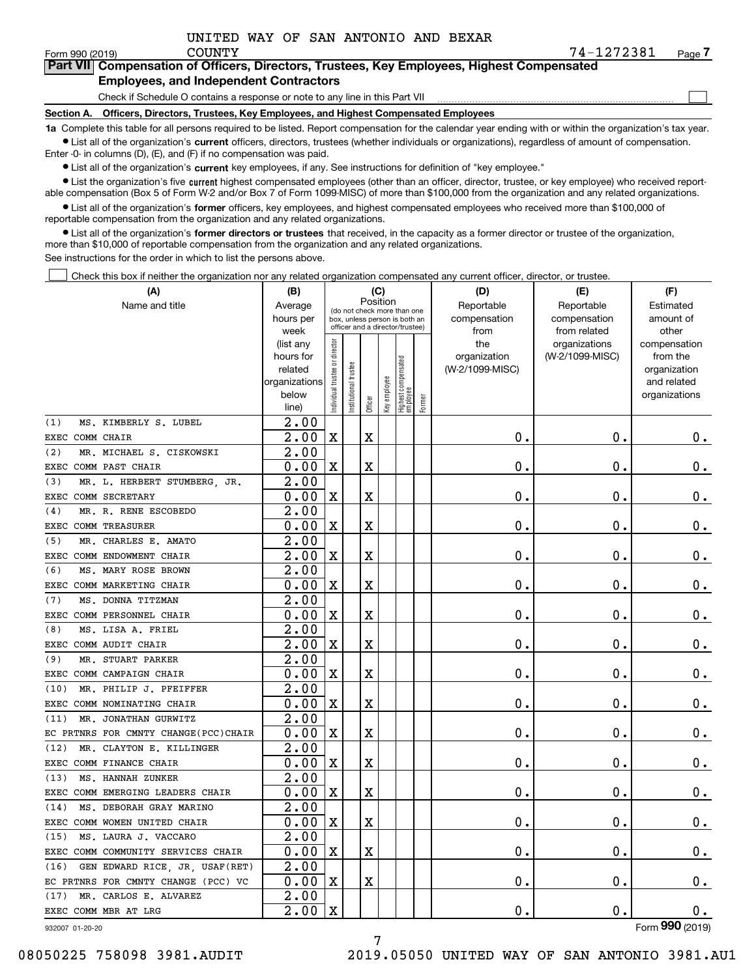$\mathcal{L}^{\text{max}}$ 

| orm 990 (2019) <sup>.</sup> | COUNTY                                                                                     | 74-1272381 | Page $\prime$ |
|-----------------------------|--------------------------------------------------------------------------------------------|------------|---------------|
|                             | Part VII Compensation of Officers, Directors, Trustees, Key Employees, Highest Compensated |            |               |
|                             | <b>Employees, and Independent Contractors</b>                                              |            |               |

Check if Schedule O contains a response or note to any line in this Part VII

**Section A. Officers, Directors, Trustees, Key Employees, and Highest Compensated Employees**

**1a**  Complete this table for all persons required to be listed. Report compensation for the calendar year ending with or within the organization's tax year. **•** List all of the organization's current officers, directors, trustees (whether individuals or organizations), regardless of amount of compensation.

Enter -0- in columns (D), (E), and (F) if no compensation was paid.

 $\bullet$  List all of the organization's  $\,$ current key employees, if any. See instructions for definition of "key employee."

**•** List the organization's five current highest compensated employees (other than an officer, director, trustee, or key employee) who received reportable compensation (Box 5 of Form W-2 and/or Box 7 of Form 1099-MISC) of more than \$100,000 from the organization and any related organizations.

**•** List all of the organization's former officers, key employees, and highest compensated employees who received more than \$100,000 of reportable compensation from the organization and any related organizations.

**former directors or trustees**  ¥ List all of the organization's that received, in the capacity as a former director or trustee of the organization, more than \$10,000 of reportable compensation from the organization and any related organizations.

See instructions for the order in which to list the persons above.

Check this box if neither the organization nor any related organization compensated any current officer, director, or trustee.  $\mathcal{L}^{\text{max}}$ 

| (A)                                    | (B)                    |                                |                                                                  |         | (C)          |                                  |        | (D)                 | (E)                              | (F)                      |
|----------------------------------------|------------------------|--------------------------------|------------------------------------------------------------------|---------|--------------|----------------------------------|--------|---------------------|----------------------------------|--------------------------|
| Name and title                         | Average                |                                | (do not check more than one                                      |         | Position     |                                  |        | Reportable          | Reportable                       | Estimated                |
|                                        | hours per              |                                | box, unless person is both an<br>officer and a director/trustee) |         |              |                                  |        | compensation        | compensation                     | amount of                |
|                                        | week                   |                                |                                                                  |         |              |                                  |        | from                | from related                     | other                    |
|                                        | (list any<br>hours for |                                |                                                                  |         |              |                                  |        | the<br>organization | organizations<br>(W-2/1099-MISC) | compensation<br>from the |
|                                        | related                |                                |                                                                  |         |              |                                  |        | (W-2/1099-MISC)     |                                  | organization             |
|                                        | organizations          |                                | trustee                                                          |         |              |                                  |        |                     |                                  | and related              |
|                                        | below                  | Individual trustee or director | nstitutional                                                     |         | Key employee |                                  |        |                     |                                  | organizations            |
|                                        | line)                  |                                |                                                                  | Officer |              | Highest compensated<br> employee | Former |                     |                                  |                          |
| (1)<br>MS. KIMBERLY S. LUBEL           | 2.00                   |                                |                                                                  |         |              |                                  |        |                     |                                  |                          |
| EXEC COMM CHAIR                        | 2.00                   | X                              |                                                                  | X       |              |                                  |        | 0.                  | $\mathbf 0$ .                    | $0_{.}$                  |
| (2)<br>MR. MICHAEL S. CISKOWSKI        | $\overline{2.00}$      |                                |                                                                  |         |              |                                  |        |                     |                                  |                          |
| EXEC COMM PAST CHAIR                   | 0.00                   | $\mathbf X$                    |                                                                  | X       |              |                                  |        | $\mathbf 0$ .       | 0.                               | $\mathbf 0$ .            |
| (3)<br>MR. L. HERBERT STUMBERG, JR.    | 2.00                   |                                |                                                                  |         |              |                                  |        |                     |                                  |                          |
| COMM SECRETARY<br>EXEC                 | 0.00                   | X                              |                                                                  | X       |              |                                  |        | 0.                  | $\mathbf 0$ .                    | $\mathbf 0$ .            |
| MR. R. RENE ESCOBEDO<br>(4)            | $\overline{2.00}$      |                                |                                                                  |         |              |                                  |        |                     |                                  |                          |
| <b>COMM TREASURER</b><br>EXEC          | 0.00                   | X                              |                                                                  | X       |              |                                  |        | 0.                  | О.                               | $\boldsymbol{0}$ .       |
| (5)<br>MR. CHARLES E. AMATO            | 2.00                   |                                |                                                                  |         |              |                                  |        |                     |                                  |                          |
| EXEC COMM ENDOWMENT CHAIR              | 2.00                   | $\overline{\text{X}}$          |                                                                  | X       |              |                                  |        | 0.                  | 0.                               | $\mathbf 0$ .            |
| (6)<br>MS. MARY ROSE BROWN             | 2.00                   |                                |                                                                  |         |              |                                  |        |                     |                                  |                          |
| EXEC COMM MARKETING CHAIR              | 0.00                   | X                              |                                                                  | X       |              |                                  |        | 0.                  | $\mathbf 0$ .                    | $0_{.}$                  |
| (7)<br>MS. DONNA TITZMAN               | 2.00                   |                                |                                                                  |         |              |                                  |        |                     |                                  |                          |
| EXEC COMM PERSONNEL CHAIR              | 0.00                   | X                              |                                                                  | X       |              |                                  |        | $\mathbf 0$ .       | 0.                               | $\boldsymbol{0}$ .       |
| MS. LISA A. FRIEL<br>(8)               | 2.00                   |                                |                                                                  |         |              |                                  |        |                     |                                  |                          |
| EXEC COMM AUDIT CHAIR                  | 2.00                   | X                              |                                                                  | X       |              |                                  |        | 0.                  | 0.                               | $0_{.}$                  |
| MR. STUART PARKER<br>(9)               | $\overline{2.00}$      |                                |                                                                  |         |              |                                  |        |                     |                                  |                          |
| EXEC COMM CAMPAIGN CHAIR               | 0.00                   | $\mathbf X$                    |                                                                  | Χ       |              |                                  |        | 0.                  | 0.                               | 0.                       |
| MR. PHILIP J. PFEIFFER<br>(10)         | 2.00                   |                                |                                                                  |         |              |                                  |        |                     |                                  |                          |
| EXEC COMM NOMINATING CHAIR             | 0.00                   | $\mathbf x$                    |                                                                  | X       |              |                                  |        | 0.                  | О.                               | 0.                       |
| MR. JONATHAN GURWITZ<br>(11)           | $\overline{2.00}$      |                                |                                                                  |         |              |                                  |        |                     |                                  |                          |
| EC PRTNRS FOR CMNTY CHANGE(PCC)CHAIR   | 0.00                   | X                              |                                                                  | X       |              |                                  |        | $\mathbf 0$ .       | О.                               | 0.                       |
| MR. CLAYTON E. KILLINGER<br>(12)       | 2.00                   |                                |                                                                  |         |              |                                  |        |                     |                                  |                          |
| EXEC COMM FINANCE CHAIR                | 0.00                   | $\mathbf x$                    |                                                                  | X       |              |                                  |        | 0.                  | $\mathbf 0$ .                    | 0.                       |
| MS. HANNAH ZUNKER<br>(13)              | 2.00                   |                                |                                                                  |         |              |                                  |        |                     |                                  |                          |
| EXEC COMM EMERGING LEADERS CHAIR       | 0.00                   | X                              |                                                                  | X       |              |                                  |        | 0.                  | О.                               | $\mathbf 0$ .            |
| MS. DEBORAH GRAY MARINO<br>(14)        | 2.00                   |                                |                                                                  |         |              |                                  |        |                     |                                  |                          |
| EXEC COMM WOMEN UNITED CHAIR           | 0.00                   | $\mathbf x$                    |                                                                  | X       |              |                                  |        | $\mathbf 0$ .       | $\mathbf 0$ .                    | $\mathbf 0$ .            |
| MS. LAURA J. VACCARO<br>(15)           | 2.00                   |                                |                                                                  |         |              |                                  |        |                     |                                  |                          |
| COMM COMMUNITY SERVICES CHAIR<br>EXEC  | 0.00                   | X                              |                                                                  | X       |              |                                  |        | $\mathbf 0$ .       | $\mathbf 0$ .                    | $\mathbf 0$ .            |
| (16)<br>GEN EDWARD RICE, JR, USAF(RET) | 2.00                   |                                |                                                                  |         |              |                                  |        |                     |                                  |                          |
| EC PRTNRS FOR CMNTY CHANGE (PCC) VC    | 0.00                   | X                              |                                                                  | X       |              |                                  |        | 0.                  | 0.                               | $\mathbf 0$ .            |
| (17)<br>CARLOS E. ALVAREZ<br>MR.       | $\overline{2.00}$      |                                |                                                                  |         |              |                                  |        |                     |                                  |                          |
| EXEC COMM MBR AT LRG                   | 2.00                   | $\mathbf X$                    |                                                                  |         |              |                                  |        | $\mathbf 0$ .       | $\mathbf 0$ .                    | 0.<br>$\overline{2}$     |

932007 01-20-20

Form (2019) **990**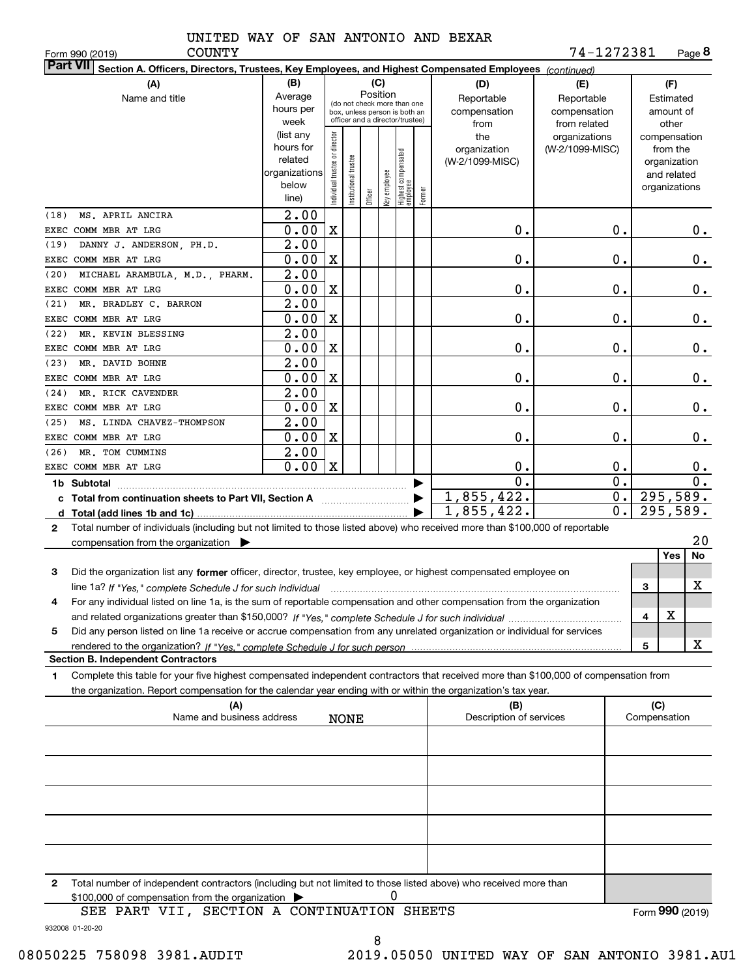COUNTY

Form 990 (2019) Page **8** 74-1272381

| Part VII Section A. Officers, Directors, Trustees, Key Employees, and Highest Compensated Employees (continued)                           |                   |                                |                       |          |              |                                                              |        |                         |                  |                     |                 |
|-------------------------------------------------------------------------------------------------------------------------------------------|-------------------|--------------------------------|-----------------------|----------|--------------|--------------------------------------------------------------|--------|-------------------------|------------------|---------------------|-----------------|
| (B)<br>(C)<br>(A)<br>(D)<br>(E)                                                                                                           |                   |                                |                       |          |              |                                                              |        |                         |                  |                     | (F)             |
| Name and title                                                                                                                            | Average           |                                |                       | Position |              |                                                              |        | Reportable              | Reportable       |                     | Estimated       |
|                                                                                                                                           | hours per         |                                |                       |          |              | (do not check more than one<br>box, unless person is both an |        | compensation            | compensation     |                     | amount of       |
|                                                                                                                                           | week              |                                |                       |          |              | officer and a director/trustee)                              |        | from                    | from related     |                     | other           |
|                                                                                                                                           | (list any         |                                |                       |          |              |                                                              |        | the                     | organizations    |                     | compensation    |
|                                                                                                                                           | hours for         |                                |                       |          |              |                                                              |        | organization            | (W-2/1099-MISC)  |                     | from the        |
|                                                                                                                                           | related           |                                |                       |          |              |                                                              |        | (W-2/1099-MISC)         |                  |                     | organization    |
|                                                                                                                                           | organizations     |                                |                       |          |              |                                                              |        |                         |                  |                     | and related     |
|                                                                                                                                           | below<br>line)    | Individual trustee or director | Institutional trustee | Officer  | Key employee | Highest compensated<br> employee                             | Former |                         |                  |                     | organizations   |
|                                                                                                                                           |                   |                                |                       |          |              |                                                              |        |                         |                  |                     |                 |
| MS. APRIL ANCIRA<br>(18)                                                                                                                  | 2.00              |                                |                       |          |              |                                                              |        |                         |                  |                     |                 |
| EXEC COMM MBR AT LRG                                                                                                                      | 0.00              | $\mathbf X$                    |                       |          |              |                                                              |        | 0.                      | 0.               |                     | 0.              |
| DANNY J. ANDERSON, PH.D.<br>(19)                                                                                                          | 2.00              |                                |                       |          |              |                                                              |        |                         |                  |                     |                 |
| EXEC COMM MBR AT LRG                                                                                                                      | 0.00              | $\mathbf X$                    |                       |          |              |                                                              |        | $0$ .                   | 0.               |                     | 0.              |
| (20)<br>MICHAEL ARAMBULA, M.D., PHARM.                                                                                                    | $\overline{2.00}$ |                                |                       |          |              |                                                              |        |                         |                  |                     |                 |
| EXEC COMM MBR AT LRG                                                                                                                      | 0.00              | X                              |                       |          |              |                                                              |        | $0$ .                   | 0.               |                     | 0.              |
| MR. BRADLEY C. BARRON<br>(21)                                                                                                             | $\overline{2.00}$ |                                |                       |          |              |                                                              |        |                         |                  |                     |                 |
| EXEC COMM MBR AT LRG                                                                                                                      | 0.00              | $\mathbf X$                    |                       |          |              |                                                              |        | 0.                      | 0.               |                     | 0.              |
| (22)<br>MR. KEVIN BLESSING                                                                                                                | $\overline{2.00}$ |                                |                       |          |              |                                                              |        |                         |                  |                     |                 |
| EXEC COMM MBR AT LRG                                                                                                                      | 0.00              | $\mathbf X$                    |                       |          |              |                                                              |        | 0.                      | 0.               |                     | 0.              |
| MR. DAVID BOHNE<br>(23)                                                                                                                   | 2.00              |                                |                       |          |              |                                                              |        |                         |                  |                     |                 |
| EXEC COMM MBR AT LRG                                                                                                                      | 0.00              | $\mathbf X$                    |                       |          |              |                                                              |        | 0.                      | 0.               |                     | 0.              |
| MR. RICK CAVENDER<br>(24)                                                                                                                 | 2.00              |                                |                       |          |              |                                                              |        |                         |                  |                     |                 |
| EXEC COMM MBR AT LRG                                                                                                                      | 0.00              | $\mathbf X$                    |                       |          |              |                                                              |        | $0$ .                   | 0.               |                     | 0.              |
| MS. LINDA CHAVEZ-THOMPSON<br>(25)                                                                                                         | $\overline{2.00}$ |                                |                       |          |              |                                                              |        |                         |                  |                     |                 |
| EXEC COMM MBR AT LRG                                                                                                                      | 0.00              | $\mathbf X$                    |                       |          |              |                                                              |        | 0.                      | 0.               |                     | 0.              |
| MR. TOM CUMMINS<br>(26)                                                                                                                   | 2.00              |                                |                       |          |              |                                                              |        |                         |                  |                     |                 |
| EXEC COMM MBR AT LRG                                                                                                                      | 0.00              | $\mathbf x$                    |                       |          |              |                                                              |        | 0.                      | 0.               |                     | $0$ .           |
|                                                                                                                                           |                   |                                |                       |          |              |                                                              |        | $\mathbf 0$ .           | $\overline{0}$ . |                     | 0.              |
| c Total from continuation sheets to Part VII, Section A [11] [12] Total from continuation sheets to Part VII, Section A                   |                   |                                |                       |          |              |                                                              |        | 1,855,422.              | 0.               |                     | 295,589.        |
|                                                                                                                                           |                   |                                |                       |          |              |                                                              |        | 1,855,422.              | $\overline{0}$ . |                     | 295,589.        |
| Total number of individuals (including but not limited to those listed above) who received more than \$100,000 of reportable<br>2         |                   |                                |                       |          |              |                                                              |        |                         |                  |                     |                 |
| compensation from the organization                                                                                                        |                   |                                |                       |          |              |                                                              |        |                         |                  |                     | 20              |
|                                                                                                                                           |                   |                                |                       |          |              |                                                              |        |                         |                  |                     | Yes<br>No       |
| Did the organization list any former officer, director, trustee, key employee, or highest compensated employee on<br>3                    |                   |                                |                       |          |              |                                                              |        |                         |                  |                     |                 |
|                                                                                                                                           |                   |                                |                       |          |              |                                                              |        |                         |                  | З                   | х               |
|                                                                                                                                           |                   |                                |                       |          |              |                                                              |        |                         |                  |                     |                 |
| For any individual listed on line 1a, is the sum of reportable compensation and other compensation from the organization<br>4             |                   |                                |                       |          |              |                                                              |        |                         |                  |                     | X               |
|                                                                                                                                           |                   |                                |                       |          |              |                                                              |        |                         |                  | 4                   |                 |
| Did any person listed on line 1a receive or accrue compensation from any unrelated organization or individual for services<br>5           |                   |                                |                       |          |              |                                                              |        |                         |                  |                     |                 |
| rendered to the organization? If "Yes." complete Schedule J for such person                                                               |                   |                                |                       |          |              |                                                              |        |                         |                  | 5                   | х               |
| <b>Section B. Independent Contractors</b>                                                                                                 |                   |                                |                       |          |              |                                                              |        |                         |                  |                     |                 |
| Complete this table for your five highest compensated independent contractors that received more than \$100,000 of compensation from<br>1 |                   |                                |                       |          |              |                                                              |        |                         |                  |                     |                 |
| the organization. Report compensation for the calendar year ending with or within the organization's tax year.                            |                   |                                |                       |          |              |                                                              |        |                         |                  |                     |                 |
| (A)<br>Name and business address                                                                                                          |                   |                                |                       |          |              |                                                              |        | (B)                     |                  | (C)<br>Compensation |                 |
|                                                                                                                                           |                   |                                | <b>NONE</b>           |          |              |                                                              |        | Description of services |                  |                     |                 |
|                                                                                                                                           |                   |                                |                       |          |              |                                                              |        |                         |                  |                     |                 |
|                                                                                                                                           |                   |                                |                       |          |              |                                                              |        |                         |                  |                     |                 |
|                                                                                                                                           |                   |                                |                       |          |              |                                                              |        |                         |                  |                     |                 |
|                                                                                                                                           |                   |                                |                       |          |              |                                                              |        |                         |                  |                     |                 |
|                                                                                                                                           |                   |                                |                       |          |              |                                                              |        |                         |                  |                     |                 |
|                                                                                                                                           |                   |                                |                       |          |              |                                                              |        |                         |                  |                     |                 |
|                                                                                                                                           |                   |                                |                       |          |              |                                                              |        |                         |                  |                     |                 |
|                                                                                                                                           |                   |                                |                       |          |              |                                                              |        |                         |                  |                     |                 |
|                                                                                                                                           |                   |                                |                       |          |              |                                                              |        |                         |                  |                     |                 |
|                                                                                                                                           |                   |                                |                       |          |              |                                                              |        |                         |                  |                     |                 |
| Total number of independent contractors (including but not limited to those listed above) who received more than<br>2                     |                   |                                |                       |          |              |                                                              |        |                         |                  |                     |                 |
| \$100,000 of compensation from the organization                                                                                           |                   |                                |                       |          | 0            |                                                              |        |                         |                  |                     |                 |
| SEE PART VII, SECTION A CONTINUATION SHEETS                                                                                               |                   |                                |                       |          |              |                                                              |        |                         |                  |                     | Form 990 (2019) |

932008 01-20-20

8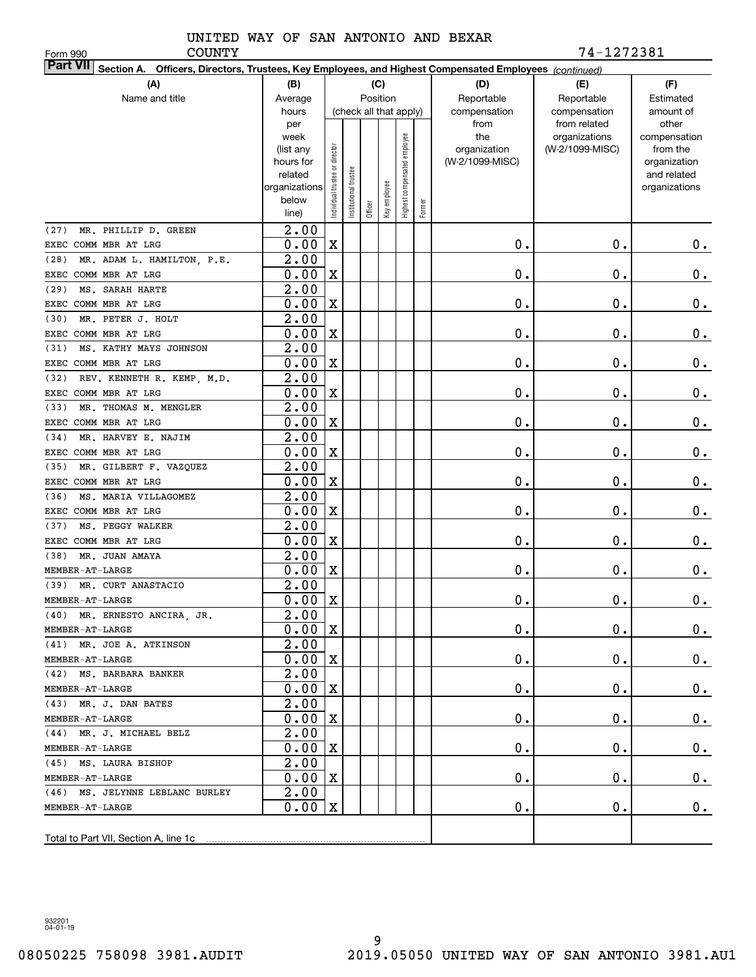Form 990

COUNTY 74-1272381

| <b>Part VII</b> Section A. Officers, Directors, Trustees, Key Employees, and Highest Compensated Employees (continued) |                   |                                |                      |         |                        |                              |        |                 |                                  |                          |  |  |
|------------------------------------------------------------------------------------------------------------------------|-------------------|--------------------------------|----------------------|---------|------------------------|------------------------------|--------|-----------------|----------------------------------|--------------------------|--|--|
| (A)                                                                                                                    | (B)               |                                |                      |         | (C)                    |                              |        | (D)             | (E)                              | (F)                      |  |  |
| Name and title                                                                                                         | Average           |                                |                      |         | Position               |                              |        | Reportable      | Reportable                       | Estimated                |  |  |
|                                                                                                                        | hours             |                                |                      |         | (check all that apply) |                              |        | compensation    | compensation                     | amount of                |  |  |
|                                                                                                                        | per               |                                |                      |         |                        |                              |        | from<br>the     | from related                     | other                    |  |  |
|                                                                                                                        | week<br>(list any |                                |                      |         |                        | Highest compensated employee |        | organization    | organizations<br>(W-2/1099-MISC) | compensation<br>from the |  |  |
|                                                                                                                        | hours for         |                                |                      |         |                        |                              |        | (W-2/1099-MISC) |                                  | organization             |  |  |
|                                                                                                                        | related           |                                |                      |         |                        |                              |        |                 |                                  | and related              |  |  |
|                                                                                                                        | organizations     |                                |                      |         |                        |                              |        |                 |                                  | organizations            |  |  |
|                                                                                                                        | below             | Individual trustee or director | nstitutional trustee |         | Key employee           |                              | Former |                 |                                  |                          |  |  |
|                                                                                                                        | line)             |                                |                      | Officer |                        |                              |        |                 |                                  |                          |  |  |
| MR. PHILLIP D. GREEN<br>(27)                                                                                           | $\overline{2.00}$ |                                |                      |         |                        |                              |        |                 |                                  |                          |  |  |
| EXEC COMM MBR AT LRG                                                                                                   | 0.00              | $\mathbf X$                    |                      |         |                        |                              |        | 0.              | 0.                               | 0.                       |  |  |
| (28)<br>MR. ADAM L. HAMILTON, P.E.                                                                                     | $\overline{2.00}$ |                                |                      |         |                        |                              |        |                 |                                  |                          |  |  |
| EXEC COMM MBR AT LRG                                                                                                   | 0.00              | $\mathbf X$                    |                      |         |                        |                              |        | 0.              | 0.                               | $\mathbf 0$ .            |  |  |
| (29)<br>MS. SARAH HARTE                                                                                                | 2.00              |                                |                      |         |                        |                              |        |                 |                                  |                          |  |  |
| EXEC COMM MBR AT LRG                                                                                                   | 0.00              | $\mathbf X$                    |                      |         |                        |                              |        | 0.              | 0.                               | $0$ .                    |  |  |
| (30)<br>MR. PETER J. HOLT                                                                                              | 2.00              |                                |                      |         |                        |                              |        |                 |                                  |                          |  |  |
| EXEC COMM MBR AT LRG                                                                                                   | 0.00              | $\mathbf X$                    |                      |         |                        |                              |        | 0.              | 0.                               | $\mathbf 0$ .            |  |  |
| MS. KATHY MAYS JOHNSON<br>(31)                                                                                         | 2.00              |                                |                      |         |                        |                              |        |                 |                                  |                          |  |  |
| EXEC COMM MBR AT LRG                                                                                                   | 0.00              | $\mathbf X$                    |                      |         |                        |                              |        | 0.              | 0.                               | $\mathbf 0$ .            |  |  |
| REV. KENNETH R. KEMP, M.D.<br>(32)                                                                                     | 2.00              |                                |                      |         |                        |                              |        |                 |                                  |                          |  |  |
| EXEC COMM MBR AT LRG                                                                                                   | 0.00              | $\mathbf X$                    |                      |         |                        |                              |        | 0.              | 0.                               | $0$ .                    |  |  |
| (33)<br>MR. THOMAS M. MENGLER                                                                                          | 2.00              |                                |                      |         |                        |                              |        |                 |                                  |                          |  |  |
| EXEC COMM MBR AT LRG                                                                                                   | 0.00              | $\mathbf X$                    |                      |         |                        |                              |        | 0.              | 0.                               | $0$ .                    |  |  |
| (34)<br>MR. HARVEY E. NAJIM                                                                                            | 2.00              |                                |                      |         |                        |                              |        |                 |                                  |                          |  |  |
| EXEC COMM MBR AT LRG                                                                                                   | 0.00              | $\mathbf X$                    |                      |         |                        |                              |        | 0.              | 0.                               | $\mathbf 0$ .            |  |  |
| (35)<br>MR. GILBERT F. VAZQUEZ                                                                                         | 2.00              |                                |                      |         |                        |                              |        |                 |                                  |                          |  |  |
| EXEC COMM MBR AT LRG                                                                                                   | 0.00              | $\mathbf X$                    |                      |         |                        |                              |        | 0.              | 0.                               | $\mathbf 0$ .            |  |  |
| (36)<br>MS. MARIA VILLAGOMEZ                                                                                           | 2.00              |                                |                      |         |                        |                              |        |                 |                                  |                          |  |  |
| EXEC COMM MBR AT LRG                                                                                                   | 0.00              | $\mathbf X$                    |                      |         |                        |                              |        | 0.              | 0.                               | $0$ .                    |  |  |
| (37)<br>MS. PEGGY WALKER                                                                                               | 2.00              |                                |                      |         |                        |                              |        |                 |                                  |                          |  |  |
| EXEC COMM MBR AT LRG                                                                                                   | 0.00              | $\mathbf X$                    |                      |         |                        |                              |        | 0.              | 0.                               | 0.                       |  |  |
| (38)<br>MR. JUAN AMAYA                                                                                                 | 2.00              |                                |                      |         |                        |                              |        |                 |                                  |                          |  |  |
| MEMBER-AT-LARGE                                                                                                        | 0.00              | $\mathbf X$                    |                      |         |                        |                              |        | 0.              | 0.                               | 0.                       |  |  |
| MR. CURT ANASTACIO<br>(39)                                                                                             | 2.00              |                                |                      |         |                        |                              |        |                 |                                  |                          |  |  |
| MEMBER-AT-LARGE                                                                                                        | 0.00              | X                              |                      |         |                        |                              |        | 0.              | 0.                               | 0.                       |  |  |
| (40) MR. ERNESTO ANCIRA, JR.                                                                                           | $\overline{2.00}$ |                                |                      |         |                        |                              |        |                 |                                  |                          |  |  |
| MEMBER-AT-LARGE                                                                                                        | $0.00 \,   X$     |                                |                      |         |                        |                              |        | 0.              | $\mathbf 0$ .                    | $0_{\cdot}$              |  |  |
| (41) MR. JOE A. ATKINSON                                                                                               | 2.00              |                                |                      |         |                        |                              |        |                 |                                  |                          |  |  |
| MEMBER-AT-LARGE                                                                                                        | 0.00              | $\mathbf{x}$                   |                      |         |                        |                              |        | $0$ .           | 0.                               | $0_{.}$                  |  |  |
| (42) MS. BARBARA BANKER                                                                                                | 2.00              |                                |                      |         |                        |                              |        |                 |                                  |                          |  |  |
| MEMBER-AT-LARGE                                                                                                        | 0.00              | $\mathbf X$                    |                      |         |                        |                              |        | 0.              | $\mathbf 0$ .                    | $0_{.}$                  |  |  |
| $(43)$ MR. J. DAN BATES                                                                                                | 2.00              |                                |                      |         |                        |                              |        |                 |                                  |                          |  |  |
| MEMBER-AT-LARGE                                                                                                        | 0.00              | $\mathbf X$                    |                      |         |                        |                              |        | 0.              | 0.                               | $0_{.}$                  |  |  |
| (44) MR. J. MICHAEL BELZ                                                                                               | 2.00              |                                |                      |         |                        |                              |        |                 |                                  |                          |  |  |
| MEMBER-AT-LARGE                                                                                                        | 0.00              | $\mathbf X$                    |                      |         |                        |                              |        | 0.              | 0.                               | $0_{.}$                  |  |  |
| (45) MS. LAURA BISHOP                                                                                                  | 2.00              |                                |                      |         |                        |                              |        |                 |                                  |                          |  |  |
| MEMBER-AT-LARGE                                                                                                        | 0.00              | $\mathbf x$                    |                      |         |                        |                              |        | 0.              | 0.                               | $0_{.}$                  |  |  |
| (46) MS. JELYNNE LEBLANC BURLEY                                                                                        | 2.00              |                                |                      |         |                        |                              |        |                 |                                  |                          |  |  |
| MEMBER-AT-LARGE                                                                                                        | 0.00              | X                              |                      |         |                        |                              |        | $\mathbf 0$ .   | $\mathbf 0$ .                    | 0.                       |  |  |
|                                                                                                                        |                   |                                |                      |         |                        |                              |        |                 |                                  |                          |  |  |
|                                                                                                                        |                   |                                |                      |         |                        |                              |        |                 |                                  |                          |  |  |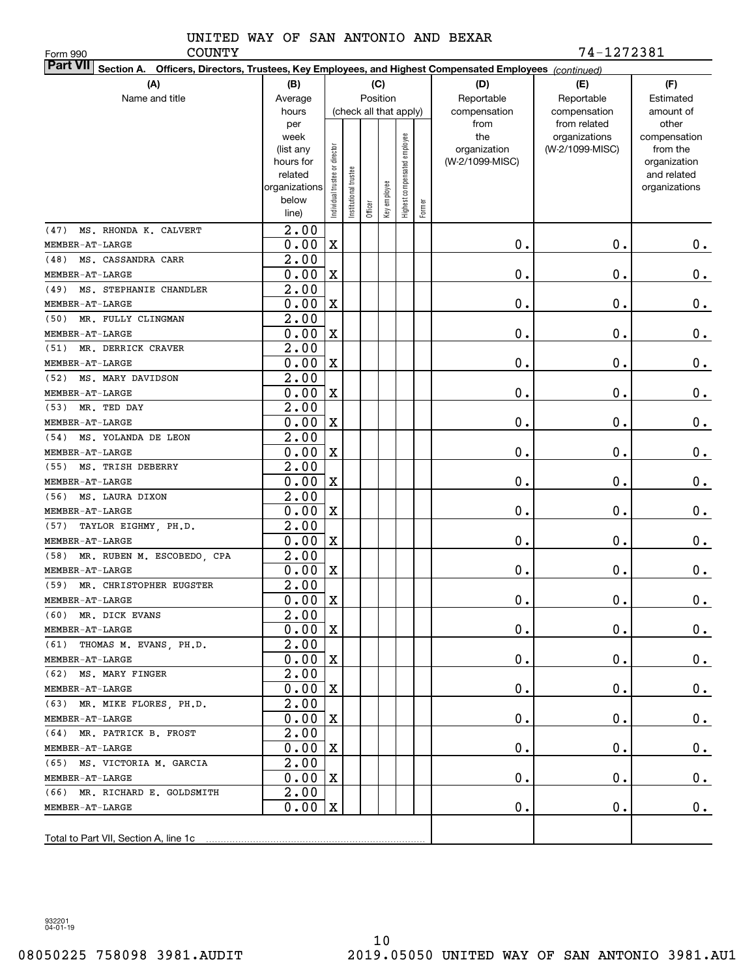Form 990

COUNTY 74-1272381

| Part VII Section A. Officers, Directors, Trustees, Key Employees, and Highest Compensated Employees (continued) |                    |                               |                      |         |                        |                              |        |                 |                               |                       |  |  |
|-----------------------------------------------------------------------------------------------------------------|--------------------|-------------------------------|----------------------|---------|------------------------|------------------------------|--------|-----------------|-------------------------------|-----------------------|--|--|
| (A)                                                                                                             | (B)                |                               |                      |         | (C)                    |                              |        | (D)             | (E)                           | (F)                   |  |  |
| Name and title                                                                                                  | Average            |                               |                      |         | Position               |                              |        | Reportable      | Reportable                    | Estimated             |  |  |
|                                                                                                                 | hours              |                               |                      |         | (check all that apply) |                              |        | compensation    | compensation                  | amount of             |  |  |
|                                                                                                                 | per<br>week        |                               |                      |         |                        |                              |        | from<br>the     | from related<br>organizations | other<br>compensation |  |  |
|                                                                                                                 | (list any          |                               |                      |         |                        |                              |        | organization    | (W-2/1099-MISC)               | from the              |  |  |
|                                                                                                                 | hours for          |                               |                      |         |                        |                              |        | (W-2/1099-MISC) |                               | organization          |  |  |
|                                                                                                                 | related            |                               |                      |         |                        |                              |        |                 |                               | and related           |  |  |
|                                                                                                                 | organizations      |                               |                      |         |                        |                              |        |                 |                               | organizations         |  |  |
|                                                                                                                 | below              | ndividual trustee or director | nstitutional trustee | Officer | Key employee           | Highest compensated employee | Former |                 |                               |                       |  |  |
|                                                                                                                 | line)              |                               |                      |         |                        |                              |        |                 |                               |                       |  |  |
| MS. RHONDA K. CALVERT<br>(47)                                                                                   | $\overline{2.00}$  |                               |                      |         |                        |                              |        |                 |                               |                       |  |  |
| MEMBER-AT-LARGE                                                                                                 | 0.00               | $\mathbf X$                   |                      |         |                        |                              |        | $\mathbf 0$ .   | 0.                            | 0.                    |  |  |
| (48) MS. CASSANDRA CARR                                                                                         | 2.00               |                               |                      |         |                        |                              |        |                 |                               |                       |  |  |
| MEMBER-AT-LARGE                                                                                                 | 0.00               | $\mathbf X$                   |                      |         |                        |                              |        | $\mathbf 0$ .   | 0.                            | 0.                    |  |  |
| MS. STEPHANIE CHANDLER<br>(49)                                                                                  | 2.00               |                               |                      |         |                        |                              |        |                 |                               |                       |  |  |
| MEMBER-AT-LARGE                                                                                                 | 0.00               | $\mathbf X$                   |                      |         |                        |                              |        | $\mathbf 0$ .   | $\mathbf 0$ .                 | 0.                    |  |  |
| MR. FULLY CLINGMAN<br>(50)                                                                                      | 2.00               |                               |                      |         |                        |                              |        |                 |                               |                       |  |  |
| MEMBER-AT-LARGE                                                                                                 | 0.00               | $\mathbf X$                   |                      |         |                        |                              |        | $\mathbf 0$ .   | $\mathbf 0$ .                 | 0.                    |  |  |
| MR. DERRICK CRAVER<br>(51)                                                                                      | 2.00               |                               |                      |         |                        |                              |        |                 |                               |                       |  |  |
| MEMBER-AT-LARGE                                                                                                 | 0.00               | $\mathbf X$                   |                      |         |                        |                              |        | $\mathbf 0$ .   | $\mathbf 0$ .                 | $\mathbf 0$ .         |  |  |
| MS. MARY DAVIDSON<br>(52)                                                                                       | 2.00               |                               |                      |         |                        |                              |        |                 |                               |                       |  |  |
| MEMBER-AT-LARGE                                                                                                 | 0.00               | $\mathbf X$                   |                      |         |                        |                              |        | $\mathbf 0$ .   | $\mathbf 0$ .                 | $\mathbf 0$ .         |  |  |
| (53) MR. TED DAY                                                                                                | 2.00               |                               |                      |         |                        |                              |        |                 |                               |                       |  |  |
| MEMBER-AT-LARGE                                                                                                 | 0.00               | $\mathbf X$                   |                      |         |                        |                              |        | $\mathbf 0$ .   | $\mathbf 0$ .                 | 0.                    |  |  |
| MS. YOLANDA DE LEON<br>(54)                                                                                     | 2.00               |                               |                      |         |                        |                              |        |                 |                               |                       |  |  |
| MEMBER-AT-LARGE                                                                                                 | 0.00               | $\mathbf X$                   |                      |         |                        |                              |        | $\mathbf 0$ .   | 0.                            | 0.                    |  |  |
| (55) MS. TRISH DEBERRY                                                                                          | 2.00               |                               |                      |         |                        |                              |        |                 |                               |                       |  |  |
| MEMBER-AT-LARGE                                                                                                 | 0.00               | $\mathbf X$                   |                      |         |                        |                              |        | $\mathbf 0$ .   | 0.                            | 0.                    |  |  |
| (56)<br>MS. LAURA DIXON                                                                                         | 2.00               |                               |                      |         |                        |                              |        |                 |                               |                       |  |  |
| MEMBER-AT-LARGE                                                                                                 | 0.00               | $\mathbf X$                   |                      |         |                        |                              |        | $\mathbf 0$ .   | 0.                            | 0.                    |  |  |
| TAYLOR EIGHMY, PH.D.<br>(57)                                                                                    | 2.00               |                               |                      |         |                        |                              |        |                 |                               |                       |  |  |
| MEMBER-AT-LARGE                                                                                                 | 0.00               | $\mathbf X$                   |                      |         |                        |                              |        | $\mathbf 0$ .   | 0.                            | 0.                    |  |  |
| MR. RUBEN M. ESCOBEDO, CPA<br>(58)                                                                              | 2.00               |                               |                      |         |                        |                              |        |                 |                               |                       |  |  |
| MEMBER-AT-LARGE                                                                                                 | 0.00               | $\mathbf X$                   |                      |         |                        |                              |        | $\mathbf 0$ .   | 0.                            | 0.                    |  |  |
| (59) MR. CHRISTOPHER EUGSTER                                                                                    | $\overline{2.00}$  |                               |                      |         |                        |                              |        |                 |                               |                       |  |  |
| MEMBER-AT-LARGE                                                                                                 | 0.00               | X                             |                      |         |                        |                              |        | $\mathbf 0$ .   | 0.                            | 0.                    |  |  |
| (60) MR. DICK EVANS                                                                                             | 2.00               |                               |                      |         |                        |                              |        |                 |                               |                       |  |  |
| MEMBER-AT-LARGE                                                                                                 | $0.00 \,   X$      |                               |                      |         |                        |                              |        | $\mathbf 0$ .   | $\mathbf 0$ .                 | 0.                    |  |  |
| (61) THOMAS M. EVANS, PH.D.                                                                                     | $\overline{2}$ .00 |                               |                      |         |                        |                              |        |                 |                               |                       |  |  |
| MEMBER-AT-LARGE                                                                                                 | 0.00               | X                             |                      |         |                        |                              |        | О.              | $\mathbf 0$ .                 | 0.                    |  |  |
| (62) MS. MARY FINGER                                                                                            | 2.00               |                               |                      |         |                        |                              |        |                 |                               |                       |  |  |
| MEMBER-AT-LARGE                                                                                                 | 0.00               | X                             |                      |         |                        |                              |        | О.              | $\mathbf 0$ .                 | 0.                    |  |  |
| (63) MR. MIKE FLORES, PH.D.                                                                                     | 2.00               |                               |                      |         |                        |                              |        |                 |                               |                       |  |  |
| MEMBER-AT-LARGE                                                                                                 | 0.00               | X                             |                      |         |                        |                              |        | О.              | $\mathbf 0$ .                 | $0$ .                 |  |  |
| (64) MR. PATRICK B. FROST                                                                                       | 2.00               |                               |                      |         |                        |                              |        |                 |                               |                       |  |  |
| MEMBER-AT-LARGE                                                                                                 | 0.00               | X                             |                      |         |                        |                              |        | О.              | $\mathbf 0$ .                 | $0\cdot$              |  |  |
| (65) MS. VICTORIA M. GARCIA                                                                                     | 2.00               |                               |                      |         |                        |                              |        |                 |                               |                       |  |  |
| MEMBER-AT-LARGE                                                                                                 | 0.00               | X                             |                      |         |                        |                              |        | О.              | $\mathbf 0$ .                 | $0\cdot$              |  |  |
| (66) MR. RICHARD E. GOLDSMITH                                                                                   | 2.00               |                               |                      |         |                        |                              |        |                 |                               |                       |  |  |
| MEMBER-AT-LARGE                                                                                                 | 0.00               | X                             |                      |         |                        |                              |        | О.              | $\mathbf 0$ .                 | 0.                    |  |  |
|                                                                                                                 |                    |                               |                      |         |                        |                              |        |                 |                               |                       |  |  |
| Total to Part VII, Section A, line 1c                                                                           |                    |                               |                      |         |                        |                              |        |                 |                               |                       |  |  |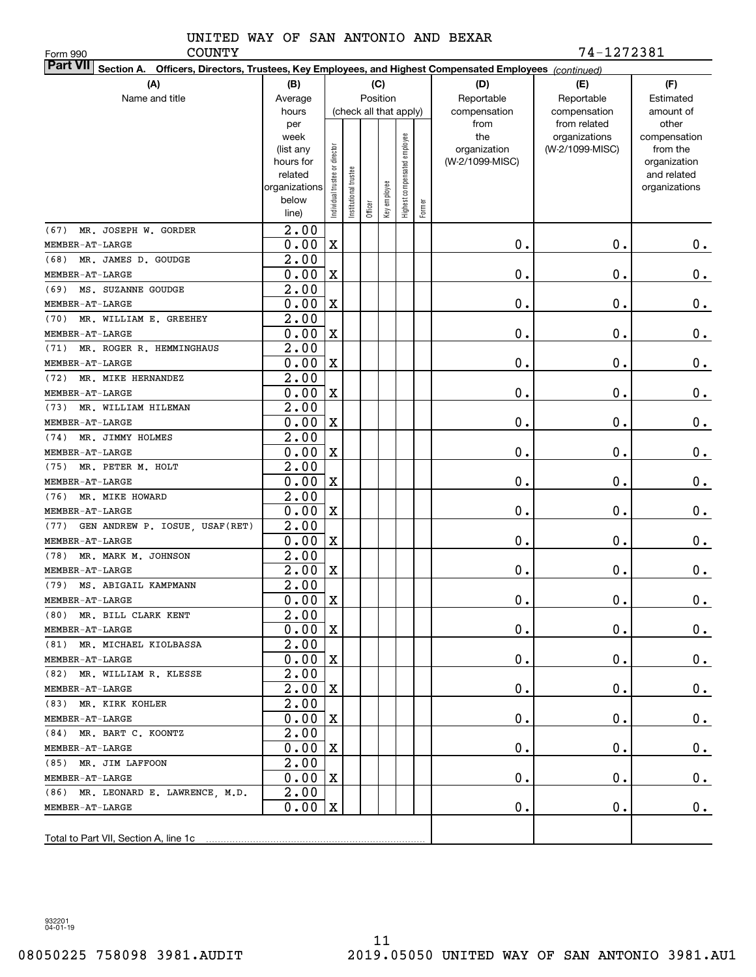Form 990

COUNTY 74-1272381

| <b>Part VII</b> Section A. Officers, Directors, Trustees, Key Employees, and Highest Compensated Employees (continued) |                        |                                |                      |         |                        |                              |        |                                 |                 |                             |  |  |
|------------------------------------------------------------------------------------------------------------------------|------------------------|--------------------------------|----------------------|---------|------------------------|------------------------------|--------|---------------------------------|-----------------|-----------------------------|--|--|
| (A)                                                                                                                    | (B)                    |                                |                      |         | (C)                    |                              |        | (D)                             | (E)             | (F)                         |  |  |
| Name and title                                                                                                         | Average                |                                |                      |         | Position               |                              |        | Reportable                      | Reportable      | Estimated                   |  |  |
|                                                                                                                        | hours                  |                                |                      |         | (check all that apply) |                              |        | compensation                    | compensation    | amount of                   |  |  |
|                                                                                                                        | per                    |                                |                      |         |                        |                              |        | from                            | from related    | other                       |  |  |
|                                                                                                                        | week                   |                                |                      |         |                        |                              |        | the                             | organizations   | compensation                |  |  |
|                                                                                                                        | (list any<br>hours for |                                |                      |         |                        |                              |        | organization<br>(W-2/1099-MISC) | (W-2/1099-MISC) | from the                    |  |  |
|                                                                                                                        | related                |                                |                      |         |                        |                              |        |                                 |                 | organization<br>and related |  |  |
|                                                                                                                        | organizations          |                                |                      |         |                        |                              |        |                                 |                 | organizations               |  |  |
|                                                                                                                        | below                  | Individual trustee or director | nstitutional trustee |         | Key employee           | Highest compensated employee |        |                                 |                 |                             |  |  |
|                                                                                                                        | line)                  |                                |                      | Officer |                        |                              | Former |                                 |                 |                             |  |  |
| MR. JOSEPH W. GORDER<br>(67)                                                                                           | $\overline{2.00}$      |                                |                      |         |                        |                              |        |                                 |                 |                             |  |  |
| MEMBER-AT-LARGE                                                                                                        | 0.00                   | $\mathbf X$                    |                      |         |                        |                              |        | 0.                              | $\mathbf 0$ .   | 0.                          |  |  |
| (68) MR. JAMES D. GOUDGE                                                                                               | 2.00                   |                                |                      |         |                        |                              |        |                                 |                 |                             |  |  |
| MEMBER-AT-LARGE                                                                                                        | 0.00                   | $\mathbf X$                    |                      |         |                        |                              |        | 0.                              | 0.              | $\mathbf 0$ .               |  |  |
| MS. SUZANNE GOUDGE<br>(69)                                                                                             | 2.00                   |                                |                      |         |                        |                              |        |                                 |                 |                             |  |  |
| MEMBER-AT-LARGE                                                                                                        | 0.00                   | $\mathbf X$                    |                      |         |                        |                              |        | 0.                              | 0.              | $\mathbf 0$ .               |  |  |
| MR. WILLIAM E. GREEHEY<br>(70)                                                                                         | 2.00                   |                                |                      |         |                        |                              |        |                                 |                 |                             |  |  |
| MEMBER-AT-LARGE                                                                                                        | 0.00                   | $\mathbf X$                    |                      |         |                        |                              |        | 0.                              | 0.              | $\mathbf 0$ .               |  |  |
| MR. ROGER R. HEMMINGHAUS<br>(71)                                                                                       | 2.00                   |                                |                      |         |                        |                              |        |                                 |                 |                             |  |  |
| MEMBER-AT-LARGE                                                                                                        | 0.00                   | $\mathbf X$                    |                      |         |                        |                              |        | 0.                              | 0.              | $\mathbf 0$ .               |  |  |
| MR. MIKE HERNANDEZ<br>(72)                                                                                             | 2.00                   |                                |                      |         |                        |                              |        |                                 |                 |                             |  |  |
| MEMBER-AT-LARGE                                                                                                        | 0.00                   | $\mathbf X$                    |                      |         |                        |                              |        | 0.                              | 0.              | $\mathbf 0$ .               |  |  |
| MR. WILLIAM HILEMAN<br>(73)                                                                                            | 2.00                   |                                |                      |         |                        |                              |        |                                 |                 |                             |  |  |
| MEMBER-AT-LARGE                                                                                                        | 0.00                   | $\mathbf X$                    |                      |         |                        |                              |        | 0.                              | 0.              | $\mathbf 0$ .               |  |  |
| MR. JIMMY HOLMES<br>(74)                                                                                               | 2.00                   |                                |                      |         |                        |                              |        |                                 |                 |                             |  |  |
| MEMBER-AT-LARGE                                                                                                        | 0.00                   | $\mathbf X$                    |                      |         |                        |                              |        | 0.                              | $\mathbf 0$ .   | $\mathbf 0$ .               |  |  |
| (75) MR. PETER M. HOLT                                                                                                 | 2.00                   |                                |                      |         |                        |                              |        |                                 |                 |                             |  |  |
| MEMBER-AT-LARGE                                                                                                        | 0.00                   | $\mathbf X$                    |                      |         |                        |                              |        | 0.                              | 0.              | $\mathbf 0$ .               |  |  |
| (76)<br>MR. MIKE HOWARD                                                                                                | 2.00                   |                                |                      |         |                        |                              |        |                                 |                 |                             |  |  |
| MEMBER-AT-LARGE                                                                                                        | 0.00                   | $\mathbf X$                    |                      |         |                        |                              |        | 0.                              | 0.              | $\mathbf 0$ .               |  |  |
| (77) GEN ANDREW P. IOSUE, USAF(RET)                                                                                    | $\overline{2.00}$      |                                |                      |         |                        |                              |        |                                 |                 |                             |  |  |
| MEMBER-AT-LARGE                                                                                                        | 0.00                   | $\mathbf X$                    |                      |         |                        |                              |        | 0.                              | $\mathbf 0$ .   | 0.                          |  |  |
| MR. MARK M. JOHNSON<br>(78)                                                                                            | $\overline{2.00}$      |                                |                      |         |                        |                              |        |                                 |                 |                             |  |  |
| MEMBER-AT-LARGE                                                                                                        | 2.00                   | $\mathbf X$                    |                      |         |                        |                              |        | $0$ .                           | $\mathbf 0$ .   | 0.                          |  |  |
| (79) MS. ABIGAIL KAMPMANN                                                                                              | 2.00                   |                                |                      |         |                        |                              |        |                                 |                 |                             |  |  |
| MEMBER-AT-LARGE                                                                                                        | 0.00                   | $\mathbf X$                    |                      |         |                        |                              |        | 0.                              | Ο.              | 0.                          |  |  |
| (80) MR. BILL CLARK KENT                                                                                               | 2.00                   |                                |                      |         |                        |                              |        |                                 |                 |                             |  |  |
| MEMBER-AT-LARGE                                                                                                        | $0.00 \,   X$          |                                |                      |         |                        |                              |        | 0.                              | $\mathbf 0$ .   | $0_{\cdot}$                 |  |  |
| (81) MR. MICHAEL KIOLBASSA                                                                                             | $\overline{2}$ .00     |                                |                      |         |                        |                              |        |                                 |                 |                             |  |  |
| MEMBER-AT-LARGE                                                                                                        | 0.00                   | X                              |                      |         |                        |                              |        | $0$ .                           | $\mathbf 0$ .   | $0_{.}$                     |  |  |
| (82) MR. WILLIAM R. KLESSE                                                                                             | 2.00                   |                                |                      |         |                        |                              |        |                                 |                 |                             |  |  |
| MEMBER-AT-LARGE                                                                                                        | 2.00                   | X                              |                      |         |                        |                              |        | $0$ .                           | $\mathbf 0$ .   | $0_{\cdot}$                 |  |  |
| (83) MR. KIRK KOHLER                                                                                                   | 2.00                   |                                |                      |         |                        |                              |        |                                 |                 |                             |  |  |
| MEMBER-AT-LARGE                                                                                                        | 0.00                   | X                              |                      |         |                        |                              |        | $0$ .                           | $\mathbf 0$ .   | $0_{\cdot}$                 |  |  |
| (84) MR. BART C. KOONTZ                                                                                                | 2.00                   |                                |                      |         |                        |                              |        |                                 |                 |                             |  |  |
| MEMBER-AT-LARGE                                                                                                        | 0.00                   | X                              |                      |         |                        |                              |        | $0$ .                           | $\mathbf 0$ .   | $0_{\cdot}$                 |  |  |
| (85) MR. JIM LAFFOON                                                                                                   | 2.00                   |                                |                      |         |                        |                              |        |                                 |                 |                             |  |  |
| MEMBER-AT-LARGE                                                                                                        | 0.00                   | X                              |                      |         |                        |                              |        | $\mathbf 0$ .                   | $\mathbf 0$ .   | 0.                          |  |  |
| (86) MR. LEONARD E. LAWRENCE, M.D.                                                                                     | 2.00                   |                                |                      |         |                        |                              |        |                                 |                 |                             |  |  |
| MEMBER-AT-LARGE                                                                                                        | 0.00                   | X                              |                      |         |                        |                              |        | $\mathbf 0$ .                   | $\mathbf 0$ .   | 0.                          |  |  |
|                                                                                                                        |                        |                                |                      |         |                        |                              |        |                                 |                 |                             |  |  |
|                                                                                                                        |                        |                                |                      |         |                        |                              |        |                                 |                 |                             |  |  |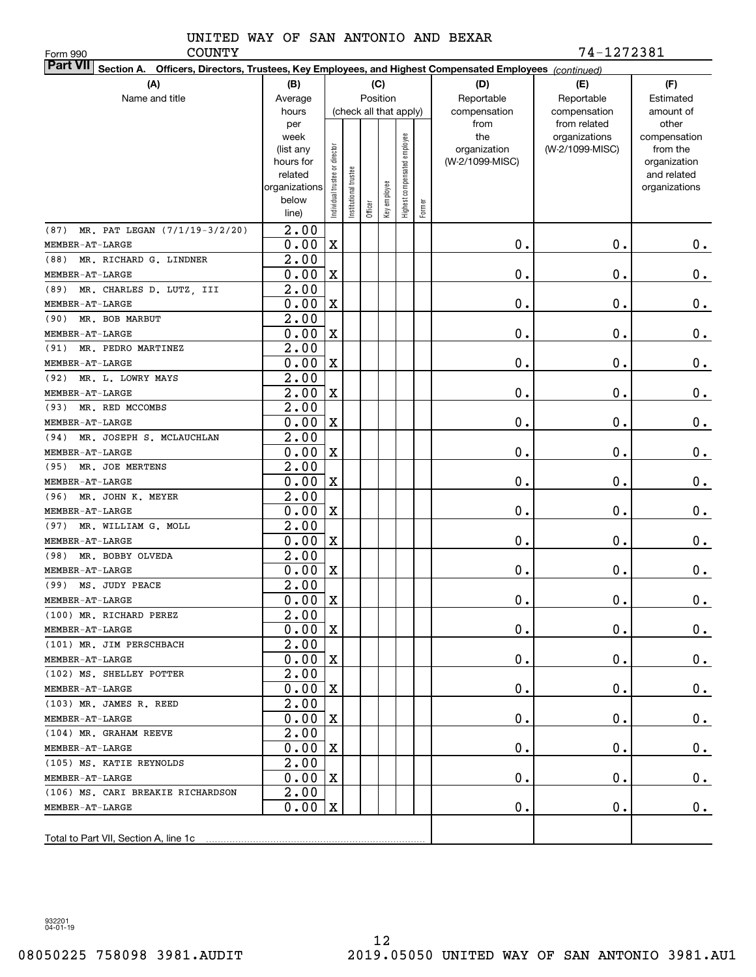Form 990

COUNTY 74-1272381

| <b>Part VII</b> Section A. Officers, Directors, Trustees, Key Employees, and Highest Compensated Employees (continued) |                   |                               |                      |         |                        |                              |        |                 |                               |                       |  |  |
|------------------------------------------------------------------------------------------------------------------------|-------------------|-------------------------------|----------------------|---------|------------------------|------------------------------|--------|-----------------|-------------------------------|-----------------------|--|--|
| (A)                                                                                                                    | (B)               |                               |                      |         | (C)                    |                              |        | (D)             | (E)                           | (F)                   |  |  |
| Name and title                                                                                                         | Average           |                               |                      |         | Position               |                              |        | Reportable      | Reportable                    | Estimated             |  |  |
|                                                                                                                        | hours             |                               |                      |         | (check all that apply) |                              |        | compensation    | compensation                  | amount of             |  |  |
|                                                                                                                        | per<br>week       |                               |                      |         |                        |                              |        | from<br>the     | from related<br>organizations | other<br>compensation |  |  |
|                                                                                                                        | (list any         |                               |                      |         |                        |                              |        | organization    | (W-2/1099-MISC)               | from the              |  |  |
|                                                                                                                        | hours for         |                               |                      |         |                        |                              |        | (W-2/1099-MISC) |                               | organization          |  |  |
|                                                                                                                        | related           |                               |                      |         |                        |                              |        |                 |                               | and related           |  |  |
|                                                                                                                        | organizations     |                               |                      |         |                        |                              |        |                 |                               | organizations         |  |  |
|                                                                                                                        | below             | ndividual trustee or director | nstitutional trustee | Officer | Key employee           | Highest compensated employee | Former |                 |                               |                       |  |  |
|                                                                                                                        | line)             |                               |                      |         |                        |                              |        |                 |                               |                       |  |  |
| (87) MR. PAT LEGAN (7/1/19-3/2/20)                                                                                     | 2.00              |                               |                      |         |                        |                              |        |                 |                               |                       |  |  |
| MEMBER-AT-LARGE                                                                                                        | 0.00              | $\mathbf X$                   |                      |         |                        |                              |        | 0.              | 0.                            | 0.                    |  |  |
| (88) MR. RICHARD G. LINDNER                                                                                            | 2.00              |                               |                      |         |                        |                              |        |                 |                               |                       |  |  |
| MEMBER-AT-LARGE                                                                                                        | 0.00              | $\mathbf X$                   |                      |         |                        |                              |        | 0.              | 0.                            | $\mathbf 0$ .         |  |  |
| (89) MR. CHARLES D. LUTZ, III                                                                                          | $\overline{2.00}$ |                               |                      |         |                        |                              |        |                 |                               |                       |  |  |
| MEMBER-AT-LARGE                                                                                                        | 0.00              | $\mathbf X$                   |                      |         |                        |                              |        | 0.              | 0.                            | 0.                    |  |  |
| (90) MR. BOB MARBUT                                                                                                    | 2.00              |                               |                      |         |                        |                              |        |                 |                               |                       |  |  |
| MEMBER-AT-LARGE                                                                                                        | 0.00              | $\mathbf X$                   |                      |         |                        |                              |        | 0.              | 0.                            | $0$ .                 |  |  |
| (91) MR. PEDRO MARTINEZ                                                                                                | 2.00              |                               |                      |         |                        |                              |        |                 |                               |                       |  |  |
| MEMBER-AT-LARGE                                                                                                        | 0.00              | $\mathbf X$                   |                      |         |                        |                              |        | 0.              | 0.                            | $\mathbf 0$ .         |  |  |
| (92) MR. L. LOWRY MAYS                                                                                                 | 2.00              |                               |                      |         |                        |                              |        |                 |                               |                       |  |  |
| MEMBER-AT-LARGE                                                                                                        | $\overline{2.00}$ | $\mathbf X$                   |                      |         |                        |                              |        | 0.              | 0.                            | $0$ .                 |  |  |
| (93) MR. RED MCCOMBS                                                                                                   | $\overline{2.00}$ |                               |                      |         |                        |                              |        |                 |                               |                       |  |  |
| MEMBER-AT-LARGE                                                                                                        | 0.00              | $\mathbf X$                   |                      |         |                        |                              |        | 0.              | 0.                            | 0.                    |  |  |
| (94) MR. JOSEPH S. MCLAUCHLAN                                                                                          | 2.00              |                               |                      |         |                        |                              |        |                 |                               |                       |  |  |
| MEMBER-AT-LARGE                                                                                                        | 0.00<br>2.00      | $\mathbf X$                   |                      |         |                        |                              |        | 0.              | 0.                            | $0$ .                 |  |  |
| (95) MR. JOE MERTENS<br>MEMBER-AT-LARGE                                                                                | 0.00              | $\mathbf X$                   |                      |         |                        |                              |        | 0.              | 0.                            | $0$ .                 |  |  |
| (96) MR. JOHN K. MEYER                                                                                                 | 2.00              |                               |                      |         |                        |                              |        |                 |                               |                       |  |  |
| MEMBER-AT-LARGE                                                                                                        | 0.00              | $\mathbf X$                   |                      |         |                        |                              |        | 0.              | 0.                            | 0.                    |  |  |
| (97) MR. WILLIAM G. MOLL                                                                                               | 2.00              |                               |                      |         |                        |                              |        |                 |                               |                       |  |  |
| MEMBER-AT-LARGE                                                                                                        | 0.00              | $\mathbf X$                   |                      |         |                        |                              |        | 0.              | 0.                            | 0.                    |  |  |
| (98) MR. BOBBY OLVEDA                                                                                                  | 2.00              |                               |                      |         |                        |                              |        |                 |                               |                       |  |  |
| MEMBER-AT-LARGE                                                                                                        | 0.00              | $\mathbf X$                   |                      |         |                        |                              |        | 0.              | 0.                            | 0.                    |  |  |
| (99) MS. JUDY PEACE                                                                                                    | 2.00              |                               |                      |         |                        |                              |        |                 |                               |                       |  |  |
| MEMBER-AT-LARGE                                                                                                        | 0.00              | X                             |                      |         |                        |                              |        | 0.              | 0.                            | 0.                    |  |  |
| (100) MR. RICHARD PEREZ                                                                                                | 2.00              |                               |                      |         |                        |                              |        |                 |                               |                       |  |  |
| MEMBER-AT-LARGE                                                                                                        | 0.00              | $\mathbf x$                   |                      |         |                        |                              |        | 0.              | 0.                            | $0$ .                 |  |  |
| (101) MR. JIM PERSCHBACH                                                                                               | 2.00              |                               |                      |         |                        |                              |        |                 |                               |                       |  |  |
| MEMBER-AT-LARGE                                                                                                        | 0.00              | X                             |                      |         |                        |                              |        | $\mathbf 0$ .   | 0.                            | $0_{.}$               |  |  |
| (102) MS. SHELLEY POTTER                                                                                               | 2.00              |                               |                      |         |                        |                              |        |                 |                               |                       |  |  |
| MEMBER-AT-LARGE                                                                                                        | 0.00              | X                             |                      |         |                        |                              |        | 0.              | 0.                            | $0_{.}$               |  |  |
| (103) MR. JAMES R. REED                                                                                                | 2.00              |                               |                      |         |                        |                              |        |                 |                               |                       |  |  |
| MEMBER-AT-LARGE                                                                                                        | 0.00              | X                             |                      |         |                        |                              |        | 0.              | $\mathbf 0$ .                 | $0_{.}$               |  |  |
| (104) MR. GRAHAM REEVE                                                                                                 | 2.00              |                               |                      |         |                        |                              |        |                 |                               |                       |  |  |
| MEMBER-AT-LARGE                                                                                                        | 0.00              | X                             |                      |         |                        |                              |        | 0.              | $\mathbf 0$ .                 | $0_{.}$               |  |  |
| (105) MS. KATIE REYNOLDS                                                                                               | 2.00              |                               |                      |         |                        |                              |        |                 |                               |                       |  |  |
| MEMBER-AT-LARGE                                                                                                        | 0.00              | X                             |                      |         |                        |                              |        | 0.              | $\mathbf 0$ .                 | 0.                    |  |  |
| (106) MS. CARI BREAKIE RICHARDSON                                                                                      | 2.00              |                               |                      |         |                        |                              |        |                 |                               |                       |  |  |
| MEMBER-AT-LARGE                                                                                                        | 0.00              | $\mathbf X$                   |                      |         |                        |                              |        | 0.              | $\mathbf 0$ .                 | 0.                    |  |  |
|                                                                                                                        |                   |                               |                      |         |                        |                              |        |                 |                               |                       |  |  |
|                                                                                                                        |                   |                               |                      |         |                        |                              |        |                 |                               |                       |  |  |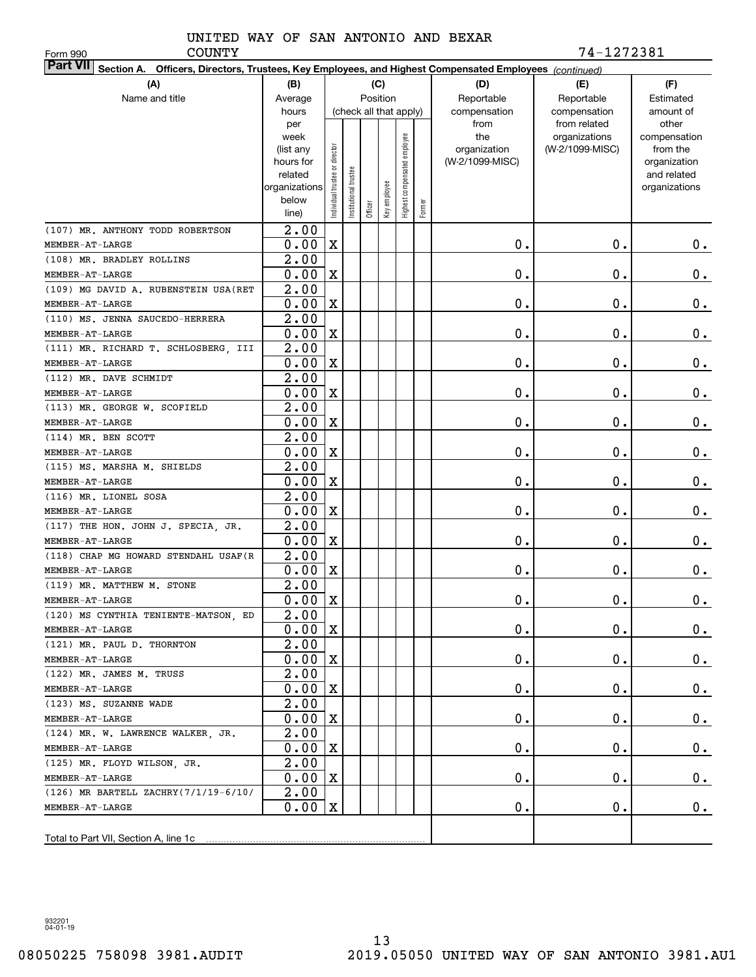Form 990

COUNTY 74-1272381

| <b>Part VII</b> Section A. Officers, Directors, Trustees, Key Employees, and Highest Compensated Employees (continued) |                   |                                |                      |         |                        |                              |        |                     |                                  |                          |  |  |
|------------------------------------------------------------------------------------------------------------------------|-------------------|--------------------------------|----------------------|---------|------------------------|------------------------------|--------|---------------------|----------------------------------|--------------------------|--|--|
| (A)                                                                                                                    | (B)<br>(C)        |                                |                      |         |                        |                              |        | (D)                 | (E)                              | (F)                      |  |  |
| Name and title                                                                                                         | Average           |                                |                      |         | Position               |                              |        | Reportable          | Reportable                       | Estimated                |  |  |
|                                                                                                                        | hours             |                                |                      |         | (check all that apply) |                              |        | compensation        | compensation                     | amount of                |  |  |
|                                                                                                                        | per               |                                |                      |         |                        |                              |        | from                | from related                     | other                    |  |  |
|                                                                                                                        | week<br>(list any |                                |                      |         |                        |                              |        | the<br>organization | organizations<br>(W-2/1099-MISC) | compensation<br>from the |  |  |
|                                                                                                                        | hours for         |                                |                      |         |                        |                              |        | (W-2/1099-MISC)     |                                  | organization             |  |  |
|                                                                                                                        | related           |                                |                      |         |                        |                              |        |                     |                                  | and related              |  |  |
|                                                                                                                        | organizations     |                                |                      |         |                        |                              |        |                     |                                  | organizations            |  |  |
|                                                                                                                        | below             | Individual trustee or director | nstitutional trustee |         | Key employee           | Highest compensated employee | Former |                     |                                  |                          |  |  |
|                                                                                                                        | line)             |                                |                      | Officer |                        |                              |        |                     |                                  |                          |  |  |
| (107) MR. ANTHONY TODD ROBERTSON                                                                                       | $\overline{2.00}$ |                                |                      |         |                        |                              |        |                     |                                  |                          |  |  |
| MEMBER-AT-LARGE                                                                                                        | 0.00              | $\mathbf X$                    |                      |         |                        |                              |        | 0.                  | $\mathbf 0$ .                    | 0.                       |  |  |
| (108) MR. BRADLEY ROLLINS                                                                                              | 2.00              |                                |                      |         |                        |                              |        |                     |                                  |                          |  |  |
| MEMBER-AT-LARGE                                                                                                        | 0.00              | $\mathbf X$                    |                      |         |                        |                              |        | 0.                  | 0.                               | 0.                       |  |  |
| (109) MG DAVID A. RUBENSTEIN USA (RET                                                                                  | 2.00              |                                |                      |         |                        |                              |        |                     |                                  |                          |  |  |
| MEMBER-AT-LARGE                                                                                                        | 0.00              | $\mathbf X$                    |                      |         |                        |                              |        | 0.                  | 0.                               | 0.                       |  |  |
| (110) MS. JENNA SAUCEDO-HERRERA                                                                                        | 2.00              |                                |                      |         |                        |                              |        |                     |                                  |                          |  |  |
| MEMBER-AT-LARGE                                                                                                        | 0.00              | $\mathbf X$                    |                      |         |                        |                              |        | 0.                  | 0.                               | 0.                       |  |  |
| (111) MR. RICHARD T. SCHLOSBERG, III                                                                                   | 2.00              |                                |                      |         |                        |                              |        |                     |                                  |                          |  |  |
| MEMBER-AT-LARGE                                                                                                        | 0.00              | $\mathbf X$                    |                      |         |                        |                              |        | 0.                  | 0.                               | 0.                       |  |  |
| (112) MR. DAVE SCHMIDT                                                                                                 | 2.00              |                                |                      |         |                        |                              |        |                     |                                  |                          |  |  |
| MEMBER-AT-LARGE                                                                                                        | 0.00              | $\mathbf X$                    |                      |         |                        |                              |        | 0.                  | $\mathbf 0$ .                    | 0.                       |  |  |
| (113) MR. GEORGE W. SCOFIELD                                                                                           | 2.00              |                                |                      |         |                        |                              |        |                     |                                  |                          |  |  |
| MEMBER-AT-LARGE                                                                                                        | 0.00              | $\mathbf X$                    |                      |         |                        |                              |        | 0.                  | 0.                               | 0.                       |  |  |
| (114) MR. BEN SCOTT                                                                                                    | 2.00              |                                |                      |         |                        |                              |        |                     |                                  |                          |  |  |
| MEMBER-AT-LARGE                                                                                                        | 0.00              | $\mathbf X$                    |                      |         |                        |                              |        | 0.                  | $\mathbf 0$ .                    | 0.                       |  |  |
| (115) MS. MARSHA M. SHIELDS                                                                                            | 2.00              |                                |                      |         |                        |                              |        |                     |                                  |                          |  |  |
| MEMBER-AT-LARGE                                                                                                        | 0.00              | $\mathbf X$                    |                      |         |                        |                              |        | 0.                  | $\mathbf 0$ .                    | 0.                       |  |  |
| (116) MR. LIONEL SOSA                                                                                                  | 2.00              |                                |                      |         |                        |                              |        |                     |                                  |                          |  |  |
| MEMBER-AT-LARGE                                                                                                        | 0.00              | $\mathbf X$                    |                      |         |                        |                              |        | 0.                  | 0.                               | 0.                       |  |  |
| (117) THE HON. JOHN J. SPECIA, JR.                                                                                     | 2.00              |                                |                      |         |                        |                              |        |                     |                                  |                          |  |  |
| MEMBER-AT-LARGE                                                                                                        | 0.00              | $\mathbf X$                    |                      |         |                        |                              |        | 0.                  | 0.                               | 0.                       |  |  |
| (118) CHAP MG HOWARD STENDAHL USAF (R                                                                                  | 2.00              |                                |                      |         |                        |                              |        |                     |                                  |                          |  |  |
| MEMBER-AT-LARGE                                                                                                        | 0.00              | $\mathbf X$                    |                      |         |                        |                              |        | 0.                  | 0.                               | 0.                       |  |  |
| (119) MR. MATTHEW M. STONE                                                                                             | 2.00              |                                |                      |         |                        |                              |        |                     |                                  |                          |  |  |
| MEMBER-AT-LARGE                                                                                                        | 0.00              | X                              |                      |         |                        |                              |        | 0.                  | 0.                               | 0.                       |  |  |
| (120) MS CYNTHIA TENIENTE-MATSON, ED                                                                                   | $\overline{2.00}$ |                                |                      |         |                        |                              |        |                     |                                  |                          |  |  |
| MEMBER-AT-LARGE                                                                                                        | 0.00              | $\mathbf{x}$                   |                      |         |                        |                              |        | 0.                  | $\mathbf 0$ .                    | $0_{\cdot}$              |  |  |
| (121) MR. PAUL D. THORNTON                                                                                             | 2.00              |                                |                      |         |                        |                              |        |                     |                                  |                          |  |  |
| MEMBER-AT-LARGE                                                                                                        | 0.00              | X                              |                      |         |                        |                              |        | $\mathbf 0$ .       | $\mathbf 0$ .                    | $0_{.}$                  |  |  |
| (122) MR. JAMES M. TRUSS                                                                                               | 2.00              |                                |                      |         |                        |                              |        |                     |                                  |                          |  |  |
| MEMBER-AT-LARGE                                                                                                        | 0.00              | X                              |                      |         |                        |                              |        | $0$ .               | $\mathbf 0$ .                    | $0$ .                    |  |  |
| (123) MS. SUZANNE WADE                                                                                                 | 2.00              |                                |                      |         |                        |                              |        |                     |                                  |                          |  |  |
| MEMBER-AT-LARGE                                                                                                        | 0.00              | X                              |                      |         |                        |                              |        | 0.                  | $\mathbf 0$ .                    | $0_{.}$                  |  |  |
| (124) MR. W. LAWRENCE WALKER, JR.                                                                                      | 2.00              |                                |                      |         |                        |                              |        |                     |                                  |                          |  |  |
| MEMBER-AT-LARGE                                                                                                        | 0.00              | X                              |                      |         |                        |                              |        | 0.                  | $\mathbf 0$ .                    | $0_{.}$                  |  |  |
| (125) MR. FLOYD WILSON, JR.                                                                                            | 2.00              |                                |                      |         |                        |                              |        |                     |                                  |                          |  |  |
| MEMBER-AT-LARGE                                                                                                        | 0.00              | X                              |                      |         |                        |                              |        | 0.                  | $\mathbf 0$ .                    | $0$ .                    |  |  |
| (126) MR BARTELL ZACHRY(7/1/19-6/10/                                                                                   | 2.00              |                                |                      |         |                        |                              |        |                     |                                  |                          |  |  |
| MEMBER-AT-LARGE                                                                                                        | 0.00              | X                              |                      |         |                        |                              |        | 0.                  | $\mathbf 0$ .                    | 0.                       |  |  |
|                                                                                                                        |                   |                                |                      |         |                        |                              |        |                     |                                  |                          |  |  |
|                                                                                                                        |                   |                                |                      |         |                        |                              |        |                     |                                  |                          |  |  |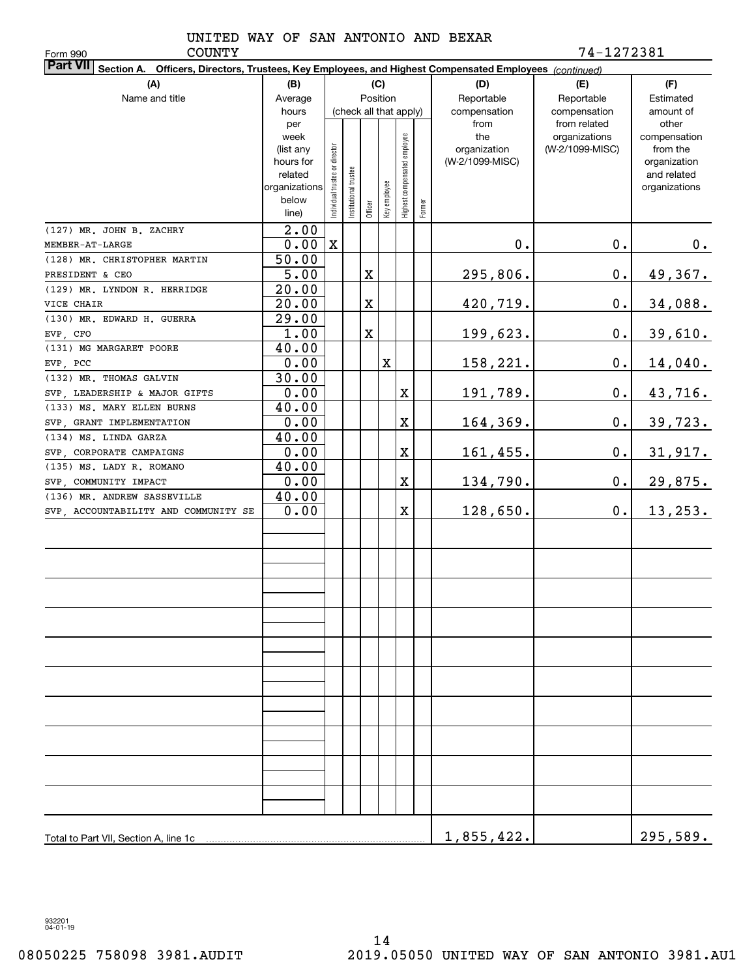Form 990

COUNTY 74-1272381

| <b>Part VII</b> Section A. Officers, Directors, Trustees, Key Employees, and Highest Compensated Employees (continued) |                        |                                |                       |                        |              |                              |        |                                 |                 |                          |  |  |
|------------------------------------------------------------------------------------------------------------------------|------------------------|--------------------------------|-----------------------|------------------------|--------------|------------------------------|--------|---------------------------------|-----------------|--------------------------|--|--|
| (A)                                                                                                                    | (B)                    |                                |                       |                        | (C)          |                              |        | (D)                             | (E)             | (F)                      |  |  |
| Name and title                                                                                                         | Average                |                                |                       | Position               |              |                              |        | Reportable                      | Reportable      | Estimated                |  |  |
|                                                                                                                        | hours                  |                                |                       | (check all that apply) |              |                              |        | compensation                    | compensation    | amount of                |  |  |
|                                                                                                                        | per                    |                                |                       |                        |              |                              |        | from                            | from related    | other                    |  |  |
|                                                                                                                        | week                   |                                |                       |                        |              |                              |        | the                             | organizations   | compensation             |  |  |
|                                                                                                                        | (list any<br>hours for |                                |                       |                        |              |                              |        | organization<br>(W-2/1099-MISC) | (W-2/1099-MISC) | from the<br>organization |  |  |
|                                                                                                                        | related                |                                |                       |                        |              |                              |        |                                 |                 | and related              |  |  |
|                                                                                                                        | organizations          |                                |                       |                        |              |                              |        |                                 |                 | organizations            |  |  |
|                                                                                                                        | below                  | Individual trustee or director | Institutional trustee |                        | Key employee | Highest compensated employee |        |                                 |                 |                          |  |  |
|                                                                                                                        | line)                  |                                |                       | Officer                |              |                              | Former |                                 |                 |                          |  |  |
| (127) MR. JOHN B. ZACHRY                                                                                               | $\overline{2.00}$      |                                |                       |                        |              |                              |        |                                 |                 |                          |  |  |
| MEMBER-AT-LARGE                                                                                                        | 0.00                   | $\mathbf X$                    |                       |                        |              |                              |        | 0.                              | $\mathbf 0$ .   | 0.                       |  |  |
| (128) MR. CHRISTOPHER MARTIN                                                                                           | 50.00                  |                                |                       |                        |              |                              |        |                                 |                 |                          |  |  |
| PRESIDENT & CEO                                                                                                        | 5.00                   |                                |                       | X                      |              |                              |        | 295,806.                        | $\mathbf 0$ .   | 49,367.                  |  |  |
| (129) MR. LYNDON R. HERRIDGE                                                                                           | 20.00                  |                                |                       |                        |              |                              |        |                                 |                 |                          |  |  |
| VICE CHAIR                                                                                                             | 20.00                  |                                |                       | X                      |              |                              |        | 420,719.                        | 0.              | 34,088.                  |  |  |
| (130) MR. EDWARD H. GUERRA                                                                                             | 29.00                  |                                |                       |                        |              |                              |        |                                 |                 |                          |  |  |
| EVP, CFO                                                                                                               | 1.00                   |                                |                       | X                      |              |                              |        | 199,623.                        | 0.              | 39,610.                  |  |  |
| (131) MG MARGARET POORE                                                                                                | 40.00                  |                                |                       |                        |              |                              |        |                                 |                 |                          |  |  |
| EVP, PCC                                                                                                               | 0.00                   |                                |                       |                        | X            |                              |        | 158,221.                        | 0.              | 14,040.                  |  |  |
| $(132)$ MR. THOMAS GALVIN                                                                                              | 30.00                  |                                |                       |                        |              |                              |        |                                 |                 |                          |  |  |
| SVP ,LEADERSHIP & MAJOR GIFTS                                                                                          | 0.00                   |                                |                       |                        |              | X                            |        | 191,789.                        | $\mathbf 0$ .   | 43,716.                  |  |  |
| (133) MS. MARY ELLEN BURNS                                                                                             | 40.00                  |                                |                       |                        |              |                              |        |                                 |                 |                          |  |  |
| SVP, GRANT IMPLEMENTATION                                                                                              | 0.00                   |                                |                       |                        |              | $\mathbf X$                  |        | 164,369.                        | 0.              | 39,723.                  |  |  |
| (134) MS. LINDA GARZA                                                                                                  | 40.00                  |                                |                       |                        |              |                              |        |                                 |                 |                          |  |  |
| SVP, CORPORATE CAMPAIGNS                                                                                               | 0.00                   |                                |                       |                        |              | X                            |        | 161,455.                        | 0.              | 31,917.                  |  |  |
| (135) MS. LADY R. ROMANO                                                                                               | 40.00                  |                                |                       |                        |              |                              |        |                                 |                 |                          |  |  |
| SVP, COMMUNITY IMPACT                                                                                                  | 0.00                   |                                |                       |                        |              | X                            |        | 134,790.                        | 0.              | 29,875.                  |  |  |
| (136) MR. ANDREW SASSEVILLE                                                                                            | 40.00<br>0.00          |                                |                       |                        |              | X                            |        |                                 |                 |                          |  |  |
| SVP, ACCOUNTABILITY AND COMMUNITY SE                                                                                   |                        |                                |                       |                        |              |                              |        | 128,650.                        | 0.              | 13, 253.                 |  |  |
|                                                                                                                        |                        |                                |                       |                        |              |                              |        |                                 |                 |                          |  |  |
|                                                                                                                        |                        |                                |                       |                        |              |                              |        |                                 |                 |                          |  |  |
|                                                                                                                        |                        |                                |                       |                        |              |                              |        |                                 |                 |                          |  |  |
|                                                                                                                        |                        |                                |                       |                        |              |                              |        |                                 |                 |                          |  |  |
|                                                                                                                        |                        |                                |                       |                        |              |                              |        |                                 |                 |                          |  |  |
|                                                                                                                        |                        |                                |                       |                        |              |                              |        |                                 |                 |                          |  |  |
|                                                                                                                        |                        |                                |                       |                        |              |                              |        |                                 |                 |                          |  |  |
|                                                                                                                        |                        |                                |                       |                        |              |                              |        |                                 |                 |                          |  |  |
|                                                                                                                        |                        |                                |                       |                        |              |                              |        |                                 |                 |                          |  |  |
|                                                                                                                        |                        |                                |                       |                        |              |                              |        |                                 |                 |                          |  |  |
|                                                                                                                        |                        |                                |                       |                        |              |                              |        |                                 |                 |                          |  |  |
|                                                                                                                        |                        |                                |                       |                        |              |                              |        |                                 |                 |                          |  |  |
|                                                                                                                        |                        |                                |                       |                        |              |                              |        |                                 |                 |                          |  |  |
|                                                                                                                        |                        |                                |                       |                        |              |                              |        |                                 |                 |                          |  |  |
|                                                                                                                        |                        |                                |                       |                        |              |                              |        |                                 |                 |                          |  |  |
|                                                                                                                        |                        |                                |                       |                        |              |                              |        |                                 |                 |                          |  |  |
|                                                                                                                        |                        |                                |                       |                        |              |                              |        |                                 |                 |                          |  |  |
|                                                                                                                        |                        |                                |                       |                        |              |                              |        |                                 |                 |                          |  |  |
|                                                                                                                        |                        |                                |                       |                        |              |                              |        |                                 |                 |                          |  |  |
|                                                                                                                        |                        |                                | 1,855,422.            |                        | 295,589.     |                              |        |                                 |                 |                          |  |  |
|                                                                                                                        |                        |                                |                       |                        |              |                              |        |                                 |                 |                          |  |  |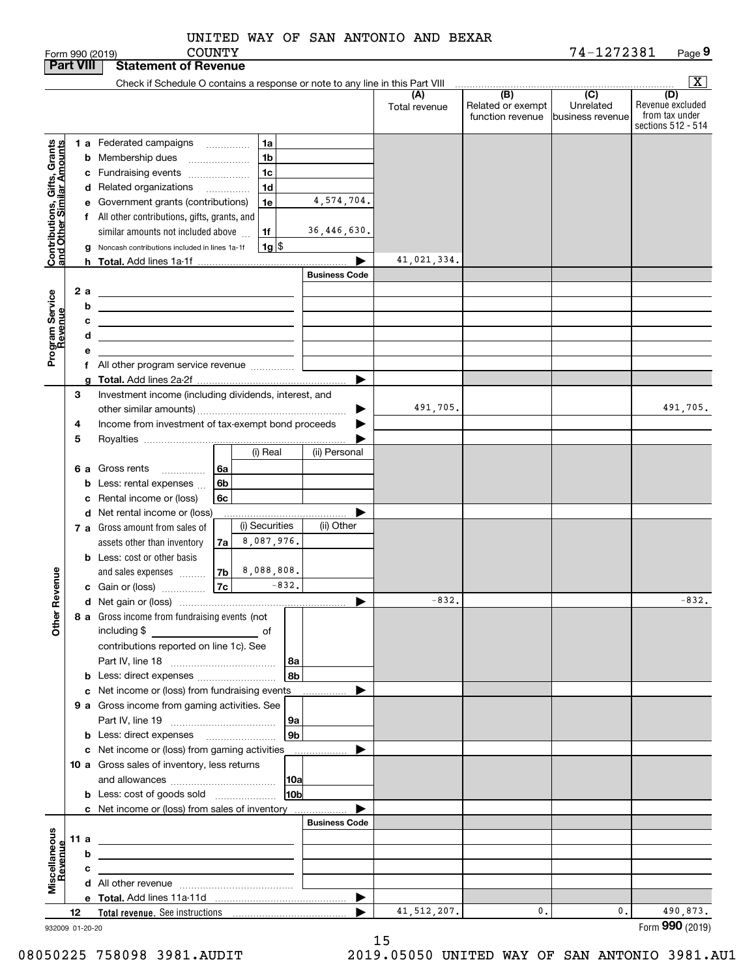| of Revenue |  |                                     |  |
|------------|--|-------------------------------------|--|
| COUNTY     |  |                                     |  |
|            |  | UNITED WAY OF SAN ANTONIO AND BEXAR |  |

|                                                            | <b>Part VIII</b> |   | <b>Statement of Revenue</b>                                                                                           |                          |                          |                    |                      |                      |                                              |                                                   |                                                                 |
|------------------------------------------------------------|------------------|---|-----------------------------------------------------------------------------------------------------------------------|--------------------------|--------------------------|--------------------|----------------------|----------------------|----------------------------------------------|---------------------------------------------------|-----------------------------------------------------------------|
|                                                            |                  |   | Check if Schedule O contains a response or note to any line in this Part VIII                                         |                          |                          |                    |                      |                      |                                              |                                                   | $\boxed{\text{X}}$                                              |
|                                                            |                  |   |                                                                                                                       |                          |                          |                    |                      | (A)<br>Total revenue | (B)<br>Related or exempt<br>function revenue | $\overline{(C)}$<br>Unrelated<br>business revenue | (D)<br>Revenue excluded<br>from tax under<br>sections 512 - 514 |
|                                                            |                  |   | 1 a Federated campaigns                                                                                               |                          | $\overline{\phantom{a}}$ | 1a                 |                      |                      |                                              |                                                   |                                                                 |
|                                                            |                  |   | <b>b</b> Membership dues<br>$\ldots \ldots \ldots \ldots \ldots$                                                      |                          |                          | 1b                 |                      |                      |                                              |                                                   |                                                                 |
|                                                            |                  |   | c Fundraising events                                                                                                  |                          |                          | 1c                 |                      |                      |                                              |                                                   |                                                                 |
| Contributions, Gifts, Grants<br>Iand Other Similar Amounts |                  |   | d Related organizations                                                                                               | $\overline{\phantom{a}}$ |                          | 1 <sub>d</sub>     |                      |                      |                                              |                                                   |                                                                 |
|                                                            |                  |   | e Government grants (contributions)                                                                                   |                          |                          | 1e                 | 4,574,704.           |                      |                                              |                                                   |                                                                 |
|                                                            |                  |   | f All other contributions, gifts, grants, and                                                                         |                          |                          |                    |                      |                      |                                              |                                                   |                                                                 |
|                                                            |                  |   | similar amounts not included above                                                                                    |                          |                          | 1f                 | 36,446,630.          |                      |                                              |                                                   |                                                                 |
|                                                            |                  |   | Noncash contributions included in lines 1a-1f                                                                         |                          |                          | $1g$ $\frac{1}{3}$ |                      |                      |                                              |                                                   |                                                                 |
|                                                            |                  |   |                                                                                                                       |                          |                          |                    | ▶                    | 41,021,334.          |                                              |                                                   |                                                                 |
|                                                            |                  |   |                                                                                                                       |                          |                          |                    | <b>Business Code</b> |                      |                                              |                                                   |                                                                 |
|                                                            | 2a               |   | <u> 1980 - Johann Barn, amerikansk politiker (</u>                                                                    |                          |                          |                    |                      |                      |                                              |                                                   |                                                                 |
| Program Service<br>Revenue                                 |                  | b | <u> 1989 - Johann Barbara, martin amerikan basar dan berasal dan berasal dalam basar dalam basar dalam basar dala</u> |                          |                          |                    |                      |                      |                                              |                                                   |                                                                 |
|                                                            |                  | с | <u> 1989 - Johann Stein, marwolaethau a bhann an t-Amhainn an t-Amhainn an t-Amhainn an t-Amhainn an t-Amhainn an</u> |                          |                          |                    |                      |                      |                                              |                                                   |                                                                 |
|                                                            |                  | d | <u> 1989 - Johann Stein, mars an deus an deus Amerikaanse komme</u>                                                   |                          |                          |                    |                      |                      |                                              |                                                   |                                                                 |
|                                                            |                  | е |                                                                                                                       |                          |                          |                    |                      |                      |                                              |                                                   |                                                                 |
|                                                            |                  |   | f All other program service revenue                                                                                   |                          |                          |                    |                      |                      |                                              |                                                   |                                                                 |
|                                                            |                  |   |                                                                                                                       |                          |                          |                    |                      |                      |                                              |                                                   |                                                                 |
|                                                            | 3                |   | Investment income (including dividends, interest, and                                                                 |                          |                          |                    |                      |                      |                                              |                                                   |                                                                 |
|                                                            |                  |   |                                                                                                                       |                          |                          |                    |                      | 491,705.             |                                              |                                                   | 491,705.                                                        |
|                                                            | 4                |   | Income from investment of tax-exempt bond proceeds                                                                    |                          |                          |                    |                      |                      |                                              |                                                   |                                                                 |
|                                                            | 5                |   |                                                                                                                       |                          |                          | (i) Real           | (ii) Personal        |                      |                                              |                                                   |                                                                 |
|                                                            | 6а               |   | Gross rents                                                                                                           | 6a                       |                          |                    |                      |                      |                                              |                                                   |                                                                 |
|                                                            |                  |   | .<br><b>b</b> Less: rental expenses                                                                                   | 6b                       |                          |                    |                      |                      |                                              |                                                   |                                                                 |
|                                                            |                  |   | c Rental income or (loss)                                                                                             | 6c                       |                          |                    |                      |                      |                                              |                                                   |                                                                 |
|                                                            |                  |   | d Net rental income or (loss)                                                                                         |                          |                          |                    |                      |                      |                                              |                                                   |                                                                 |
|                                                            |                  |   | 7 a Gross amount from sales of                                                                                        |                          |                          | (i) Securities     | (ii) Other           |                      |                                              |                                                   |                                                                 |
|                                                            |                  |   | assets other than inventory                                                                                           | 7a                       |                          | 8,087,976.         |                      |                      |                                              |                                                   |                                                                 |
|                                                            |                  |   | <b>b</b> Less: cost or other basis                                                                                    |                          |                          |                    |                      |                      |                                              |                                                   |                                                                 |
|                                                            |                  |   | and sales expenses                                                                                                    | 7b                       |                          | 8,088,808.         |                      |                      |                                              |                                                   |                                                                 |
| Revenue                                                    |                  |   | c Gain or (loss)                                                                                                      | 7c                       |                          | $-832.$            |                      |                      |                                              |                                                   |                                                                 |
|                                                            |                  |   |                                                                                                                       |                          |                          |                    | ▶                    | $-832.$              |                                              |                                                   | $-832.$                                                         |
| 늦                                                          |                  |   | 8 a Gross income from fundraising events (not                                                                         |                          |                          |                    |                      |                      |                                              |                                                   |                                                                 |
| <b>Other</b>                                               |                  |   | including \$                                                                                                          |                          |                          |                    |                      |                      |                                              |                                                   |                                                                 |
|                                                            |                  |   | contributions reported on line 1c). See                                                                               |                          |                          |                    |                      |                      |                                              |                                                   |                                                                 |
|                                                            |                  |   |                                                                                                                       |                          |                          | 8a                 |                      |                      |                                              |                                                   |                                                                 |
|                                                            |                  |   |                                                                                                                       |                          |                          | 8b                 |                      |                      |                                              |                                                   |                                                                 |
|                                                            |                  |   | c Net income or (loss) from fundraising events                                                                        |                          |                          |                    |                      |                      |                                              |                                                   |                                                                 |
|                                                            |                  |   | 9 a Gross income from gaming activities. See                                                                          |                          |                          |                    |                      |                      |                                              |                                                   |                                                                 |
|                                                            |                  |   |                                                                                                                       |                          |                          | 9a                 |                      |                      |                                              |                                                   |                                                                 |
|                                                            |                  |   |                                                                                                                       |                          |                          | 9 <sub>b</sub>     |                      |                      |                                              |                                                   |                                                                 |
|                                                            |                  |   | c Net income or (loss) from gaming activities                                                                         |                          |                          |                    | .                    |                      |                                              |                                                   |                                                                 |
|                                                            |                  |   | 10 a Gross sales of inventory, less returns                                                                           |                          |                          |                    |                      |                      |                                              |                                                   |                                                                 |
|                                                            |                  |   |                                                                                                                       |                          |                          | 10a<br>10bl        |                      |                      |                                              |                                                   |                                                                 |
|                                                            |                  |   | <b>b</b> Less: cost of goods sold<br>c Net income or (loss) from sales of inventory                                   |                          |                          |                    |                      |                      |                                              |                                                   |                                                                 |
|                                                            |                  |   |                                                                                                                       |                          |                          |                    | <b>Business Code</b> |                      |                                              |                                                   |                                                                 |
| Miscellaneous<br>Revenue                                   | 11 a             |   | the contract of the contract of the contract of the contract of the contract of                                       |                          |                          |                    |                      |                      |                                              |                                                   |                                                                 |
|                                                            |                  | b |                                                                                                                       |                          |                          |                    |                      |                      |                                              |                                                   |                                                                 |
|                                                            |                  | с | the contract of the contract of the contract of the contract of the contract of                                       |                          |                          |                    |                      |                      |                                              |                                                   |                                                                 |
|                                                            |                  |   |                                                                                                                       |                          |                          |                    |                      |                      |                                              |                                                   |                                                                 |
|                                                            |                  |   |                                                                                                                       |                          |                          |                    | ▶                    |                      |                                              |                                                   |                                                                 |
|                                                            | 12               |   |                                                                                                                       |                          |                          |                    |                      | 41, 512, 207.        | 0.                                           | 0.                                                | 490,873.                                                        |
| 932009 01-20-20                                            |                  |   |                                                                                                                       |                          |                          |                    |                      |                      |                                              |                                                   | Form 990 (2019)                                                 |

932009 01-20-20

15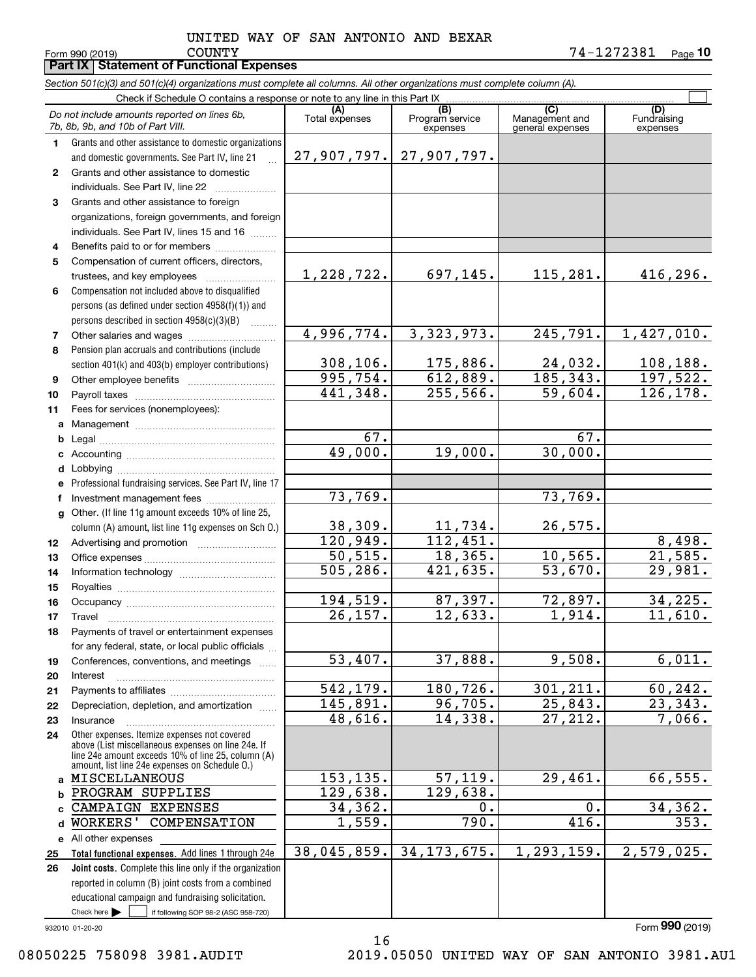**Part IX Statement of Functional Expenses**

L.

Form 990 (2019) Page **10** COUNTY 74-1272381

|                 | Section 501(c)(3) and 501(c)(4) organizations must complete all columns. All other organizations must complete column (A). |                       |                                    |                                           |                         |
|-----------------|----------------------------------------------------------------------------------------------------------------------------|-----------------------|------------------------------------|-------------------------------------------|-------------------------|
|                 | Check if Schedule O contains a response or note to any line in this Part IX                                                |                       |                                    |                                           |                         |
|                 | Do not include amounts reported on lines 6b,<br>7b, 8b, 9b, and 10b of Part VIII.                                          | (A)<br>Total expenses | (B)<br>Program service<br>expenses | (C)<br>Management and<br>general expenses | Fundraising<br>expenses |
| 1.              | Grants and other assistance to domestic organizations                                                                      |                       |                                    |                                           |                         |
|                 | and domestic governments. See Part IV, line 21                                                                             |                       | $27,907,797.$ 27,907,797.          |                                           |                         |
| 2               | Grants and other assistance to domestic                                                                                    |                       |                                    |                                           |                         |
|                 | individuals. See Part IV, line 22                                                                                          |                       |                                    |                                           |                         |
| 3               | Grants and other assistance to foreign                                                                                     |                       |                                    |                                           |                         |
|                 | organizations, foreign governments, and foreign                                                                            |                       |                                    |                                           |                         |
|                 | individuals. See Part IV, lines 15 and 16                                                                                  |                       |                                    |                                           |                         |
| 4               | Benefits paid to or for members                                                                                            |                       |                                    |                                           |                         |
| 5               | Compensation of current officers, directors,                                                                               |                       |                                    |                                           |                         |
|                 | trustees, and key employees                                                                                                | 1,228,722.            | 697,145.                           | 115, 281.                                 | 416,296.                |
| 6               | Compensation not included above to disqualified                                                                            |                       |                                    |                                           |                         |
|                 | persons (as defined under section 4958(f)(1)) and                                                                          |                       |                                    |                                           |                         |
| 7               | persons described in section 4958(c)(3)(B)                                                                                 | 4,996,774.            | 3, 323, 973.                       | $\overline{245,791}$ .                    | 1,427,010.              |
| 8               | Pension plan accruals and contributions (include                                                                           |                       |                                    |                                           |                         |
|                 | section 401(k) and 403(b) employer contributions)                                                                          | 308, 106.             | 175,886.                           | 24,032.                                   | 108, 188.               |
| 9               |                                                                                                                            | 995,754.              | 612,889.                           | 185, 343.                                 | 197,522.                |
| 10              |                                                                                                                            | 441,348.              | 255,566.                           | 59,604.                                   | 126,178.                |
| 11              | Fees for services (nonemployees):                                                                                          |                       |                                    |                                           |                         |
|                 |                                                                                                                            |                       |                                    |                                           |                         |
| b               |                                                                                                                            | 67.                   |                                    | 67.                                       |                         |
| с               |                                                                                                                            | 49,000.               | 19,000.                            | 30,000.                                   |                         |
| d               |                                                                                                                            |                       |                                    |                                           |                         |
| е               | Professional fundraising services. See Part IV, line 17                                                                    |                       |                                    |                                           |                         |
|                 | Investment management fees                                                                                                 | 73,769.               |                                    | 73,769.                                   |                         |
| q               | Other. (If line 11g amount exceeds 10% of line 25,                                                                         |                       |                                    |                                           |                         |
|                 | column (A) amount, list line 11g expenses on Sch 0.)                                                                       | 38,309.               | 11,734.                            | 26,575.                                   |                         |
| 12 <sub>2</sub> |                                                                                                                            | 120,949.              | 112,451.                           |                                           | 8,498.                  |
| 13              |                                                                                                                            | 50, 515.              | 18,365.                            | 10, 565.                                  | 21,585.                 |
| 14              |                                                                                                                            | 505, 286.             | 421,635.                           | 53,670.                                   | 29,981.                 |
| 15              |                                                                                                                            |                       |                                    |                                           |                         |
| 16              |                                                                                                                            | 194, 519.             | 87,397.                            | 72,897.                                   | 34,225.                 |
| 17              |                                                                                                                            | 26, 157.              | 12,633.                            | 1,914.                                    | 11,610.                 |
| 18              | Payments of travel or entertainment expenses                                                                               |                       |                                    |                                           |                         |
|                 | for any federal, state, or local public officials                                                                          | 53,407.               | 37,888.                            | 9,508.                                    | 6,011.                  |
| 19              | Conferences, conventions, and meetings                                                                                     |                       |                                    |                                           |                         |
| 20<br>21        | Interest                                                                                                                   | 542,179.              | 180,726.                           | 301, 211.                                 | 60,242.                 |
| 22              | Depreciation, depletion, and amortization                                                                                  | 145,891.              | 96,705.                            | 25,843.                                   | 23,343.                 |
| 23              | Insurance                                                                                                                  | 48,616.               | 14,338.                            | 27,212.                                   | 7,066.                  |
| 24              | Other expenses. Itemize expenses not covered                                                                               |                       |                                    |                                           |                         |
|                 | above (List miscellaneous expenses on line 24e. If                                                                         |                       |                                    |                                           |                         |
|                 | line 24e amount exceeds 10% of line 25, column (A)<br>amount, list line 24e expenses on Schedule O.)                       |                       |                                    |                                           |                         |
| a               | MISCELLANEOUS                                                                                                              | 153, 135.             | 57, 119.                           | 29,461.                                   | 66,555.                 |
| b               | PROGRAM SUPPLIES                                                                                                           | 129,638.              | 129,638.                           |                                           |                         |
| C               | CAMPAIGN EXPENSES                                                                                                          | 34,362.               | 0.                                 | 0.                                        | 34,362.                 |
| d               | <b>WORKERS'</b><br>COMPENSATION                                                                                            | 1,559.                | 790.                               | 416.                                      | 353.                    |
|                 | e All other expenses                                                                                                       |                       |                                    |                                           |                         |
| 25              | Total functional expenses. Add lines 1 through 24e                                                                         | 38,045,859.           | 34, 173, 675.                      | 1,293,159.                                | 2,579,025.              |
| 26              | Joint costs. Complete this line only if the organization                                                                   |                       |                                    |                                           |                         |
|                 | reported in column (B) joint costs from a combined                                                                         |                       |                                    |                                           |                         |
|                 | educational campaign and fundraising solicitation.                                                                         |                       |                                    |                                           |                         |
|                 | Check here $\blacktriangleright$<br>if following SOP 98-2 (ASC 958-720)                                                    |                       |                                    |                                           |                         |

932010 01-20-20

08050225 758098 3981.AUDIT 2019.05050 UNITED WAY OF SAN ANTONIO 3981.AU1

16

Form (2019) **990**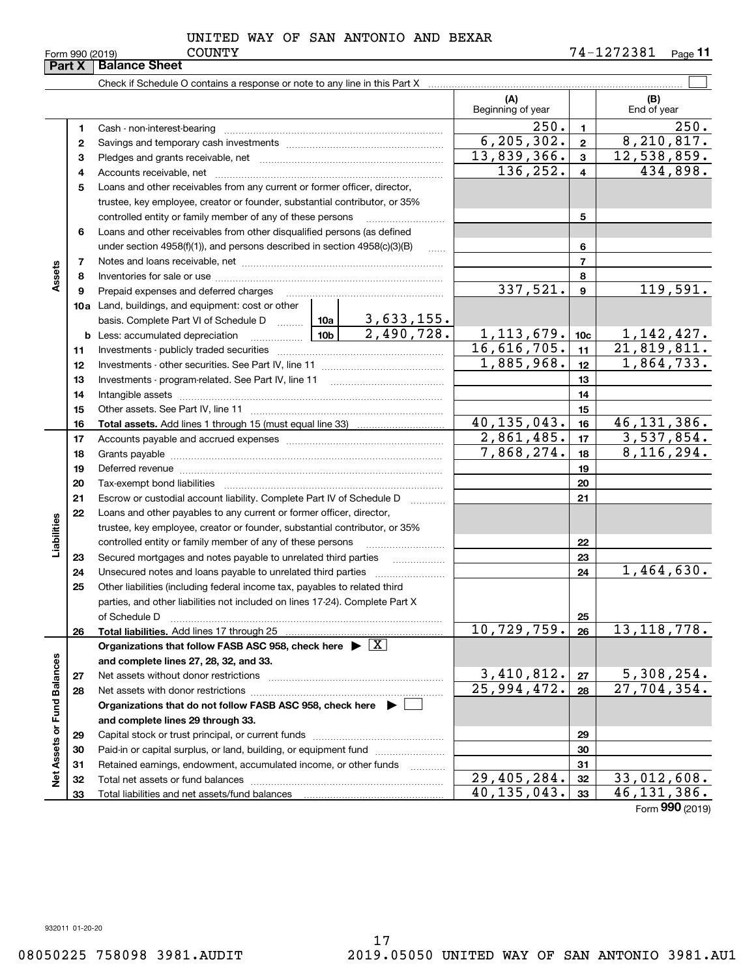**Porm 990 (2019)**<br>**Part X Balance She** 

|                             | <b>Part</b> Y | Dalalice Sileet                                                                       |  |                           |                             |                           |                             |
|-----------------------------|---------------|---------------------------------------------------------------------------------------|--|---------------------------|-----------------------------|---------------------------|-----------------------------|
|                             |               |                                                                                       |  |                           |                             |                           |                             |
|                             |               |                                                                                       |  |                           | (A)<br>Beginning of year    |                           | (B)<br>End of year          |
|                             | 1             | Cash - non-interest-bearing                                                           |  |                           | 250.                        | $\mathbf{1}$              | 250.                        |
|                             | 2             |                                                                                       |  |                           | 6, 205, 302.                | $\mathbf{2}$              | 8,210,817.                  |
|                             | 3             |                                                                                       |  |                           | $\overline{13,839,366}$ .   | 3                         | 12,538,859.                 |
|                             | 4             |                                                                                       |  |                           | 136,252.                    | 4                         | 434,898.                    |
|                             | 5             | Loans and other receivables from any current or former officer, director,             |  |                           |                             |                           |                             |
|                             |               | trustee, key employee, creator or founder, substantial contributor, or 35%            |  |                           |                             |                           |                             |
|                             |               | controlled entity or family member of any of these persons                            |  |                           |                             | 5                         |                             |
|                             | 6             | Loans and other receivables from other disqualified persons (as defined               |  |                           |                             |                           |                             |
|                             |               | under section 4958(f)(1)), and persons described in section 4958(c)(3)(B)             |  | $\ldots$                  |                             | 6                         |                             |
|                             | 7             |                                                                                       |  |                           |                             | $\overline{7}$            |                             |
| Assets                      | 8             |                                                                                       |  |                           |                             | 8                         |                             |
|                             | 9             |                                                                                       |  |                           | 337,521.                    | 9                         | 119,591.                    |
|                             |               | 10a Land, buildings, and equipment: cost or other                                     |  |                           |                             |                           |                             |
|                             |               | basis. Complete Part VI of Schedule D    10a   3,633,155.                             |  |                           |                             |                           |                             |
|                             |               |                                                                                       |  | 2,490,728.                | 1, 113, 679.                | 10 <sub>c</sub>           | 1, 142, 427.                |
|                             | 11            |                                                                                       |  |                           | $\overline{16,616,705}$ .   | 11                        | $\overline{21}$ , 819, 811. |
|                             | 12            |                                                                                       |  |                           | 1,885,968.                  | 12                        | 1,864,733.                  |
|                             | 13            |                                                                                       |  |                           |                             | 13                        |                             |
|                             | 14            |                                                                                       |  |                           |                             | 14                        |                             |
|                             | 15            |                                                                                       |  |                           |                             | 15                        |                             |
|                             | 16            |                                                                                       |  |                           | $\overline{40, 135, 043}$ . | 16                        | 46, 131, 386.               |
|                             | 17            |                                                                                       |  |                           | 2,861,485.                  | 17                        | 3,537,854.                  |
|                             | 18            |                                                                                       |  |                           | $\overline{7,868}$ , 274.   | 18                        | 8,116,294.                  |
|                             | 19            |                                                                                       |  |                           |                             | 19                        |                             |
|                             | 20            |                                                                                       |  | 20                        |                             |                           |                             |
|                             | 21            | Escrow or custodial account liability. Complete Part IV of Schedule D                 |  |                           |                             | 21                        |                             |
|                             | 22            | Loans and other payables to any current or former officer, director,                  |  |                           |                             |                           |                             |
|                             |               | trustee, key employee, creator or founder, substantial contributor, or 35%            |  |                           |                             |                           |                             |
| Liabilities                 |               | controlled entity or family member of any of these persons                            |  |                           |                             | 22                        |                             |
|                             | 23            | Secured mortgages and notes payable to unrelated third parties                        |  |                           |                             | 23                        |                             |
|                             | 24            |                                                                                       |  |                           |                             | 24                        | 1,464,630.                  |
|                             | 25            | Other liabilities (including federal income tax, payables to related third            |  |                           |                             |                           |                             |
|                             |               | parties, and other liabilities not included on lines 17-24). Complete Part X          |  |                           |                             |                           |                             |
|                             |               | of Schedule D                                                                         |  |                           |                             | 25                        |                             |
|                             | 26            |                                                                                       |  |                           | 10,729,759.                 | 26                        | 13, 118, 778.               |
|                             |               | Organizations that follow FASB ASC 958, check here $\triangleright \lfloor X \rfloor$ |  |                           |                             |                           |                             |
|                             |               | and complete lines 27, 28, 32, and 33.                                                |  |                           |                             |                           |                             |
|                             | 27            | Net assets without donor restrictions                                                 |  | 3,410,812.                | 27                          | <u>5,308,254.</u>         |                             |
|                             | 28            |                                                                                       |  | $\overline{25,994,472}$ . | 28                          | $\overline{27,704,354}$ . |                             |
|                             |               | Organizations that do not follow FASB ASC 958, check here $\blacktriangleright$       |  |                           |                             |                           |                             |
|                             |               | and complete lines 29 through 33.                                                     |  |                           |                             |                           |                             |
|                             | 29            |                                                                                       |  |                           |                             | 29                        |                             |
|                             | 30            | Paid-in or capital surplus, or land, building, or equipment fund                      |  |                           |                             | 30                        |                             |
| Net Assets or Fund Balances | 31            | Retained earnings, endowment, accumulated income, or other funds                      |  |                           |                             | 31                        |                             |
|                             | 32            |                                                                                       |  |                           | 29,405,284.                 | 32                        | 33,012,608.                 |
|                             | 33            |                                                                                       |  |                           | 40, 135, 043.               | 33                        | 46, 131, 386.               |

Form (2019) **990**

932011 01-20-20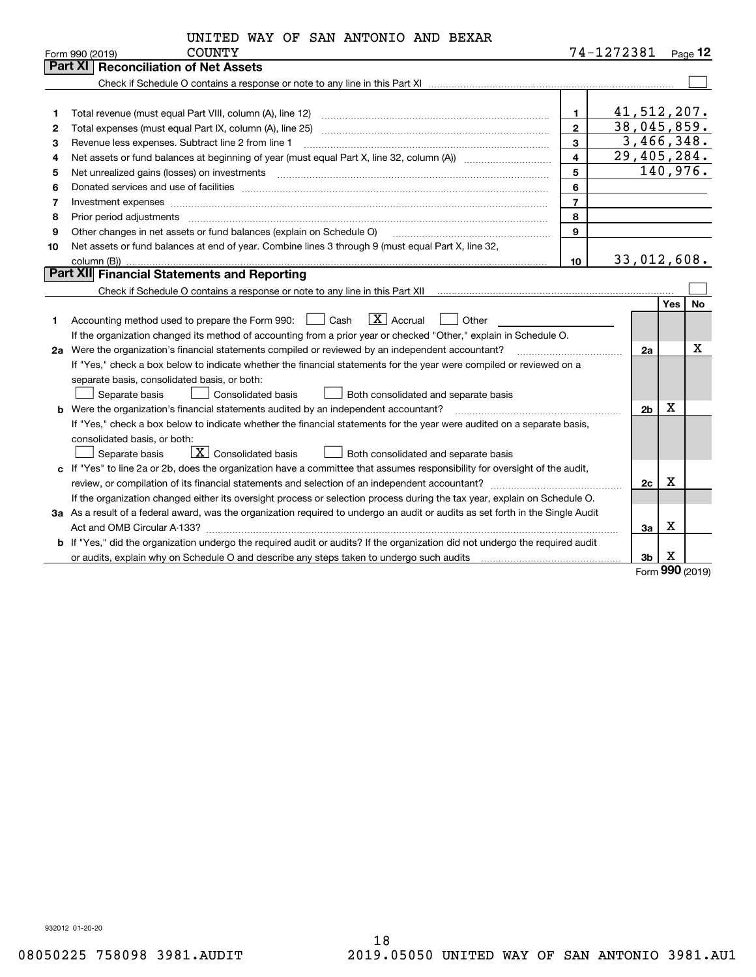| UNITED WAY OF SAN ANTONIO AND BEXAR |  |
|-------------------------------------|--|
|-------------------------------------|--|

|                | <b>COUNTY</b><br>Form 990 (2019)                                                                                                                                                                                                                                                                                                                                                                                                                                           |                         | 74-1272381 |                     | $P_{aqe}$ 12 |
|----------------|----------------------------------------------------------------------------------------------------------------------------------------------------------------------------------------------------------------------------------------------------------------------------------------------------------------------------------------------------------------------------------------------------------------------------------------------------------------------------|-------------------------|------------|---------------------|--------------|
|                | <b>Reconciliation of Net Assets</b><br>Part XI I                                                                                                                                                                                                                                                                                                                                                                                                                           |                         |            |                     |              |
|                |                                                                                                                                                                                                                                                                                                                                                                                                                                                                            |                         |            |                     |              |
|                |                                                                                                                                                                                                                                                                                                                                                                                                                                                                            |                         |            |                     |              |
| 1              | Total revenue (must equal Part VIII, column (A), line 12)                                                                                                                                                                                                                                                                                                                                                                                                                  | 1.                      |            |                     | 41,512,207.  |
| $\overline{2}$ |                                                                                                                                                                                                                                                                                                                                                                                                                                                                            | $\overline{2}$          |            |                     | 38,045,859.  |
| З              | Revenue less expenses. Subtract line 2 from line 1                                                                                                                                                                                                                                                                                                                                                                                                                         | 3                       |            |                     | 3,466,348.   |
| 4              |                                                                                                                                                                                                                                                                                                                                                                                                                                                                            | $\overline{\mathbf{4}}$ |            |                     | 29,405,284.  |
| 5              | Net unrealized gains (losses) on investments<br>$\overline{a_1, \ldots, a_n, \ldots, a_n, \ldots, a_n, \ldots, a_n, \ldots, a_n, \ldots, a_n, \ldots, a_n, \ldots, a_n, \ldots, a_n, \ldots, a_n, \ldots, a_n, \ldots, a_n, \ldots, a_n, \ldots, a_n, \ldots, a_n, \ldots, a_n, \ldots, a_n, \ldots, a_n, \ldots, a_n, \ldots, a_n, \ldots, a_n, \ldots, a_n, \ldots, a_n, \ldots, a_n, \ldots, a_n, \ldots, a_n, \ldots, a_n, \ldots, a_n, \ldots, a_n, \ldots, a_n, \ld$ | 5                       |            |                     | 140,976.     |
| 6              |                                                                                                                                                                                                                                                                                                                                                                                                                                                                            | 6                       |            |                     |              |
| 7              |                                                                                                                                                                                                                                                                                                                                                                                                                                                                            | $\overline{7}$          |            |                     |              |
| 8              |                                                                                                                                                                                                                                                                                                                                                                                                                                                                            | 8                       |            |                     |              |
| 9              | Other changes in net assets or fund balances (explain on Schedule O)                                                                                                                                                                                                                                                                                                                                                                                                       | 9                       |            |                     |              |
| 10             | Net assets or fund balances at end of year. Combine lines 3 through 9 (must equal Part X, line 32,                                                                                                                                                                                                                                                                                                                                                                         |                         |            |                     |              |
|                |                                                                                                                                                                                                                                                                                                                                                                                                                                                                            | 10                      |            |                     | 33,012,608.  |
|                | Part XII Financial Statements and Reporting                                                                                                                                                                                                                                                                                                                                                                                                                                |                         |            |                     |              |
|                |                                                                                                                                                                                                                                                                                                                                                                                                                                                                            |                         |            |                     |              |
|                |                                                                                                                                                                                                                                                                                                                                                                                                                                                                            |                         |            |                     | No<br>Yes    |
| 1              | $ X $ Accrual<br>Accounting method used to prepare the Form 990: <u>June</u> Cash<br>Other                                                                                                                                                                                                                                                                                                                                                                                 |                         |            |                     |              |
|                | If the organization changed its method of accounting from a prior year or checked "Other," explain in Schedule O.                                                                                                                                                                                                                                                                                                                                                          |                         |            |                     |              |
|                | 2a Were the organization's financial statements compiled or reviewed by an independent accountant?                                                                                                                                                                                                                                                                                                                                                                         |                         |            | 2a                  | х            |
|                | If "Yes," check a box below to indicate whether the financial statements for the year were compiled or reviewed on a                                                                                                                                                                                                                                                                                                                                                       |                         |            |                     |              |
|                | separate basis, consolidated basis, or both:                                                                                                                                                                                                                                                                                                                                                                                                                               |                         |            |                     |              |
|                | Separate basis<br>Consolidated basis<br>Both consolidated and separate basis                                                                                                                                                                                                                                                                                                                                                                                               |                         |            |                     |              |
|                | <b>b</b> Were the organization's financial statements audited by an independent accountant?                                                                                                                                                                                                                                                                                                                                                                                |                         |            | X<br>2 <sub>b</sub> |              |
|                | If "Yes," check a box below to indicate whether the financial statements for the year were audited on a separate basis,                                                                                                                                                                                                                                                                                                                                                    |                         |            |                     |              |
|                | consolidated basis, or both:                                                                                                                                                                                                                                                                                                                                                                                                                                               |                         |            |                     |              |
|                | $\boxed{\mathbf{X}}$ Consolidated basis<br>Separate basis<br>Both consolidated and separate basis                                                                                                                                                                                                                                                                                                                                                                          |                         |            |                     |              |
|                | c If "Yes" to line 2a or 2b, does the organization have a committee that assumes responsibility for oversight of the audit,                                                                                                                                                                                                                                                                                                                                                |                         |            |                     |              |
|                | review, or compilation of its financial statements and selection of an independent accountant?                                                                                                                                                                                                                                                                                                                                                                             |                         |            | X<br>2c             |              |
|                | If the organization changed either its oversight process or selection process during the tax year, explain on Schedule O.                                                                                                                                                                                                                                                                                                                                                  |                         |            |                     |              |
|                | 3a As a result of a federal award, was the organization required to undergo an audit or audits as set forth in the Single Audit                                                                                                                                                                                                                                                                                                                                            |                         |            |                     |              |
|                |                                                                                                                                                                                                                                                                                                                                                                                                                                                                            |                         |            | х<br>За             |              |
|                | b If "Yes," did the organization undergo the required audit or audits? If the organization did not undergo the required audit                                                                                                                                                                                                                                                                                                                                              |                         |            |                     |              |
|                |                                                                                                                                                                                                                                                                                                                                                                                                                                                                            |                         |            | X<br>3b             |              |

Form (2019) **990**

932012 01-20-20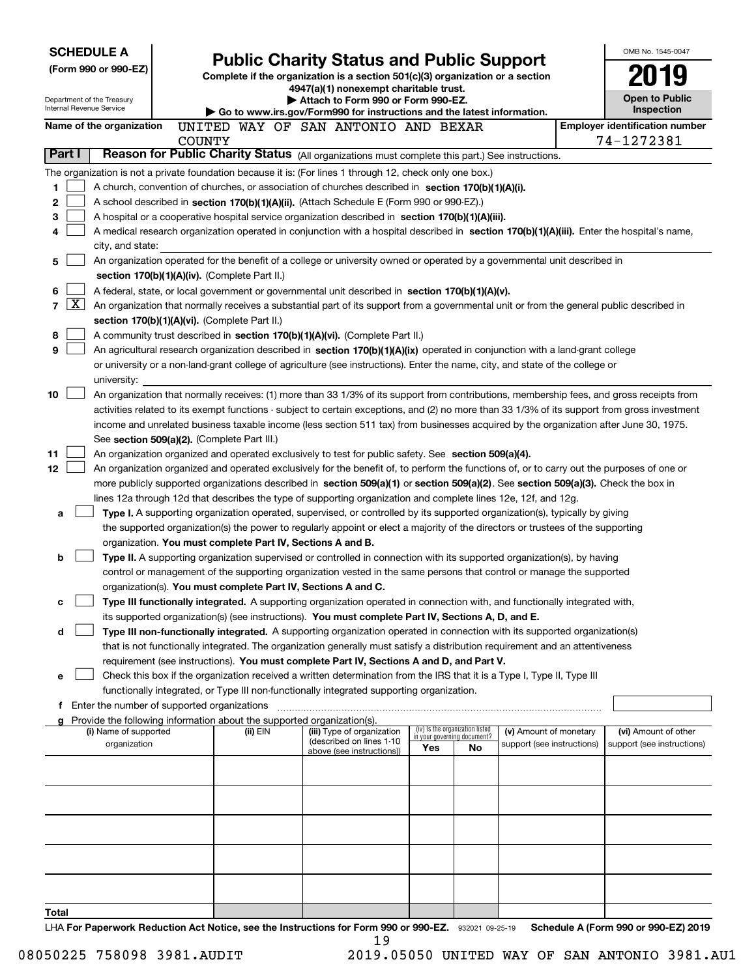| <b>SCHEDULE A</b>                                      |                                                                                                                                                                                                                                                                                        |                                                                                                                         |                                                                |                                  | OMB No. 1545-0047                                   |
|--------------------------------------------------------|----------------------------------------------------------------------------------------------------------------------------------------------------------------------------------------------------------------------------------------------------------------------------------------|-------------------------------------------------------------------------------------------------------------------------|----------------------------------------------------------------|----------------------------------|-----------------------------------------------------|
| (Form 990 or 990-EZ)                                   |                                                                                                                                                                                                                                                                                        | <b>Public Charity Status and Public Support</b>                                                                         |                                                                |                                  |                                                     |
|                                                        |                                                                                                                                                                                                                                                                                        | Complete if the organization is a section 501(c)(3) organization or a section<br>4947(a)(1) nonexempt charitable trust. |                                                                |                                  |                                                     |
| Department of the Treasury<br>Internal Revenue Service |                                                                                                                                                                                                                                                                                        | Attach to Form 990 or Form 990-EZ.                                                                                      |                                                                |                                  | <b>Open to Public</b>                               |
|                                                        |                                                                                                                                                                                                                                                                                        | Go to www.irs.gov/Form990 for instructions and the latest information.                                                  |                                                                |                                  | Inspection                                          |
| Name of the organization                               | <b>COUNTY</b>                                                                                                                                                                                                                                                                          | UNITED WAY OF SAN ANTONIO AND BEXAR                                                                                     |                                                                |                                  | <b>Employer identification number</b><br>74-1272381 |
| Part I                                                 | Reason for Public Charity Status (All organizations must complete this part.) See instructions.                                                                                                                                                                                        |                                                                                                                         |                                                                |                                  |                                                     |
|                                                        | The organization is not a private foundation because it is: (For lines 1 through 12, check only one box.)                                                                                                                                                                              |                                                                                                                         |                                                                |                                  |                                                     |
| 1.                                                     | A church, convention of churches, or association of churches described in section 170(b)(1)(A)(i).                                                                                                                                                                                     |                                                                                                                         |                                                                |                                  |                                                     |
| 2                                                      | A school described in section 170(b)(1)(A)(ii). (Attach Schedule E (Form 990 or 990-EZ).)                                                                                                                                                                                              |                                                                                                                         |                                                                |                                  |                                                     |
| 3                                                      | A hospital or a cooperative hospital service organization described in section $170(b)(1)(A)(iii)$ .                                                                                                                                                                                   |                                                                                                                         |                                                                |                                  |                                                     |
| 4                                                      | A medical research organization operated in conjunction with a hospital described in section 170(b)(1)(A)(iii). Enter the hospital's name,                                                                                                                                             |                                                                                                                         |                                                                |                                  |                                                     |
| city, and state:                                       |                                                                                                                                                                                                                                                                                        |                                                                                                                         |                                                                |                                  |                                                     |
| 5                                                      | An organization operated for the benefit of a college or university owned or operated by a governmental unit described in                                                                                                                                                              |                                                                                                                         |                                                                |                                  |                                                     |
|                                                        | section 170(b)(1)(A)(iv). (Complete Part II.)                                                                                                                                                                                                                                          |                                                                                                                         |                                                                |                                  |                                                     |
| 6                                                      | A federal, state, or local government or governmental unit described in section $170(b)(1)(A)(v)$ .                                                                                                                                                                                    |                                                                                                                         |                                                                |                                  |                                                     |
| $\mathbf{X}$<br>$\overline{7}$                         | An organization that normally receives a substantial part of its support from a governmental unit or from the general public described in                                                                                                                                              |                                                                                                                         |                                                                |                                  |                                                     |
|                                                        | section 170(b)(1)(A)(vi). (Complete Part II.)                                                                                                                                                                                                                                          |                                                                                                                         |                                                                |                                  |                                                     |
| 8                                                      | A community trust described in section 170(b)(1)(A)(vi). (Complete Part II.)                                                                                                                                                                                                           |                                                                                                                         |                                                                |                                  |                                                     |
| 9                                                      | An agricultural research organization described in section 170(b)(1)(A)(ix) operated in conjunction with a land-grant college                                                                                                                                                          |                                                                                                                         |                                                                |                                  |                                                     |
|                                                        | or university or a non-land-grant college of agriculture (see instructions). Enter the name, city, and state of the college or                                                                                                                                                         |                                                                                                                         |                                                                |                                  |                                                     |
| university:                                            |                                                                                                                                                                                                                                                                                        |                                                                                                                         |                                                                |                                  |                                                     |
| 10                                                     | An organization that normally receives: (1) more than 33 1/3% of its support from contributions, membership fees, and gross receipts from                                                                                                                                              |                                                                                                                         |                                                                |                                  |                                                     |
|                                                        | activities related to its exempt functions - subject to certain exceptions, and (2) no more than 33 1/3% of its support from gross investment<br>income and unrelated business taxable income (less section 511 tax) from businesses acquired by the organization after June 30, 1975. |                                                                                                                         |                                                                |                                  |                                                     |
|                                                        | See section 509(a)(2). (Complete Part III.)                                                                                                                                                                                                                                            |                                                                                                                         |                                                                |                                  |                                                     |
| 11                                                     | An organization organized and operated exclusively to test for public safety. See section 509(a)(4).                                                                                                                                                                                   |                                                                                                                         |                                                                |                                  |                                                     |
| 12                                                     | An organization organized and operated exclusively for the benefit of, to perform the functions of, or to carry out the purposes of one or                                                                                                                                             |                                                                                                                         |                                                                |                                  |                                                     |
|                                                        | more publicly supported organizations described in section 509(a)(1) or section 509(a)(2). See section 509(a)(3). Check the box in                                                                                                                                                     |                                                                                                                         |                                                                |                                  |                                                     |
|                                                        | lines 12a through 12d that describes the type of supporting organization and complete lines 12e, 12f, and 12g.                                                                                                                                                                         |                                                                                                                         |                                                                |                                  |                                                     |
| a                                                      | Type I. A supporting organization operated, supervised, or controlled by its supported organization(s), typically by giving                                                                                                                                                            |                                                                                                                         |                                                                |                                  |                                                     |
|                                                        | the supported organization(s) the power to regularly appoint or elect a majority of the directors or trustees of the supporting                                                                                                                                                        |                                                                                                                         |                                                                |                                  |                                                     |
|                                                        | organization. You must complete Part IV, Sections A and B.                                                                                                                                                                                                                             |                                                                                                                         |                                                                |                                  |                                                     |
| b                                                      | Type II. A supporting organization supervised or controlled in connection with its supported organization(s), by having                                                                                                                                                                |                                                                                                                         |                                                                |                                  |                                                     |
|                                                        | control or management of the supporting organization vested in the same persons that control or manage the supported                                                                                                                                                                   |                                                                                                                         |                                                                |                                  |                                                     |
|                                                        | organization(s). You must complete Part IV, Sections A and C.                                                                                                                                                                                                                          |                                                                                                                         |                                                                |                                  |                                                     |
| с                                                      | Type III functionally integrated. A supporting organization operated in connection with, and functionally integrated with,                                                                                                                                                             |                                                                                                                         |                                                                |                                  |                                                     |
|                                                        | its supported organization(s) (see instructions). You must complete Part IV, Sections A, D, and E.<br>Type III non-functionally integrated. A supporting organization operated in connection with its supported organization(s)                                                        |                                                                                                                         |                                                                |                                  |                                                     |
| d                                                      | that is not functionally integrated. The organization generally must satisfy a distribution requirement and an attentiveness                                                                                                                                                           |                                                                                                                         |                                                                |                                  |                                                     |
|                                                        | requirement (see instructions). You must complete Part IV, Sections A and D, and Part V.                                                                                                                                                                                               |                                                                                                                         |                                                                |                                  |                                                     |
| е                                                      | Check this box if the organization received a written determination from the IRS that it is a Type I, Type II, Type III                                                                                                                                                                |                                                                                                                         |                                                                |                                  |                                                     |
|                                                        | functionally integrated, or Type III non-functionally integrated supporting organization.                                                                                                                                                                                              |                                                                                                                         |                                                                |                                  |                                                     |
| f                                                      | Enter the number of supported organizations                                                                                                                                                                                                                                            |                                                                                                                         |                                                                |                                  |                                                     |
|                                                        | Provide the following information about the supported organization(s).                                                                                                                                                                                                                 |                                                                                                                         |                                                                |                                  |                                                     |
| (i) Name of supported                                  | (ii) EIN                                                                                                                                                                                                                                                                               | (iii) Type of organization<br>(described on lines 1-10                                                                  | (iv) Is the organization listed<br>in your governing document? | (v) Amount of monetary           | (vi) Amount of other                                |
| organization                                           |                                                                                                                                                                                                                                                                                        | above (see instructions))                                                                                               | Yes                                                            | support (see instructions)<br>No | support (see instructions)                          |
|                                                        |                                                                                                                                                                                                                                                                                        |                                                                                                                         |                                                                |                                  |                                                     |
|                                                        |                                                                                                                                                                                                                                                                                        |                                                                                                                         |                                                                |                                  |                                                     |
|                                                        |                                                                                                                                                                                                                                                                                        |                                                                                                                         |                                                                |                                  |                                                     |
|                                                        |                                                                                                                                                                                                                                                                                        |                                                                                                                         |                                                                |                                  |                                                     |
|                                                        |                                                                                                                                                                                                                                                                                        |                                                                                                                         |                                                                |                                  |                                                     |
|                                                        |                                                                                                                                                                                                                                                                                        |                                                                                                                         |                                                                |                                  |                                                     |
|                                                        |                                                                                                                                                                                                                                                                                        |                                                                                                                         |                                                                |                                  |                                                     |
|                                                        |                                                                                                                                                                                                                                                                                        |                                                                                                                         |                                                                |                                  |                                                     |
|                                                        |                                                                                                                                                                                                                                                                                        |                                                                                                                         |                                                                |                                  |                                                     |
| Total                                                  |                                                                                                                                                                                                                                                                                        |                                                                                                                         |                                                                |                                  |                                                     |
|                                                        | LHA For Panorwork Poduction Act Notice, see the Instructions for Form 000 or 000-F7 - 200001-00-05-10                                                                                                                                                                                  |                                                                                                                         |                                                                |                                  | Schodule A (Form 000 or 000 FZ) 2010                |

or 990-EZ. 932021 09-25-19 Schedule A (Form 990 or 990-EZ) 2019 LHA For Paperwork Reduction Act Notice, see the Instructions for Form 990 or 990-EZ. 932021 09-25-19 Schedule A (Form 990 or 990-EZ) 2019 19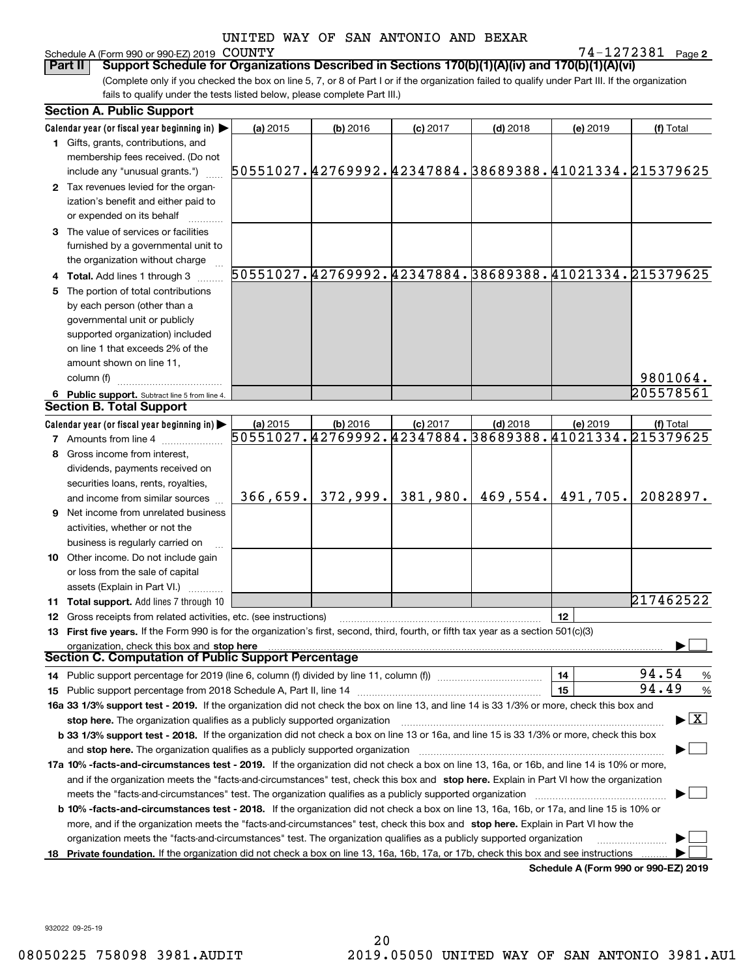## Schedule A (Form 990 or 990-EZ) 2019 COUNTY

**2** COUNTY 74-1272381

(Complete only if you checked the box on line 5, 7, or 8 of Part I or if the organization failed to qualify under Part III. If the organization fails to qualify under the tests listed below, please complete Part III.) **Part II Support Schedule for Organizations Described in Sections 170(b)(1)(A)(iv) and 170(b)(1)(A)(vi)**

|    | <b>Section A. Public Support</b>                                                                                                               |          |            |            |            |                                      |                                                        |
|----|------------------------------------------------------------------------------------------------------------------------------------------------|----------|------------|------------|------------|--------------------------------------|--------------------------------------------------------|
|    | Calendar year (or fiscal year beginning in) $\blacktriangleright$                                                                              | (a) 2015 | $(b)$ 2016 | $(c)$ 2017 | $(d)$ 2018 | (e) 2019                             | (f) Total                                              |
|    | 1 Gifts, grants, contributions, and                                                                                                            |          |            |            |            |                                      |                                                        |
|    | membership fees received. (Do not                                                                                                              |          |            |            |            |                                      |                                                        |
|    | include any "unusual grants.")                                                                                                                 |          |            |            |            |                                      | 50551027.42769992.42347884.38689388.41021334.215379625 |
|    | 2 Tax revenues levied for the organ-                                                                                                           |          |            |            |            |                                      |                                                        |
|    | ization's benefit and either paid to                                                                                                           |          |            |            |            |                                      |                                                        |
|    | or expended on its behalf                                                                                                                      |          |            |            |            |                                      |                                                        |
|    | 3 The value of services or facilities                                                                                                          |          |            |            |            |                                      |                                                        |
|    | furnished by a governmental unit to                                                                                                            |          |            |            |            |                                      |                                                        |
|    | the organization without charge                                                                                                                |          |            |            |            |                                      |                                                        |
|    | 4 Total. Add lines 1 through 3                                                                                                                 |          |            |            |            |                                      | 50551027.42769992.42347884.38689388.41021334.215379625 |
| 5. | The portion of total contributions                                                                                                             |          |            |            |            |                                      |                                                        |
|    | by each person (other than a                                                                                                                   |          |            |            |            |                                      |                                                        |
|    | governmental unit or publicly                                                                                                                  |          |            |            |            |                                      |                                                        |
|    | supported organization) included                                                                                                               |          |            |            |            |                                      |                                                        |
|    | on line 1 that exceeds 2% of the                                                                                                               |          |            |            |            |                                      |                                                        |
|    | amount shown on line 11,                                                                                                                       |          |            |            |            |                                      |                                                        |
|    | column (f)                                                                                                                                     |          |            |            |            |                                      | 9801064.                                               |
|    | 6 Public support. Subtract line 5 from line 4.                                                                                                 |          |            |            |            |                                      | 205578561                                              |
|    | <b>Section B. Total Support</b>                                                                                                                |          |            |            |            |                                      |                                                        |
|    | Calendar year (or fiscal year beginning in) $\blacktriangleright$                                                                              | (a) 2015 | $(b)$ 2016 | $(c)$ 2017 | $(d)$ 2018 | (e) 2019                             | (f) Total                                              |
|    | <b>7</b> Amounts from line 4                                                                                                                   |          |            |            |            |                                      | 50551027.42769992.42347884.38689388.41021334.215379625 |
|    | Gross income from interest,                                                                                                                    |          |            |            |            |                                      |                                                        |
|    | dividends, payments received on                                                                                                                |          |            |            |            |                                      |                                                        |
|    | securities loans, rents, royalties,                                                                                                            |          |            |            |            |                                      |                                                        |
|    | and income from similar sources                                                                                                                | 366,659. | 372,999.   | 381,980.   | 469,554.   | 491,705.                             | 2082897.                                               |
|    | <b>9</b> Net income from unrelated business                                                                                                    |          |            |            |            |                                      |                                                        |
|    | activities, whether or not the                                                                                                                 |          |            |            |            |                                      |                                                        |
|    | business is regularly carried on                                                                                                               |          |            |            |            |                                      |                                                        |
|    | 10 Other income. Do not include gain                                                                                                           |          |            |            |            |                                      |                                                        |
|    | or loss from the sale of capital                                                                                                               |          |            |            |            |                                      |                                                        |
|    | assets (Explain in Part VI.)                                                                                                                   |          |            |            |            |                                      |                                                        |
|    | <b>11 Total support.</b> Add lines 7 through 10                                                                                                |          |            |            |            |                                      | 217462522                                              |
|    | 12 Gross receipts from related activities, etc. (see instructions)                                                                             |          |            |            |            | 12                                   |                                                        |
|    | 13 First five years. If the Form 990 is for the organization's first, second, third, fourth, or fifth tax year as a section 501(c)(3)          |          |            |            |            |                                      |                                                        |
|    | organization, check this box and stop here                                                                                                     |          |            |            |            |                                      |                                                        |
|    | Section C. Computation of Public Support Percentage                                                                                            |          |            |            |            |                                      |                                                        |
|    |                                                                                                                                                |          |            |            |            | 14                                   | 94.54<br>%                                             |
|    |                                                                                                                                                |          |            |            |            | 15                                   | 94.49<br>$\%$                                          |
|    | 16a 33 1/3% support test - 2019. If the organization did not check the box on line 13, and line 14 is 33 1/3% or more, check this box and      |          |            |            |            |                                      |                                                        |
|    | stop here. The organization qualifies as a publicly supported organization                                                                     |          |            |            |            |                                      | $\blacktriangleright$ $\boxed{\text{X}}$               |
|    | b 33 1/3% support test - 2018. If the organization did not check a box on line 13 or 16a, and line 15 is 33 1/3% or more, check this box       |          |            |            |            |                                      |                                                        |
|    |                                                                                                                                                |          |            |            |            |                                      |                                                        |
|    | 17a 10% -facts-and-circumstances test - 2019. If the organization did not check a box on line 13, 16a, or 16b, and line 14 is 10% or more,     |          |            |            |            |                                      |                                                        |
|    | and if the organization meets the "facts-and-circumstances" test, check this box and stop here. Explain in Part VI how the organization        |          |            |            |            |                                      |                                                        |
|    |                                                                                                                                                |          |            |            |            |                                      |                                                        |
|    | <b>b 10% -facts-and-circumstances test - 2018.</b> If the organization did not check a box on line 13, 16a, 16b, or 17a, and line 15 is 10% or |          |            |            |            |                                      |                                                        |
|    | more, and if the organization meets the "facts-and-circumstances" test, check this box and stop here. Explain in Part VI how the               |          |            |            |            |                                      |                                                        |
|    | organization meets the "facts-and-circumstances" test. The organization qualifies as a publicly supported organization                         |          |            |            |            |                                      |                                                        |
|    | 18 Private foundation. If the organization did not check a box on line 13, 16a, 16b, 17a, or 17b, check this box and see instructions          |          |            |            |            |                                      |                                                        |
|    |                                                                                                                                                |          |            |            |            | Schedule A (Form 990 or 990-F7) 2019 |                                                        |

**Schedule A (Form 990 or 990-EZ) 2019**

932022 09-25-19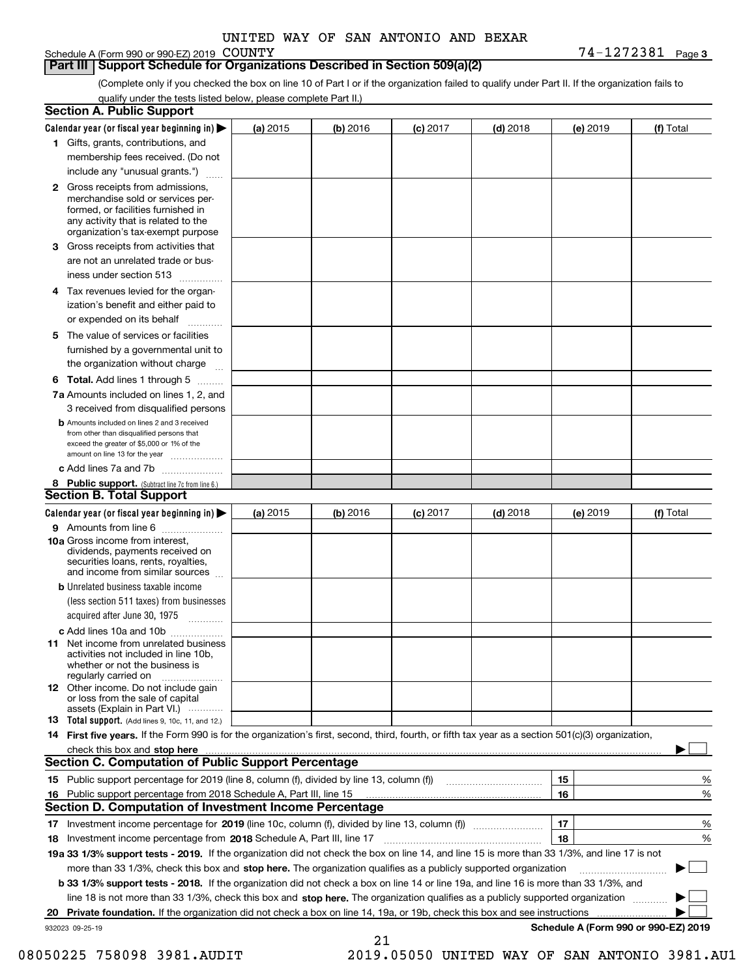#### Schedule A (Form 990 or 990-EZ) 2019 COUNTY

#### **Part III Support Schedule for Organizations Described in Section 509(a)(2)**

(Complete only if you checked the box on line 10 of Part I or if the organization failed to qualify under Part II. If the organization fails to qualify under the tests listed below, please complete Part II.)

|    | <b>Section A. Public Support</b>                                                                                                                                                                                               |          |          |            |            |          |                                      |
|----|--------------------------------------------------------------------------------------------------------------------------------------------------------------------------------------------------------------------------------|----------|----------|------------|------------|----------|--------------------------------------|
|    | Calendar year (or fiscal year beginning in) $\blacktriangleright$                                                                                                                                                              | (a) 2015 | (b) 2016 | $(c)$ 2017 | $(d)$ 2018 | (e) 2019 | (f) Total                            |
|    | 1 Gifts, grants, contributions, and                                                                                                                                                                                            |          |          |            |            |          |                                      |
|    | membership fees received. (Do not                                                                                                                                                                                              |          |          |            |            |          |                                      |
|    | include any "unusual grants.")                                                                                                                                                                                                 |          |          |            |            |          |                                      |
|    | <b>2</b> Gross receipts from admissions,<br>merchandise sold or services per-<br>formed, or facilities furnished in<br>any activity that is related to the<br>organization's tax-exempt purpose                                |          |          |            |            |          |                                      |
|    | 3 Gross receipts from activities that<br>are not an unrelated trade or bus-                                                                                                                                                    |          |          |            |            |          |                                      |
|    | iness under section 513                                                                                                                                                                                                        |          |          |            |            |          |                                      |
|    | 4 Tax revenues levied for the organ-<br>ization's benefit and either paid to                                                                                                                                                   |          |          |            |            |          |                                      |
|    | or expended on its behalf<br>.                                                                                                                                                                                                 |          |          |            |            |          |                                      |
|    | 5 The value of services or facilities<br>furnished by a governmental unit to<br>the organization without charge                                                                                                                |          |          |            |            |          |                                      |
|    |                                                                                                                                                                                                                                |          |          |            |            |          |                                      |
|    | <b>6 Total.</b> Add lines 1 through 5<br>7a Amounts included on lines 1, 2, and<br>3 received from disqualified persons                                                                                                        |          |          |            |            |          |                                      |
|    | <b>b</b> Amounts included on lines 2 and 3 received<br>from other than disqualified persons that<br>exceed the greater of \$5,000 or 1% of the<br>amount on line 13 for the year                                               |          |          |            |            |          |                                      |
|    | c Add lines 7a and 7b                                                                                                                                                                                                          |          |          |            |            |          |                                      |
|    | 8 Public support. (Subtract line 7c from line 6.)<br><b>Section B. Total Support</b>                                                                                                                                           |          |          |            |            |          |                                      |
|    |                                                                                                                                                                                                                                |          |          |            |            |          |                                      |
|    | Calendar year (or fiscal year beginning in)<br>9 Amounts from line 6                                                                                                                                                           | (a) 2015 | (b) 2016 | $(c)$ 2017 | $(d)$ 2018 | (e) 2019 | (f) Total                            |
|    | 10a Gross income from interest,<br>dividends, payments received on<br>securities loans, rents, royalties,<br>and income from similar sources                                                                                   |          |          |            |            |          |                                      |
|    | <b>b</b> Unrelated business taxable income<br>(less section 511 taxes) from businesses<br>acquired after June 30, 1975                                                                                                         |          |          |            |            |          |                                      |
|    | c Add lines 10a and 10b                                                                                                                                                                                                        |          |          |            |            |          |                                      |
|    | 11 Net income from unrelated business<br>activities not included in line 10b,<br>whether or not the business is<br>regularly carried on                                                                                        |          |          |            |            |          |                                      |
|    | <b>12</b> Other income. Do not include gain<br>or loss from the sale of capital<br>assets (Explain in Part VI.)                                                                                                                |          |          |            |            |          |                                      |
|    | <b>13</b> Total support. (Add lines 9, 10c, 11, and 12.)                                                                                                                                                                       |          |          |            |            |          |                                      |
|    | 14 First five years. If the Form 990 is for the organization's first, second, third, fourth, or fifth tax year as a section 501(c)(3) organization,                                                                            |          |          |            |            |          |                                      |
|    | check this box and stop here measured and contained a state of the state of the state of the state of the state of the state of the state of the state of the state of the state of the state of the state of the state of the |          |          |            |            |          |                                      |
|    | Section C. Computation of Public Support Percentage                                                                                                                                                                            |          |          |            |            |          |                                      |
|    | 15 Public support percentage for 2019 (line 8, column (f), divided by line 13, column (f))                                                                                                                                     |          |          |            |            | 15       | %                                    |
|    | 16 Public support percentage from 2018 Schedule A, Part III, line 15<br><b>Section D. Computation of Investment Income Percentage</b>                                                                                          |          |          |            |            | 16       | %                                    |
|    |                                                                                                                                                                                                                                |          |          |            |            |          |                                      |
|    | 17 Investment income percentage for 2019 (line 10c, column (f), divided by line 13, column (f))<br><b>18</b> Investment income percentage from <b>2018</b> Schedule A, Part III, line 17                                       |          |          |            |            | 17<br>18 | %<br>%                               |
|    | 19a 33 1/3% support tests - 2019. If the organization did not check the box on line 14, and line 15 is more than 33 1/3%, and line 17 is not                                                                                   |          |          |            |            |          |                                      |
|    | more than 33 1/3%, check this box and stop here. The organization qualifies as a publicly supported organization                                                                                                               |          |          |            |            |          | $\sim$ 1                             |
|    | <b>b 33 1/3% support tests - 2018.</b> If the organization did not check a box on line 14 or line 19a, and line 16 is more than 33 1/3%, and                                                                                   |          |          |            |            |          |                                      |
|    | line 18 is not more than 33 1/3%, check this box and stop here. The organization qualifies as a publicly supported organization                                                                                                |          |          |            |            |          |                                      |
| 20 | <b>Private foundation.</b> If the organization did not check a box on line 14, 19a, or 19b, check this box and see instructions                                                                                                |          |          |            |            |          |                                      |
|    | 932023 09-25-19                                                                                                                                                                                                                |          |          |            |            |          | Schedule A (Form 990 or 990-EZ) 2019 |
|    |                                                                                                                                                                                                                                |          | 21       |            |            |          |                                      |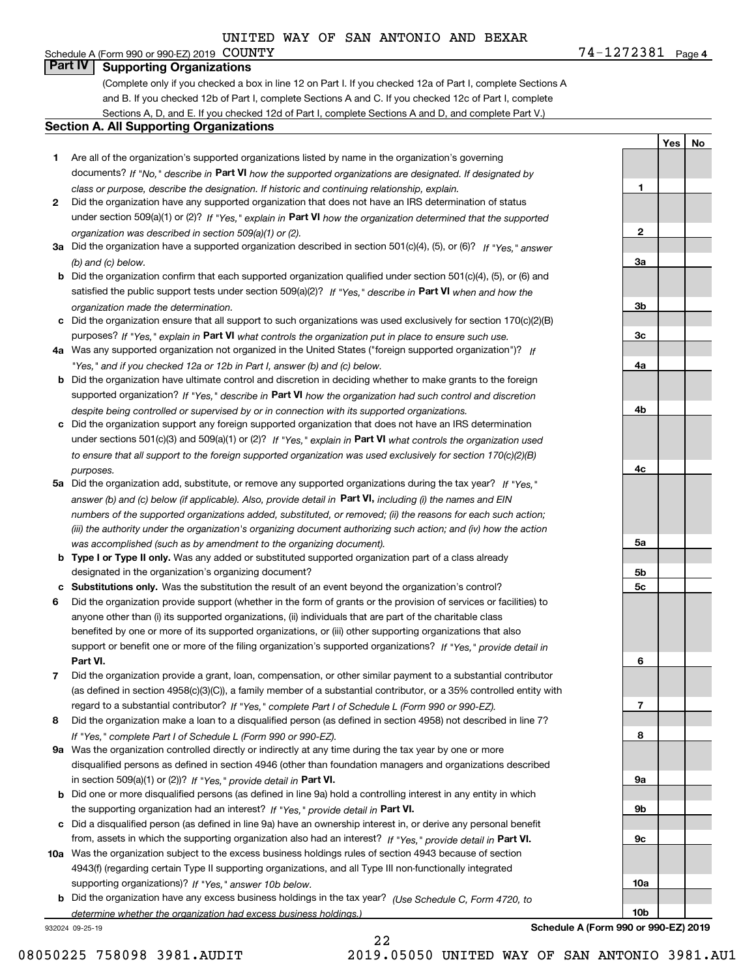**4**COUNTY 74-1272381 Schedule A (Form 990 or 990-EZ) 2019 COUNTY **Part IV Supporting Organizations**

(Complete only if you checked a box in line 12 on Part I. If you checked 12a of Part I, complete Sections A and B. If you checked 12b of Part I, complete Sections A and C. If you checked 12c of Part I, complete Sections A, D, and E. If you checked 12d of Part I, complete Sections A and D, and complete Part V.)

#### **Section A. All Supporting Organizations**

- **1** Are all of the organization's supported organizations listed by name in the organization's governing documents? If "No," describe in **Part VI** how the supported organizations are designated. If designated by *class or purpose, describe the designation. If historic and continuing relationship, explain.*
- **2** Did the organization have any supported organization that does not have an IRS determination of status under section 509(a)(1) or (2)? If "Yes," explain in Part VI how the organization determined that the supported *organization was described in section 509(a)(1) or (2).*
- **3a** Did the organization have a supported organization described in section 501(c)(4), (5), or (6)? If "Yes," answer *(b) and (c) below.*
- **b** Did the organization confirm that each supported organization qualified under section 501(c)(4), (5), or (6) and satisfied the public support tests under section 509(a)(2)? If "Yes," describe in **Part VI** when and how the *organization made the determination.*
- **c**Did the organization ensure that all support to such organizations was used exclusively for section 170(c)(2)(B) purposes? If "Yes," explain in **Part VI** what controls the organization put in place to ensure such use.
- **4a***If* Was any supported organization not organized in the United States ("foreign supported organization")? *"Yes," and if you checked 12a or 12b in Part I, answer (b) and (c) below.*
- **b** Did the organization have ultimate control and discretion in deciding whether to make grants to the foreign supported organization? If "Yes," describe in **Part VI** how the organization had such control and discretion *despite being controlled or supervised by or in connection with its supported organizations.*
- **c** Did the organization support any foreign supported organization that does not have an IRS determination under sections 501(c)(3) and 509(a)(1) or (2)? If "Yes," explain in **Part VI** what controls the organization used *to ensure that all support to the foreign supported organization was used exclusively for section 170(c)(2)(B) purposes.*
- **5a** Did the organization add, substitute, or remove any supported organizations during the tax year? If "Yes," answer (b) and (c) below (if applicable). Also, provide detail in **Part VI,** including (i) the names and EIN *numbers of the supported organizations added, substituted, or removed; (ii) the reasons for each such action; (iii) the authority under the organization's organizing document authorizing such action; and (iv) how the action was accomplished (such as by amendment to the organizing document).*
- **b** Type I or Type II only. Was any added or substituted supported organization part of a class already designated in the organization's organizing document?
- **cSubstitutions only.**  Was the substitution the result of an event beyond the organization's control?
- **6** Did the organization provide support (whether in the form of grants or the provision of services or facilities) to **Part VI.** *If "Yes," provide detail in* support or benefit one or more of the filing organization's supported organizations? anyone other than (i) its supported organizations, (ii) individuals that are part of the charitable class benefited by one or more of its supported organizations, or (iii) other supporting organizations that also
- **7**Did the organization provide a grant, loan, compensation, or other similar payment to a substantial contributor *If "Yes," complete Part I of Schedule L (Form 990 or 990-EZ).* regard to a substantial contributor? (as defined in section 4958(c)(3)(C)), a family member of a substantial contributor, or a 35% controlled entity with
- **8** Did the organization make a loan to a disqualified person (as defined in section 4958) not described in line 7? *If "Yes," complete Part I of Schedule L (Form 990 or 990-EZ).*
- **9a** Was the organization controlled directly or indirectly at any time during the tax year by one or more in section 509(a)(1) or (2))? If "Yes," *provide detail in* <code>Part VI.</code> disqualified persons as defined in section 4946 (other than foundation managers and organizations described
- **b** Did one or more disqualified persons (as defined in line 9a) hold a controlling interest in any entity in which the supporting organization had an interest? If "Yes," provide detail in P**art VI**.
- **c**Did a disqualified person (as defined in line 9a) have an ownership interest in, or derive any personal benefit from, assets in which the supporting organization also had an interest? If "Yes," provide detail in P**art VI.**
- **10a** Was the organization subject to the excess business holdings rules of section 4943 because of section supporting organizations)? If "Yes," answer 10b below. 4943(f) (regarding certain Type II supporting organizations, and all Type III non-functionally integrated
- **b** Did the organization have any excess business holdings in the tax year? (Use Schedule C, Form 4720, to *determine whether the organization had excess business holdings.)*

22

932024 09-25-19

**6789a 9b9c10a10bSchedule A (Form 990 or 990-EZ) 2019**

**YesNo**

**1**

**2**

**3a**

**3b**

**3c**

**4a**

**4b**

**4c**

**5a**

**5b5c**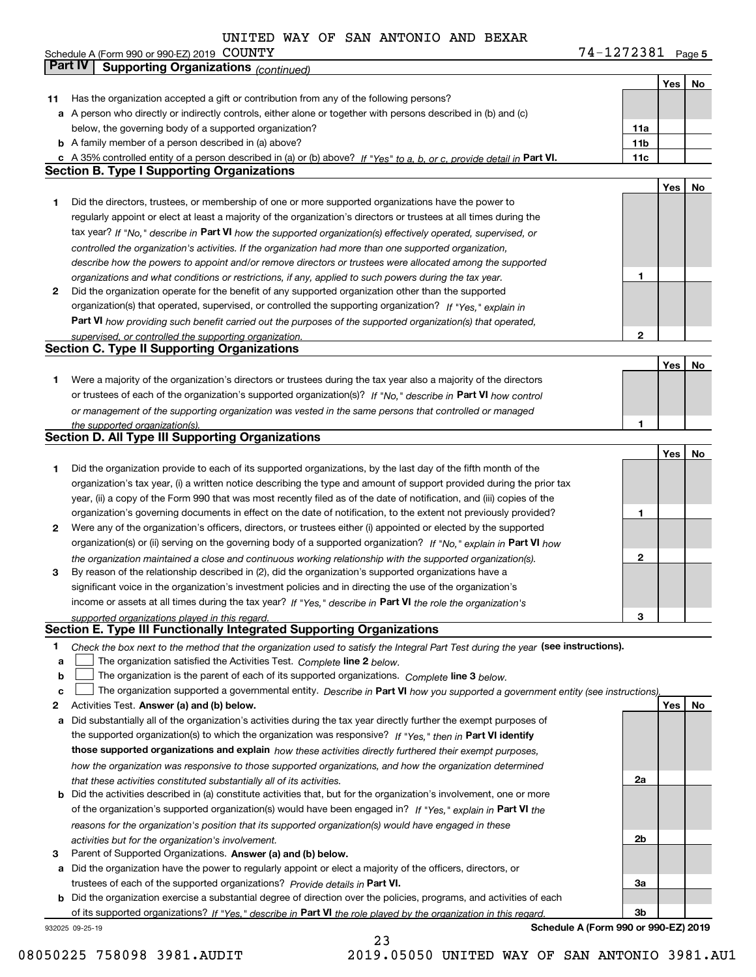**5** COUNTY 74-1272381

|    | Part IV<br><b>Supporting Organizations (continued)</b>                                                                            |     |     |    |
|----|-----------------------------------------------------------------------------------------------------------------------------------|-----|-----|----|
|    |                                                                                                                                   |     | Yes | No |
| 11 | Has the organization accepted a gift or contribution from any of the following persons?                                           |     |     |    |
|    | a A person who directly or indirectly controls, either alone or together with persons described in (b) and (c)                    |     |     |    |
|    | below, the governing body of a supported organization?                                                                            | 11a |     |    |
|    | <b>b</b> A family member of a person described in (a) above?                                                                      | 11b |     |    |
|    | c A 35% controlled entity of a person described in (a) or (b) above? If "Yes" to a, b, or c, provide detail in Part VI.           | 11c |     |    |
|    | <b>Section B. Type I Supporting Organizations</b>                                                                                 |     |     |    |
|    |                                                                                                                                   |     | Yes | No |
| 1  | Did the directors, trustees, or membership of one or more supported organizations have the power to                               |     |     |    |
|    | regularly appoint or elect at least a majority of the organization's directors or trustees at all times during the                |     |     |    |
|    | tax year? If "No," describe in Part VI how the supported organization(s) effectively operated, supervised, or                     |     |     |    |
|    | controlled the organization's activities. If the organization had more than one supported organization,                           |     |     |    |
|    | describe how the powers to appoint and/or remove directors or trustees were allocated among the supported                         |     |     |    |
|    | organizations and what conditions or restrictions, if any, applied to such powers during the tax year.                            | 1   |     |    |
| 2  | Did the organization operate for the benefit of any supported organization other than the supported                               |     |     |    |
|    | organization(s) that operated, supervised, or controlled the supporting organization? If "Yes," explain in                        |     |     |    |
|    | Part VI how providing such benefit carried out the purposes of the supported organization(s) that operated,                       |     |     |    |
|    | supervised, or controlled the supporting organization.                                                                            | 2   |     |    |
|    | <b>Section C. Type II Supporting Organizations</b>                                                                                |     |     |    |
|    |                                                                                                                                   |     | Yes | No |
| 1  | Were a majority of the organization's directors or trustees during the tax year also a majority of the directors                  |     |     |    |
|    | or trustees of each of the organization's supported organization(s)? If "No," describe in Part VI how control                     |     |     |    |
|    | or management of the supporting organization was vested in the same persons that controlled or managed                            |     |     |    |
|    | the supported organization(s).                                                                                                    |     |     |    |
|    | <b>Section D. All Type III Supporting Organizations</b>                                                                           |     |     |    |
|    |                                                                                                                                   |     | Yes | No |
| 1  | Did the organization provide to each of its supported organizations, by the last day of the fifth month of the                    |     |     |    |
|    | organization's tax year, (i) a written notice describing the type and amount of support provided during the prior tax             |     |     |    |
|    | year, (ii) a copy of the Form 990 that was most recently filed as of the date of notification, and (iii) copies of the            |     |     |    |
|    | organization's governing documents in effect on the date of notification, to the extent not previously provided?                  | 1   |     |    |
| 2  | Were any of the organization's officers, directors, or trustees either (i) appointed or elected by the supported                  |     |     |    |
|    | organization(s) or (ii) serving on the governing body of a supported organization? If "No," explain in Part VI how                |     |     |    |
|    | the organization maintained a close and continuous working relationship with the supported organization(s).                       | 2   |     |    |
| з  | By reason of the relationship described in (2), did the organization's supported organizations have a                             |     |     |    |
|    | significant voice in the organization's investment policies and in directing the use of the organization's                        |     |     |    |
|    | income or assets at all times during the tax year? If "Yes," describe in Part VI the role the organization's                      |     |     |    |
|    | supported organizations played in this regard.                                                                                    | 3   |     |    |
|    | Section E. Type III Functionally Integrated Supporting Organizations                                                              |     |     |    |
| 1  | Check the box next to the method that the organization used to satisfy the Integral Part Test during the year (see instructions). |     |     |    |
| a  | The organization satisfied the Activities Test. Complete line 2 below.                                                            |     |     |    |
| b  | The organization is the parent of each of its supported organizations. Complete line 3 below.                                     |     |     |    |
| C  | The organization supported a governmental entity. Describe in Part VI how you supported a government entity (see instructions).   |     |     |    |
| 2  | Activities Test. Answer (a) and (b) below.                                                                                        |     | Yes | No |
| a  | Did substantially all of the organization's activities during the tax year directly further the exempt purposes of                |     |     |    |
|    | the supported organization(s) to which the organization was responsive? If "Yes," then in Part VI identify                        |     |     |    |
|    | those supported organizations and explain how these activities directly furthered their exempt purposes,                          |     |     |    |
|    | how the organization was responsive to those supported organizations, and how the organization determined                         |     |     |    |
|    | that these activities constituted substantially all of its activities.                                                            | 2a  |     |    |
|    | <b>b</b> Did the activities described in (a) constitute activities that, but for the organization's involvement, one or more      |     |     |    |
|    | of the organization's supported organization(s) would have been engaged in? If "Yes," explain in Part VI the                      |     |     |    |
|    | reasons for the organization's position that its supported organization(s) would have engaged in these                            |     |     |    |
|    | activities but for the organization's involvement.                                                                                | 2b  |     |    |
| з  | Parent of Supported Organizations. Answer (a) and (b) below.                                                                      |     |     |    |
| а  | Did the organization have the power to regularly appoint or elect a majority of the officers, directors, or                       |     |     |    |
|    | trustees of each of the supported organizations? Provide details in Part VI.                                                      | 3a  |     |    |
|    | <b>b</b> Did the organization exercise a substantial degree of direction over the policies, programs, and activities of each      |     |     |    |
|    | of its supported organizations? If "Yes," describe in Part VI the role played by the organization in this regard                  | Зb  |     |    |
|    | Schedule A (Form 990 or 990-EZ) 2019<br>932025 09-25-19                                                                           |     |     |    |

23

**Schedule A (Form 990 or 990-EZ) 2019**

Schedule A (Form 990 or 990-EZ) 2019 COUNTY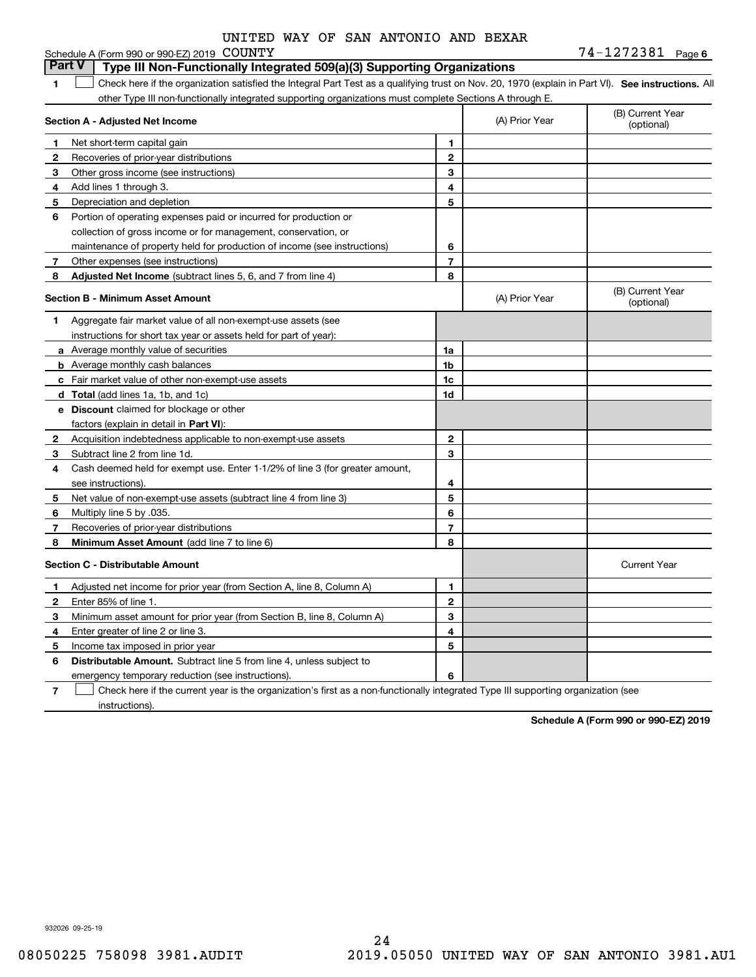|  |  | UNITED WAY OF SAN ANTONIO AND BEXAR |  |  |
|--|--|-------------------------------------|--|--|
|  |  |                                     |  |  |

|              | Schedule A (Form 990 or 990-EZ) 2019 COUNTY                                                                                                       |                |                | 74-1272381 Page 6              |
|--------------|---------------------------------------------------------------------------------------------------------------------------------------------------|----------------|----------------|--------------------------------|
|              | <b>Part V</b><br>Type III Non-Functionally Integrated 509(a)(3) Supporting Organizations                                                          |                |                |                                |
| 1            | Check here if the organization satisfied the Integral Part Test as a qualifying trust on Nov. 20, 1970 (explain in Part VI). See instructions. Al |                |                |                                |
|              | other Type III non-functionally integrated supporting organizations must complete Sections A through E.                                           |                |                |                                |
|              | Section A - Adjusted Net Income                                                                                                                   |                | (A) Prior Year | (B) Current Year<br>(optional) |
| 1            | Net short-term capital gain                                                                                                                       | 1              |                |                                |
| 2            | Recoveries of prior-year distributions                                                                                                            | 2              |                |                                |
| 3            | Other gross income (see instructions)                                                                                                             | 3              |                |                                |
| 4            | Add lines 1 through 3.                                                                                                                            | 4              |                |                                |
| 5            | Depreciation and depletion                                                                                                                        | 5              |                |                                |
| 6            | Portion of operating expenses paid or incurred for production or                                                                                  |                |                |                                |
|              | collection of gross income or for management, conservation, or                                                                                    |                |                |                                |
|              | maintenance of property held for production of income (see instructions)                                                                          | 6              |                |                                |
| 7            | Other expenses (see instructions)                                                                                                                 | $\overline{7}$ |                |                                |
| 8            | Adjusted Net Income (subtract lines 5, 6, and 7 from line 4)                                                                                      | 8              |                |                                |
|              | <b>Section B - Minimum Asset Amount</b>                                                                                                           |                | (A) Prior Year | (B) Current Year<br>(optional) |
| 1.           | Aggregate fair market value of all non-exempt-use assets (see                                                                                     |                |                |                                |
|              | instructions for short tax year or assets held for part of year):                                                                                 |                |                |                                |
|              | a Average monthly value of securities                                                                                                             | 1a             |                |                                |
|              | <b>b</b> Average monthly cash balances                                                                                                            | 1b             |                |                                |
|              | c Fair market value of other non-exempt-use assets                                                                                                | 1c             |                |                                |
|              | d Total (add lines 1a, 1b, and 1c)                                                                                                                | 1d             |                |                                |
|              | e Discount claimed for blockage or other                                                                                                          |                |                |                                |
|              | factors (explain in detail in <b>Part VI</b> ):                                                                                                   |                |                |                                |
| 2            | Acquisition indebtedness applicable to non-exempt-use assets                                                                                      | $\mathbf{2}$   |                |                                |
| 3            | Subtract line 2 from line 1d.                                                                                                                     | 3              |                |                                |
| 4            | Cash deemed held for exempt use. Enter 1-1/2% of line 3 (for greater amount,                                                                      |                |                |                                |
|              | see instructions).                                                                                                                                | 4              |                |                                |
| 5            | Net value of non-exempt-use assets (subtract line 4 from line 3)                                                                                  | 5              |                |                                |
| 6            | Multiply line 5 by .035.                                                                                                                          | 6              |                |                                |
| 7            | Recoveries of prior-year distributions                                                                                                            | $\overline{7}$ |                |                                |
| 8            | <b>Minimum Asset Amount</b> (add line 7 to line 6)                                                                                                | 8              |                |                                |
|              | <b>Section C - Distributable Amount</b>                                                                                                           |                |                | <b>Current Year</b>            |
| 1            | Adjusted net income for prior year (from Section A, line 8, Column A)                                                                             | 1              |                |                                |
| $\mathbf{2}$ | Enter 85% of line 1.                                                                                                                              | $\mathbf{2}$   |                |                                |
| 3            | Minimum asset amount for prior year (from Section B, line 8, Column A)                                                                            | 3              |                |                                |
| 4            | Enter greater of line 2 or line 3.                                                                                                                | 4              |                |                                |
| 5            | Income tax imposed in prior year                                                                                                                  | 5              |                |                                |
| 6            | <b>Distributable Amount.</b> Subtract line 5 from line 4, unless subject to                                                                       |                |                |                                |
|              | emergency temporary reduction (see instructions).                                                                                                 | 6              |                |                                |
|              |                                                                                                                                                   |                |                |                                |

**7** Check here if the current year is the organization's first as a non-functionally integrated Type III supporting organization (see instructions).

**Schedule A (Form 990 or 990-EZ) 2019**

932026 09-25-19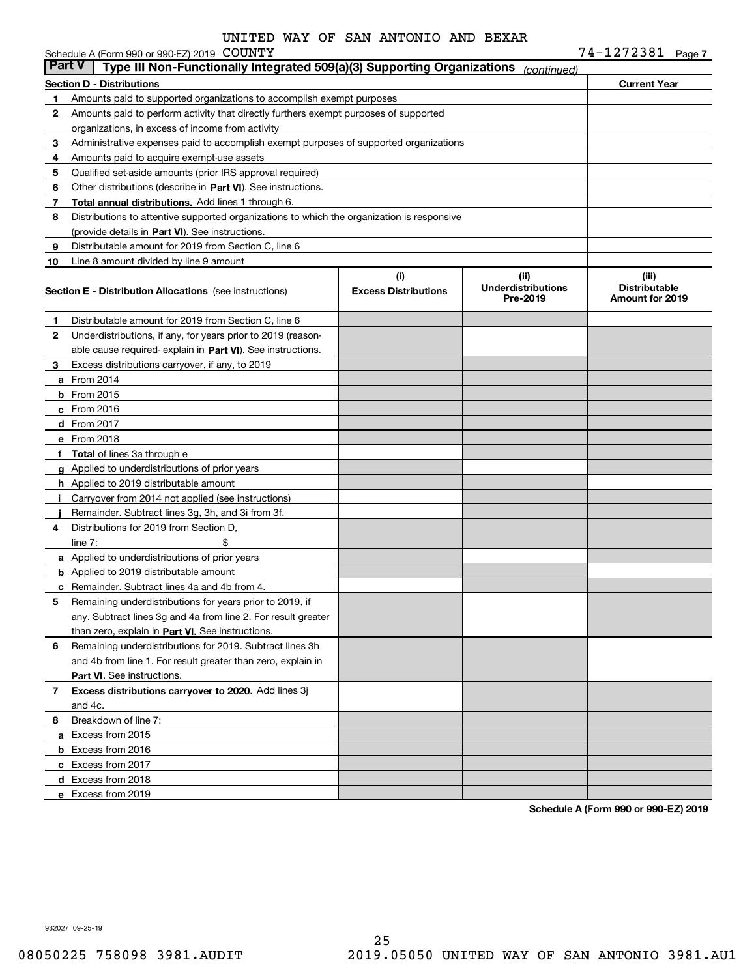|               | Schedule A (Form 990 or 990-EZ) 2019 COUNTY                                                |                                    |                                               | 74-1272381 Page 7                                |  |
|---------------|--------------------------------------------------------------------------------------------|------------------------------------|-----------------------------------------------|--------------------------------------------------|--|
| <b>Part V</b> | Type III Non-Functionally Integrated 509(a)(3) Supporting Organizations                    |                                    | (continued)                                   |                                                  |  |
|               | <b>Section D - Distributions</b>                                                           |                                    |                                               | <b>Current Year</b>                              |  |
| 1             | Amounts paid to supported organizations to accomplish exempt purposes                      |                                    |                                               |                                                  |  |
| 2             | Amounts paid to perform activity that directly furthers exempt purposes of supported       |                                    |                                               |                                                  |  |
|               | organizations, in excess of income from activity                                           |                                    |                                               |                                                  |  |
| 3             | Administrative expenses paid to accomplish exempt purposes of supported organizations      |                                    |                                               |                                                  |  |
| 4             | Amounts paid to acquire exempt-use assets                                                  |                                    |                                               |                                                  |  |
| 5             | Qualified set-aside amounts (prior IRS approval required)                                  |                                    |                                               |                                                  |  |
| 6             | Other distributions (describe in Part VI). See instructions.                               |                                    |                                               |                                                  |  |
| 7             | Total annual distributions. Add lines 1 through 6.                                         |                                    |                                               |                                                  |  |
| 8             | Distributions to attentive supported organizations to which the organization is responsive |                                    |                                               |                                                  |  |
|               | (provide details in Part VI). See instructions.                                            |                                    |                                               |                                                  |  |
| 9             | Distributable amount for 2019 from Section C, line 6                                       |                                    |                                               |                                                  |  |
| 10            | Line 8 amount divided by line 9 amount                                                     |                                    |                                               |                                                  |  |
|               | <b>Section E - Distribution Allocations</b> (see instructions)                             | (i)<br><b>Excess Distributions</b> | (ii)<br><b>Underdistributions</b><br>Pre-2019 | (iii)<br><b>Distributable</b><br>Amount for 2019 |  |
| 1             | Distributable amount for 2019 from Section C, line 6                                       |                                    |                                               |                                                  |  |
| 2             | Underdistributions, if any, for years prior to 2019 (reason-                               |                                    |                                               |                                                  |  |
|               | able cause required-explain in Part VI). See instructions.                                 |                                    |                                               |                                                  |  |
| 3             | Excess distributions carryover, if any, to 2019                                            |                                    |                                               |                                                  |  |
|               | a From 2014                                                                                |                                    |                                               |                                                  |  |
|               | $b$ From 2015                                                                              |                                    |                                               |                                                  |  |
|               | c From 2016                                                                                |                                    |                                               |                                                  |  |
|               | d From 2017                                                                                |                                    |                                               |                                                  |  |
|               | e From 2018                                                                                |                                    |                                               |                                                  |  |
|               | f Total of lines 3a through e                                                              |                                    |                                               |                                                  |  |
|               | g Applied to underdistributions of prior years                                             |                                    |                                               |                                                  |  |
|               | <b>h</b> Applied to 2019 distributable amount                                              |                                    |                                               |                                                  |  |
|               | Carryover from 2014 not applied (see instructions)                                         |                                    |                                               |                                                  |  |
|               | Remainder. Subtract lines 3g, 3h, and 3i from 3f.                                          |                                    |                                               |                                                  |  |
| 4             | Distributions for 2019 from Section D.                                                     |                                    |                                               |                                                  |  |
|               | line $7:$                                                                                  |                                    |                                               |                                                  |  |
|               | a Applied to underdistributions of prior years                                             |                                    |                                               |                                                  |  |
|               | <b>b</b> Applied to 2019 distributable amount                                              |                                    |                                               |                                                  |  |
|               | c Remainder. Subtract lines 4a and 4b from 4.                                              |                                    |                                               |                                                  |  |
|               | Remaining underdistributions for years prior to 2019, if                                   |                                    |                                               |                                                  |  |
|               | any. Subtract lines 3q and 4a from line 2. For result greater                              |                                    |                                               |                                                  |  |
|               | than zero, explain in Part VI. See instructions.                                           |                                    |                                               |                                                  |  |
| 6             | Remaining underdistributions for 2019. Subtract lines 3h                                   |                                    |                                               |                                                  |  |
|               | and 4b from line 1. For result greater than zero, explain in                               |                                    |                                               |                                                  |  |
|               | <b>Part VI.</b> See instructions.                                                          |                                    |                                               |                                                  |  |
| 7             | Excess distributions carryover to 2020. Add lines 3j                                       |                                    |                                               |                                                  |  |
|               | and 4c.                                                                                    |                                    |                                               |                                                  |  |
| 8             | Breakdown of line 7:                                                                       |                                    |                                               |                                                  |  |
|               | a Excess from 2015                                                                         |                                    |                                               |                                                  |  |
|               | <b>b</b> Excess from 2016                                                                  |                                    |                                               |                                                  |  |
|               | c Excess from 2017                                                                         |                                    |                                               |                                                  |  |
|               | d Excess from 2018                                                                         |                                    |                                               |                                                  |  |
|               | e Excess from 2019                                                                         |                                    |                                               |                                                  |  |

**Schedule A (Form 990 or 990-EZ) 2019**

932027 09-25-19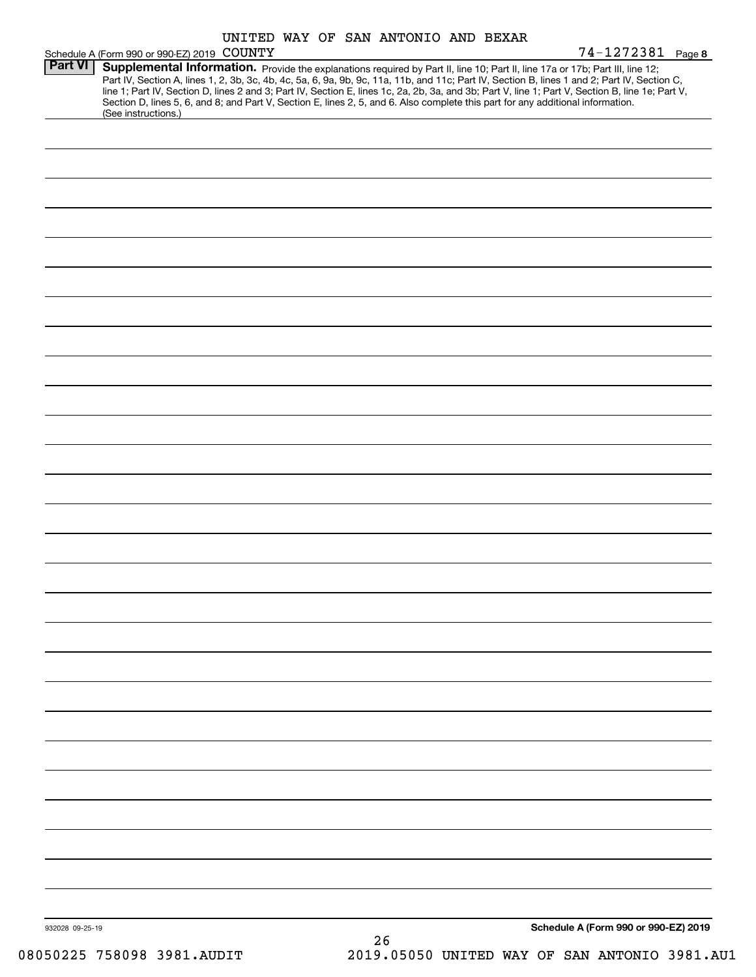|                 |                                                                                                                                 | UNITED WAY OF SAN ANTONIO AND BEXAR |  |    |  |                                                                                                                                                                                                                                                                                                                                                                                                                                   |  |
|-----------------|---------------------------------------------------------------------------------------------------------------------------------|-------------------------------------|--|----|--|-----------------------------------------------------------------------------------------------------------------------------------------------------------------------------------------------------------------------------------------------------------------------------------------------------------------------------------------------------------------------------------------------------------------------------------|--|
|                 | Schedule A (Form 990 or 990-EZ) 2019 COUNTY                                                                                     |                                     |  |    |  | 74-1272381 Page 8                                                                                                                                                                                                                                                                                                                                                                                                                 |  |
| Part VI         | Section D, lines 5, 6, and 8; and Part V, Section E, lines 2, 5, and 6. Also complete this part for any additional information. |                                     |  |    |  | Supplemental Information. Provide the explanations required by Part II, line 10; Part II, line 17a or 17b; Part III, line 12;<br>Part IV, Section A, lines 1, 2, 3b, 3c, 4b, 4c, 5a, 6, 9a, 9b, 9c, 11a, 11b, and 11c; Part IV, Section B, lines 1 and 2; Part IV, Section C,<br>line 1; Part IV, Section D, lines 2 and 3; Part IV, Section E, lines 1c, 2a, 2b, 3a, and 3b; Part V, line 1; Part V, Section B, line 1e; Part V, |  |
|                 | (See instructions.)                                                                                                             |                                     |  |    |  |                                                                                                                                                                                                                                                                                                                                                                                                                                   |  |
|                 |                                                                                                                                 |                                     |  |    |  |                                                                                                                                                                                                                                                                                                                                                                                                                                   |  |
|                 |                                                                                                                                 |                                     |  |    |  |                                                                                                                                                                                                                                                                                                                                                                                                                                   |  |
|                 |                                                                                                                                 |                                     |  |    |  |                                                                                                                                                                                                                                                                                                                                                                                                                                   |  |
|                 |                                                                                                                                 |                                     |  |    |  |                                                                                                                                                                                                                                                                                                                                                                                                                                   |  |
|                 |                                                                                                                                 |                                     |  |    |  |                                                                                                                                                                                                                                                                                                                                                                                                                                   |  |
|                 |                                                                                                                                 |                                     |  |    |  |                                                                                                                                                                                                                                                                                                                                                                                                                                   |  |
|                 |                                                                                                                                 |                                     |  |    |  |                                                                                                                                                                                                                                                                                                                                                                                                                                   |  |
|                 |                                                                                                                                 |                                     |  |    |  |                                                                                                                                                                                                                                                                                                                                                                                                                                   |  |
|                 |                                                                                                                                 |                                     |  |    |  |                                                                                                                                                                                                                                                                                                                                                                                                                                   |  |
|                 |                                                                                                                                 |                                     |  |    |  |                                                                                                                                                                                                                                                                                                                                                                                                                                   |  |
|                 |                                                                                                                                 |                                     |  |    |  |                                                                                                                                                                                                                                                                                                                                                                                                                                   |  |
|                 |                                                                                                                                 |                                     |  |    |  |                                                                                                                                                                                                                                                                                                                                                                                                                                   |  |
|                 |                                                                                                                                 |                                     |  |    |  |                                                                                                                                                                                                                                                                                                                                                                                                                                   |  |
|                 |                                                                                                                                 |                                     |  |    |  |                                                                                                                                                                                                                                                                                                                                                                                                                                   |  |
|                 |                                                                                                                                 |                                     |  |    |  |                                                                                                                                                                                                                                                                                                                                                                                                                                   |  |
|                 |                                                                                                                                 |                                     |  |    |  |                                                                                                                                                                                                                                                                                                                                                                                                                                   |  |
|                 |                                                                                                                                 |                                     |  |    |  |                                                                                                                                                                                                                                                                                                                                                                                                                                   |  |
|                 |                                                                                                                                 |                                     |  |    |  |                                                                                                                                                                                                                                                                                                                                                                                                                                   |  |
|                 |                                                                                                                                 |                                     |  |    |  |                                                                                                                                                                                                                                                                                                                                                                                                                                   |  |
|                 |                                                                                                                                 |                                     |  |    |  |                                                                                                                                                                                                                                                                                                                                                                                                                                   |  |
|                 |                                                                                                                                 |                                     |  |    |  |                                                                                                                                                                                                                                                                                                                                                                                                                                   |  |
|                 |                                                                                                                                 |                                     |  |    |  |                                                                                                                                                                                                                                                                                                                                                                                                                                   |  |
|                 |                                                                                                                                 |                                     |  |    |  |                                                                                                                                                                                                                                                                                                                                                                                                                                   |  |
|                 |                                                                                                                                 |                                     |  |    |  |                                                                                                                                                                                                                                                                                                                                                                                                                                   |  |
|                 |                                                                                                                                 |                                     |  |    |  |                                                                                                                                                                                                                                                                                                                                                                                                                                   |  |
|                 |                                                                                                                                 |                                     |  |    |  |                                                                                                                                                                                                                                                                                                                                                                                                                                   |  |
|                 |                                                                                                                                 |                                     |  |    |  |                                                                                                                                                                                                                                                                                                                                                                                                                                   |  |
|                 |                                                                                                                                 |                                     |  |    |  |                                                                                                                                                                                                                                                                                                                                                                                                                                   |  |
|                 |                                                                                                                                 |                                     |  |    |  |                                                                                                                                                                                                                                                                                                                                                                                                                                   |  |
|                 |                                                                                                                                 |                                     |  |    |  |                                                                                                                                                                                                                                                                                                                                                                                                                                   |  |
|                 |                                                                                                                                 |                                     |  |    |  |                                                                                                                                                                                                                                                                                                                                                                                                                                   |  |
| 932028 09-25-19 |                                                                                                                                 |                                     |  |    |  | Schedule A (Form 990 or 990-EZ) 2019                                                                                                                                                                                                                                                                                                                                                                                              |  |
|                 |                                                                                                                                 |                                     |  | 26 |  |                                                                                                                                                                                                                                                                                                                                                                                                                                   |  |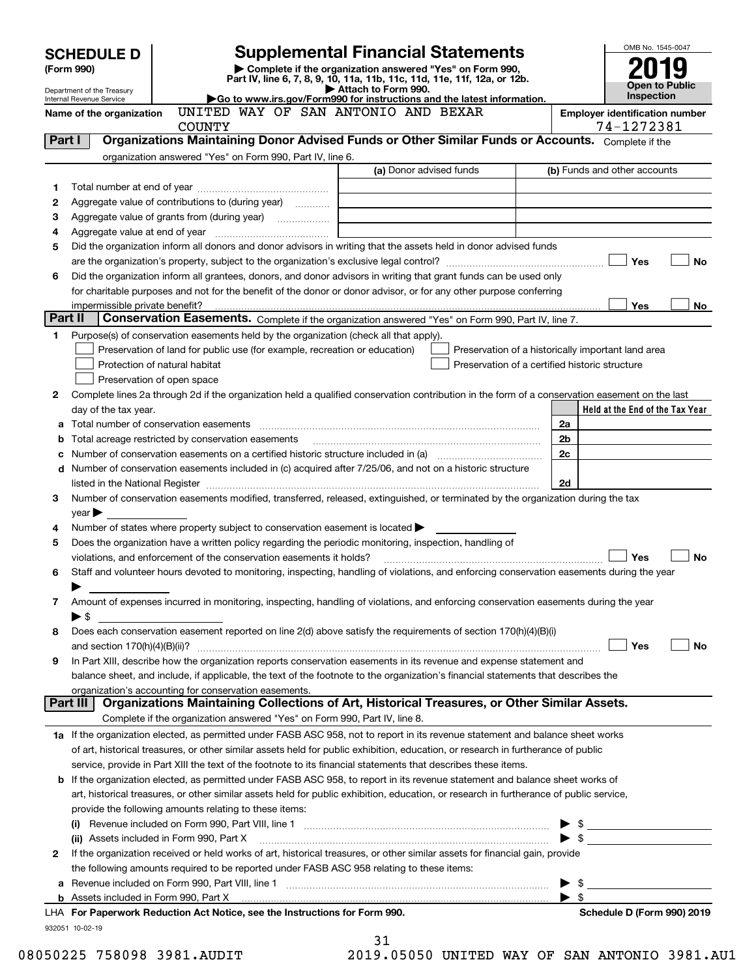|         | <b>SCHEDULE D</b>                                      |                                                                                                        | <b>Supplemental Financial Statements</b>                                                                                                       | OMB No. 1545-0047                                  |                       |
|---------|--------------------------------------------------------|--------------------------------------------------------------------------------------------------------|------------------------------------------------------------------------------------------------------------------------------------------------|----------------------------------------------------|-----------------------|
|         | (Form 990)                                             |                                                                                                        | Complete if the organization answered "Yes" on Form 990,                                                                                       |                                                    |                       |
|         |                                                        |                                                                                                        | Part IV, line 6, 7, 8, 9, 10, 11a, 11b, 11c, 11d, 11e, 11f, 12a, or 12b.<br>Attach to Form 990.                                                |                                                    | <b>Open to Public</b> |
|         | Department of the Treasury<br>Internal Revenue Service |                                                                                                        | Go to www.irs.gov/Form990 for instructions and the latest information.                                                                         | <b>Inspection</b>                                  |                       |
|         | Name of the organization                               | UNITED WAY OF SAN ANTONIO AND BEXAR                                                                    |                                                                                                                                                | <b>Employer identification number</b>              |                       |
|         |                                                        | <b>COUNTY</b>                                                                                          |                                                                                                                                                | 74-1272381                                         |                       |
| Part I  |                                                        |                                                                                                        | Organizations Maintaining Donor Advised Funds or Other Similar Funds or Accounts. Complete if the                                              |                                                    |                       |
|         |                                                        | organization answered "Yes" on Form 990, Part IV, line 6.                                              | (a) Donor advised funds                                                                                                                        | (b) Funds and other accounts                       |                       |
|         |                                                        |                                                                                                        |                                                                                                                                                |                                                    |                       |
| 1<br>2  |                                                        | Aggregate value of contributions to (during year)                                                      |                                                                                                                                                |                                                    |                       |
| 3       |                                                        |                                                                                                        |                                                                                                                                                |                                                    |                       |
| 4       |                                                        |                                                                                                        |                                                                                                                                                |                                                    |                       |
| 5       |                                                        |                                                                                                        | Did the organization inform all donors and donor advisors in writing that the assets held in donor advised funds                               |                                                    |                       |
|         |                                                        |                                                                                                        |                                                                                                                                                | Yes                                                | <b>No</b>             |
| 6       |                                                        |                                                                                                        | Did the organization inform all grantees, donors, and donor advisors in writing that grant funds can be used only                              |                                                    |                       |
|         |                                                        |                                                                                                        | for charitable purposes and not for the benefit of the donor or donor advisor, or for any other purpose conferring                             |                                                    |                       |
|         | impermissible private benefit?                         |                                                                                                        |                                                                                                                                                | Yes                                                | No                    |
| Part II |                                                        |                                                                                                        | Conservation Easements. Complete if the organization answered "Yes" on Form 990, Part IV, line 7.                                              |                                                    |                       |
| 1       |                                                        | Purpose(s) of conservation easements held by the organization (check all that apply).                  |                                                                                                                                                |                                                    |                       |
|         |                                                        | Preservation of land for public use (for example, recreation or education)                             |                                                                                                                                                | Preservation of a historically important land area |                       |
|         |                                                        | Protection of natural habitat                                                                          |                                                                                                                                                | Preservation of a certified historic structure     |                       |
|         |                                                        | Preservation of open space                                                                             |                                                                                                                                                |                                                    |                       |
| 2       |                                                        |                                                                                                        | Complete lines 2a through 2d if the organization held a qualified conservation contribution in the form of a conservation easement on the last |                                                    |                       |
|         | day of the tax year.                                   |                                                                                                        |                                                                                                                                                | Held at the End of the Tax Year                    |                       |
|         |                                                        |                                                                                                        |                                                                                                                                                | 2a                                                 |                       |
| b       |                                                        | Total acreage restricted by conservation easements                                                     |                                                                                                                                                | 2b                                                 |                       |
|         |                                                        |                                                                                                        |                                                                                                                                                | 2c                                                 |                       |
| d       |                                                        |                                                                                                        | Number of conservation easements included in (c) acquired after 7/25/06, and not on a historic structure                                       |                                                    |                       |
|         |                                                        |                                                                                                        |                                                                                                                                                | 2d                                                 |                       |
| з       |                                                        |                                                                                                        | Number of conservation easements modified, transferred, released, extinguished, or terminated by the organization during the tax               |                                                    |                       |
|         | year                                                   |                                                                                                        |                                                                                                                                                |                                                    |                       |
| 4       |                                                        | Number of states where property subject to conservation easement is located $\blacktriangleright$      |                                                                                                                                                |                                                    |                       |
| 5       |                                                        | Does the organization have a written policy regarding the periodic monitoring, inspection, handling of |                                                                                                                                                |                                                    |                       |
|         |                                                        | violations, and enforcement of the conservation easements it holds?                                    |                                                                                                                                                | Yes                                                | <b>No</b>             |
| 6       |                                                        |                                                                                                        | Staff and volunteer hours devoted to monitoring, inspecting, handling of violations, and enforcing conservation easements during the year      |                                                    |                       |
|         |                                                        |                                                                                                        |                                                                                                                                                |                                                    |                       |
| 7       |                                                        |                                                                                                        | Amount of expenses incurred in monitoring, inspecting, handling of violations, and enforcing conservation easements during the year            |                                                    |                       |
|         | ▶ \$                                                   |                                                                                                        |                                                                                                                                                |                                                    |                       |
| 8       |                                                        |                                                                                                        | Does each conservation easement reported on line 2(d) above satisfy the requirements of section 170(h)(4)(B)(i)                                |                                                    |                       |
|         |                                                        |                                                                                                        |                                                                                                                                                | Yes                                                | No                    |
| 9       |                                                        |                                                                                                        | In Part XIII, describe how the organization reports conservation easements in its revenue and expense statement and                            |                                                    |                       |
|         |                                                        |                                                                                                        | balance sheet, and include, if applicable, the text of the footnote to the organization's financial statements that describes the              |                                                    |                       |
|         | Part III                                               | organization's accounting for conservation easements.                                                  | Organizations Maintaining Collections of Art, Historical Treasures, or Other Similar Assets.                                                   |                                                    |                       |
|         |                                                        | Complete if the organization answered "Yes" on Form 990, Part IV, line 8.                              |                                                                                                                                                |                                                    |                       |
|         |                                                        |                                                                                                        | 1a If the organization elected, as permitted under FASB ASC 958, not to report in its revenue statement and balance sheet works                |                                                    |                       |
|         |                                                        |                                                                                                        | of art, historical treasures, or other similar assets held for public exhibition, education, or research in furtherance of public              |                                                    |                       |
|         |                                                        |                                                                                                        | service, provide in Part XIII the text of the footnote to its financial statements that describes these items.                                 |                                                    |                       |
|         |                                                        |                                                                                                        | <b>b</b> If the organization elected, as permitted under FASB ASC 958, to report in its revenue statement and balance sheet works of           |                                                    |                       |
|         |                                                        |                                                                                                        | art, historical treasures, or other similar assets held for public exhibition, education, or research in furtherance of public service,        |                                                    |                       |
|         |                                                        | provide the following amounts relating to these items:                                                 |                                                                                                                                                |                                                    |                       |
|         |                                                        |                                                                                                        |                                                                                                                                                |                                                    |                       |
|         |                                                        | (ii) Assets included in Form 990, Part X                                                               |                                                                                                                                                |                                                    |                       |
| 2       |                                                        |                                                                                                        | If the organization received or held works of art, historical treasures, or other similar assets for financial gain, provide                   |                                                    |                       |
|         |                                                        | the following amounts required to be reported under FASB ASC 958 relating to these items:              |                                                                                                                                                |                                                    |                       |
| а       |                                                        |                                                                                                        |                                                                                                                                                | $\blacktriangleright$ \$                           |                       |
|         |                                                        |                                                                                                        |                                                                                                                                                | ▶ \$                                               |                       |
|         |                                                        | LHA For Paperwork Reduction Act Notice, see the Instructions for Form 990.                             |                                                                                                                                                | Schedule D (Form 990) 2019                         |                       |
|         | 932051 10-02-19                                        |                                                                                                        |                                                                                                                                                |                                                    |                       |
|         |                                                        |                                                                                                        | 31                                                                                                                                             |                                                    |                       |

| <b>010</b> |  |  | ∩⊏∩ |  |
|------------|--|--|-----|--|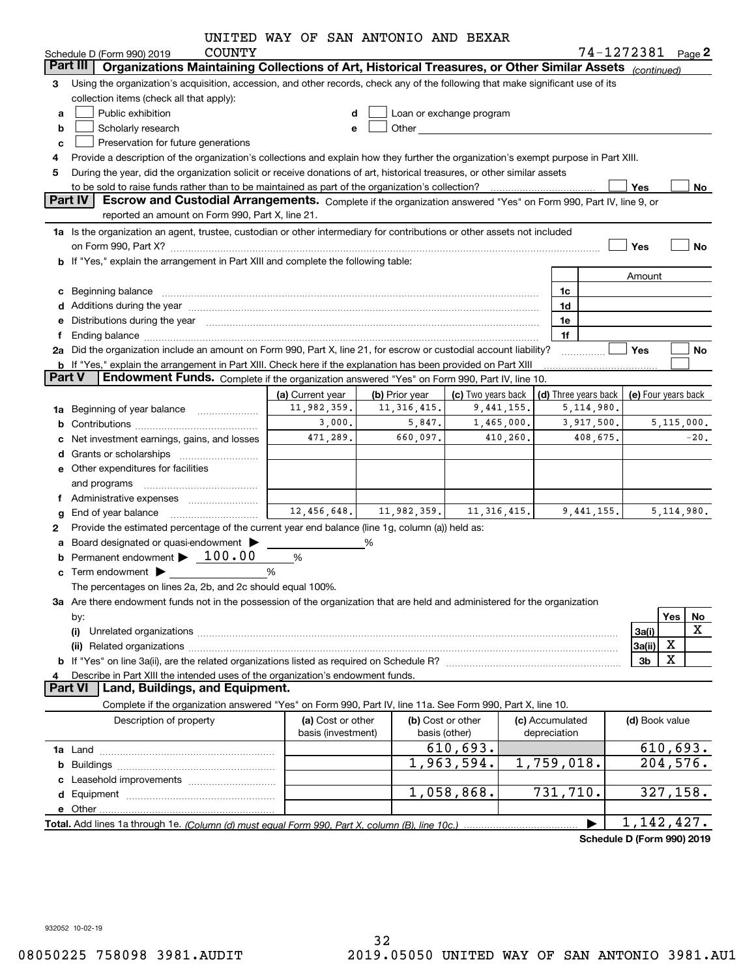|               |                                                                                                                                                                                                                                | UNITED WAY OF SAN ANTONIO AND BEXAR     |                |                                                                                                                                                                                                                               |                                 |                                              |                   |              |
|---------------|--------------------------------------------------------------------------------------------------------------------------------------------------------------------------------------------------------------------------------|-----------------------------------------|----------------|-------------------------------------------------------------------------------------------------------------------------------------------------------------------------------------------------------------------------------|---------------------------------|----------------------------------------------|-------------------|--------------|
|               | <b>COUNTY</b><br>Schedule D (Form 990) 2019                                                                                                                                                                                    |                                         |                |                                                                                                                                                                                                                               |                                 |                                              | 74-1272381 Page 2 |              |
|               | Part III I<br>Organizations Maintaining Collections of Art, Historical Treasures, or Other Similar Assets (continued)                                                                                                          |                                         |                |                                                                                                                                                                                                                               |                                 |                                              |                   |              |
| 3             | Using the organization's acquisition, accession, and other records, check any of the following that make significant use of its                                                                                                |                                         |                |                                                                                                                                                                                                                               |                                 |                                              |                   |              |
|               | collection items (check all that apply):                                                                                                                                                                                       |                                         |                |                                                                                                                                                                                                                               |                                 |                                              |                   |              |
| a             | Public exhibition                                                                                                                                                                                                              |                                         |                | Loan or exchange program                                                                                                                                                                                                      |                                 |                                              |                   |              |
| b             | Scholarly research                                                                                                                                                                                                             | e                                       |                | Other and the contract of the contract of the contract of the contract of the contract of the contract of the contract of the contract of the contract of the contract of the contract of the contract of the contract of the |                                 |                                              |                   |              |
| c             | Preservation for future generations                                                                                                                                                                                            |                                         |                |                                                                                                                                                                                                                               |                                 |                                              |                   |              |
| 4             | Provide a description of the organization's collections and explain how they further the organization's exempt purpose in Part XIII.                                                                                           |                                         |                |                                                                                                                                                                                                                               |                                 |                                              |                   |              |
| 5             | During the year, did the organization solicit or receive donations of art, historical treasures, or other similar assets                                                                                                       |                                         |                |                                                                                                                                                                                                                               |                                 |                                              |                   |              |
|               |                                                                                                                                                                                                                                |                                         |                |                                                                                                                                                                                                                               |                                 |                                              | Yes               | No           |
|               | Part IV<br>Escrow and Custodial Arrangements. Complete if the organization answered "Yes" on Form 990, Part IV, line 9, or                                                                                                     |                                         |                |                                                                                                                                                                                                                               |                                 |                                              |                   |              |
|               | reported an amount on Form 990, Part X, line 21.                                                                                                                                                                               |                                         |                |                                                                                                                                                                                                                               |                                 |                                              |                   |              |
|               | 1a Is the organization an agent, trustee, custodian or other intermediary for contributions or other assets not included                                                                                                       |                                         |                |                                                                                                                                                                                                                               |                                 |                                              |                   |              |
|               | on Form 990, Part X? [11] matter and the contract of the contract of the contract of the contract of the contract of the contract of the contract of the contract of the contract of the contract of the contract of the contr |                                         |                |                                                                                                                                                                                                                               |                                 |                                              | Yes               | No           |
|               | <b>b</b> If "Yes," explain the arrangement in Part XIII and complete the following table:                                                                                                                                      |                                         |                |                                                                                                                                                                                                                               |                                 |                                              |                   |              |
|               |                                                                                                                                                                                                                                |                                         |                |                                                                                                                                                                                                                               |                                 |                                              | Amount            |              |
|               | c Beginning balance entrance and the contract of the balance of the contract of the contract of the contract of the contract of the contract of the contract of the contract of the contract of the contract of the contract o |                                         |                |                                                                                                                                                                                                                               |                                 | 1c                                           |                   |              |
|               |                                                                                                                                                                                                                                |                                         |                |                                                                                                                                                                                                                               |                                 | 1d                                           |                   |              |
|               | e Distributions during the year manufactured and continuum and contract the year manufactured and contract the                                                                                                                 |                                         |                |                                                                                                                                                                                                                               |                                 | 1e                                           |                   |              |
| f             |                                                                                                                                                                                                                                |                                         |                |                                                                                                                                                                                                                               |                                 | 1f                                           |                   |              |
|               | 2a Did the organization include an amount on Form 990, Part X, line 21, for escrow or custodial account liability?                                                                                                             |                                         |                |                                                                                                                                                                                                                               |                                 | .                                            | Yes               | No           |
|               | <b>b</b> If "Yes," explain the arrangement in Part XIII. Check here if the explanation has been provided on Part XIII                                                                                                          |                                         |                |                                                                                                                                                                                                                               |                                 |                                              |                   |              |
| <b>Part V</b> | <b>Endowment Funds.</b> Complete if the organization answered "Yes" on Form 990, Part IV, line 10.                                                                                                                             |                                         |                |                                                                                                                                                                                                                               |                                 |                                              |                   |              |
|               |                                                                                                                                                                                                                                | (a) Current year                        | (b) Prior year | (c) Two years back                                                                                                                                                                                                            |                                 | (d) Three years back $ $ (e) Four years back |                   |              |
|               | 1a Beginning of year balance                                                                                                                                                                                                   | 11,982,359.                             | 11, 316, 415.  | 9,441,155.                                                                                                                                                                                                                    |                                 | 5,114,980.                                   |                   |              |
|               |                                                                                                                                                                                                                                | 3,000.                                  | 5,847.         | 1,465,000.                                                                                                                                                                                                                    |                                 | 3,917,500.                                   |                   | 5, 115, 000. |
|               | Net investment earnings, gains, and losses                                                                                                                                                                                     | 471,289.                                | 660,097.       | 410,260.                                                                                                                                                                                                                      |                                 | 408,675.                                     |                   | $-20$ .      |
|               |                                                                                                                                                                                                                                |                                         |                |                                                                                                                                                                                                                               |                                 |                                              |                   |              |
|               | e Other expenditures for facilities                                                                                                                                                                                            |                                         |                |                                                                                                                                                                                                                               |                                 |                                              |                   |              |
|               | and programs                                                                                                                                                                                                                   |                                         |                |                                                                                                                                                                                                                               |                                 |                                              |                   |              |
|               |                                                                                                                                                                                                                                |                                         |                |                                                                                                                                                                                                                               |                                 |                                              |                   |              |
| g             | End of year balance                                                                                                                                                                                                            | 12,456,648.                             | 11,982,359.    | 11, 316, 415.                                                                                                                                                                                                                 |                                 | 9,441,155.                                   |                   | 5, 114, 980. |
| 2             | Provide the estimated percentage of the current year end balance (line 1g, column (a)) held as:                                                                                                                                |                                         |                |                                                                                                                                                                                                                               |                                 |                                              |                   |              |
|               | a Board designated or quasi-endowment >                                                                                                                                                                                        |                                         | %              |                                                                                                                                                                                                                               |                                 |                                              |                   |              |
|               | Permanent endowment > 100.00                                                                                                                                                                                                   | %                                       |                |                                                                                                                                                                                                                               |                                 |                                              |                   |              |
|               | $\mathbf c$ Term endowment $\blacktriangleright$                                                                                                                                                                               | %                                       |                |                                                                                                                                                                                                                               |                                 |                                              |                   |              |
|               | The percentages on lines 2a, 2b, and 2c should equal 100%.                                                                                                                                                                     |                                         |                |                                                                                                                                                                                                                               |                                 |                                              |                   |              |
|               | 3a Are there endowment funds not in the possession of the organization that are held and administered for the organization                                                                                                     |                                         |                |                                                                                                                                                                                                                               |                                 |                                              |                   |              |
|               | by:                                                                                                                                                                                                                            |                                         |                |                                                                                                                                                                                                                               |                                 |                                              |                   | Yes<br>No    |
|               | (i)                                                                                                                                                                                                                            |                                         |                |                                                                                                                                                                                                                               |                                 |                                              | 3a(i)             | X            |
|               |                                                                                                                                                                                                                                |                                         |                |                                                                                                                                                                                                                               |                                 |                                              | 3a(ii)            | X            |
|               |                                                                                                                                                                                                                                |                                         |                |                                                                                                                                                                                                                               |                                 |                                              | 3b                | X            |
|               | Describe in Part XIII the intended uses of the organization's endowment funds.                                                                                                                                                 |                                         |                |                                                                                                                                                                                                                               |                                 |                                              |                   |              |
|               | Land, Buildings, and Equipment.<br><b>Part VI</b>                                                                                                                                                                              |                                         |                |                                                                                                                                                                                                                               |                                 |                                              |                   |              |
|               | Complete if the organization answered "Yes" on Form 990, Part IV, line 11a. See Form 990, Part X, line 10.                                                                                                                     |                                         |                |                                                                                                                                                                                                                               |                                 |                                              |                   |              |
|               | Description of property                                                                                                                                                                                                        | (a) Cost or other<br>basis (investment) |                | (b) Cost or other<br>basis (other)                                                                                                                                                                                            | (c) Accumulated<br>depreciation |                                              | (d) Book value    |              |
|               |                                                                                                                                                                                                                                |                                         |                | 610,693.                                                                                                                                                                                                                      |                                 |                                              |                   | 610,693.     |
|               |                                                                                                                                                                                                                                |                                         |                | 1,963,594.                                                                                                                                                                                                                    |                                 | 1,759,018.                                   |                   | 204,576.     |
|               |                                                                                                                                                                                                                                |                                         |                |                                                                                                                                                                                                                               |                                 |                                              |                   |              |
|               |                                                                                                                                                                                                                                |                                         |                | 1,058,868.                                                                                                                                                                                                                    |                                 | 731, 710.                                    |                   | 327,158.     |
|               |                                                                                                                                                                                                                                |                                         |                |                                                                                                                                                                                                                               |                                 |                                              |                   |              |
|               |                                                                                                                                                                                                                                |                                         |                |                                                                                                                                                                                                                               |                                 |                                              | 1, 142, 427.      |              |
|               |                                                                                                                                                                                                                                |                                         |                |                                                                                                                                                                                                                               |                                 |                                              |                   |              |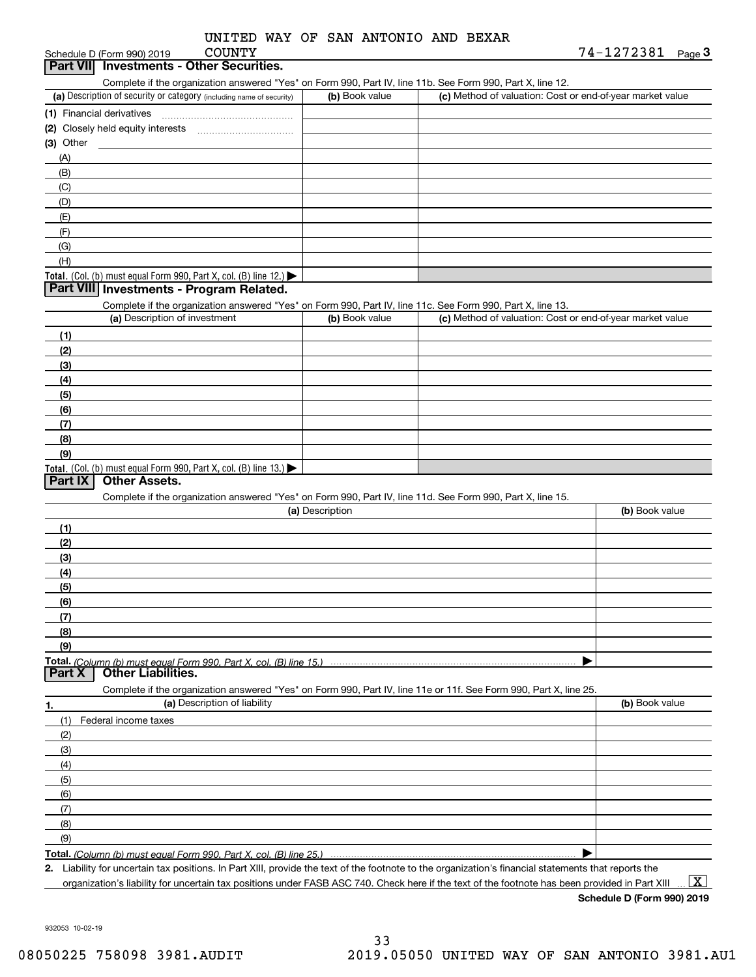| UNITED WAY OF SAN ANTONIO AND BEXAR |
|-------------------------------------|
|-------------------------------------|

# **Part VII Investments - Other Securities.**

Complete if the organization answered "Yes" on Form 990, Part IV, line 11b. See Form 990, Part X, line 12.

| (a) Description of security or category (including name of security) | (b) Book value | (c) Method of valuation: Cost or end-of-year market value |
|----------------------------------------------------------------------|----------------|-----------------------------------------------------------|
| (1) Financial derivatives                                            |                |                                                           |
| (2) Closely held equity interests                                    |                |                                                           |
| $(3)$ Other                                                          |                |                                                           |
| (A)                                                                  |                |                                                           |
| (B)                                                                  |                |                                                           |
| (C)                                                                  |                |                                                           |
| (D)                                                                  |                |                                                           |
| (E)                                                                  |                |                                                           |
| (F)                                                                  |                |                                                           |
| (G)                                                                  |                |                                                           |
| (H)                                                                  |                |                                                           |
| Total. (Col. (b) must equal Form 990, Part X, col. (B) line $12$ .)  |                |                                                           |

#### **Part VIII Investments - Program Related.**

Complete if the organization answered "Yes" on Form 990, Part IV, line 11c. See Form 990, Part X, line 13.

| (a) Description of investment                                                          | (b) Book value | (c) Method of valuation: Cost or end-of-year market value |
|----------------------------------------------------------------------------------------|----------------|-----------------------------------------------------------|
| (1)                                                                                    |                |                                                           |
| (2)                                                                                    |                |                                                           |
| $\frac{1}{2}$                                                                          |                |                                                           |
| (4)                                                                                    |                |                                                           |
| (5)                                                                                    |                |                                                           |
| (6)                                                                                    |                |                                                           |
| (7)                                                                                    |                |                                                           |
| (8)                                                                                    |                |                                                           |
| (9)                                                                                    |                |                                                           |
| Total. (Col. (b) must equal Form 990, Part X, col. (B) line 13.) $\blacktriangleright$ |                |                                                           |

#### **Part IX Other Assets.**

Complete if the organization answered "Yes" on Form 990, Part IV, line 11d. See Form 990, Part X, line 15.

| (a) Description                                                                                                   | (b) Book value |
|-------------------------------------------------------------------------------------------------------------------|----------------|
| (1)                                                                                                               |                |
| (2)                                                                                                               |                |
| (3)                                                                                                               |                |
| (4)                                                                                                               |                |
| $\frac{1}{2}$ (5)                                                                                                 |                |
| (6)                                                                                                               |                |
|                                                                                                                   |                |
| (8)                                                                                                               |                |
| (9)                                                                                                               |                |
|                                                                                                                   |                |
| <b>Part X</b> Other Liabilities.                                                                                  |                |
| Complete if the organization answered "Yes" on Form 990, Part IV, line 11e or 11f. See Form 990, Part X, line 25. |                |

| 1.  | (a) Description of liability | (b) Book value |
|-----|------------------------------|----------------|
|     | (1) Federal income taxes     |                |
| (2) |                              |                |
| (3) |                              |                |
| (4) |                              |                |
| (5) |                              |                |
| (6) |                              |                |
| (7) |                              |                |
| (8) |                              |                |
| (9) |                              |                |
|     |                              |                |

**Total.**  *(Column (b) must equal Form 990, Part X, col. (B) line 25.)* 

**2.**Liability for uncertain tax positions. In Part XIII, provide the text of the footnote to the organization's financial statements that reports the organization's liability for uncertain tax positions under FASB ASC 740. Check here if the text of the footnote has been provided in Part XIII

 $\boxed{\text{X}}$ 

**Schedule D (Form 990) 2019**

932053 10-02-19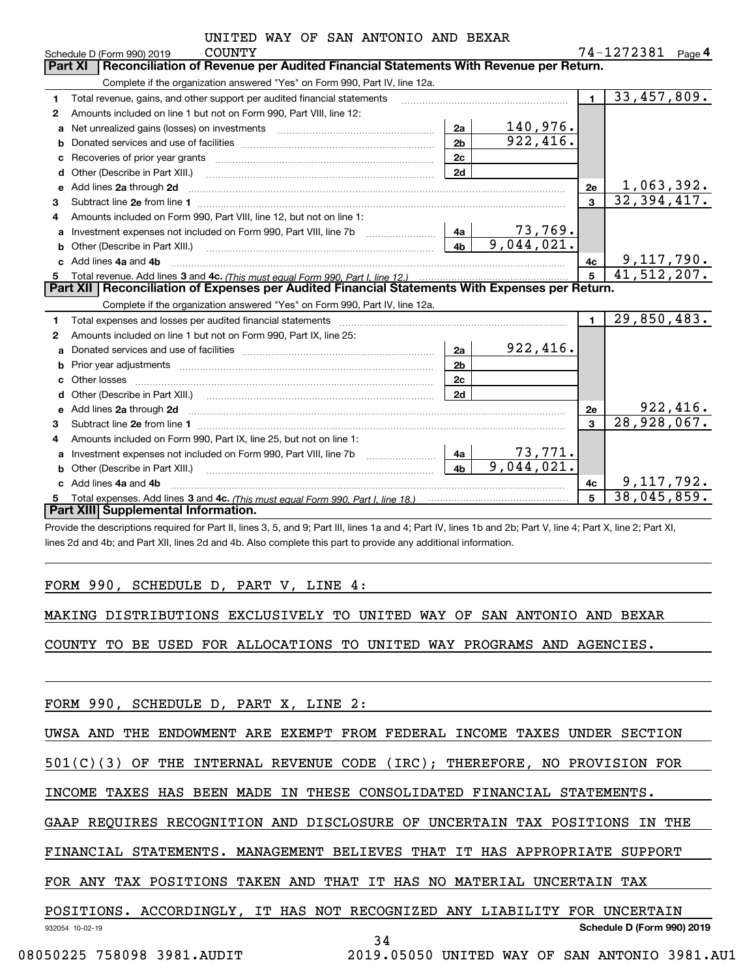|  |  |  |  | UNITED WAY OF SAN ANTONIO AND BEXAR |  |  |
|--|--|--|--|-------------------------------------|--|--|
|--|--|--|--|-------------------------------------|--|--|

|              | <b>COUNTY</b><br>Schedule D (Form 990) 2019                                                                                             |                             | 74-1272381                  | Page $4$ |
|--------------|-----------------------------------------------------------------------------------------------------------------------------------------|-----------------------------|-----------------------------|----------|
|              | <b>Part XI</b><br>Reconciliation of Revenue per Audited Financial Statements With Revenue per Return.                                   |                             |                             |          |
|              | Complete if the organization answered "Yes" on Form 990, Part IV, line 12a.                                                             |                             |                             |          |
| 1            | Total revenue, gains, and other support per audited financial statements                                                                | $\blacksquare$              | 33,457,809.                 |          |
| 2            | Amounts included on line 1 but not on Form 990, Part VIII, line 12:                                                                     |                             |                             |          |
| a            | 2a<br>Net unrealized gains (losses) on investments [11] matter contracts and the unrealized gains (losses) on investments               | 140,976.                    |                             |          |
| b            | 2 <sub>b</sub>                                                                                                                          | 922,416.                    |                             |          |
| C            | 2c                                                                                                                                      |                             |                             |          |
| d            | 2d                                                                                                                                      |                             |                             |          |
| е            | Add lines 2a through 2d                                                                                                                 | 2e                          | 1,063,392.                  |          |
| 3            |                                                                                                                                         | $\overline{\mathbf{3}}$     | 32,394,417.                 |          |
| 4            | Amounts included on Form 990, Part VIII, line 12, but not on line 1:                                                                    |                             |                             |          |
|              | 4a<br>Investment expenses not included on Form 990, Part VIII, line 7b [100] [100] [100] [100] [100] [100] [100] [10                    | $73,769$ .                  |                             |          |
| b            | 4 <sub>b</sub><br>Other (Describe in Part XIII.) <b>Construction Contract Construction</b> Chern Construction Construction Construction | 9,044,021.                  |                             |          |
| c.           | Add lines 4a and 4b                                                                                                                     | 4с                          | 9,117,790.                  |          |
| 5            |                                                                                                                                         | 5                           | $\overline{41}$ , 512, 207. |          |
|              |                                                                                                                                         |                             |                             |          |
|              | Part XII   Reconciliation of Expenses per Audited Financial Statements With Expenses per Return.                                        |                             |                             |          |
|              | Complete if the organization answered "Yes" on Form 990, Part IV, line 12a.                                                             |                             |                             |          |
| 1.           |                                                                                                                                         | $\blacksquare$              | 29,850,483.                 |          |
| $\mathbf{2}$ | Amounts included on line 1 but not on Form 990, Part IX, line 25:                                                                       |                             |                             |          |
| a            | 2a                                                                                                                                      | 922, 416.                   |                             |          |
| b            | 2 <sub>b</sub>                                                                                                                          |                             |                             |          |
| c            | 2c                                                                                                                                      |                             |                             |          |
|              | 2d                                                                                                                                      |                             |                             |          |
| e            |                                                                                                                                         | <b>2e</b>                   |                             | 922,416. |
| З.           |                                                                                                                                         | 3                           | 28,928,067.                 |          |
| 4            | Amounts included on Form 990, Part IX, line 25, but not on line 1:                                                                      |                             |                             |          |
| a            | Investment expenses not included on Form 990, Part VIII, line 7b [1000000000000000000000000000000000<br>4a                              |                             |                             |          |
|              | 4 <sub>b</sub>                                                                                                                          | $\frac{73,771}{9,044,021.}$ |                             |          |
|              | Other (Describe in Part XIII.) <b>Construction Construction</b> (Describe in Part XIII.)<br>Add lines 4a and 4b                         | 4c                          | 9,117,792.                  |          |
| 5            | <b>Part XIII Supplemental Information.</b>                                                                                              | 5                           | $\overline{38}$ , 045, 859. |          |

Provide the descriptions required for Part II, lines 3, 5, and 9; Part III, lines 1a and 4; Part IV, lines 1b and 2b; Part V, line 4; Part X, line 2; Part XI, lines 2d and 4b; and Part XII, lines 2d and 4b. Also complete this part to provide any additional information.

#### FORM 990, SCHEDULE D, PART V, LINE 4:

MAKING DISTRIBUTIONS EXCLUSIVELY TO UNITED WAY OF SAN ANTONIO AND BEXAR

COUNTY TO BE USED FOR ALLOCATIONS TO UNITED WAY PROGRAMS AND AGENCIES.

FORM 990, SCHEDULE D, PART X, LINE 2:

UWSA AND THE ENDOWMENT ARE EXEMPT FROM FEDERAL INCOME TAXES UNDER SECTION

501(C)(3) OF THE INTERNAL REVENUE CODE (IRC); THEREFORE, NO PROVISION FOR

INCOME TAXES HAS BEEN MADE IN THESE CONSOLIDATED FINANCIAL STATEMENTS.

GAAP REQUIRES RECOGNITION AND DISCLOSURE OF UNCERTAIN TAX POSITIONS IN THE

FINANCIAL STATEMENTS. MANAGEMENT BELIEVES THAT IT HAS APPROPRIATE SUPPORT

FOR ANY TAX POSITIONS TAKEN AND THAT IT HAS NO MATERIAL UNCERTAIN TAX

#### 932054 10-02-19 **Schedule D (Form 990) 2019** POSITIONS. ACCORDINGLY, IT HAS NOT RECOGNIZED ANY LIABILITY FOR UNCERTAIN

34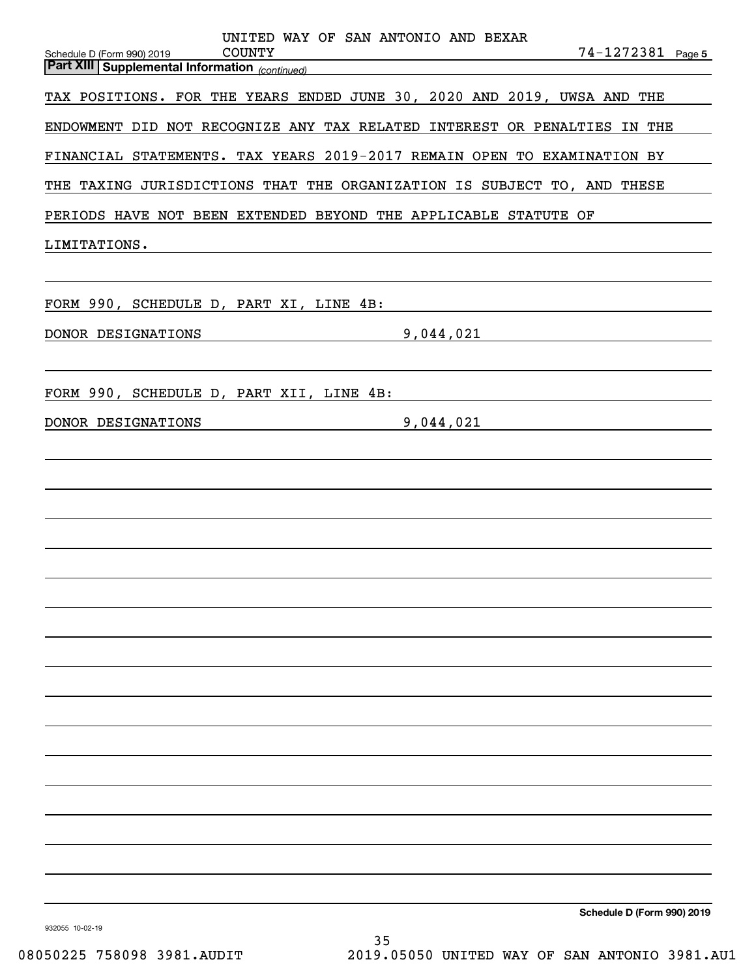| UNITED WAY OF SAN ANTONIO AND BEXAR<br><b>COUNTY</b><br>$74 - 1272381$ Page 5<br>Schedule D (Form 990) 2019<br><u> Missue (* 388 - 289 - 289 - 289 - 289 - 289 - 289 - 289 - 289 - 289 - 289 - 289 - 289 - 289 - 289 - 289 - 28</u><br> Part XIII   Suppleme <u>ntal Information <sub>(continued)</sub></u> |
|-------------------------------------------------------------------------------------------------------------------------------------------------------------------------------------------------------------------------------------------------------------------------------------------------------------|
| TAX POSITIONS. FOR THE YEARS ENDED JUNE 30, 2020 AND 2019, UWSA AND THE                                                                                                                                                                                                                                     |
| ENDOWMENT DID NOT RECOGNIZE ANY TAX RELATED INTEREST OR PENALTIES IN THE                                                                                                                                                                                                                                    |
| FINANCIAL STATEMENTS. TAX YEARS 2019-2017 REMAIN OPEN TO EXAMINATION BY                                                                                                                                                                                                                                     |
| THE TAXING JURISDICTIONS THAT THE ORGANIZATION IS SUBJECT TO, AND THESE                                                                                                                                                                                                                                     |
| PERIODS HAVE NOT BEEN EXTENDED BEYOND THE APPLICABLE STATUTE OF                                                                                                                                                                                                                                             |
| LIMITATIONS.<br><u> 1989 - Johann Stein, marwolaethau a bhann an t-Amhain ann an t-Amhain an t-Amhain an t-Amhain an t-Amhain an </u>                                                                                                                                                                       |
|                                                                                                                                                                                                                                                                                                             |
| FORM 990, SCHEDULE D, PART XI, LINE 4B:                                                                                                                                                                                                                                                                     |
| DONOR DESIGNATIONS<br>9,044,021<br><u> 1989 - Johann Barn, mars ann an t-Aontaithe ann an t-Aontaithe ann an t-Aontaithe ann an t-Aontaithe ann an t-</u><br><u> 1989 - Johann Barn, mars ann an t-Amhain Aonaich an t-Aonaich an t-Aonaich ann an t-Aonaich ann an t-Aonaich</u>                           |
|                                                                                                                                                                                                                                                                                                             |
| FORM 990, SCHEDULE D, PART XII, LINE 4B:<br>DONOR DESIGNATIONS<br>9,044,021<br><u> 1989 - Johann Barbara, martxa al</u><br><u> 1989 - Johann Stein, mars an de Brasilia (b. 1989)</u>                                                                                                                       |
|                                                                                                                                                                                                                                                                                                             |
|                                                                                                                                                                                                                                                                                                             |
|                                                                                                                                                                                                                                                                                                             |
|                                                                                                                                                                                                                                                                                                             |
|                                                                                                                                                                                                                                                                                                             |
|                                                                                                                                                                                                                                                                                                             |
|                                                                                                                                                                                                                                                                                                             |
|                                                                                                                                                                                                                                                                                                             |
|                                                                                                                                                                                                                                                                                                             |
|                                                                                                                                                                                                                                                                                                             |
|                                                                                                                                                                                                                                                                                                             |
|                                                                                                                                                                                                                                                                                                             |
|                                                                                                                                                                                                                                                                                                             |
|                                                                                                                                                                                                                                                                                                             |
|                                                                                                                                                                                                                                                                                                             |
| Schedule D (Form 990) 2019                                                                                                                                                                                                                                                                                  |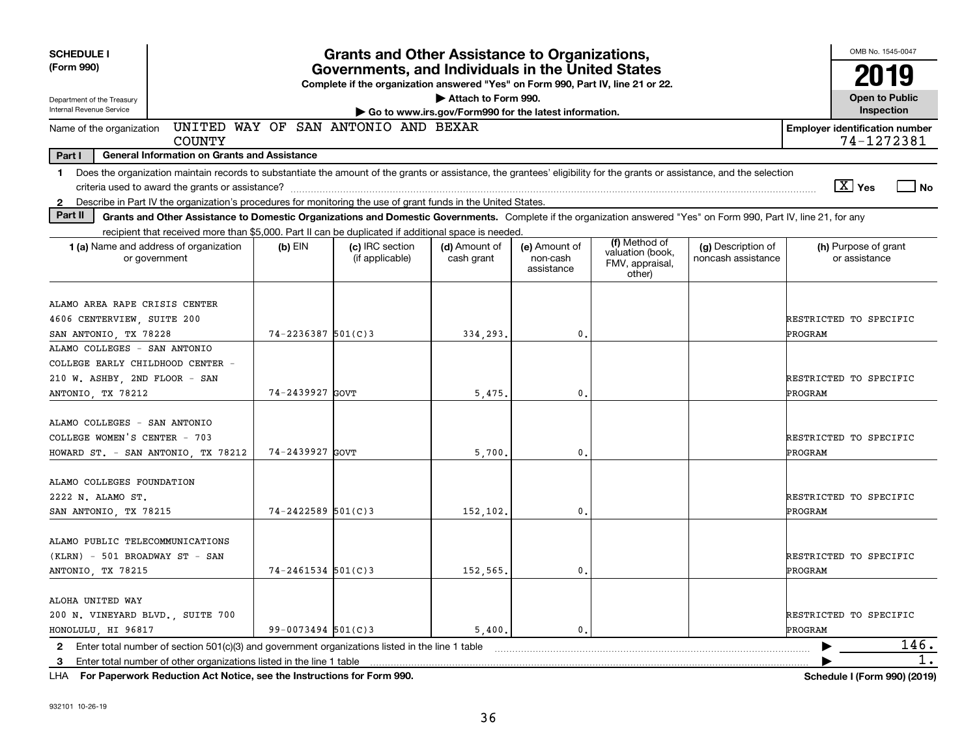| <b>SCHEDULE I</b>                                      |                                                                                                                                                                          |                        | <b>Grants and Other Assistance to Organizations,</b> |                                                                              |                                         |                                               |                                          |                                       | OMB No. 1545-0047                     |    |  |
|--------------------------------------------------------|--------------------------------------------------------------------------------------------------------------------------------------------------------------------------|------------------------|------------------------------------------------------|------------------------------------------------------------------------------|-----------------------------------------|-----------------------------------------------|------------------------------------------|---------------------------------------|---------------------------------------|----|--|
| (Form 990)                                             | Governments, and Individuals in the United States<br>Complete if the organization answered "Yes" on Form 990, Part IV, line 21 or 22.                                    |                        |                                                      |                                                                              |                                         |                                               |                                          |                                       |                                       |    |  |
| Department of the Treasury<br>Internal Revenue Service |                                                                                                                                                                          |                        |                                                      | Attach to Form 990.<br>Go to www.irs.gov/Form990 for the latest information. |                                         |                                               |                                          |                                       | <b>Open to Public</b><br>Inspection   |    |  |
| Name of the organization                               | COUNTY                                                                                                                                                                   |                        | UNITED WAY OF SAN ANTONIO AND BEXAR                  |                                                                              |                                         |                                               |                                          | <b>Employer identification number</b> | 74-1272381                            |    |  |
| Part I                                                 | <b>General Information on Grants and Assistance</b>                                                                                                                      |                        |                                                      |                                                                              |                                         |                                               |                                          |                                       |                                       |    |  |
| $\mathbf 1$                                            | Does the organization maintain records to substantiate the amount of the grants or assistance, the grantees' eligibility for the grants or assistance, and the selection |                        |                                                      |                                                                              |                                         |                                               |                                          |                                       |                                       |    |  |
|                                                        |                                                                                                                                                                          |                        |                                                      |                                                                              |                                         |                                               |                                          | $\boxed{\text{X}}$ Yes                | No                                    |    |  |
| $\mathbf{2}$                                           | Describe in Part IV the organization's procedures for monitoring the use of grant funds in the United States.                                                            |                        |                                                      |                                                                              |                                         |                                               |                                          |                                       |                                       |    |  |
| Part II                                                | Grants and Other Assistance to Domestic Organizations and Domestic Governments. Complete if the organization answered "Yes" on Form 990, Part IV, line 21, for any       |                        |                                                      |                                                                              |                                         |                                               |                                          |                                       |                                       |    |  |
|                                                        | recipient that received more than \$5,000. Part II can be duplicated if additional space is needed.                                                                      |                        |                                                      |                                                                              |                                         | (f) Method of                                 |                                          |                                       |                                       |    |  |
|                                                        | 1 (a) Name and address of organization<br>or government                                                                                                                  | $(b)$ EIN              | (c) IRC section<br>(if applicable)                   | (d) Amount of<br>cash grant                                                  | (e) Amount of<br>non-cash<br>assistance | valuation (book,<br>FMV, appraisal,<br>other) | (g) Description of<br>noncash assistance |                                       | (h) Purpose of grant<br>or assistance |    |  |
|                                                        |                                                                                                                                                                          |                        |                                                      |                                                                              |                                         |                                               |                                          |                                       |                                       |    |  |
| ALAMO AREA RAPE CRISIS CENTER                          |                                                                                                                                                                          |                        |                                                      |                                                                              |                                         |                                               |                                          |                                       |                                       |    |  |
| 4606 CENTERVIEW, SUITE 200                             |                                                                                                                                                                          |                        |                                                      |                                                                              |                                         |                                               |                                          | RESTRICTED TO SPECIFIC                |                                       |    |  |
| SAN ANTONIO, TX 78228<br>ALAMO COLLEGES - SAN ANTONIO  |                                                                                                                                                                          | $74 - 2236387$ 501(C)3 |                                                      | 334,293.                                                                     | 0.                                      |                                               |                                          | PROGRAM                               |                                       |    |  |
| COLLEGE EARLY CHILDHOOD CENTER -                       |                                                                                                                                                                          |                        |                                                      |                                                                              |                                         |                                               |                                          |                                       |                                       |    |  |
| 210 W. ASHBY, 2ND FLOOR - SAN                          |                                                                                                                                                                          |                        |                                                      |                                                                              |                                         |                                               |                                          | RESTRICTED TO SPECIFIC                |                                       |    |  |
| ANTONIO, TX 78212                                      |                                                                                                                                                                          | 74-2439927 GOVT        |                                                      | 5,475.                                                                       | 0.                                      |                                               |                                          | PROGRAM                               |                                       |    |  |
|                                                        |                                                                                                                                                                          |                        |                                                      |                                                                              |                                         |                                               |                                          |                                       |                                       |    |  |
| ALAMO COLLEGES - SAN ANTONIO                           |                                                                                                                                                                          |                        |                                                      |                                                                              |                                         |                                               |                                          |                                       |                                       |    |  |
| COLLEGE WOMEN'S CENTER - 703                           |                                                                                                                                                                          |                        |                                                      |                                                                              |                                         |                                               |                                          | RESTRICTED TO SPECIFIC                |                                       |    |  |
| HOWARD ST. - SAN ANTONIO, TX 78212                     |                                                                                                                                                                          | 74-2439927 GOVT        |                                                      | 5,700,                                                                       | 0.                                      |                                               |                                          | PROGRAM                               |                                       |    |  |
|                                                        |                                                                                                                                                                          |                        |                                                      |                                                                              |                                         |                                               |                                          |                                       |                                       |    |  |
| ALAMO COLLEGES FOUNDATION                              |                                                                                                                                                                          |                        |                                                      |                                                                              |                                         |                                               |                                          |                                       |                                       |    |  |
| 2222 N. ALAMO ST.                                      |                                                                                                                                                                          |                        |                                                      |                                                                              |                                         |                                               |                                          | RESTRICTED TO SPECIFIC                |                                       |    |  |
| SAN ANTONIO, TX 78215                                  |                                                                                                                                                                          | $74 - 2422589$ 501(C)3 |                                                      | 152,102.                                                                     | 0.                                      |                                               |                                          | PROGRAM                               |                                       |    |  |
|                                                        |                                                                                                                                                                          |                        |                                                      |                                                                              |                                         |                                               |                                          |                                       |                                       |    |  |
| ALAMO PUBLIC TELECOMMUNICATIONS                        |                                                                                                                                                                          |                        |                                                      |                                                                              |                                         |                                               |                                          |                                       |                                       |    |  |
| (KLRN) - 501 BROADWAY ST - SAN                         |                                                                                                                                                                          |                        |                                                      |                                                                              |                                         |                                               |                                          | RESTRICTED TO SPECIFIC                |                                       |    |  |
| ANTONIO, TX 78215                                      |                                                                                                                                                                          | $74 - 2461534$ 501(C)3 |                                                      | 152,565.                                                                     | 0.                                      |                                               |                                          | PROGRAM                               |                                       |    |  |
| ALOHA UNITED WAY                                       |                                                                                                                                                                          |                        |                                                      |                                                                              |                                         |                                               |                                          |                                       |                                       |    |  |
| 200 N. VINEYARD BLVD., SUITE 700                       |                                                                                                                                                                          |                        |                                                      |                                                                              |                                         |                                               |                                          | RESTRICTED TO SPECIFIC                |                                       |    |  |
| HONOLULU, HI 96817                                     |                                                                                                                                                                          | $99 - 0073494$ 501(C)3 |                                                      | 5.400.                                                                       | 0.                                      |                                               |                                          | PROGRAM                               |                                       |    |  |
| $\mathbf{2}$                                           | Enter total number of section 501(c)(3) and government organizations listed in the line 1 table                                                                          |                        |                                                      |                                                                              |                                         |                                               |                                          |                                       | 146.                                  |    |  |
|                                                        | 3 Enter total number of other organizations listed in the line 1 table                                                                                                   |                        |                                                      |                                                                              |                                         |                                               |                                          |                                       |                                       | 1. |  |
|                                                        |                                                                                                                                                                          |                        |                                                      |                                                                              |                                         |                                               |                                          |                                       |                                       |    |  |

**For Paperwork Reduction Act Notice, see the Instructions for Form 990. Schedule I (Form 990) (2019)** LHA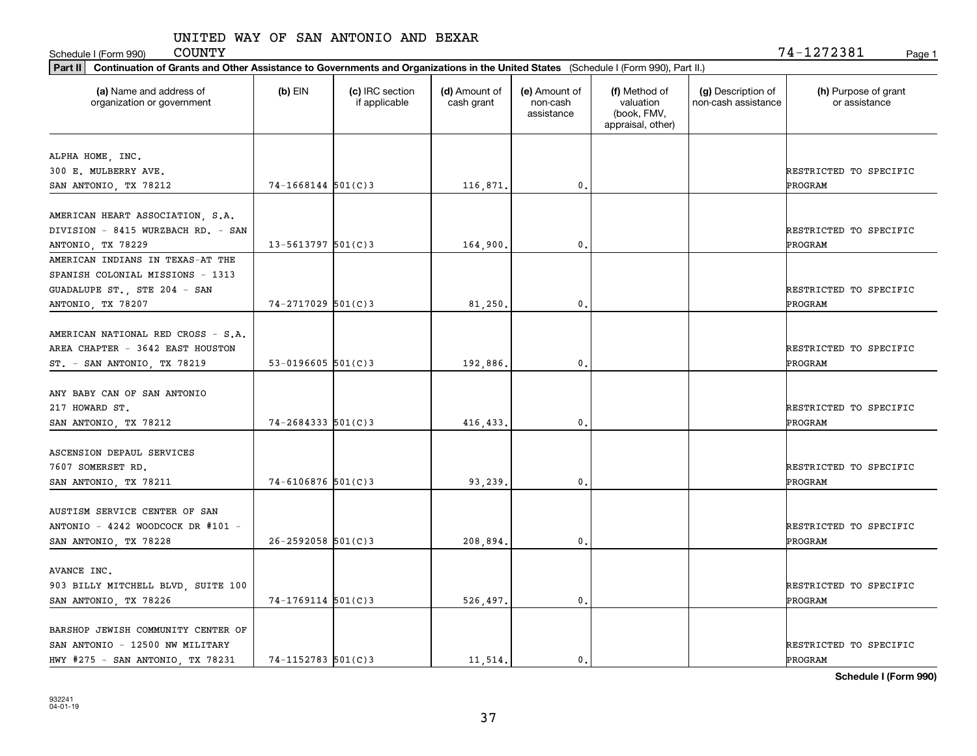Schedule I (Form 990) COUNTY Page 1

| Part II   Continuation of Grants and Other Assistance to Governments and Organizations in the United States (Schedule I (Form 990), Part II.) |                         |                                  |                             |                                         |                                                                |                                           |                                       |
|-----------------------------------------------------------------------------------------------------------------------------------------------|-------------------------|----------------------------------|-----------------------------|-----------------------------------------|----------------------------------------------------------------|-------------------------------------------|---------------------------------------|
| (a) Name and address of<br>organization or government                                                                                         | $(b)$ EIN               | (c) IRC section<br>if applicable | (d) Amount of<br>cash grant | (e) Amount of<br>non-cash<br>assistance | (f) Method of<br>valuation<br>(book, FMV,<br>appraisal, other) | (g) Description of<br>non-cash assistance | (h) Purpose of grant<br>or assistance |
| ALPHA HOME, INC.                                                                                                                              |                         |                                  |                             |                                         |                                                                |                                           |                                       |
| 300 E. MULBERRY AVE.                                                                                                                          |                         |                                  |                             |                                         |                                                                |                                           | RESTRICTED TO SPECIFIC                |
| SAN ANTONIO, TX 78212                                                                                                                         | $74 - 1668144$ 501(C)3  |                                  | 116,871.                    | 0.                                      |                                                                |                                           | <b>PROGRAM</b>                        |
|                                                                                                                                               |                         |                                  |                             |                                         |                                                                |                                           |                                       |
| AMERICAN HEART ASSOCIATION, S.A.                                                                                                              |                         |                                  |                             |                                         |                                                                |                                           |                                       |
| DIVISION - 8415 WURZBACH RD. - SAN                                                                                                            |                         |                                  |                             |                                         |                                                                |                                           | RESTRICTED TO SPECIFIC                |
| ANTONIO, TX 78229                                                                                                                             | $13 - 5613797$ 501(C)3  |                                  | 164,900.                    | 0.                                      |                                                                |                                           | PROGRAM                               |
| AMERICAN INDIANS IN TEXAS-AT THE                                                                                                              |                         |                                  |                             |                                         |                                                                |                                           |                                       |
| SPANISH COLONIAL MISSIONS - 1313                                                                                                              |                         |                                  |                             |                                         |                                                                |                                           |                                       |
| GUADALUPE ST., STE 204 - SAN                                                                                                                  |                         |                                  |                             |                                         |                                                                |                                           | RESTRICTED TO SPECIFIC                |
| ANTONIO, TX 78207                                                                                                                             | $74 - 2717029$ 501(C)3  |                                  | 81,250.                     | 0.                                      |                                                                |                                           | PROGRAM                               |
|                                                                                                                                               |                         |                                  |                             |                                         |                                                                |                                           |                                       |
| AMERICAN NATIONAL RED CROSS - S.A.                                                                                                            |                         |                                  |                             |                                         |                                                                |                                           |                                       |
| AREA CHAPTER - 3642 EAST HOUSTON                                                                                                              |                         |                                  |                             |                                         |                                                                |                                           | RESTRICTED TO SPECIFIC                |
| ST. - SAN ANTONIO, TX 78219                                                                                                                   | 53-0196605 $501(C)$ 3   |                                  | 192,886.                    | 0.                                      |                                                                |                                           | PROGRAM                               |
|                                                                                                                                               |                         |                                  |                             |                                         |                                                                |                                           |                                       |
| ANY BABY CAN OF SAN ANTONIO                                                                                                                   |                         |                                  |                             |                                         |                                                                |                                           |                                       |
| 217 HOWARD ST.                                                                                                                                |                         |                                  |                             |                                         |                                                                |                                           | RESTRICTED TO SPECIFIC                |
| SAN ANTONIO, TX 78212                                                                                                                         | $74 - 2684333$ 501(C)3  |                                  | 416, 433.                   | 0.                                      |                                                                |                                           | PROGRAM                               |
| ASCENSION DEPAUL SERVICES                                                                                                                     |                         |                                  |                             |                                         |                                                                |                                           |                                       |
| 7607 SOMERSET RD.                                                                                                                             |                         |                                  |                             |                                         |                                                                |                                           | RESTRICTED TO SPECIFIC                |
| SAN ANTONIO, TX 78211                                                                                                                         | $74 - 6106876$ 501(C)3  |                                  | 93,239.                     | 0.                                      |                                                                |                                           | PROGRAM                               |
|                                                                                                                                               |                         |                                  |                             |                                         |                                                                |                                           |                                       |
| AUSTISM SERVICE CENTER OF SAN                                                                                                                 |                         |                                  |                             |                                         |                                                                |                                           |                                       |
| ANTONIO - 4242 WOODCOCK DR #101 -                                                                                                             |                         |                                  |                             |                                         |                                                                |                                           | RESTRICTED TO SPECIFIC                |
| SAN ANTONIO, TX 78228                                                                                                                         | $26 - 2592058$ 501(C) 3 |                                  | 208,894.                    | 0.                                      |                                                                |                                           | PROGRAM                               |
|                                                                                                                                               |                         |                                  |                             |                                         |                                                                |                                           |                                       |
| AVANCE INC.                                                                                                                                   |                         |                                  |                             |                                         |                                                                |                                           |                                       |
| 903 BILLY MITCHELL BLVD, SUITE 100                                                                                                            |                         |                                  |                             |                                         |                                                                |                                           | RESTRICTED TO SPECIFIC                |
| SAN ANTONIO, TX 78226                                                                                                                         | $74-1769114$ 501(C)3    |                                  | 526,497.                    | 0.                                      |                                                                |                                           | <b>PROGRAM</b>                        |
|                                                                                                                                               |                         |                                  |                             |                                         |                                                                |                                           |                                       |
| BARSHOP JEWISH COMMUNITY CENTER OF                                                                                                            |                         |                                  |                             |                                         |                                                                |                                           |                                       |
| SAN ANTONIO - 12500 NW MILITARY                                                                                                               |                         |                                  |                             |                                         |                                                                |                                           | RESTRICTED TO SPECIFIC                |
| HWY #275 - SAN ANTONIO, TX 78231                                                                                                              | $74 - 1152783$ 501(C) 3 |                                  | 11,514.                     | $\mathfrak{o}$ .                        |                                                                |                                           | PROGRAM                               |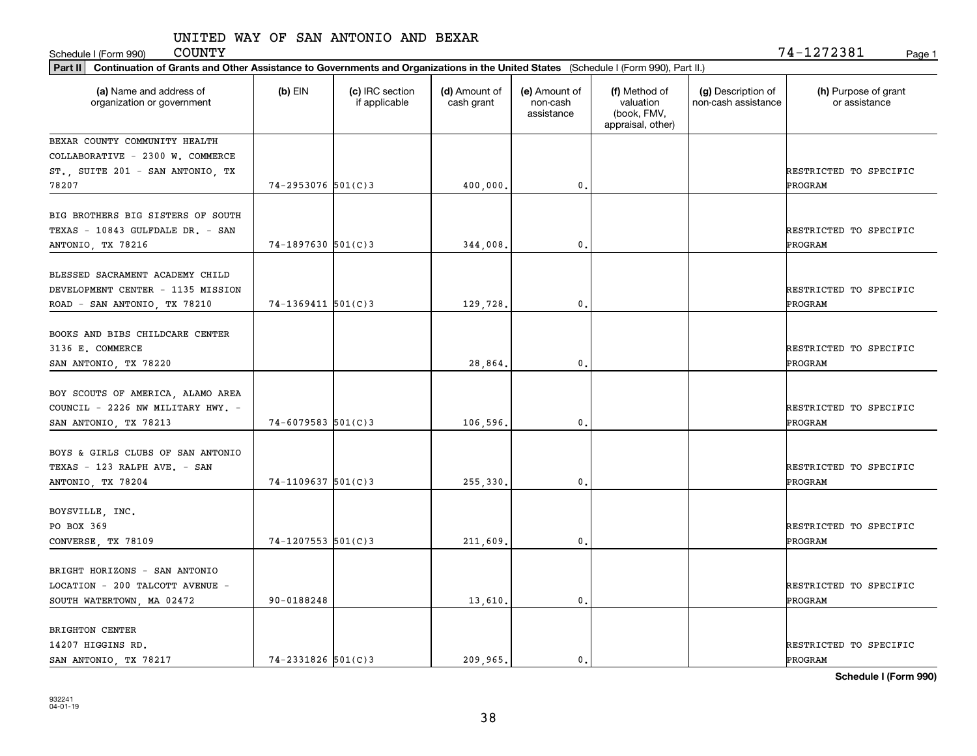Schedule I (Form 990) Page 1

| Part II   Continuation of Grants and Other Assistance to Governments and Organizations in the United States (Schedule I (Form 990), Part II.) |                        |                                  |                             |                                         |                                                                |                                           |                                          |
|-----------------------------------------------------------------------------------------------------------------------------------------------|------------------------|----------------------------------|-----------------------------|-----------------------------------------|----------------------------------------------------------------|-------------------------------------------|------------------------------------------|
| (a) Name and address of<br>organization or government                                                                                         | $(b)$ EIN              | (c) IRC section<br>if applicable | (d) Amount of<br>cash grant | (e) Amount of<br>non-cash<br>assistance | (f) Method of<br>valuation<br>(book, FMV,<br>appraisal, other) | (g) Description of<br>non-cash assistance | (h) Purpose of grant<br>or assistance    |
| BEXAR COUNTY COMMUNITY HEALTH                                                                                                                 |                        |                                  |                             |                                         |                                                                |                                           |                                          |
| COLLABORATIVE - 2300 W. COMMERCE                                                                                                              |                        |                                  |                             |                                         |                                                                |                                           |                                          |
| ST., SUITE 201 - SAN ANTONIO, TX                                                                                                              |                        |                                  |                             |                                         |                                                                |                                           | RESTRICTED TO SPECIFIC                   |
| 78207                                                                                                                                         | $74 - 2953076$ 501(C)3 |                                  | 400,000.                    | 0.                                      |                                                                |                                           | PROGRAM                                  |
| BIG BROTHERS BIG SISTERS OF SOUTH<br>TEXAS - 10843 GULFDALE DR. - SAN<br>ANTONIO, TX 78216                                                    | $74 - 1897630$ 501(C)3 |                                  | 344,008.                    | 0.                                      |                                                                |                                           | RESTRICTED TO SPECIFIC<br><b>PROGRAM</b> |
|                                                                                                                                               |                        |                                  |                             |                                         |                                                                |                                           |                                          |
| BLESSED SACRAMENT ACADEMY CHILD                                                                                                               |                        |                                  |                             |                                         |                                                                |                                           |                                          |
| DEVELOPMENT CENTER - 1135 MISSION                                                                                                             |                        |                                  |                             |                                         |                                                                |                                           | RESTRICTED TO SPECIFIC                   |
| ROAD - SAN ANTONIO, TX 78210                                                                                                                  | $74-1369411$ 501(C) 3  |                                  | 129,728.                    | $\mathbf{0}$ .                          |                                                                |                                           | PROGRAM                                  |
| BOOKS AND BIBS CHILDCARE CENTER                                                                                                               |                        |                                  |                             |                                         |                                                                |                                           |                                          |
| 3136 E. COMMERCE                                                                                                                              |                        |                                  |                             |                                         |                                                                |                                           | RESTRICTED TO SPECIFIC                   |
| SAN ANTONIO, TX 78220                                                                                                                         |                        |                                  | 28,864.                     | 0.                                      |                                                                |                                           | PROGRAM                                  |
|                                                                                                                                               |                        |                                  |                             |                                         |                                                                |                                           |                                          |
| BOY SCOUTS OF AMERICA, ALAMO AREA                                                                                                             |                        |                                  |                             |                                         |                                                                |                                           |                                          |
| COUNCIL - 2226 NW MILITARY HWY. -                                                                                                             |                        |                                  |                             |                                         |                                                                |                                           | RESTRICTED TO SPECIFIC                   |
| SAN ANTONIO, TX 78213                                                                                                                         | $74 - 6079583$ 501(C)3 |                                  | 106,596.                    | 0.                                      |                                                                |                                           | PROGRAM                                  |
|                                                                                                                                               |                        |                                  |                             |                                         |                                                                |                                           |                                          |
| BOYS & GIRLS CLUBS OF SAN ANTONIO                                                                                                             |                        |                                  |                             |                                         |                                                                |                                           |                                          |
| TEXAS - 123 RALPH AVE. - SAN                                                                                                                  |                        |                                  |                             |                                         |                                                                |                                           | RESTRICTED TO SPECIFIC                   |
| ANTONIO, TX 78204                                                                                                                             | $74 - 1109637$ 501(C)3 |                                  | 255,330.                    | 0.                                      |                                                                |                                           | PROGRAM                                  |
|                                                                                                                                               |                        |                                  |                             |                                         |                                                                |                                           |                                          |
| BOYSVILLE, INC.<br>PO BOX 369                                                                                                                 |                        |                                  |                             |                                         |                                                                |                                           | RESTRICTED TO SPECIFIC                   |
| CONVERSE, TX 78109                                                                                                                            | $74 - 1207553$ 501(C)3 |                                  | 211,609.                    | 0.                                      |                                                                |                                           | <b>PROGRAM</b>                           |
|                                                                                                                                               |                        |                                  |                             |                                         |                                                                |                                           |                                          |
| BRIGHT HORIZONS - SAN ANTONIO                                                                                                                 |                        |                                  |                             |                                         |                                                                |                                           |                                          |
| LOCATION - 200 TALCOTT AVENUE -                                                                                                               |                        |                                  |                             |                                         |                                                                |                                           | RESTRICTED TO SPECIFIC                   |
| SOUTH WATERTOWN, MA 02472                                                                                                                     | 90-0188248             |                                  | 13,610.                     | $\mathbf{0}$ .                          |                                                                |                                           | ÞROGRAM                                  |
|                                                                                                                                               |                        |                                  |                             |                                         |                                                                |                                           |                                          |
| BRIGHTON CENTER                                                                                                                               |                        |                                  |                             |                                         |                                                                |                                           |                                          |
| 14207 HIGGINS RD.                                                                                                                             |                        |                                  |                             |                                         |                                                                |                                           | RESTRICTED TO SPECIFIC                   |
| SAN ANTONIO, TX 78217                                                                                                                         | $74 - 2331826$ 501(C)3 |                                  | 209.965.                    | $\mathfrak{o}$ .                        |                                                                |                                           | PROGRAM                                  |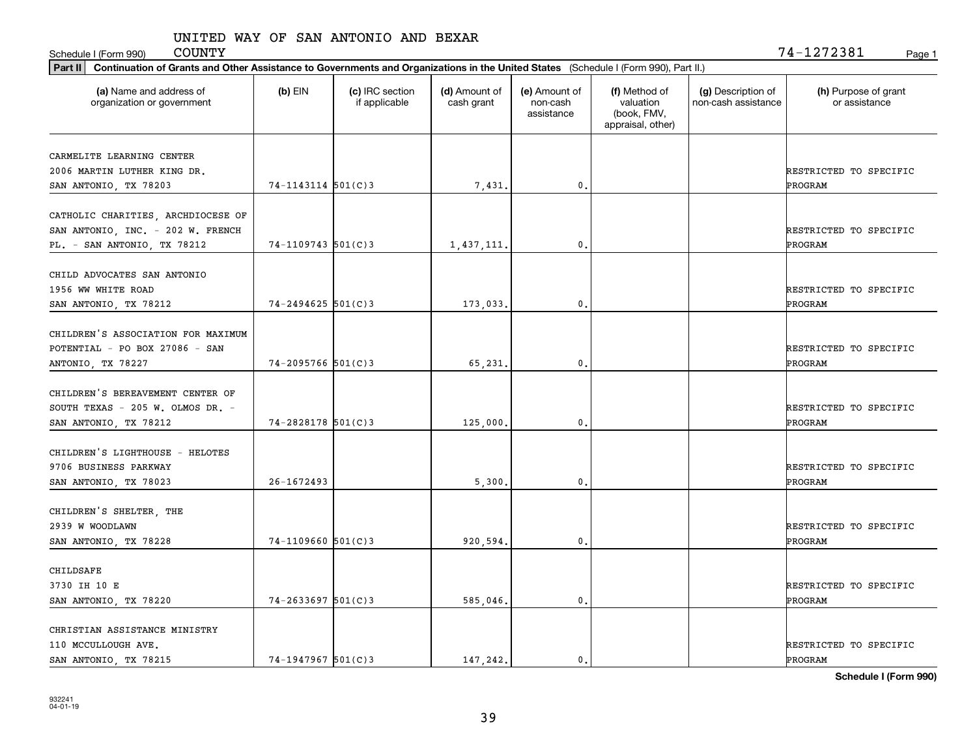| <b>COUNTY</b><br>Schedule I (Form 990)                                                                                                         |                         |                                  |                             |                                         |                                                                |                                           | 74-1272381<br>Page 1                     |
|------------------------------------------------------------------------------------------------------------------------------------------------|-------------------------|----------------------------------|-----------------------------|-----------------------------------------|----------------------------------------------------------------|-------------------------------------------|------------------------------------------|
| Continuation of Grants and Other Assistance to Governments and Organizations in the United States (Schedule I (Form 990), Part II.)<br>Part II |                         |                                  |                             |                                         |                                                                |                                           |                                          |
| (a) Name and address of<br>organization or government                                                                                          | $(b)$ EIN               | (c) IRC section<br>if applicable | (d) Amount of<br>cash grant | (e) Amount of<br>non-cash<br>assistance | (f) Method of<br>valuation<br>(book, FMV,<br>appraisal, other) | (g) Description of<br>non-cash assistance | (h) Purpose of grant<br>or assistance    |
| CARMELITE LEARNING CENTER<br>2006 MARTIN LUTHER KING DR.<br>SAN ANTONIO, TX 78203                                                              | $74 - 1143114$ 501(C)3  |                                  | 7,431.                      | 0.                                      |                                                                |                                           | RESTRICTED TO SPECIFIC<br>PROGRAM        |
| CATHOLIC CHARITIES, ARCHDIOCESE OF<br>SAN ANTONIO, INC. - 202 W. FRENCH<br>PL. - SAN ANTONIO, TX 78212                                         | $74 - 1109743$ 501(C)3  |                                  | 1,437,111.                  | $\mathbf{0}$ .                          |                                                                |                                           | RESTRICTED TO SPECIFIC<br><b>PROGRAM</b> |
| CHILD ADVOCATES SAN ANTONIO<br>1956 WW WHITE ROAD<br>SAN ANTONIO, TX 78212                                                                     | 74-2494625 501(C)3      |                                  | 173,033.                    | 0.                                      |                                                                |                                           | RESTRICTED TO SPECIFIC<br>PROGRAM        |
| CHILDREN'S ASSOCIATION FOR MAXIMUM<br>POTENTIAL - PO BOX 27086 - SAN<br>ANTONIO, TX 78227                                                      | $74 - 2095766$ 501(C)3  |                                  | 65,231.                     | 0.                                      |                                                                |                                           | RESTRICTED TO SPECIFIC<br><b>PROGRAM</b> |
| CHILDREN'S BEREAVEMENT CENTER OF<br>SOUTH TEXAS - 205 W. OLMOS DR. -<br>SAN ANTONIO, TX 78212                                                  | $74 - 2828178$ 501(C) 3 |                                  | 125,000.                    | 0.                                      |                                                                |                                           | RESTRICTED TO SPECIFIC<br>PROGRAM        |
| CHILDREN'S LIGHTHOUSE - HELOTES<br>9706 BUSINESS PARKWAY<br>SAN ANTONIO, TX 78023                                                              | $26 - 1672493$          |                                  | 5,300                       | 0.                                      |                                                                |                                           | RESTRICTED TO SPECIFIC<br>PROGRAM        |
| CHILDREN'S SHELTER, THE<br>2939 W WOODLAWN<br>SAN ANTONIO, TX 78228                                                                            | $74-1109660$ 501(C)3    |                                  | 920,594                     | 0.                                      |                                                                |                                           | RESTRICTED TO SPECIFIC<br><b>PROGRAM</b> |
| CHILDSAFE<br>3730 IH 10 E<br>SAN ANTONIO, TX 78220                                                                                             | $74 - 2633697$ 501(C)3  |                                  | 585,046.                    | 0.                                      |                                                                |                                           | RESTRICTED TO SPECIFIC<br>PROGRAM        |
| CHRISTIAN ASSISTANCE MINISTRY<br>110 MCCULLOUGH AVE.<br>SAN ANTONIO, TX 78215                                                                  | $74-1947967$ 501(C) 3   |                                  | 147.242.                    | 0.                                      |                                                                |                                           | RESTRICTED TO SPECIFIC<br>PROGRAM        |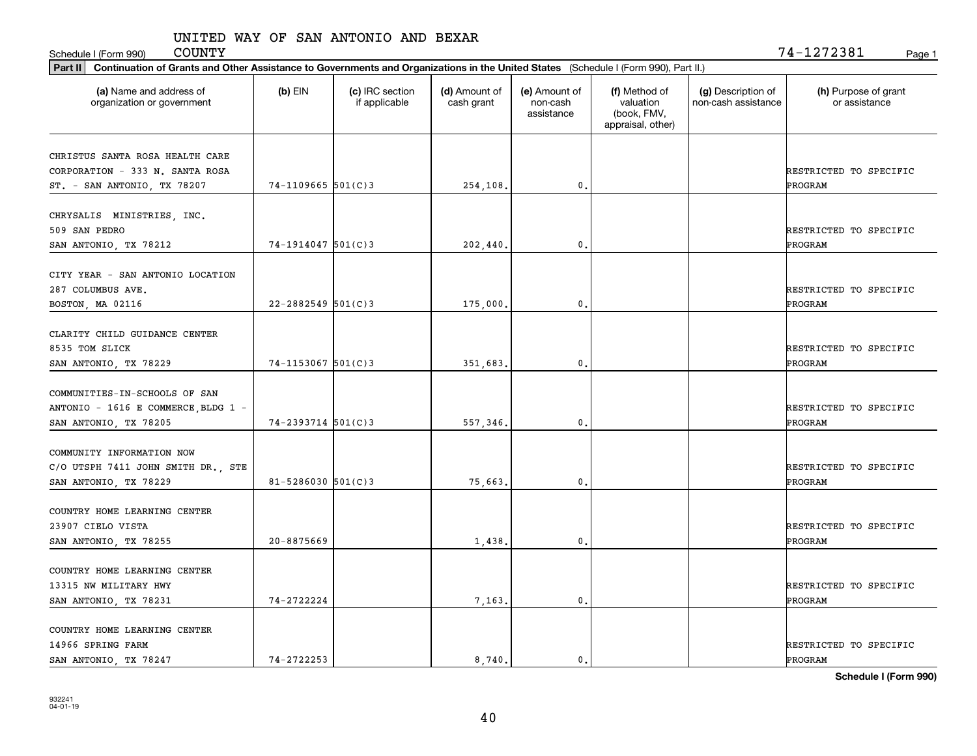| <b>COUNTY</b><br>Schedule I (Form 990)                                                                                                         |                        |                                  |                             |                                         |                                                                |                                           | 74-1272381<br>Page 1                  |
|------------------------------------------------------------------------------------------------------------------------------------------------|------------------------|----------------------------------|-----------------------------|-----------------------------------------|----------------------------------------------------------------|-------------------------------------------|---------------------------------------|
| Continuation of Grants and Other Assistance to Governments and Organizations in the United States (Schedule I (Form 990), Part II.)<br>Part II |                        |                                  |                             |                                         |                                                                |                                           |                                       |
| (a) Name and address of<br>organization or government                                                                                          | $(b)$ EIN              | (c) IRC section<br>if applicable | (d) Amount of<br>cash grant | (e) Amount of<br>non-cash<br>assistance | (f) Method of<br>valuation<br>(book, FMV,<br>appraisal, other) | (g) Description of<br>non-cash assistance | (h) Purpose of grant<br>or assistance |
| CHRISTUS SANTA ROSA HEALTH CARE<br>CORPORATION - 333 N. SANTA ROSA<br>ST. - SAN ANTONIO, TX 78207                                              | $74 - 1109665$ 501(C)3 |                                  | 254,108.                    | $\mathbf{0}$ .                          |                                                                |                                           | RESTRICTED TO SPECIFIC<br>PROGRAM     |
| CHRYSALIS MINISTRIES, INC.<br>509 SAN PEDRO<br>SAN ANTONIO, TX 78212                                                                           | 74-1914047 501(C)3     |                                  | 202,440.                    | $\mathbf{0}$ .                          |                                                                |                                           | RESTRICTED TO SPECIFIC<br>PROGRAM     |
| CITY YEAR - SAN ANTONIO LOCATION<br>287 COLUMBUS AVE.<br>BOSTON, MA 02116                                                                      | 22-2882549 501(C)3     |                                  | 175,000                     | 0.                                      |                                                                |                                           | RESTRICTED TO SPECIFIC<br>PROGRAM     |
| CLARITY CHILD GUIDANCE CENTER<br>8535 TOM SLICK<br>SAN ANTONIO, TX 78229                                                                       | 74-1153067 501(C)3     |                                  | 351,683.                    | 0.                                      |                                                                |                                           | RESTRICTED TO SPECIFIC<br>PROGRAM     |
| COMMUNITIES-IN-SCHOOLS OF SAN<br>ANTONIO - 1616 E COMMERCE, BLDG 1 -<br>SAN ANTONIO, TX 78205                                                  | 74-2393714 501(C)3     |                                  | 557,346.                    | $\mathfrak o$ .                         |                                                                |                                           | RESTRICTED TO SPECIFIC<br>PROGRAM     |
| COMMUNITY INFORMATION NOW<br>C/O UTSPH 7411 JOHN SMITH DR., STE<br>SAN ANTONIO, TX 78229                                                       | $81 - 5286030$ 501(C)3 |                                  | 75,663                      | 0.                                      |                                                                |                                           | RESTRICTED TO SPECIFIC<br>PROGRAM     |
| COUNTRY HOME LEARNING CENTER<br>23907 CIELO VISTA<br>SAN ANTONIO, TX 78255                                                                     | 20-8875669             |                                  | 1,438                       | 0.                                      |                                                                |                                           | RESTRICTED TO SPECIFIC<br>PROGRAM     |
| COUNTRY HOME LEARNING CENTER<br>13315 NW MILITARY HWY<br>SAN ANTONIO, TX 78231                                                                 | 74-2722224             |                                  | 7,163.                      | $\mathbf{0}$ .                          |                                                                |                                           | RESTRICTED TO SPECIFIC<br>PROGRAM     |
| COUNTRY HOME LEARNING CENTER<br>14966 SPRING FARM<br>SAN ANTONIO, TX 78247                                                                     | $74 - 2722253$         |                                  | 8.740.                      | $\mathbf{0}$ .                          |                                                                |                                           | RESTRICTED TO SPECIFIC<br>PROGRAM     |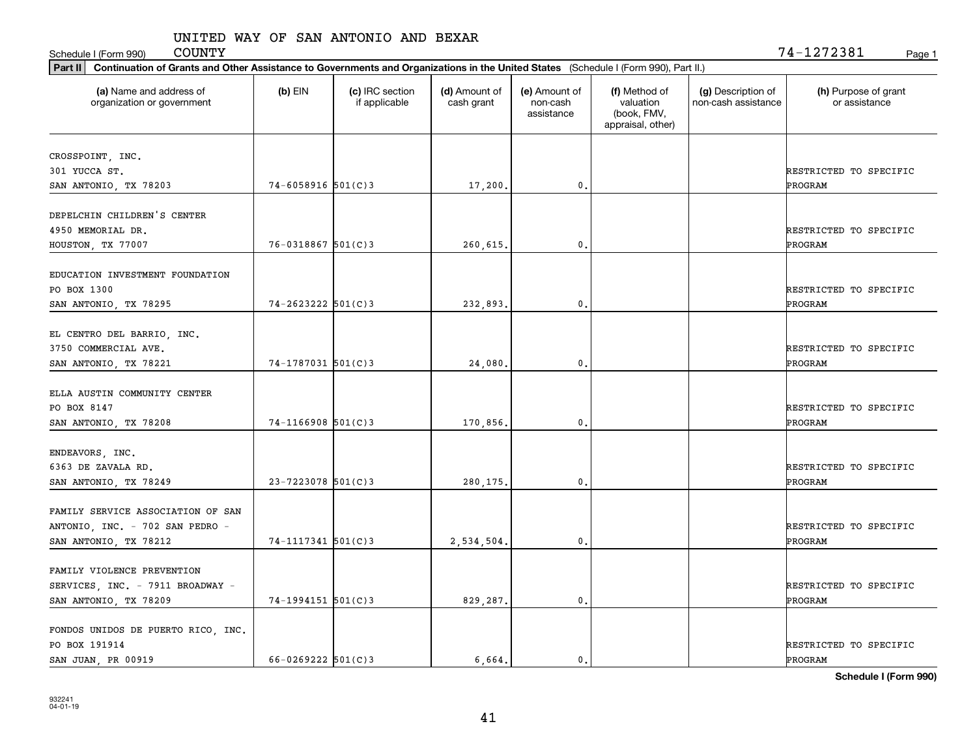Schedule I (Form 990) COUNTY Page 1

| Part II   Continuation of Grants and Other Assistance to Governments and Organizations in the United States (Schedule I (Form 990), Part II.) |                        |                                  |                             |                                         |                                                                |                                           |                                       |
|-----------------------------------------------------------------------------------------------------------------------------------------------|------------------------|----------------------------------|-----------------------------|-----------------------------------------|----------------------------------------------------------------|-------------------------------------------|---------------------------------------|
| (a) Name and address of<br>organization or government                                                                                         | $(b)$ EIN              | (c) IRC section<br>if applicable | (d) Amount of<br>cash grant | (e) Amount of<br>non-cash<br>assistance | (f) Method of<br>valuation<br>(book, FMV,<br>appraisal, other) | (g) Description of<br>non-cash assistance | (h) Purpose of grant<br>or assistance |
|                                                                                                                                               |                        |                                  |                             |                                         |                                                                |                                           |                                       |
| CROSSPOINT, INC.<br>301 YUCCA ST.                                                                                                             |                        |                                  |                             |                                         |                                                                |                                           | RESTRICTED TO SPECIFIC                |
| SAN ANTONIO, TX 78203                                                                                                                         | $74 - 6058916$ 501(C)3 |                                  | 17,200.                     | 0.                                      |                                                                |                                           | PROGRAM                               |
|                                                                                                                                               |                        |                                  |                             |                                         |                                                                |                                           |                                       |
| DEPELCHIN CHILDREN'S CENTER                                                                                                                   |                        |                                  |                             |                                         |                                                                |                                           |                                       |
| 4950 MEMORIAL DR.                                                                                                                             |                        |                                  |                             |                                         |                                                                |                                           | RESTRICTED TO SPECIFIC                |
| HOUSTON, TX 77007                                                                                                                             | $76 - 0318867$ 501(C)3 |                                  | 260,615.                    | 0.                                      |                                                                |                                           | <b>PROGRAM</b>                        |
|                                                                                                                                               |                        |                                  |                             |                                         |                                                                |                                           |                                       |
| EDUCATION INVESTMENT FOUNDATION                                                                                                               |                        |                                  |                             |                                         |                                                                |                                           |                                       |
| PO BOX 1300                                                                                                                                   |                        |                                  |                             |                                         |                                                                |                                           | RESTRICTED TO SPECIFIC                |
| SAN ANTONIO, TX 78295                                                                                                                         | $74 - 2623222$ 501(C)3 |                                  | 232,893.                    | $\mathbf{0}$ .                          |                                                                |                                           | PROGRAM                               |
|                                                                                                                                               |                        |                                  |                             |                                         |                                                                |                                           |                                       |
| EL CENTRO DEL BARRIO, INC.                                                                                                                    |                        |                                  |                             |                                         |                                                                |                                           |                                       |
| 3750 COMMERCIAL AVE.                                                                                                                          |                        |                                  |                             |                                         |                                                                |                                           | RESTRICTED TO SPECIFIC                |
| SAN ANTONIO, TX 78221                                                                                                                         | 74-1787031 501(C)3     |                                  | 24,080.                     | 0.                                      |                                                                |                                           | PROGRAM                               |
|                                                                                                                                               |                        |                                  |                             |                                         |                                                                |                                           |                                       |
| ELLA AUSTIN COMMUNITY CENTER                                                                                                                  |                        |                                  |                             |                                         |                                                                |                                           |                                       |
| PO BOX 8147                                                                                                                                   |                        |                                  |                             |                                         |                                                                |                                           | RESTRICTED TO SPECIFIC                |
| SAN ANTONIO, TX 78208                                                                                                                         | $74-1166908$ 501(C)3   |                                  | 170,856.                    | 0.                                      |                                                                |                                           | PROGRAM                               |
|                                                                                                                                               |                        |                                  |                             |                                         |                                                                |                                           |                                       |
| ENDEAVORS, INC.                                                                                                                               |                        |                                  |                             |                                         |                                                                |                                           |                                       |
| 6363 DE ZAVALA RD.                                                                                                                            |                        |                                  |                             |                                         |                                                                |                                           | RESTRICTED TO SPECIFIC                |
| SAN ANTONIO, TX 78249                                                                                                                         | $23 - 7223078$ 501(C)3 |                                  | 280,175                     | 0.                                      |                                                                |                                           | PROGRAM                               |
| FAMILY SERVICE ASSOCIATION OF SAN                                                                                                             |                        |                                  |                             |                                         |                                                                |                                           |                                       |
|                                                                                                                                               |                        |                                  |                             |                                         |                                                                |                                           | RESTRICTED TO SPECIFIC                |
| ANTONIO, INC. - 702 SAN PEDRO -                                                                                                               |                        |                                  |                             |                                         |                                                                |                                           |                                       |
| SAN ANTONIO, TX 78212                                                                                                                         | $74 - 1117341$ 501(C)3 |                                  | 2,534,504.                  | 0.                                      |                                                                |                                           | <b>PROGRAM</b>                        |
| FAMILY VIOLENCE PREVENTION                                                                                                                    |                        |                                  |                             |                                         |                                                                |                                           |                                       |
|                                                                                                                                               |                        |                                  |                             |                                         |                                                                |                                           | RESTRICTED TO SPECIFIC                |
| SERVICES, INC. - 7911 BROADWAY -                                                                                                              | $74-1994151$ 501(C)3   |                                  |                             |                                         |                                                                |                                           | ÞROGRAM                               |
| SAN ANTONIO, TX 78209                                                                                                                         |                        |                                  | 829,287.                    | $\mathbf{0}$ .                          |                                                                |                                           |                                       |
| FONDOS UNIDOS DE PUERTO RICO, INC.                                                                                                            |                        |                                  |                             |                                         |                                                                |                                           |                                       |
| PO BOX 191914                                                                                                                                 |                        |                                  |                             |                                         |                                                                |                                           | RESTRICTED TO SPECIFIC                |
| SAN JUAN, PR 00919                                                                                                                            | $66 - 0269222$ 501(C)3 |                                  | 6.664.                      | $\mathfrak{o}$ .                        |                                                                |                                           | PROGRAM                               |
|                                                                                                                                               |                        |                                  |                             |                                         |                                                                |                                           |                                       |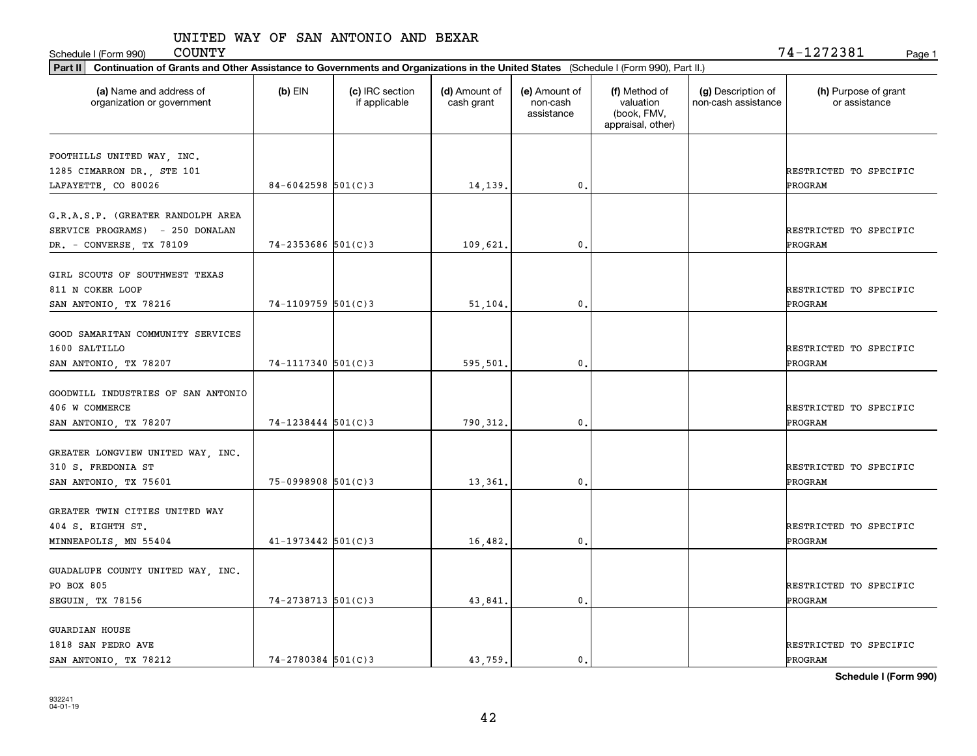Schedule I (Form 990) COUNTY Page 1

| Part II   Continuation of Grants and Other Assistance to Governments and Organizations in the United States (Schedule I (Form 990), Part II.) |                        |                                  |                             |                                         |                                                                |                                           |                                          |
|-----------------------------------------------------------------------------------------------------------------------------------------------|------------------------|----------------------------------|-----------------------------|-----------------------------------------|----------------------------------------------------------------|-------------------------------------------|------------------------------------------|
| (a) Name and address of<br>organization or government                                                                                         | $(b)$ EIN              | (c) IRC section<br>if applicable | (d) Amount of<br>cash grant | (e) Amount of<br>non-cash<br>assistance | (f) Method of<br>valuation<br>(book, FMV,<br>appraisal, other) | (g) Description of<br>non-cash assistance | (h) Purpose of grant<br>or assistance    |
| FOOTHILLS UNITED WAY, INC.<br>1285 CIMARRON DR., STE 101<br>LAFAYETTE, CO 80026                                                               | $84 - 6042598$ 501(C)3 |                                  | 14,139.                     | 0.                                      |                                                                |                                           | RESTRICTED TO SPECIFIC<br>PROGRAM        |
| G.R.A.S.P. (GREATER RANDOLPH AREA<br>SERVICE PROGRAMS) - 250 DONALAN<br>DR. - CONVERSE, TX 78109                                              | $74 - 2353686$ 501(C)3 |                                  | 109,621                     | 0.                                      |                                                                |                                           | RESTRICTED TO SPECIFIC<br>PROGRAM        |
| GIRL SCOUTS OF SOUTHWEST TEXAS<br>811 N COKER LOOP<br>SAN ANTONIO, TX 78216                                                                   | 74-1109759 501(C)3     |                                  | 51,104                      | $\mathbf{0}$ .                          |                                                                |                                           | RESTRICTED TO SPECIFIC<br>PROGRAM        |
| GOOD SAMARITAN COMMUNITY SERVICES<br>1600 SALTILLO<br>SAN ANTONIO, TX 78207                                                                   | 74-1117340 501(C)3     |                                  | 595,501                     | 0.                                      |                                                                |                                           | RESTRICTED TO SPECIFIC<br>PROGRAM        |
| GOODWILL INDUSTRIES OF SAN ANTONIO<br>406 W COMMERCE<br>SAN ANTONIO, TX 78207                                                                 | $74 - 1238444$ 501(C)3 |                                  | 790, 312.                   | $\mathbf{0}$                            |                                                                |                                           | RESTRICTED TO SPECIFIC<br>PROGRAM        |
| GREATER LONGVIEW UNITED WAY, INC.<br>310 S. FREDONIA ST<br>SAN ANTONIO, TX 75601                                                              | 75-0998908 501(C)3     |                                  | 13,361                      | 0.                                      |                                                                |                                           | RESTRICTED TO SPECIFIC<br>PROGRAM        |
| GREATER TWIN CITIES UNITED WAY<br>404 S. EIGHTH ST.<br>MINNEAPOLIS, MN 55404                                                                  | $41 - 1973442$ 501(C)3 |                                  | 16,482.                     | $^{\circ}$ .                            |                                                                |                                           | RESTRICTED TO SPECIFIC<br>PROGRAM        |
| GUADALUPE COUNTY UNITED WAY, INC.<br>PO BOX 805<br>SEGUIN, TX 78156                                                                           | $74 - 2738713$ 501(C)3 |                                  | 43,841.                     | $\mathbf{0}$ .                          |                                                                |                                           | RESTRICTED TO SPECIFIC<br><b>PROGRAM</b> |
| <b>GUARDIAN HOUSE</b><br>1818 SAN PEDRO AVE<br>SAN ANTONIO, TX 78212                                                                          | $74 - 2780384$ 501(C)3 |                                  | 43.759.                     | $\mathbf{0}$ .                          |                                                                |                                           | RESTRICTED TO SPECIFIC<br>PROGRAM        |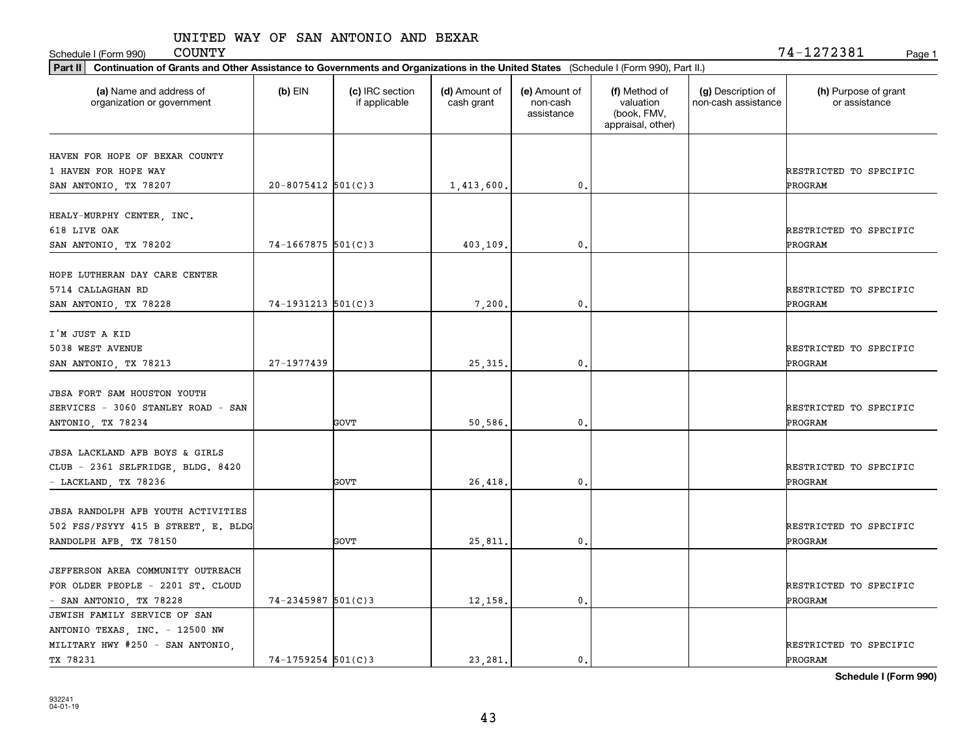Schedule I (Form 990) Page 1

 $\mathtt{COUNTY} \hspace{1.5cm} 74\mathtt{-}1272381$ 

| Part II   Continuation of Grants and Other Assistance to Governments and Organizations in the United States (Schedule I (Form 990), Part II.) |                         |                                  |                             |                                         |                                                                |                                           |                                       |
|-----------------------------------------------------------------------------------------------------------------------------------------------|-------------------------|----------------------------------|-----------------------------|-----------------------------------------|----------------------------------------------------------------|-------------------------------------------|---------------------------------------|
| (a) Name and address of<br>organization or government                                                                                         | $(b)$ EIN               | (c) IRC section<br>if applicable | (d) Amount of<br>cash grant | (e) Amount of<br>non-cash<br>assistance | (f) Method of<br>valuation<br>(book, FMV,<br>appraisal, other) | (g) Description of<br>non-cash assistance | (h) Purpose of grant<br>or assistance |
|                                                                                                                                               |                         |                                  |                             |                                         |                                                                |                                           |                                       |
| HAVEN FOR HOPE OF BEXAR COUNTY                                                                                                                |                         |                                  |                             |                                         |                                                                |                                           |                                       |
| 1 HAVEN FOR HOPE WAY                                                                                                                          | $20 - 8075412$ 501(C) 3 |                                  |                             | $\mathfrak{o}$ .                        |                                                                |                                           | RESTRICTED TO SPECIFIC<br>PROGRAM     |
| SAN ANTONIO, TX 78207                                                                                                                         |                         |                                  | 1,413,600.                  |                                         |                                                                |                                           |                                       |
| HEALY-MURPHY CENTER, INC.                                                                                                                     |                         |                                  |                             |                                         |                                                                |                                           |                                       |
| 618 LIVE OAK                                                                                                                                  |                         |                                  |                             |                                         |                                                                |                                           | RESTRICTED TO SPECIFIC                |
| SAN ANTONIO, TX 78202                                                                                                                         | $74 - 1667875$ 501(C)3  |                                  | 403,109.                    | $\mathfrak{o}$ .                        |                                                                |                                           | PROGRAM                               |
|                                                                                                                                               |                         |                                  |                             |                                         |                                                                |                                           |                                       |
| HOPE LUTHERAN DAY CARE CENTER                                                                                                                 |                         |                                  |                             |                                         |                                                                |                                           |                                       |
| 5714 CALLAGHAN RD                                                                                                                             |                         |                                  |                             |                                         |                                                                |                                           | RESTRICTED TO SPECIFIC                |
| SAN ANTONIO, TX 78228                                                                                                                         | $74-1931213$ 501(C)3    |                                  | 7,200,                      | $\mathfrak{o}$ .                        |                                                                |                                           | PROGRAM                               |
|                                                                                                                                               |                         |                                  |                             |                                         |                                                                |                                           |                                       |
| I'M JUST A KID                                                                                                                                |                         |                                  |                             |                                         |                                                                |                                           |                                       |
| 5038 WEST AVENUE                                                                                                                              |                         |                                  |                             |                                         |                                                                |                                           | RESTRICTED TO SPECIFIC                |
| SAN ANTONIO, TX 78213                                                                                                                         | 27-1977439              |                                  | 25, 315.                    | 0.                                      |                                                                |                                           | PROGRAM                               |
|                                                                                                                                               |                         |                                  |                             |                                         |                                                                |                                           |                                       |
| <b>JBSA FORT SAM HOUSTON YOUTH</b>                                                                                                            |                         |                                  |                             |                                         |                                                                |                                           |                                       |
| SERVICES - 3060 STANLEY ROAD - SAN                                                                                                            |                         |                                  |                             |                                         |                                                                |                                           | RESTRICTED TO SPECIFIC                |
| ANTONIO, TX 78234                                                                                                                             |                         | <b>GOVT</b>                      | 50,586.                     | $\mathbf 0$ .                           |                                                                |                                           | PROGRAM                               |
|                                                                                                                                               |                         |                                  |                             |                                         |                                                                |                                           |                                       |
| <b>JBSA LACKLAND AFB BOYS &amp; GIRLS</b>                                                                                                     |                         |                                  |                             |                                         |                                                                |                                           |                                       |
| CLUB - 2361 SELFRIDGE, BLDG. 8420                                                                                                             |                         |                                  |                             |                                         |                                                                |                                           | RESTRICTED TO SPECIFIC                |
| - LACKLAND, TX 78236                                                                                                                          |                         | <b>GOVT</b>                      | 26,418.                     | $\mathfrak{o}$ .                        |                                                                |                                           | PROGRAM                               |
|                                                                                                                                               |                         |                                  |                             |                                         |                                                                |                                           |                                       |
| JBSA RANDOLPH AFB YOUTH ACTIVITIES                                                                                                            |                         |                                  |                             |                                         |                                                                |                                           |                                       |
| 502 FSS/FSYYY 415 B STREET, E. BLDG                                                                                                           |                         |                                  |                             |                                         |                                                                |                                           | RESTRICTED TO SPECIFIC                |
| RANDOLPH AFB, TX 78150                                                                                                                        |                         | GOVT                             | 25,811                      | 0.                                      |                                                                |                                           | PROGRAM                               |
|                                                                                                                                               |                         |                                  |                             |                                         |                                                                |                                           |                                       |
| JEFFERSON AREA COMMUNITY OUTREACH                                                                                                             |                         |                                  |                             |                                         |                                                                |                                           |                                       |
| FOR OLDER PEOPLE - 2201 ST. CLOUD                                                                                                             |                         |                                  |                             |                                         |                                                                |                                           | RESTRICTED TO SPECIFIC                |
| - SAN ANTONIO, TX 78228                                                                                                                       | $74 - 2345987$ 501(C)3  |                                  | 12,158.                     | $\mathbf{0}$ .                          |                                                                |                                           | PROGRAM                               |
| JEWISH FAMILY SERVICE OF SAN                                                                                                                  |                         |                                  |                             |                                         |                                                                |                                           |                                       |
| ANTONIO TEXAS, INC. - 12500 NW                                                                                                                |                         |                                  |                             |                                         |                                                                |                                           |                                       |
| MILITARY HWY #250 - SAN ANTONIO,                                                                                                              |                         |                                  |                             |                                         |                                                                |                                           | RESTRICTED TO SPECIFIC                |
|                                                                                                                                               |                         |                                  |                             |                                         |                                                                |                                           |                                       |
| TX 78231                                                                                                                                      | 74-1759254 501(C)3      |                                  | 23, 281.                    | $\mathfrak{o}$ .                        |                                                                |                                           | PROGRAM                               |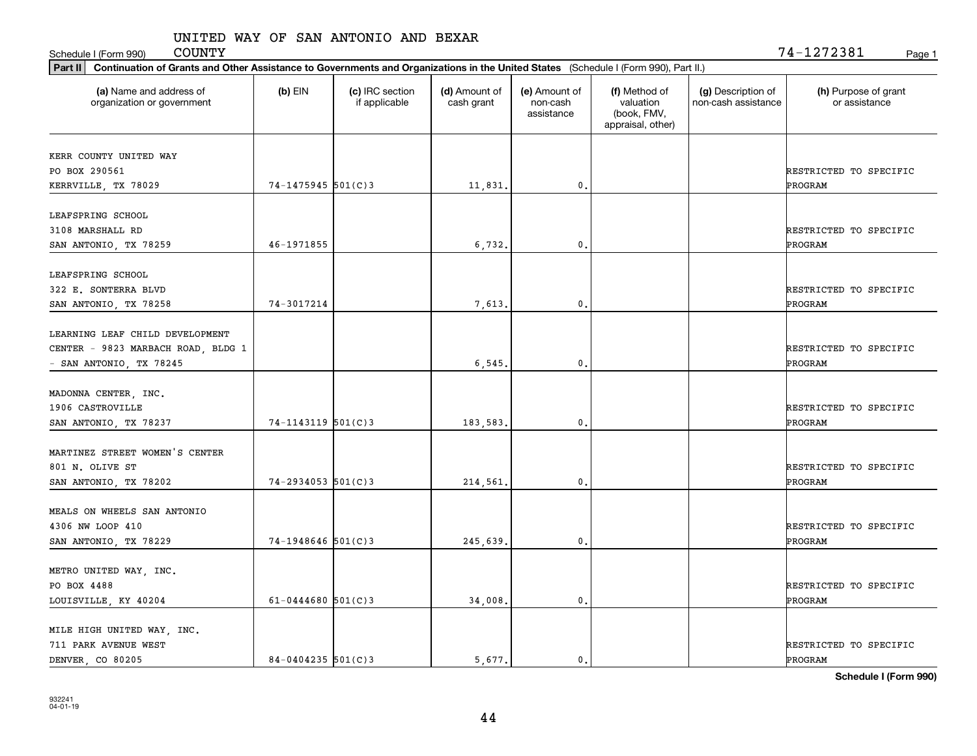Schedule I (Form 990) COUNTY Page 1

| $74 - 1475945$ 501(C)3<br>46-1971855 | 11,831.<br>6,732.                              | 0.<br>0.       |    | RESTRICTED TO SPECIFIC<br>PROGRAM       |
|--------------------------------------|------------------------------------------------|----------------|----|-----------------------------------------|
|                                      |                                                |                |    |                                         |
|                                      |                                                |                |    |                                         |
|                                      |                                                |                |    |                                         |
|                                      |                                                |                |    |                                         |
|                                      |                                                |                |    | RESTRICTED TO SPECIFIC                  |
|                                      |                                                |                |    | PROGRAM                                 |
|                                      |                                                |                |    |                                         |
|                                      |                                                |                |    | RESTRICTED TO SPECIFIC                  |
| 74-3017214                           | 7,613.                                         | 0.             |    | PROGRAM                                 |
|                                      |                                                |                |    |                                         |
|                                      |                                                |                |    |                                         |
|                                      |                                                |                |    | RESTRICTED TO SPECIFIC                  |
|                                      | 6, 545                                         | 0.             |    | PROGRAM                                 |
|                                      |                                                |                |    |                                         |
|                                      |                                                |                |    |                                         |
| 74-1143119 501(C)3                   | 183,583.                                       | 0.             |    | RESTRICTED TO SPECIFIC<br>PROGRAM       |
|                                      |                                                |                |    |                                         |
|                                      |                                                |                |    |                                         |
|                                      |                                                |                |    | RESTRICTED TO SPECIFIC                  |
| $74 - 2934053$ 501(C)3               | 214,561.                                       | 0.             |    | PROGRAM                                 |
|                                      |                                                |                |    |                                         |
|                                      |                                                |                |    | RESTRICTED TO SPECIFIC                  |
|                                      |                                                |                |    | PROGRAM                                 |
|                                      |                                                |                |    |                                         |
|                                      |                                                |                |    |                                         |
|                                      |                                                |                |    | RESTRICTED TO SPECIFIC                  |
|                                      | 34,008.                                        | $\mathbf{0}$ . |    | PROGRAM                                 |
|                                      |                                                |                |    |                                         |
|                                      |                                                |                |    | RESTRICTED TO SPECIFIC                  |
|                                      |                                                |                |    | PROGRAM                                 |
|                                      | $74-1948646$ 501(C)3<br>$61 - 0444680$ 501(C)3 | 245,639.       | 0. | $84 - 0404235$ 501(C) 3<br>5.677.<br>0. |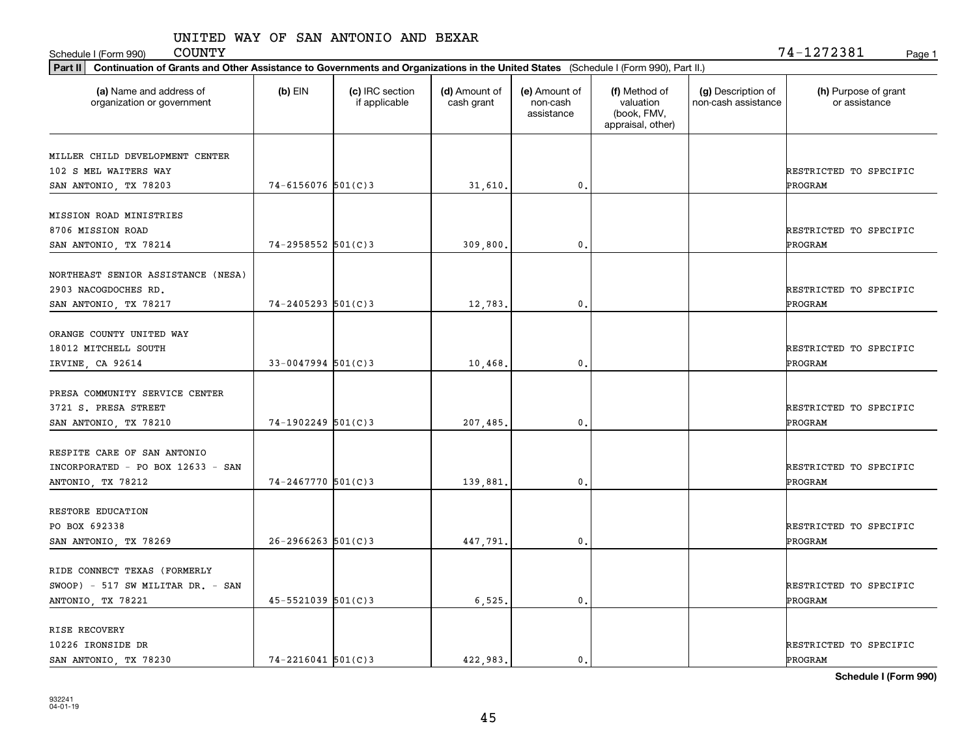Schedule I (Form 990) Page 1

 $\mathtt{COUNTY} \hspace{1.5cm} 74\mathtt{-}1272381$ 

| Part II   Continuation of Grants and Other Assistance to Governments and Organizations in the United States (Schedule I (Form 990), Part II.) |                        |                                  |                             |                                         |                                                                |                                           |                                       |
|-----------------------------------------------------------------------------------------------------------------------------------------------|------------------------|----------------------------------|-----------------------------|-----------------------------------------|----------------------------------------------------------------|-------------------------------------------|---------------------------------------|
| (a) Name and address of<br>organization or government                                                                                         | $(b)$ EIN              | (c) IRC section<br>if applicable | (d) Amount of<br>cash grant | (e) Amount of<br>non-cash<br>assistance | (f) Method of<br>valuation<br>(book, FMV,<br>appraisal, other) | (g) Description of<br>non-cash assistance | (h) Purpose of grant<br>or assistance |
|                                                                                                                                               |                        |                                  |                             |                                         |                                                                |                                           |                                       |
| MILLER CHILD DEVELOPMENT CENTER<br>102 S MEL WAITERS WAY                                                                                      |                        |                                  |                             |                                         |                                                                |                                           | RESTRICTED TO SPECIFIC                |
| SAN ANTONIO, TX 78203                                                                                                                         | $74 - 6156076$ 501(C)3 |                                  | 31,610.                     | $\mathfrak{o}$ .                        |                                                                |                                           | PROGRAM                               |
|                                                                                                                                               |                        |                                  |                             |                                         |                                                                |                                           |                                       |
| MISSION ROAD MINISTRIES                                                                                                                       |                        |                                  |                             |                                         |                                                                |                                           |                                       |
| 8706 MISSION ROAD                                                                                                                             |                        |                                  |                             |                                         |                                                                |                                           | RESTRICTED TO SPECIFIC                |
| SAN ANTONIO, TX 78214                                                                                                                         | $74 - 2958552$ 501(C)3 |                                  | 309,800.                    | 0.                                      |                                                                |                                           | PROGRAM                               |
|                                                                                                                                               |                        |                                  |                             |                                         |                                                                |                                           |                                       |
| NORTHEAST SENIOR ASSISTANCE (NESA)                                                                                                            |                        |                                  |                             |                                         |                                                                |                                           |                                       |
| 2903 NACOGDOCHES RD.                                                                                                                          |                        |                                  |                             |                                         |                                                                |                                           | RESTRICTED TO SPECIFIC                |
| SAN ANTONIO, TX 78217                                                                                                                         | $74 - 2405293$ 501(C)3 |                                  | 12,783.                     | $\mathbf{0}$ .                          |                                                                |                                           | PROGRAM                               |
| ORANGE COUNTY UNITED WAY                                                                                                                      |                        |                                  |                             |                                         |                                                                |                                           |                                       |
| 18012 MITCHELL SOUTH                                                                                                                          |                        |                                  |                             |                                         |                                                                |                                           | RESTRICTED TO SPECIFIC                |
| IRVINE, CA 92614                                                                                                                              | $33 - 0047994$ 501(C)3 |                                  | 10,468.                     | 0.                                      |                                                                |                                           | PROGRAM                               |
|                                                                                                                                               |                        |                                  |                             |                                         |                                                                |                                           |                                       |
| PRESA COMMUNITY SERVICE CENTER                                                                                                                |                        |                                  |                             |                                         |                                                                |                                           |                                       |
| 3721 S. PRESA STREET                                                                                                                          |                        |                                  |                             |                                         |                                                                |                                           | RESTRICTED TO SPECIFIC                |
| SAN ANTONIO, TX 78210                                                                                                                         | $74-1902249$ 501(C)3   |                                  | 207,485.                    | $\mathbf{0}$                            |                                                                |                                           | PROGRAM                               |
|                                                                                                                                               |                        |                                  |                             |                                         |                                                                |                                           |                                       |
| RESPITE CARE OF SAN ANTONIO                                                                                                                   |                        |                                  |                             |                                         |                                                                |                                           |                                       |
| INCORPORATED - PO BOX 12633 - SAN                                                                                                             |                        |                                  |                             |                                         |                                                                |                                           | RESTRICTED TO SPECIFIC                |
| ANTONIO, TX 78212                                                                                                                             | $74 - 2467770$ 501(C)3 |                                  | 139,881                     | $\mathfrak{o}$ .                        |                                                                |                                           | PROGRAM                               |
|                                                                                                                                               |                        |                                  |                             |                                         |                                                                |                                           |                                       |
| RESTORE EDUCATION                                                                                                                             |                        |                                  |                             |                                         |                                                                |                                           |                                       |
| PO BOX 692338                                                                                                                                 |                        |                                  |                             |                                         |                                                                |                                           | RESTRICTED TO SPECIFIC                |
| SAN ANTONIO, TX 78269                                                                                                                         | $26 - 2966263$ 501(C)3 |                                  | 447,791                     | $^{\circ}$ .                            |                                                                |                                           | PROGRAM                               |
| RIDE CONNECT TEXAS (FORMERLY                                                                                                                  |                        |                                  |                             |                                         |                                                                |                                           |                                       |
| $SWOOP$ ) - 517 SW MILITAR DR. - SAN                                                                                                          |                        |                                  |                             |                                         |                                                                |                                           | RESTRICTED TO SPECIFIC                |
| ANTONIO, TX 78221                                                                                                                             | $45 - 5521039$ 501(C)3 |                                  | 6,525.                      | $\mathfrak o$ .                         |                                                                |                                           | <b>PROGRAM</b>                        |
|                                                                                                                                               |                        |                                  |                             |                                         |                                                                |                                           |                                       |
| RISE RECOVERY                                                                                                                                 |                        |                                  |                             |                                         |                                                                |                                           |                                       |
| 10226 IRONSIDE DR                                                                                                                             |                        |                                  |                             |                                         |                                                                |                                           | RESTRICTED TO SPECIFIC                |
| SAN ANTONIO, TX 78230                                                                                                                         | $74 - 2216041$ 501(C)3 |                                  | 422.983.                    | $\mathfrak{o}$ .                        |                                                                |                                           | PROGRAM                               |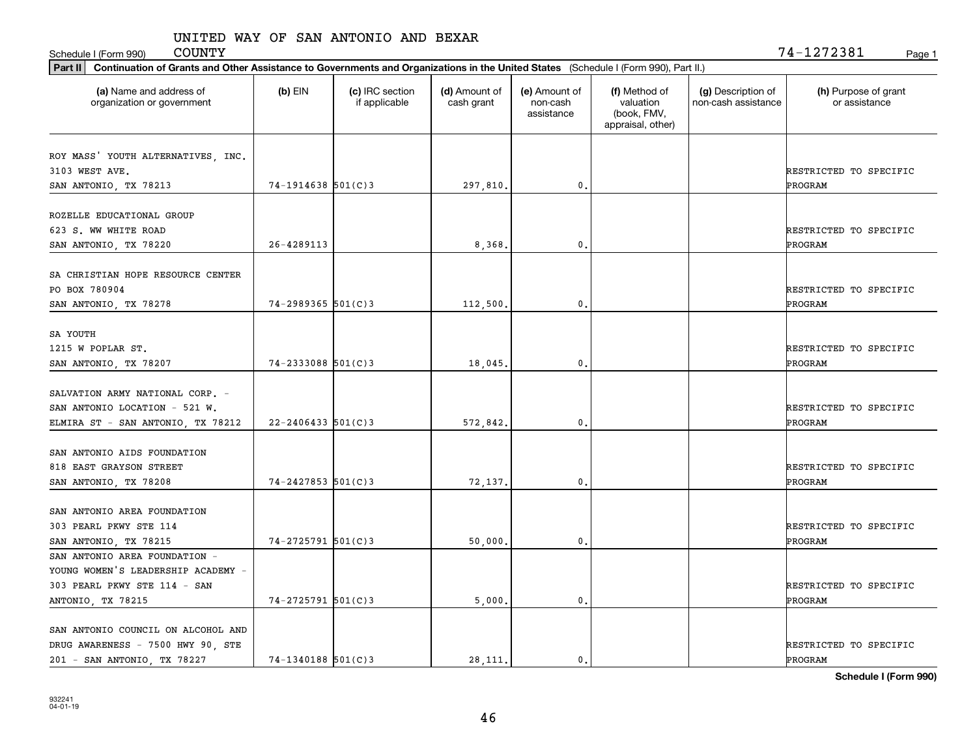Schedule I (Form 990) COUNTY Page 1

| Part II   Continuation of Grants and Other Assistance to Governments and Organizations in the United States (Schedule I (Form 990), Part II.) |                        |                                  |                             |                                         |                                                                |                                           |                                       |
|-----------------------------------------------------------------------------------------------------------------------------------------------|------------------------|----------------------------------|-----------------------------|-----------------------------------------|----------------------------------------------------------------|-------------------------------------------|---------------------------------------|
| (a) Name and address of<br>organization or government                                                                                         | $(b)$ EIN              | (c) IRC section<br>if applicable | (d) Amount of<br>cash grant | (e) Amount of<br>non-cash<br>assistance | (f) Method of<br>valuation<br>(book, FMV,<br>appraisal, other) | (g) Description of<br>non-cash assistance | (h) Purpose of grant<br>or assistance |
| ROY MASS' YOUTH ALTERNATIVES, INC.                                                                                                            |                        |                                  |                             |                                         |                                                                |                                           |                                       |
| 3103 WEST AVE.                                                                                                                                |                        |                                  |                             |                                         |                                                                |                                           | RESTRICTED TO SPECIFIC                |
| SAN ANTONIO, TX 78213                                                                                                                         | $74-1914638$ 501(C)3   |                                  | 297,810.                    | 0.                                      |                                                                |                                           | PROGRAM                               |
|                                                                                                                                               |                        |                                  |                             |                                         |                                                                |                                           |                                       |
| ROZELLE EDUCATIONAL GROUP                                                                                                                     |                        |                                  |                             |                                         |                                                                |                                           |                                       |
| 623 S. WW WHITE ROAD                                                                                                                          |                        |                                  |                             |                                         |                                                                |                                           | RESTRICTED TO SPECIFIC                |
| SAN ANTONIO, TX 78220                                                                                                                         | 26-4289113             |                                  | 8,368,                      | 0.                                      |                                                                |                                           | PROGRAM                               |
|                                                                                                                                               |                        |                                  |                             |                                         |                                                                |                                           |                                       |
| SA CHRISTIAN HOPE RESOURCE CENTER                                                                                                             |                        |                                  |                             |                                         |                                                                |                                           |                                       |
| PO BOX 780904                                                                                                                                 | $74 - 2989365$ 501(C)3 |                                  |                             | 0.                                      |                                                                |                                           | RESTRICTED TO SPECIFIC                |
| SAN ANTONIO, TX 78278                                                                                                                         |                        |                                  | 112,500.                    |                                         |                                                                |                                           | PROGRAM                               |
| SA YOUTH                                                                                                                                      |                        |                                  |                             |                                         |                                                                |                                           |                                       |
| 1215 W POPLAR ST.                                                                                                                             |                        |                                  |                             |                                         |                                                                |                                           | RESTRICTED TO SPECIFIC                |
| SAN ANTONIO, TX 78207                                                                                                                         | 74-2333088 501(C)3     |                                  | 18,045.                     | 0.                                      |                                                                |                                           | PROGRAM                               |
|                                                                                                                                               |                        |                                  |                             |                                         |                                                                |                                           |                                       |
| SALVATION ARMY NATIONAL CORP. -                                                                                                               |                        |                                  |                             |                                         |                                                                |                                           |                                       |
| SAN ANTONIO LOCATION - 521 W.                                                                                                                 |                        |                                  |                             |                                         |                                                                |                                           | RESTRICTED TO SPECIFIC                |
| ELMIRA ST - SAN ANTONIO, TX 78212                                                                                                             | $22 - 2406433$ 501(C)3 |                                  | 572,842.                    | 0.                                      |                                                                |                                           | PROGRAM                               |
|                                                                                                                                               |                        |                                  |                             |                                         |                                                                |                                           |                                       |
| SAN ANTONIO AIDS FOUNDATION                                                                                                                   |                        |                                  |                             |                                         |                                                                |                                           |                                       |
| 818 EAST GRAYSON STREET                                                                                                                       |                        |                                  |                             |                                         |                                                                |                                           | RESTRICTED TO SPECIFIC                |
| SAN ANTONIO, TX 78208                                                                                                                         | $74 - 2427853$ 501(C)3 |                                  | 72,137.                     | 0.                                      |                                                                |                                           | PROGRAM                               |
|                                                                                                                                               |                        |                                  |                             |                                         |                                                                |                                           |                                       |
| SAN ANTONIO AREA FOUNDATION                                                                                                                   |                        |                                  |                             |                                         |                                                                |                                           |                                       |
| 303 PEARL PKWY STE 114                                                                                                                        |                        |                                  |                             |                                         |                                                                |                                           | RESTRICTED TO SPECIFIC                |
| SAN ANTONIO, TX 78215                                                                                                                         | $74 - 2725791$ 501(C)3 |                                  | 50,000.                     | 0.                                      |                                                                |                                           | PROGRAM                               |
| SAN ANTONIO AREA FOUNDATION -                                                                                                                 |                        |                                  |                             |                                         |                                                                |                                           |                                       |
| YOUNG WOMEN'S LEADERSHIP ACADEMY -                                                                                                            |                        |                                  |                             |                                         |                                                                |                                           |                                       |
| 303 PEARL PKWY STE 114 - SAN                                                                                                                  |                        |                                  |                             |                                         |                                                                |                                           | RESTRICTED TO SPECIFIC                |
| ANTONIO, TX 78215                                                                                                                             | $74 - 2725791$ 501(C)3 |                                  | 5,000.                      | 0.                                      |                                                                |                                           | <b>PROGRAM</b>                        |
| SAN ANTONIO COUNCIL ON ALCOHOL AND                                                                                                            |                        |                                  |                             |                                         |                                                                |                                           |                                       |
| DRUG AWARENESS - 7500 HWY 90, STE                                                                                                             |                        |                                  |                             |                                         |                                                                |                                           | RESTRICTED TO SPECIFIC                |
| 201 - SAN ANTONIO, TX 78227                                                                                                                   | 74-1340188 501(C)3     |                                  | 28, 111.                    | $\mathfrak{o}$ .                        |                                                                |                                           | PROGRAM                               |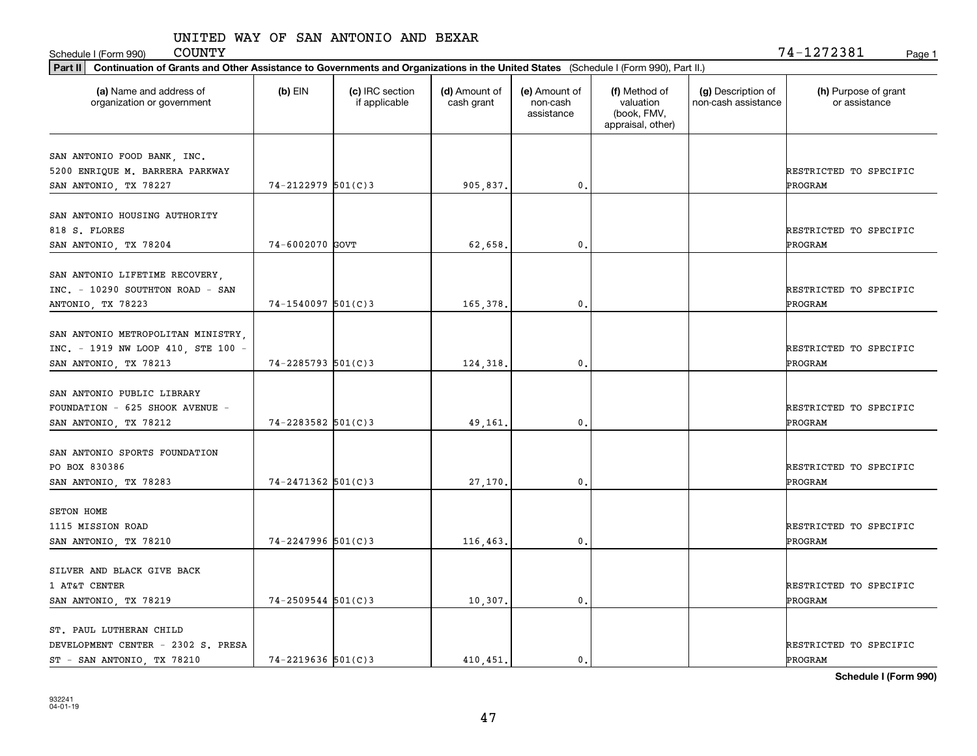Schedule I (Form 990) COUNTY Page 1

| Part II   Continuation of Grants and Other Assistance to Governments and Organizations in the United States (Schedule I (Form 990), Part II.) |                         |                                  |                             |                                         |                                                                |                                           |                                       |
|-----------------------------------------------------------------------------------------------------------------------------------------------|-------------------------|----------------------------------|-----------------------------|-----------------------------------------|----------------------------------------------------------------|-------------------------------------------|---------------------------------------|
| (a) Name and address of<br>organization or government                                                                                         | $(b)$ EIN               | (c) IRC section<br>if applicable | (d) Amount of<br>cash grant | (e) Amount of<br>non-cash<br>assistance | (f) Method of<br>valuation<br>(book, FMV,<br>appraisal, other) | (g) Description of<br>non-cash assistance | (h) Purpose of grant<br>or assistance |
|                                                                                                                                               |                         |                                  |                             |                                         |                                                                |                                           |                                       |
| SAN ANTONIO FOOD BANK, INC.<br>5200 ENRIQUE M. BARRERA PARKWAY                                                                                |                         |                                  |                             |                                         |                                                                |                                           | RESTRICTED TO SPECIFIC                |
| SAN ANTONIO, TX 78227                                                                                                                         | $74 - 2122979$ 501(C)3  |                                  | 905,837.                    | $\mathfrak{o}$ .                        |                                                                |                                           | PROGRAM                               |
|                                                                                                                                               |                         |                                  |                             |                                         |                                                                |                                           |                                       |
| SAN ANTONIO HOUSING AUTHORITY                                                                                                                 |                         |                                  |                             |                                         |                                                                |                                           |                                       |
| 818 S. FLORES                                                                                                                                 |                         |                                  |                             |                                         |                                                                |                                           | RESTRICTED TO SPECIFIC                |
| SAN ANTONIO, TX 78204                                                                                                                         | 74-6002070 GOVT         |                                  | 62,658.                     | 0.                                      |                                                                |                                           | PROGRAM                               |
|                                                                                                                                               |                         |                                  |                             |                                         |                                                                |                                           |                                       |
| SAN ANTONIO LIFETIME RECOVERY,                                                                                                                |                         |                                  |                             |                                         |                                                                |                                           |                                       |
| INC. - 10290 SOUTHTON ROAD - SAN                                                                                                              |                         |                                  |                             |                                         |                                                                |                                           | RESTRICTED TO SPECIFIC                |
| ANTONIO, TX 78223                                                                                                                             | $74 - 1540097$ 501(C)3  |                                  | 165,378.                    | $\mathbf{0}$ .                          |                                                                |                                           | PROGRAM                               |
|                                                                                                                                               |                         |                                  |                             |                                         |                                                                |                                           |                                       |
| SAN ANTONIO METROPOLITAN MINISTRY,                                                                                                            |                         |                                  |                             |                                         |                                                                |                                           |                                       |
| INC. - 1919 NW LOOP 410, STE 100 -                                                                                                            |                         |                                  |                             |                                         |                                                                |                                           | RESTRICTED TO SPECIFIC                |
| SAN ANTONIO, TX 78213                                                                                                                         | $74 - 2285793$ 501(C)3  |                                  | 124,318.                    | 0.                                      |                                                                |                                           | PROGRAM                               |
| SAN ANTONIO PUBLIC LIBRARY                                                                                                                    |                         |                                  |                             |                                         |                                                                |                                           |                                       |
| FOUNDATION - 625 SHOOK AVENUE -                                                                                                               |                         |                                  |                             |                                         |                                                                |                                           | RESTRICTED TO SPECIFIC                |
|                                                                                                                                               | $74 - 2283582$ 501(C) 3 |                                  | 49,161                      | $\mathbf{0}$                            |                                                                |                                           | PROGRAM                               |
| SAN ANTONIO, TX 78212                                                                                                                         |                         |                                  |                             |                                         |                                                                |                                           |                                       |
| SAN ANTONIO SPORTS FOUNDATION                                                                                                                 |                         |                                  |                             |                                         |                                                                |                                           |                                       |
| PO BOX 830386                                                                                                                                 |                         |                                  |                             |                                         |                                                                |                                           | RESTRICTED TO SPECIFIC                |
| SAN ANTONIO, TX 78283                                                                                                                         | $74 - 2471362$ 501(C)3  |                                  | 27,170.                     | $\mathfrak{o}$ .                        |                                                                |                                           | PROGRAM                               |
|                                                                                                                                               |                         |                                  |                             |                                         |                                                                |                                           |                                       |
| SETON HOME                                                                                                                                    |                         |                                  |                             |                                         |                                                                |                                           |                                       |
| 1115 MISSION ROAD                                                                                                                             |                         |                                  |                             |                                         |                                                                |                                           | RESTRICTED TO SPECIFIC                |
| SAN ANTONIO, TX 78210                                                                                                                         | $74 - 2247996$ 501(C)3  |                                  | 116,463.                    | $^{\circ}$ .                            |                                                                |                                           | PROGRAM                               |
|                                                                                                                                               |                         |                                  |                             |                                         |                                                                |                                           |                                       |
| SILVER AND BLACK GIVE BACK                                                                                                                    |                         |                                  |                             |                                         |                                                                |                                           |                                       |
| 1 AT&T CENTER                                                                                                                                 |                         |                                  |                             |                                         |                                                                |                                           | RESTRICTED TO SPECIFIC                |
| SAN ANTONIO, TX 78219                                                                                                                         | $74 - 2509544$ 501(C)3  |                                  | 10,307.                     | $\mathfrak o$ .                         |                                                                |                                           | <b>PROGRAM</b>                        |
|                                                                                                                                               |                         |                                  |                             |                                         |                                                                |                                           |                                       |
| ST. PAUL LUTHERAN CHILD                                                                                                                       |                         |                                  |                             |                                         |                                                                |                                           |                                       |
| DEVELOPMENT CENTER - 2302 S. PRESA                                                                                                            |                         |                                  |                             |                                         |                                                                |                                           | RESTRICTED TO SPECIFIC                |
| ST - SAN ANTONIO, TX 78210                                                                                                                    | $74 - 2219636$ 501(C)3  |                                  | 410,451.                    | $\mathfrak{o}$ .                        |                                                                |                                           | PROGRAM                               |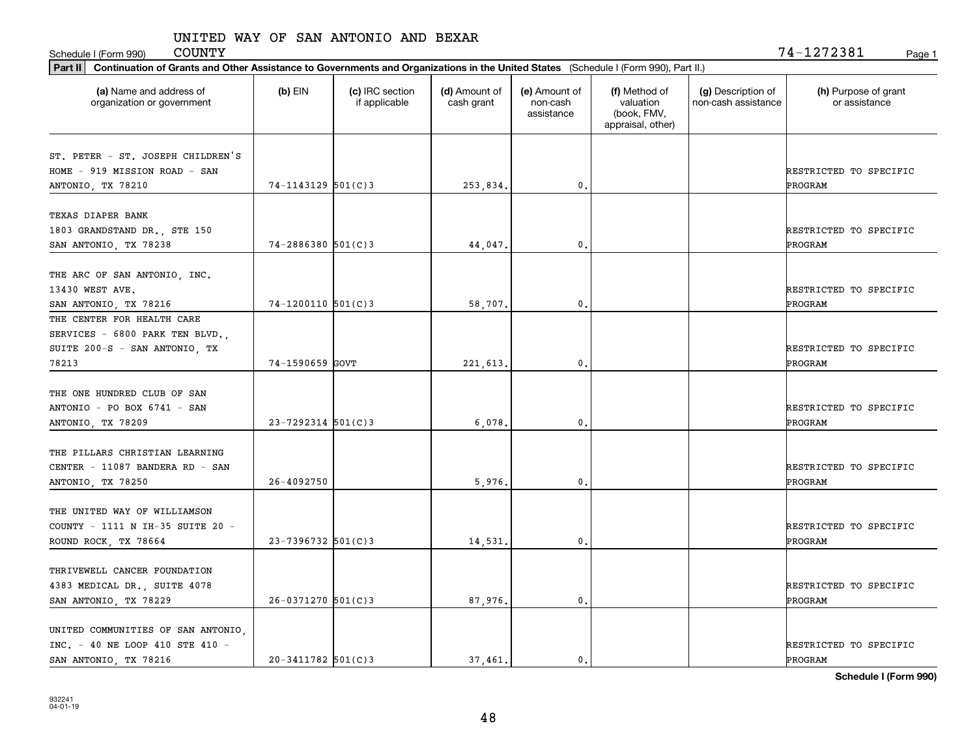| <b>COUNTY</b><br>Schedule I (Form 990)                                                                                                         |                          |                                  |                             |                                         |                                                                |                                           | 74-1272381<br>Page 1                     |
|------------------------------------------------------------------------------------------------------------------------------------------------|--------------------------|----------------------------------|-----------------------------|-----------------------------------------|----------------------------------------------------------------|-------------------------------------------|------------------------------------------|
| Continuation of Grants and Other Assistance to Governments and Organizations in the United States (Schedule I (Form 990), Part II.)<br>Part II |                          |                                  |                             |                                         |                                                                |                                           |                                          |
| (a) Name and address of<br>organization or government                                                                                          | $(b)$ EIN                | (c) IRC section<br>if applicable | (d) Amount of<br>cash grant | (e) Amount of<br>non-cash<br>assistance | (f) Method of<br>valuation<br>(book, FMV,<br>appraisal, other) | (g) Description of<br>non-cash assistance | (h) Purpose of grant<br>or assistance    |
| ST. PETER - ST. JOSEPH CHILDREN'S<br>HOME - 919 MISSION ROAD - SAN<br>ANTONIO, TX 78210                                                        | $74 - 1143129$ 501(C)3   |                                  | 253,834.                    | 0.                                      |                                                                |                                           | RESTRICTED TO SPECIFIC<br>PROGRAM        |
| TEXAS DIAPER BANK<br>1803 GRANDSTAND DR., STE 150<br>SAN ANTONIO, TX 78238                                                                     | $74 - 2886380$ 501(C)3   |                                  | 44.047.                     | $\mathbf{0}$ .                          |                                                                |                                           | RESTRICTED TO SPECIFIC<br>PROGRAM        |
| THE ARC OF SAN ANTONIO, INC.<br>13430 WEST AVE.<br>SAN ANTONIO, TX 78216                                                                       | $74 - 1200110$ 501(C)3   |                                  | 58,707.                     | 0.                                      |                                                                |                                           | RESTRICTED TO SPECIFIC<br><b>PROGRAM</b> |
| THE CENTER FOR HEALTH CARE<br>SERVICES - 6800 PARK TEN BLVD.<br>SUITE 200-S - SAN ANTONIO, TX<br>78213                                         | 74-1590659 GOVT          |                                  | 221,613.                    | 0.                                      |                                                                |                                           | RESTRICTED TO SPECIFIC<br>PROGRAM        |
| THE ONE HUNDRED CLUB OF SAN<br>ANTONIO - PO BOX 6741 - SAN<br>ANTONIO, TX 78209                                                                | $23 - 7292314$ $501(C)3$ |                                  | 6,078                       | 0.                                      |                                                                |                                           | RESTRICTED TO SPECIFIC<br>PROGRAM        |
| THE PILLARS CHRISTIAN LEARNING<br>CENTER - 11087 BANDERA RD - SAN<br>ANTONIO, TX 78250                                                         | 26-4092750               |                                  | 5,976.                      | 0.                                      |                                                                |                                           | RESTRICTED TO SPECIFIC<br>PROGRAM        |
| THE UNITED WAY OF WILLIAMSON<br>COUNTY - 1111 N IH-35 SUITE 20 -<br>ROUND ROCK, TX 78664                                                       | $23 - 7396732$ 501(C)3   |                                  | 14,531.                     | 0.                                      |                                                                |                                           | RESTRICTED TO SPECIFIC<br>PROGRAM        |
| THRIVEWELL CANCER FOUNDATION<br>4383 MEDICAL DR., SUITE 4078<br>SAN ANTONIO, TX 78229                                                          | $26 - 0371270$ 501(C)3   |                                  | 87,976.                     | 0.                                      |                                                                |                                           | RESTRICTED TO SPECIFIC<br>PROGRAM        |
| UNITED COMMUNITIES OF SAN ANTONIO,<br>INC. - 40 NE LOOP 410 STE 410 -<br>SAN ANTONIO, TX 78216                                                 | $20 - 3411782$ 501(C)3   |                                  | 37.461.                     | $\mathbf{0}$ .                          |                                                                |                                           | RESTRICTED TO SPECIFIC<br>PROGRAM        |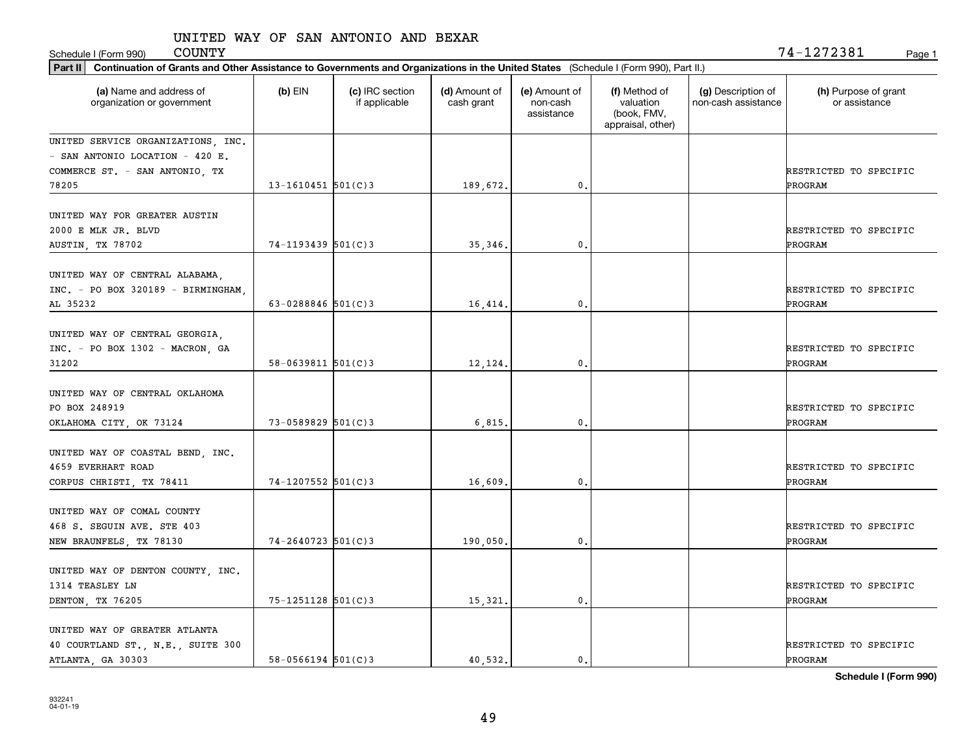COUNTY 74-1272381

| <b>COUNTY</b><br>Schedule I (Form 990)                                                                                                         |                          |                                  |                             |                                         |                                                                |                                           | 74-1272381<br>Page 1                  |
|------------------------------------------------------------------------------------------------------------------------------------------------|--------------------------|----------------------------------|-----------------------------|-----------------------------------------|----------------------------------------------------------------|-------------------------------------------|---------------------------------------|
| Continuation of Grants and Other Assistance to Governments and Organizations in the United States (Schedule I (Form 990), Part II.)<br>Part II |                          |                                  |                             |                                         |                                                                |                                           |                                       |
| (a) Name and address of<br>organization or government                                                                                          | $(b)$ EIN                | (c) IRC section<br>if applicable | (d) Amount of<br>cash grant | (e) Amount of<br>non-cash<br>assistance | (f) Method of<br>valuation<br>(book, FMV,<br>appraisal, other) | (g) Description of<br>non-cash assistance | (h) Purpose of grant<br>or assistance |
| UNITED SERVICE ORGANIZATIONS, INC.<br>- SAN ANTONIO LOCATION - 420 E.<br>COMMERCE ST. - SAN ANTONIO, TX                                        |                          |                                  |                             |                                         |                                                                |                                           | RESTRICTED TO SPECIFIC                |
| 78205                                                                                                                                          | $13 - 1610451$ 501(C)3   |                                  | 189,672.                    | $\mathbf{0}$ .                          |                                                                |                                           | PROGRAM                               |
| UNITED WAY FOR GREATER AUSTIN<br>2000 E MLK JR. BLVD<br>AUSTIN, TX 78702                                                                       | $74 - 1193439$ 501(C)3   |                                  | 35.346.                     | $\mathbf{0}$ .                          |                                                                |                                           | RESTRICTED TO SPECIFIC<br>PROGRAM     |
| UNITED WAY OF CENTRAL ALABAMA,<br>INC. - PO BOX 320189 - BIRMINGHAM,<br>AL 35232                                                               | 63-0288846 $501(C)$ 3    |                                  | 16,414.                     | 0.                                      |                                                                |                                           | RESTRICTED TO SPECIFIC<br>PROGRAM     |
| UNITED WAY OF CENTRAL GEORGIA,<br>INC. - PO BOX 1302 - MACRON, GA<br>31202                                                                     | $58 - 0639811$ $501(C)3$ |                                  | 12,124.                     | 0.                                      |                                                                |                                           | RESTRICTED TO SPECIFIC<br>PROGRAM     |
| UNITED WAY OF CENTRAL OKLAHOMA<br>PO BOX 248919<br>OKLAHOMA CITY, OK 73124                                                                     | $73 - 0589829$ 501(C)3   |                                  | 6, 815.                     | 0.                                      |                                                                |                                           | RESTRICTED TO SPECIFIC<br>PROGRAM     |
| UNITED WAY OF COASTAL BEND, INC.<br>4659 EVERHART ROAD<br>CORPUS CHRISTI, TX 78411                                                             | $74 - 1207552$ 501(C)3   |                                  | 16,609                      | 0.                                      |                                                                |                                           | RESTRICTED TO SPECIFIC<br>PROGRAM     |
| UNITED WAY OF COMAL COUNTY<br>468 S. SEGUIN AVE. STE 403<br>NEW BRAUNFELS, TX 78130                                                            | $74 - 2640723$ 501(C)3   |                                  | 190,050,                    | 0.                                      |                                                                |                                           | RESTRICTED TO SPECIFIC<br>PROGRAM     |
| UNITED WAY OF DENTON COUNTY, INC.<br>1314 TEASLEY LN<br>DENTON, TX 76205                                                                       | $75 - 1251128$ 501(C)3   |                                  | 15,321.                     | $\mathbf{0}$ .                          |                                                                |                                           | RESTRICTED TO SPECIFIC<br>PROGRAM     |
| UNITED WAY OF GREATER ATLANTA<br>40 COURTLAND ST., N.E., SUITE 300<br>ATLANTA, GA 30303                                                        | $58 - 0566194$ 501(C)3   |                                  | 40.532.                     | $\mathbf{0}$ .                          |                                                                |                                           | RESTRICTED TO SPECIFIC<br>PROGRAM     |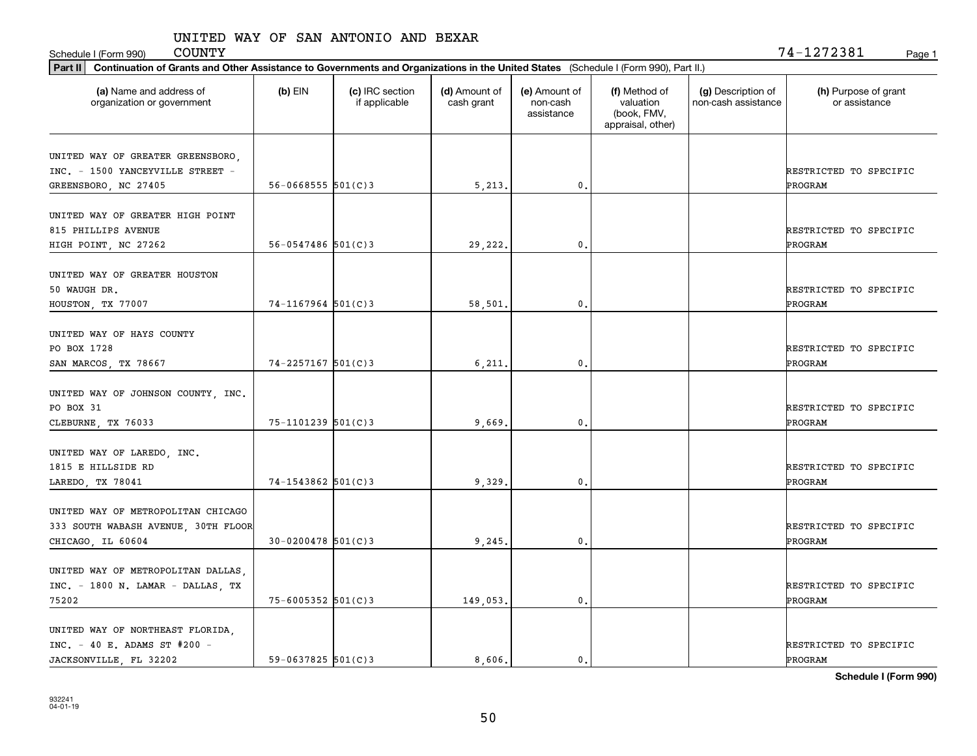Schedule I (Form 990) Page 1

 $\mathtt{COUNTY} \hspace{1.5cm} 74\mathtt{-}1272381$ 

| Part II   Continuation of Grants and Other Assistance to Governments and Organizations in the United States (Schedule I (Form 990), Part II.) |                        |                                  |                             |                                         |                                                                |                                           |                                       |
|-----------------------------------------------------------------------------------------------------------------------------------------------|------------------------|----------------------------------|-----------------------------|-----------------------------------------|----------------------------------------------------------------|-------------------------------------------|---------------------------------------|
| (a) Name and address of<br>organization or government                                                                                         | $(b)$ EIN              | (c) IRC section<br>if applicable | (d) Amount of<br>cash grant | (e) Amount of<br>non-cash<br>assistance | (f) Method of<br>valuation<br>(book, FMV,<br>appraisal, other) | (g) Description of<br>non-cash assistance | (h) Purpose of grant<br>or assistance |
| UNITED WAY OF GREATER GREENSBORO,<br>INC. - 1500 YANCEYVILLE STREET -<br>GREENSBORO, NC 27405                                                 | $56 - 0668555$ 501(C)3 |                                  | 5,213.                      | $\mathbf{0}$ .                          |                                                                |                                           | RESTRICTED TO SPECIFIC<br>PROGRAM     |
| UNITED WAY OF GREATER HIGH POINT<br>815 PHILLIPS AVENUE<br>HIGH POINT, NC 27262                                                               | $56 - 0547486$ 501(C)3 |                                  | 29,222.                     | 0.                                      |                                                                |                                           | RESTRICTED TO SPECIFIC<br>PROGRAM     |
| UNITED WAY OF GREATER HOUSTON<br>50 WAUGH DR.<br>HOUSTON, TX 77007                                                                            | $74-1167964$ 501(C)3   |                                  | 58,501                      | $\mathbf{0}$ .                          |                                                                |                                           | RESTRICTED TO SPECIFIC<br>PROGRAM     |
| UNITED WAY OF HAYS COUNTY<br>PO BOX 1728<br>SAN MARCOS, TX 78667                                                                              | 74-2257167 501(C)3     |                                  | 6,211.                      | $\mathbf{0}$ .                          |                                                                |                                           | RESTRICTED TO SPECIFIC<br>PROGRAM     |
| UNITED WAY OF JOHNSON COUNTY, INC.<br>PO BOX 31<br>CLEBURNE, TX 76033                                                                         | 75-1101239 501(C)3     |                                  | 9,669                       | 0.                                      |                                                                |                                           | RESTRICTED TO SPECIFIC<br>PROGRAM     |
| UNITED WAY OF LAREDO, INC.<br>1815 E HILLSIDE RD<br>LAREDO, TX 78041                                                                          | $74 - 1543862$ 501(C)3 |                                  | 9,329                       | $\mathbf{0}$ .                          |                                                                |                                           | RESTRICTED TO SPECIFIC<br>PROGRAM     |
| UNITED WAY OF METROPOLITAN CHICAGO<br>333 SOUTH WABASH AVENUE, 30TH FLOOR<br>CHICAGO, IL 60604                                                | $30 - 0200478$ 501(C)3 |                                  | 9,245                       | $\mathbf{0}$ .                          |                                                                |                                           | RESTRICTED TO SPECIFIC<br>PROGRAM     |
| UNITED WAY OF METROPOLITAN DALLAS,<br>INC. - 1800 N. LAMAR - DALLAS, TX<br>75202                                                              | $75 - 6005352$ 501(C)3 |                                  | 149,053.                    | $\mathbf{0}$ .                          |                                                                |                                           | RESTRICTED TO SPECIFIC<br>PROGRAM     |
| UNITED WAY OF NORTHEAST FLORIDA,<br>$INC. - 40 E.$ ADAMS ST #200 -<br>JACKSONVILLE, FL 32202                                                  | $59 - 0637825$ 501(C)3 |                                  | 8,606.                      | $\mathbf{0}$ .                          |                                                                |                                           | RESTRICTED TO SPECIFIC<br>PROGRAM     |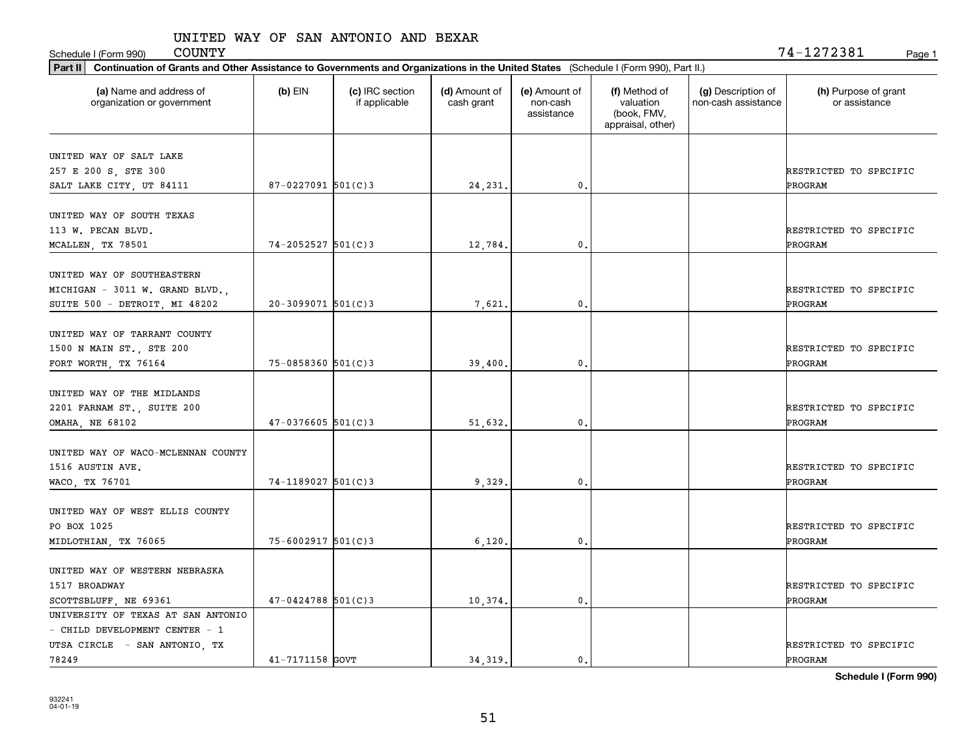Schedule I (Form 990) COUNTY Page 1

| Part II   Continuation of Grants and Other Assistance to Governments and Organizations in the United States (Schedule I (Form 990), Part II.) |                          |                                  |                             |                                         |                                                                |                                           |                                       |
|-----------------------------------------------------------------------------------------------------------------------------------------------|--------------------------|----------------------------------|-----------------------------|-----------------------------------------|----------------------------------------------------------------|-------------------------------------------|---------------------------------------|
| (a) Name and address of<br>organization or government                                                                                         | $(b)$ EIN                | (c) IRC section<br>if applicable | (d) Amount of<br>cash grant | (e) Amount of<br>non-cash<br>assistance | (f) Method of<br>valuation<br>(book, FMV,<br>appraisal, other) | (g) Description of<br>non-cash assistance | (h) Purpose of grant<br>or assistance |
| UNITED WAY OF SALT LAKE                                                                                                                       |                          |                                  |                             |                                         |                                                                |                                           |                                       |
| 257 E 200 S, STE 300                                                                                                                          |                          |                                  |                             |                                         |                                                                |                                           | RESTRICTED TO SPECIFIC                |
| SALT LAKE CITY, UT 84111                                                                                                                      | $87 - 0227091$ 501(C)3   |                                  | 24, 231.                    | 0.                                      |                                                                |                                           | <b>PROGRAM</b>                        |
|                                                                                                                                               |                          |                                  |                             |                                         |                                                                |                                           |                                       |
| UNITED WAY OF SOUTH TEXAS                                                                                                                     |                          |                                  |                             |                                         |                                                                |                                           |                                       |
| 113 W. PECAN BLVD.                                                                                                                            |                          |                                  |                             |                                         |                                                                |                                           | RESTRICTED TO SPECIFIC                |
| MCALLEN, TX 78501                                                                                                                             | $74 - 2052527$ 501(C)3   |                                  | 12,784.                     | 0.                                      |                                                                |                                           | PROGRAM                               |
| UNITED WAY OF SOUTHEASTERN                                                                                                                    |                          |                                  |                             |                                         |                                                                |                                           |                                       |
| MICHIGAN - 3011 W. GRAND BLVD.,                                                                                                               |                          |                                  |                             |                                         |                                                                |                                           | RESTRICTED TO SPECIFIC                |
| SUITE 500 - DETROIT, MI 48202                                                                                                                 | $20-3099071$ 501(C)3     |                                  | 7,621.                      | $\mathbf{0}$ .                          |                                                                |                                           | PROGRAM                               |
|                                                                                                                                               |                          |                                  |                             |                                         |                                                                |                                           |                                       |
| UNITED WAY OF TARRANT COUNTY                                                                                                                  |                          |                                  |                             |                                         |                                                                |                                           |                                       |
| 1500 N MAIN ST., STE 200                                                                                                                      |                          |                                  |                             |                                         |                                                                |                                           | RESTRICTED TO SPECIFIC                |
| FORT WORTH, TX 76164                                                                                                                          | $75 - 0858360$ $501(C)3$ |                                  | 39,400.                     | 0.                                      |                                                                |                                           | PROGRAM                               |
|                                                                                                                                               |                          |                                  |                             |                                         |                                                                |                                           |                                       |
| UNITED WAY OF THE MIDLANDS                                                                                                                    |                          |                                  |                             |                                         |                                                                |                                           |                                       |
| 2201 FARNAM ST., SUITE 200                                                                                                                    |                          |                                  |                             |                                         |                                                                |                                           | RESTRICTED TO SPECIFIC                |
| <b>OMAHA, NE 68102</b>                                                                                                                        | $47 - 0376605$ 501(C)3   |                                  | 51,632.                     | 0.                                      |                                                                |                                           | PROGRAM                               |
| UNITED WAY OF WACO-MCLENNAN COUNTY                                                                                                            |                          |                                  |                             |                                         |                                                                |                                           |                                       |
| 1516 AUSTIN AVE.                                                                                                                              |                          |                                  |                             |                                         |                                                                |                                           | RESTRICTED TO SPECIFIC                |
| WACO, TX 76701                                                                                                                                | $74 - 1189027$ 501(C)3   |                                  | 9,329.                      | 0.                                      |                                                                |                                           | PROGRAM                               |
|                                                                                                                                               |                          |                                  |                             |                                         |                                                                |                                           |                                       |
| UNITED WAY OF WEST ELLIS COUNTY                                                                                                               |                          |                                  |                             |                                         |                                                                |                                           |                                       |
| PO BOX 1025                                                                                                                                   |                          |                                  |                             |                                         |                                                                |                                           | RESTRICTED TO SPECIFIC                |
| MIDLOTHIAN, TX 76065                                                                                                                          | $75 - 6002917$ 501(C)3   |                                  | 6,120,                      | 0.                                      |                                                                |                                           | PROGRAM                               |
| UNITED WAY OF WESTERN NEBRASKA                                                                                                                |                          |                                  |                             |                                         |                                                                |                                           |                                       |
|                                                                                                                                               |                          |                                  |                             |                                         |                                                                |                                           | RESTRICTED TO SPECIFIC                |
| 1517 BROADWAY                                                                                                                                 | $47 - 0424788$ 501(C)3   |                                  |                             | $\mathfrak o$ .                         |                                                                |                                           | <b>PROGRAM</b>                        |
| SCOTTSBLUFF, NE 69361<br>UNIVERSITY OF TEXAS AT SAN ANTONIO                                                                                   |                          |                                  | 10,374.                     |                                         |                                                                |                                           |                                       |
| - CHILD DEVELOPMENT CENTER - 1                                                                                                                |                          |                                  |                             |                                         |                                                                |                                           |                                       |
| UTSA CIRCLE - SAN ANTONIO, TX                                                                                                                 |                          |                                  |                             |                                         |                                                                |                                           | RESTRICTED TO SPECIFIC                |
| 78249                                                                                                                                         | 41-7171158 GOVT          |                                  | 34.319.                     | $\mathfrak{o}$ .                        |                                                                |                                           | PROGRAM                               |
|                                                                                                                                               |                          |                                  |                             |                                         |                                                                |                                           |                                       |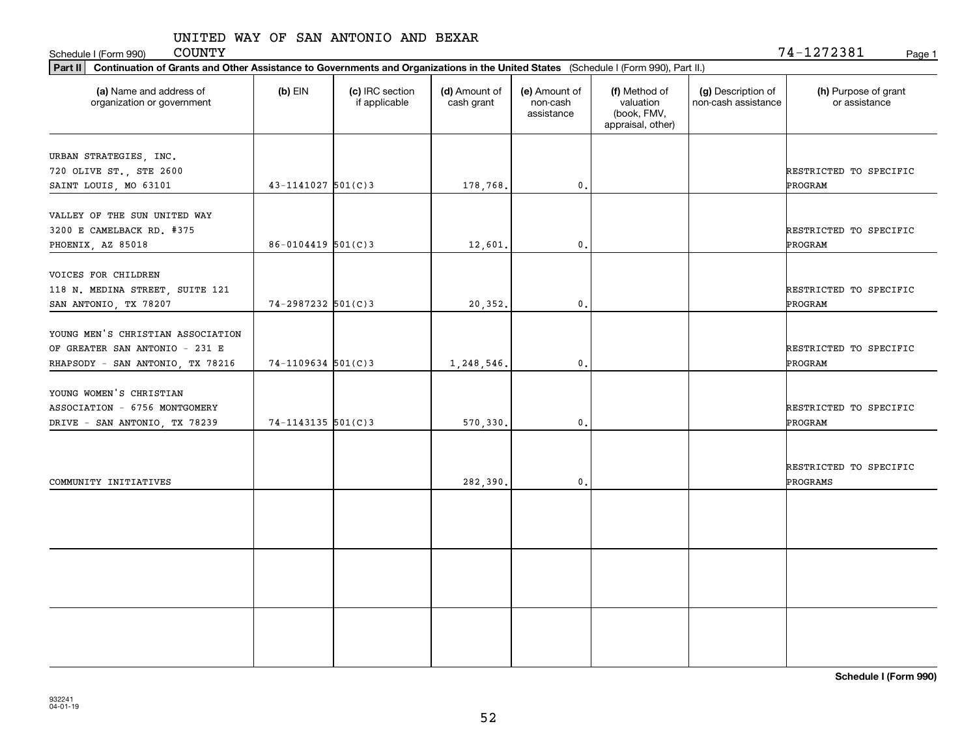Schedule I (Form 990) COUNTY<br> **Part II** Continuation of Grants and Other Assistance to Governments and Organizations in the United States (Schedule I (Formula 1) COUNTY

| 74-1272381 |  |  |  | Page 1 |
|------------|--|--|--|--------|
|            |  |  |  |        |

| Continuation of Grants and Other Assistance to Governments and Organizations in the United States (Schedule I (Form 990), Part II.)<br>Part II |                        |                                  |                             |                                         |                                                                |                                           |                                       |
|------------------------------------------------------------------------------------------------------------------------------------------------|------------------------|----------------------------------|-----------------------------|-----------------------------------------|----------------------------------------------------------------|-------------------------------------------|---------------------------------------|
| (a) Name and address of<br>organization or government                                                                                          | $(b)$ EIN              | (c) IRC section<br>if applicable | (d) Amount of<br>cash grant | (e) Amount of<br>non-cash<br>assistance | (f) Method of<br>valuation<br>(book, FMV,<br>appraisal, other) | (g) Description of<br>non-cash assistance | (h) Purpose of grant<br>or assistance |
| URBAN STRATEGIES, INC.<br>720 OLIVE ST., STE 2600<br>SAINT LOUIS, MO 63101                                                                     | $43 - 1141027$ 501(C)3 |                                  | 178,768.                    | $\mathfrak{o}$ .                        |                                                                |                                           | RESTRICTED TO SPECIFIC<br>PROGRAM     |
| VALLEY OF THE SUN UNITED WAY<br>3200 E CAMELBACK RD. #375<br>PHOENIX, AZ 85018                                                                 | $86 - 0104419$ 501(C)3 |                                  | 12,601.                     | $\mathbf{0}$ .                          |                                                                |                                           | RESTRICTED TO SPECIFIC<br>PROGRAM     |
| VOICES FOR CHILDREN<br>118 N. MEDINA STREET, SUITE 121<br>SAN ANTONIO, TX 78207                                                                | $74 - 2987232$ 501(C)3 |                                  | 20,352.                     | $\mathfrak o$ .                         |                                                                |                                           | RESTRICTED TO SPECIFIC<br>PROGRAM     |
| YOUNG MEN'S CHRISTIAN ASSOCIATION<br>OF GREATER SAN ANTONIO - 231 E<br>RHAPSODY - SAN ANTONIO, TX 78216                                        | $74-1109634$ 501(C)3   |                                  | 1,248,546.                  | $\mathbf{0}$ .                          |                                                                |                                           | RESTRICTED TO SPECIFIC<br>PROGRAM     |
| YOUNG WOMEN'S CHRISTIAN<br>ASSOCIATION - 6756 MONTGOMERY<br>DRIVE - SAN ANTONIO, TX 78239                                                      | $74 - 1143135$ 501(C)3 |                                  | 570,330.                    | $\mathbf{0}$ .                          |                                                                |                                           | RESTRICTED TO SPECIFIC<br>PROGRAM     |
| COMMUNITY INITIATIVES                                                                                                                          |                        |                                  | 282,390.                    | $\mathbf{0}$ .                          |                                                                |                                           | RESTRICTED TO SPECIFIC<br>PROGRAMS    |
|                                                                                                                                                |                        |                                  |                             |                                         |                                                                |                                           |                                       |
|                                                                                                                                                |                        |                                  |                             |                                         |                                                                |                                           |                                       |
|                                                                                                                                                |                        |                                  |                             |                                         |                                                                |                                           |                                       |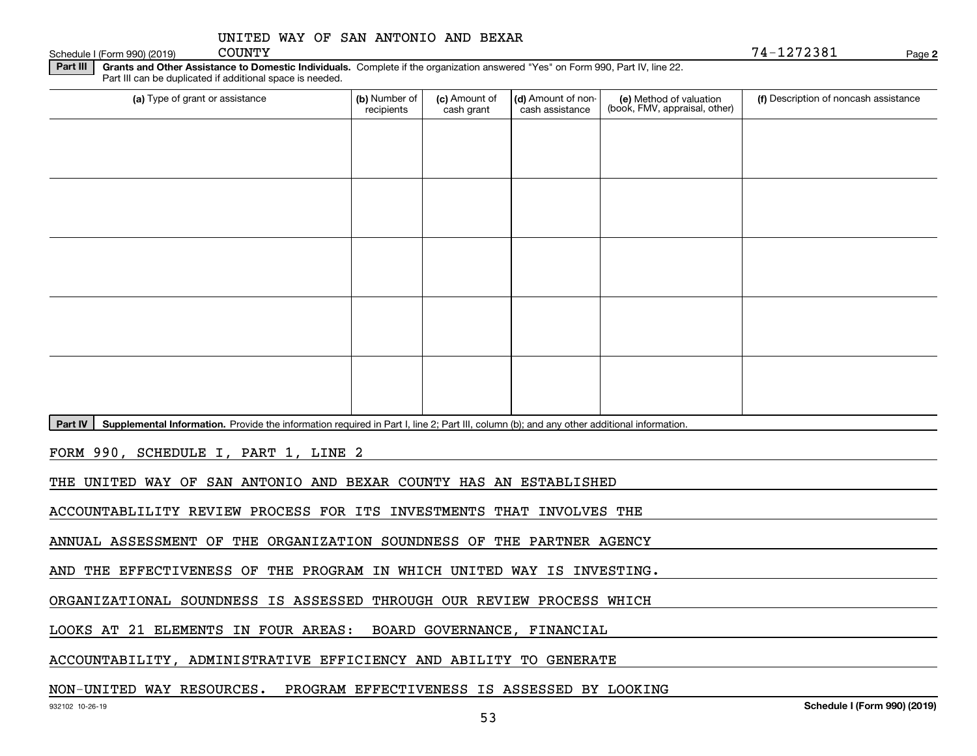| UNITED WAY OF SAN ANTONIO AND BEXAR |
|-------------------------------------|
|-------------------------------------|

Schedule I (Form 990) (2019) COUNTY

COUNTY 74-1272381

**2**

**Part III** | Grants and Other Assistance to Domestic Individuals. Complete if the organization answered "Yes" on Form 990, Part IV, line 22. Part III can be duplicated if additional space is needed.

|  |  | Deut BL Complemental Information. Durcide the information mancipal in Deut Lline O. Deut III. as buses (b), and any other additional information. |
|--|--|---------------------------------------------------------------------------------------------------------------------------------------------------|

Part IV | Supplemental Information. Provide the information required in Part I, line 2; Part III, column (b); and any other additional information.

FORM 990, SCHEDULE I, PART 1, LINE 2

THE UNITED WAY OF SAN ANTONIO AND BEXAR COUNTY HAS AN ESTABLISHED

ACCOUNTABLILITY REVIEW PROCESS FOR ITS INVESTMENTS THAT INVOLVES THE

ANNUAL ASSESSMENT OF THE ORGANIZATION SOUNDNESS OF THE PARTNER AGENCY

AND THE EFFECTIVENESS OF THE PROGRAM IN WHICH UNITED WAY IS INVESTING.

ORGANIZATIONAL SOUNDNESS IS ASSESSED THROUGH OUR REVIEW PROCESS WHICH

LOOKS AT 21 ELEMENTS IN FOUR AREAS: BOARD GOVERNANCE, FINANCIAL

ACCOUNTABILITY, ADMINISTRATIVE EFFICIENCY AND ABILITY TO GENERATE

#### NON-UNITED WAY RESOURCES. PROGRAM EFFECTIVENESS IS ASSESSED BY LOOKING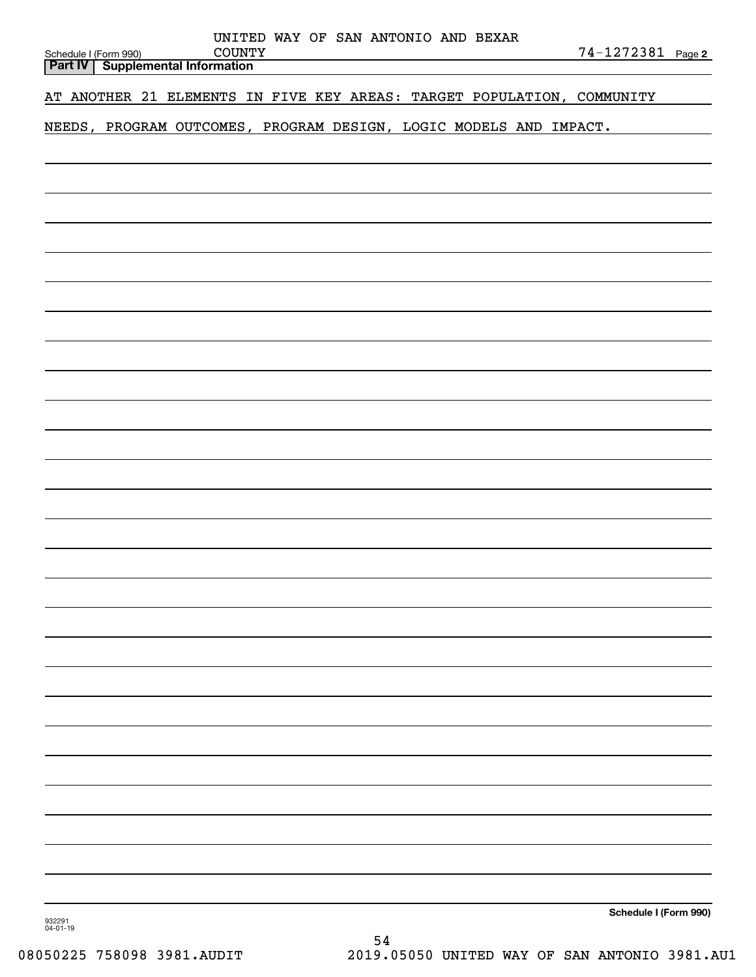| UNITED WAY OF SAN ANTONIO AND BEXAR<br><b>COUNTY</b><br>Schedule I (Form 990) | 74-1272381 Page 2     |
|-------------------------------------------------------------------------------|-----------------------|
| <b>Supplemental Information</b><br>Part IV                                    |                       |
| AT ANOTHER 21 ELEMENTS IN FIVE KEY AREAS: TARGET POPULATION, COMMUNITY        |                       |
| NEEDS, PROGRAM OUTCOMES, PROGRAM DESIGN, LOGIC MODELS AND IMPACT.             |                       |
|                                                                               |                       |
|                                                                               |                       |
|                                                                               |                       |
|                                                                               |                       |
|                                                                               |                       |
|                                                                               |                       |
|                                                                               |                       |
|                                                                               |                       |
|                                                                               |                       |
|                                                                               |                       |
|                                                                               |                       |
|                                                                               |                       |
|                                                                               |                       |
|                                                                               |                       |
|                                                                               |                       |
|                                                                               |                       |
|                                                                               |                       |
|                                                                               |                       |
|                                                                               |                       |
|                                                                               |                       |
|                                                                               |                       |
|                                                                               |                       |
|                                                                               |                       |
|                                                                               |                       |
|                                                                               |                       |
|                                                                               |                       |
|                                                                               |                       |
|                                                                               |                       |
|                                                                               |                       |
| 932291<br>$04 - 01 - 19$                                                      | Schedule I (Form 990) |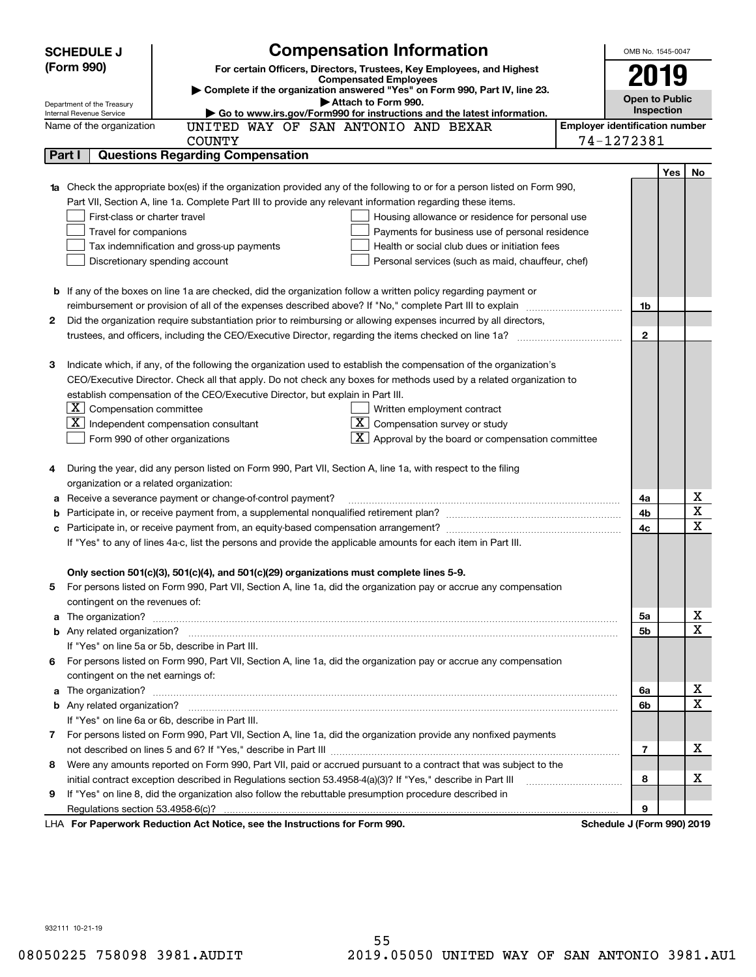|    | <b>Compensation Information</b><br><b>SCHEDULE J</b>                                                                                                                                                          |                                       | OMB No. 1545-0047 |            |                              |  |
|----|---------------------------------------------------------------------------------------------------------------------------------------------------------------------------------------------------------------|---------------------------------------|-------------------|------------|------------------------------|--|
|    | (Form 990)<br>For certain Officers, Directors, Trustees, Key Employees, and Highest                                                                                                                           |                                       |                   |            |                              |  |
|    | <b>Compensated Employees</b>                                                                                                                                                                                  |                                       | 2019              |            |                              |  |
|    | Complete if the organization answered "Yes" on Form 990, Part IV, line 23.<br><b>Open to Public</b><br>Attach to Form 990.                                                                                    |                                       |                   |            |                              |  |
|    | Department of the Treasury<br>Go to www.irs.gov/Form990 for instructions and the latest information.<br>Internal Revenue Service                                                                              |                                       |                   |            |                              |  |
|    | UNITED WAY OF SAN ANTONIO AND BEXAR<br>Name of the organization                                                                                                                                               | <b>Employer identification number</b> |                   |            |                              |  |
|    | <b>COUNTY</b>                                                                                                                                                                                                 | 74-1272381                            |                   |            |                              |  |
|    | <b>Questions Regarding Compensation</b><br>Part I                                                                                                                                                             |                                       |                   |            |                              |  |
|    |                                                                                                                                                                                                               |                                       |                   | <b>Yes</b> | No                           |  |
|    | <b>1a</b> Check the appropriate box(es) if the organization provided any of the following to or for a person listed on Form 990,                                                                              |                                       |                   |            |                              |  |
|    | Part VII, Section A, line 1a. Complete Part III to provide any relevant information regarding these items.                                                                                                    |                                       |                   |            |                              |  |
|    | First-class or charter travel<br>Housing allowance or residence for personal use                                                                                                                              |                                       |                   |            |                              |  |
|    | Travel for companions<br>Payments for business use of personal residence                                                                                                                                      |                                       |                   |            |                              |  |
|    | Tax indemnification and gross-up payments<br>Health or social club dues or initiation fees                                                                                                                    |                                       |                   |            |                              |  |
|    | Discretionary spending account<br>Personal services (such as maid, chauffeur, chef)                                                                                                                           |                                       |                   |            |                              |  |
|    |                                                                                                                                                                                                               |                                       |                   |            |                              |  |
|    | <b>b</b> If any of the boxes on line 1a are checked, did the organization follow a written policy regarding payment or                                                                                        |                                       |                   |            |                              |  |
|    | reimbursement or provision of all of the expenses described above? If "No," complete Part III to explain                                                                                                      |                                       | 1b                |            |                              |  |
| 2  | Did the organization require substantiation prior to reimbursing or allowing expenses incurred by all directors,                                                                                              |                                       |                   |            |                              |  |
|    | trustees, and officers, including the CEO/Executive Director, regarding the items checked on line 1a?                                                                                                         |                                       | $\mathbf{2}$      |            |                              |  |
|    |                                                                                                                                                                                                               |                                       |                   |            |                              |  |
| З  | Indicate which, if any, of the following the organization used to establish the compensation of the organization's                                                                                            |                                       |                   |            |                              |  |
|    | CEO/Executive Director. Check all that apply. Do not check any boxes for methods used by a related organization to                                                                                            |                                       |                   |            |                              |  |
|    | establish compensation of the CEO/Executive Director, but explain in Part III.                                                                                                                                |                                       |                   |            |                              |  |
|    | $ \mathbf{X} $ Compensation committee<br>Written employment contract                                                                                                                                          |                                       |                   |            |                              |  |
|    | $\lfloor \underline{X} \rfloor$ Compensation survey or study<br>$X$ Independent compensation consultant                                                                                                       |                                       |                   |            |                              |  |
|    | $\lfloor x \rfloor$ Approval by the board or compensation committee<br>Form 990 of other organizations                                                                                                        |                                       |                   |            |                              |  |
|    |                                                                                                                                                                                                               |                                       |                   |            |                              |  |
|    | During the year, did any person listed on Form 990, Part VII, Section A, line 1a, with respect to the filing                                                                                                  |                                       |                   |            |                              |  |
|    | organization or a related organization:                                                                                                                                                                       |                                       | 4a                |            |                              |  |
| а  | Receive a severance payment or change-of-control payment?                                                                                                                                                     |                                       |                   |            | х<br>$\overline{\mathbf{x}}$ |  |
| b  |                                                                                                                                                                                                               |                                       | 4b<br>4c          |            | $\overline{\mathbf{x}}$      |  |
| с  |                                                                                                                                                                                                               |                                       |                   |            |                              |  |
|    | If "Yes" to any of lines 4a-c, list the persons and provide the applicable amounts for each item in Part III.                                                                                                 |                                       |                   |            |                              |  |
|    |                                                                                                                                                                                                               |                                       |                   |            |                              |  |
|    | Only section 501(c)(3), 501(c)(4), and 501(c)(29) organizations must complete lines 5-9.<br>For persons listed on Form 990, Part VII, Section A, line 1a, did the organization pay or accrue any compensation |                                       |                   |            |                              |  |
|    | contingent on the revenues of:                                                                                                                                                                                |                                       |                   |            |                              |  |
|    | a The organization? <b>Constitution</b> and the organization?                                                                                                                                                 |                                       | 5a                |            | x                            |  |
|    |                                                                                                                                                                                                               |                                       | 5b                |            | $\overline{\mathbf{x}}$      |  |
|    | If "Yes" on line 5a or 5b, describe in Part III.                                                                                                                                                              |                                       |                   |            |                              |  |
| 6. | For persons listed on Form 990, Part VII, Section A, line 1a, did the organization pay or accrue any compensation                                                                                             |                                       |                   |            |                              |  |
|    | contingent on the net earnings of:                                                                                                                                                                            |                                       |                   |            |                              |  |
| a  |                                                                                                                                                                                                               |                                       | 6a                |            | х                            |  |
|    |                                                                                                                                                                                                               |                                       |                   |            |                              |  |
|    | If "Yes" on line 6a or 6b, describe in Part III.                                                                                                                                                              |                                       | 6b                |            |                              |  |
|    | 7 For persons listed on Form 990, Part VII, Section A, line 1a, did the organization provide any nonfixed payments                                                                                            |                                       |                   |            |                              |  |
|    |                                                                                                                                                                                                               |                                       | 7                 |            | х                            |  |
| 8  | Were any amounts reported on Form 990, Part VII, paid or accrued pursuant to a contract that was subject to the                                                                                               |                                       |                   |            |                              |  |
|    | initial contract exception described in Regulations section 53.4958-4(a)(3)? If "Yes," describe in Part III                                                                                                   |                                       | 8                 |            | х                            |  |
| 9  | If "Yes" on line 8, did the organization also follow the rebuttable presumption procedure described in                                                                                                        |                                       |                   |            |                              |  |
|    | Regulations section 53.4958-6(c)?                                                                                                                                                                             |                                       | 9                 |            |                              |  |
|    | LHA For Paperwork Reduction Act Notice, see the Instructions for Form 990.                                                                                                                                    | Schedule J (Form 990) 2019            |                   |            |                              |  |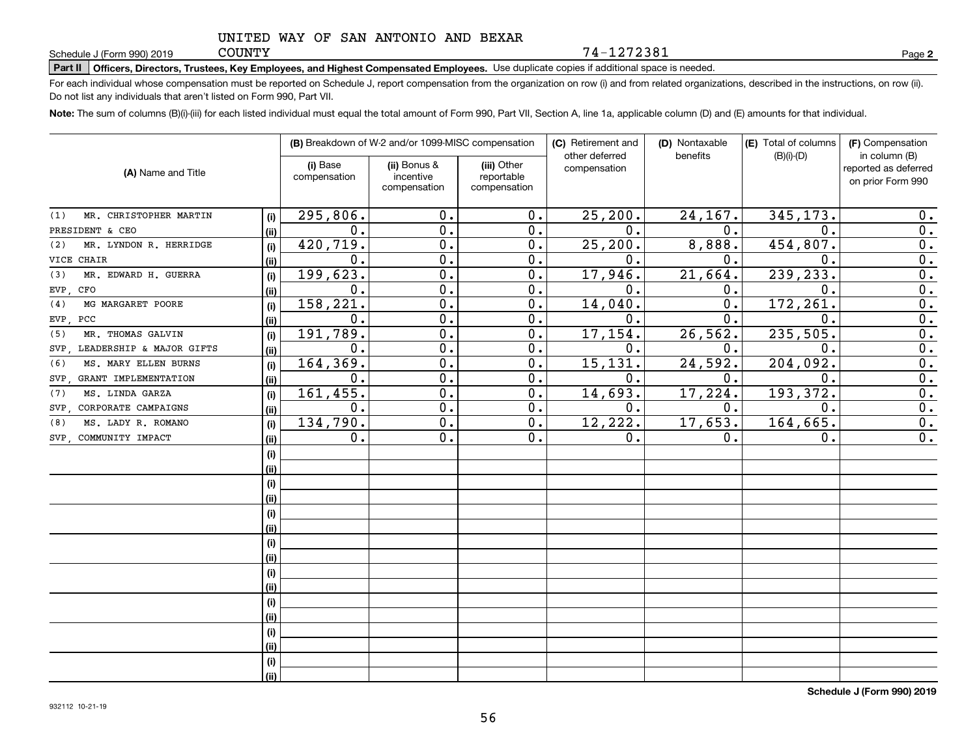**Part II Officers, Directors, Trustees, Key Employees, and Highest Compensated Employees.**  Schedule J (Form 990) 2019 Page Use duplicate copies if additional space is needed.

For each individual whose compensation must be reported on Schedule J, report compensation from the organization on row (i) and from related organizations, described in the instructions, on row (ii). Do not list any individuals that aren't listed on Form 990, Part VII.

**Note:**  The sum of columns (B)(i)-(iii) for each listed individual must equal the total amount of Form 990, Part VII, Section A, line 1a, applicable column (D) and (E) amounts for that individual.

|                                  |      | (B) Breakdown of W-2 and/or 1099-MISC compensation |                                           |                                           | (C) Retirement and             | (D) Nontaxable | (E) Total of columns | (F) Compensation                                           |
|----------------------------------|------|----------------------------------------------------|-------------------------------------------|-------------------------------------------|--------------------------------|----------------|----------------------|------------------------------------------------------------|
| (A) Name and Title               |      | (i) Base<br>compensation                           | (ii) Bonus &<br>incentive<br>compensation | (iii) Other<br>reportable<br>compensation | other deferred<br>compensation | benefits       | $(B)(i)$ - $(D)$     | in column (B)<br>reported as deferred<br>on prior Form 990 |
| MR. CHRISTOPHER MARTIN<br>(1)    | (i)  | 295,806.                                           | 0.                                        | 0.                                        | 25, 200.                       | 24,167.        | 345,173.             | $0$ .                                                      |
| PRESIDENT & CEO                  | (ii) | 0.                                                 | 0.                                        | 0.                                        | $\mathbf 0$ .                  | 0.             | 0.                   | 0.                                                         |
| MR. LYNDON R. HERRIDGE<br>(2)    | (i)  | $\overline{420,719}$ .                             | 0.                                        | 0.                                        | 25, 200.                       | 8,888.         | 454, 807.            | 0.                                                         |
| CHAIR<br>VICE                    | (ii) | 0.                                                 | 0.                                        | 0.                                        | 0.                             | 0.             | $\mathbf 0$          | 0.                                                         |
| MR. EDWARD H. GUERRA<br>(3)      | (i)  | 199,623.                                           | 0.                                        | 0.                                        | 17,946.                        | 21,664.        | 239,233.             | 0.                                                         |
| CFO<br>EVP.                      | (ii) | 0.                                                 | 0.                                        | 0.                                        | $\mathbf 0$ .                  | 0.             | $\mathbf 0$          | 0.                                                         |
| MG MARGARET POORE<br>(4)         | (i)  | 158,221.                                           | 0.                                        | 0.                                        | 14,040.                        | 0.             | 172,261              | 0.                                                         |
| EVP.<br>PCC                      | (ii) | 0.                                                 | 0.                                        | 0.                                        | 0.                             | $\mathbf 0$ .  | $\mathbf 0$ .        | 0.                                                         |
| MR. THOMAS GALVIN<br>(5)         | (i)  | 191,789.                                           | 0.                                        | 0.                                        | 17,154.                        | 26,562.        | 235, 505.            | 0.                                                         |
| LEADERSHIP & MAJOR GIFTS<br>SVP. | (ii) | 0.                                                 | 0.                                        | 0.                                        | 0.                             | 0.             | $\mathbf 0$ .        | 0.                                                         |
| MS. MARY ELLEN BURNS<br>(6)      | (i)  | 164,369.                                           | 0.                                        | 0.                                        | 15, 131.                       | 24,592.        | 204,092.             | 0.                                                         |
| GRANT IMPLEMENTATION<br>SVP.     | (ii) | 0.                                                 | 0.                                        | 0.                                        | 0.                             | 0.             | $\mathbf 0$ .        | 0.                                                         |
| MS. LINDA GARZA<br>(7)           | (i)  | 161,455.                                           | 0.                                        | 0.                                        | 14,693.                        | 17,224.        | 193, 372.            | 0.                                                         |
| CORPORATE CAMPAIGNS<br>SVP.      | (ii) | 0.                                                 | 0.                                        | 0.                                        | 0.                             | 0.             | 0.                   | 0.                                                         |
| MS. LADY R. ROMANO<br>(8)        | (i)  | 134,790.                                           | 0.                                        | 0.                                        | 12,222.                        | 17,653.        | 164, 665.            | 0.                                                         |
| SVP COMMUNITY IMPACT             | (ii) | 0.                                                 | 0.                                        | 0.                                        | 0.                             | 0.             | 0.                   | 0.                                                         |
|                                  | (i)  |                                                    |                                           |                                           |                                |                |                      |                                                            |
|                                  | (ii) |                                                    |                                           |                                           |                                |                |                      |                                                            |
|                                  | (i)  |                                                    |                                           |                                           |                                |                |                      |                                                            |
|                                  | (ii) |                                                    |                                           |                                           |                                |                |                      |                                                            |
|                                  | (i)  |                                                    |                                           |                                           |                                |                |                      |                                                            |
|                                  | (ii) |                                                    |                                           |                                           |                                |                |                      |                                                            |
|                                  | (i)  |                                                    |                                           |                                           |                                |                |                      |                                                            |
|                                  | (ii) |                                                    |                                           |                                           |                                |                |                      |                                                            |
|                                  | (i)  |                                                    |                                           |                                           |                                |                |                      |                                                            |
|                                  | (ii) |                                                    |                                           |                                           |                                |                |                      |                                                            |
|                                  | (i)  |                                                    |                                           |                                           |                                |                |                      |                                                            |
|                                  | (ii) |                                                    |                                           |                                           |                                |                |                      |                                                            |
|                                  | (i)  |                                                    |                                           |                                           |                                |                |                      |                                                            |
|                                  | (ii) |                                                    |                                           |                                           |                                |                |                      |                                                            |
|                                  | (i)  |                                                    |                                           |                                           |                                |                |                      |                                                            |
|                                  | (ii) |                                                    |                                           |                                           |                                |                |                      |                                                            |

**Schedule J (Form 990) 2019**

**2**

74-1272381

**COUNTY**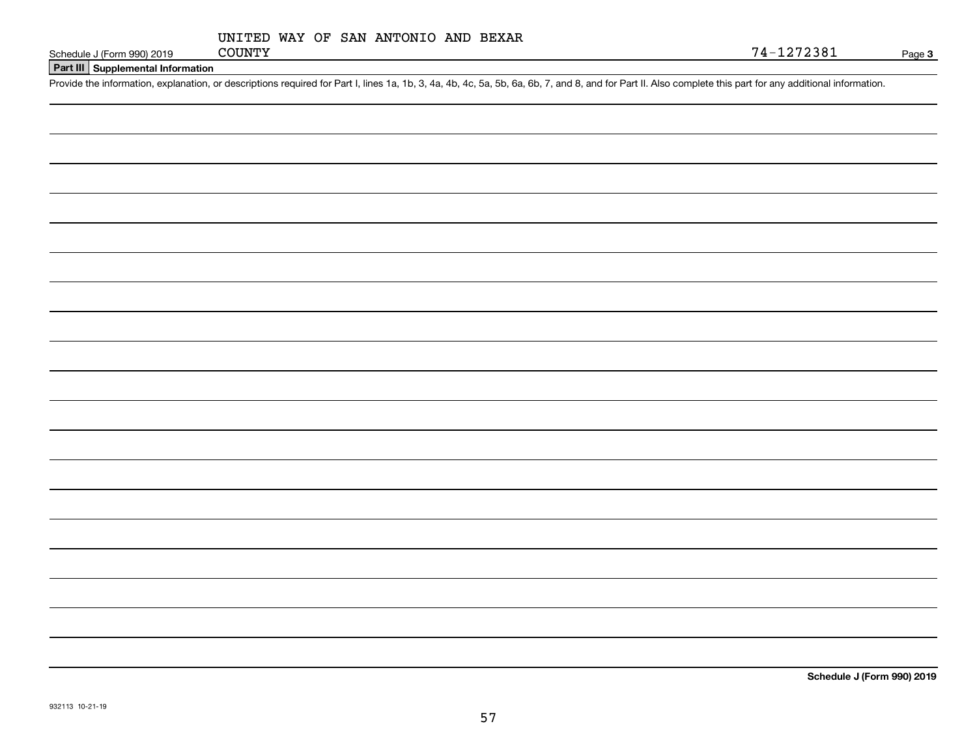|  | 932113 10-21-19 |
|--|-----------------|
|--|-----------------|

**Part III Supplemental Information**

Schedule J (Form 990) 2019 COUNTY<br>Part III Supplemental Information<br>Provide the information, explanation, or descriptions required for Part I, lines 1a, 1b, 3, 4a, 4b, 4c, 5a, 5b, 6a, 6b, 7, and 8, and for Part II. Also co

Page 3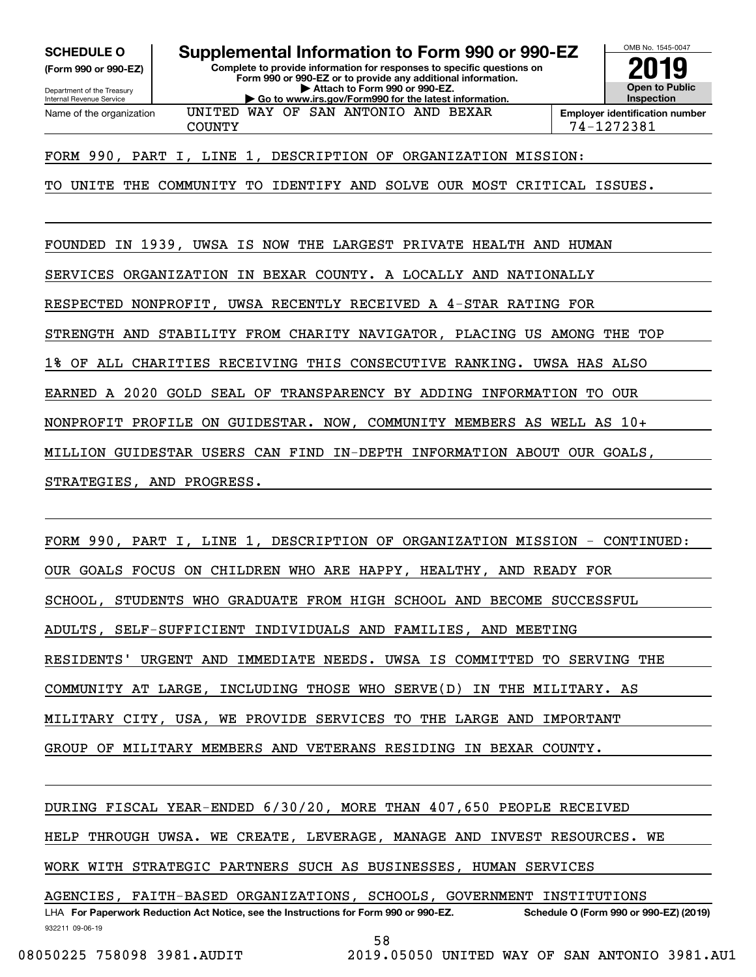**SCHEDULE O Supplemental Information to Form 990 or 990-EZ**

Internal Revenue Service

Department of the Treasury **(Form 990 or 990-EZ)** **Complete to provide information for responses to specific questions on Form 990 or 990-EZ or to provide any additional information. | Attach to Form 990 or 990-EZ. | Go to www.irs.gov/Form990 for the latest information.**



Name of the organization

UNITED WAY OF SAN ANTONIO AND BEXAR

COUNTY 74-1272381

FORM 990, PART I, LINE 1, DESCRIPTION OF ORGANIZATION MISSION:

TO UNITE THE COMMUNITY TO IDENTIFY AND SOLVE OUR MOST CRITICAL ISSUES.

FOUNDED IN 1939, UWSA IS NOW THE LARGEST PRIVATE HEALTH AND HUMAN

SERVICES ORGANIZATION IN BEXAR COUNTY. A LOCALLY AND NATIONALLY

RESPECTED NONPROFIT, UWSA RECENTLY RECEIVED A 4-STAR RATING FOR

STRENGTH AND STABILITY FROM CHARITY NAVIGATOR, PLACING US AMONG THE TOP

1% OF ALL CHARITIES RECEIVING THIS CONSECUTIVE RANKING. UWSA HAS ALSO

EARNED A 2020 GOLD SEAL OF TRANSPARENCY BY ADDING INFORMATION TO OUR

NONPROFIT PROFILE ON GUIDESTAR. NOW, COMMUNITY MEMBERS AS WELL AS 10+

MILLION GUIDESTAR USERS CAN FIND IN-DEPTH INFORMATION ABOUT OUR GOALS,

STRATEGIES, AND PROGRESS.

FORM 990, PART I, LINE 1, DESCRIPTION OF ORGANIZATION MISSION - CONTINUED: OUR GOALS FOCUS ON CHILDREN WHO ARE HAPPY, HEALTHY, AND READY FOR SCHOOL, STUDENTS WHO GRADUATE FROM HIGH SCHOOL AND BECOME SUCCESSFUL ADULTS, SELF-SUFFICIENT INDIVIDUALS AND FAMILIES, AND MEETING RESIDENTS' URGENT AND IMMEDIATE NEEDS. UWSA IS COMMITTED TO SERVING THE COMMUNITY AT LARGE, INCLUDING THOSE WHO SERVE(D) IN THE MILITARY. AS MILITARY CITY, USA, WE PROVIDE SERVICES TO THE LARGE AND IMPORTANT GROUP OF MILITARY MEMBERS AND VETERANS RESIDING IN BEXAR COUNTY.

932211 09-06-19 LHA For Paperwork Reduction Act Notice, see the Instructions for Form 990 or 990-EZ. Schedule O (Form 990 or 990-EZ) (2019) DURING FISCAL YEAR-ENDED 6/30/20, MORE THAN 407,650 PEOPLE RECEIVED HELP THROUGH UWSA. WE CREATE, LEVERAGE, MANAGE AND INVEST RESOURCES. WE WORK WITH STRATEGIC PARTNERS SUCH AS BUSINESSES, HUMAN SERVICES AGENCIES, FAITH-BASED ORGANIZATIONS, SCHOOLS, GOVERNMENT INSTITUTIONS

58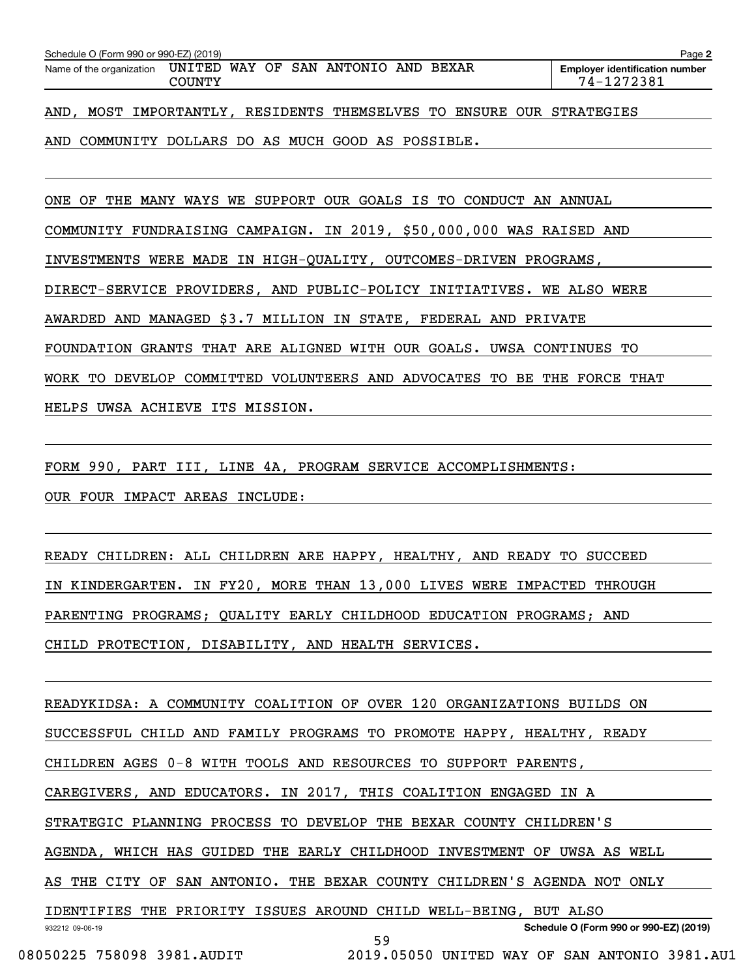|                                                                                                                                      | Page 2 |
|--------------------------------------------------------------------------------------------------------------------------------------|--------|
| Name of the organization UNITED WAY OF SAN ANTONIO AND BEXAR<br><b>Employer identification number</b><br>74-1272381<br><b>COUNTY</b> |        |
| AND<br>MOST IMPORTANTLY, RESIDENTS THEMSELVES TO ENSURE OUR STRATEGIES                                                               |        |

AND COMMUNITY DOLLARS DO AS MUCH GOOD AS POSSIBLE.

ONE OF THE MANY WAYS WE SUPPORT OUR GOALS IS TO CONDUCT AN ANNUAL

COMMUNITY FUNDRAISING CAMPAIGN. IN 2019, \$50,000,000 WAS RAISED AND

INVESTMENTS WERE MADE IN HIGH-QUALITY, OUTCOMES-DRIVEN PROGRAMS,

DIRECT-SERVICE PROVIDERS, AND PUBLIC-POLICY INITIATIVES. WE ALSO WERE

AWARDED AND MANAGED \$3.7 MILLION IN STATE, FEDERAL AND PRIVATE

FOUNDATION GRANTS THAT ARE ALIGNED WITH OUR GOALS. UWSA CONTINUES TO

WORK TO DEVELOP COMMITTED VOLUNTEERS AND ADVOCATES TO BE THE FORCE THAT

HELPS UWSA ACHIEVE ITS MISSION.

FORM 990, PART III, LINE 4A, PROGRAM SERVICE ACCOMPLISHMENTS: OUR FOUR IMPACT AREAS INCLUDE:

READY CHILDREN: ALL CHILDREN ARE HAPPY, HEALTHY, AND READY TO SUCCEED IN KINDERGARTEN. IN FY20, MORE THAN 13,000 LIVES WERE IMPACTED THROUGH PARENTING PROGRAMS; QUALITY EARLY CHILDHOOD EDUCATION PROGRAMS; AND CHILD PROTECTION, DISABILITY, AND HEALTH SERVICES.

932212 09-06-19 **Schedule O (Form 990 or 990-EZ) (2019)** READYKIDSA: A COMMUNITY COALITION OF OVER 120 ORGANIZATIONS BUILDS ON SUCCESSFUL CHILD AND FAMILY PROGRAMS TO PROMOTE HAPPY, HEALTHY, READY CHILDREN AGES 0-8 WITH TOOLS AND RESOURCES TO SUPPORT PARENTS, CAREGIVERS, AND EDUCATORS. IN 2017, THIS COALITION ENGAGED IN A STRATEGIC PLANNING PROCESS TO DEVELOP THE BEXAR COUNTY CHILDREN'S AGENDA, WHICH HAS GUIDED THE EARLY CHILDHOOD INVESTMENT OF UWSA AS WELL AS THE CITY OF SAN ANTONIO. THE BEXAR COUNTY CHILDREN'S AGENDA NOT ONLY IDENTIFIES THE PRIORITY ISSUES AROUND CHILD WELL-BEING, BUT ALSO 59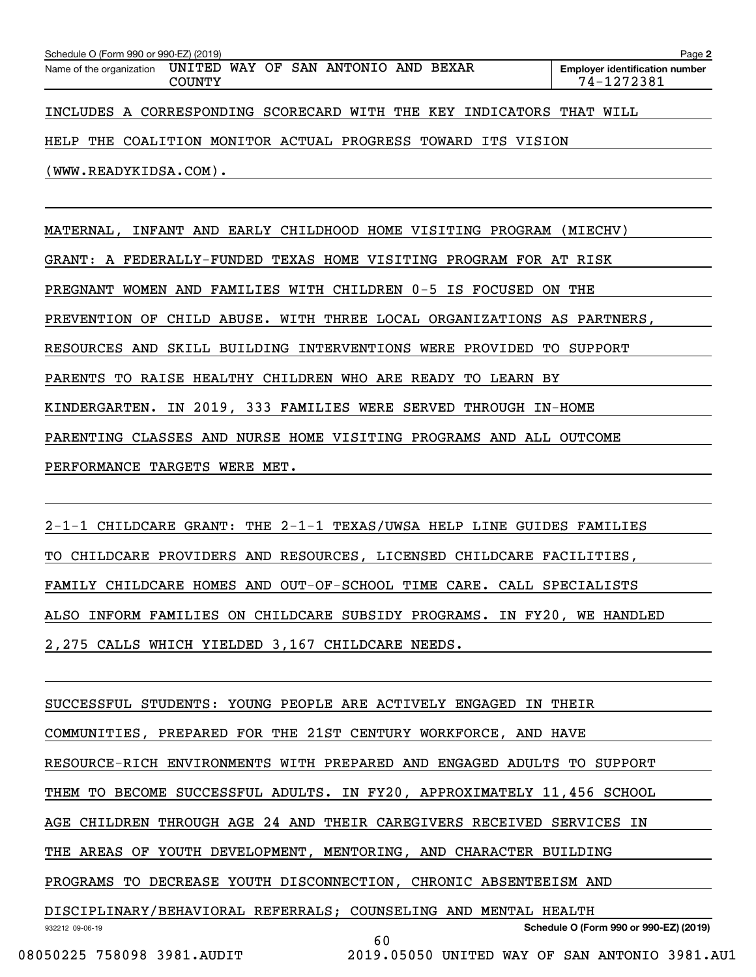| Schedule O (Form 990 or 990-EZ) (2019) |               |                                                              |                                                                      | Page 2                                              |
|----------------------------------------|---------------|--------------------------------------------------------------|----------------------------------------------------------------------|-----------------------------------------------------|
|                                        | <b>COUNTY</b> | Name of the organization UNITED WAY OF SAN ANTONIO AND BEXAR |                                                                      | <b>Employer identification number</b><br>74-1272381 |
|                                        |               |                                                              | INCLUDES A CORRESPONDING SCORECARD WITH THE KEY INDICATORS THAT WILL |                                                     |
|                                        |               |                                                              | HELP THE COALITION MONITOR ACTUAL PROGRESS TOWARD ITS VISION         |                                                     |
| (WWW.READYKIDSA.COM).                  |               |                                                              |                                                                      |                                                     |

MATERNAL, INFANT AND EARLY CHILDHOOD HOME VISITING PROGRAM (MIECHV) GRANT: A FEDERALLY-FUNDED TEXAS HOME VISITING PROGRAM FOR AT RISK PREGNANT WOMEN AND FAMILIES WITH CHILDREN 0-5 IS FOCUSED ON THE PREVENTION OF CHILD ABUSE. WITH THREE LOCAL ORGANIZATIONS AS PARTNERS, RESOURCES AND SKILL BUILDING INTERVENTIONS WERE PROVIDED TO SUPPORT PARENTS TO RAISE HEALTHY CHILDREN WHO ARE READY TO LEARN BY KINDERGARTEN. IN 2019, 333 FAMILIES WERE SERVED THROUGH IN-HOME PARENTING CLASSES AND NURSE HOME VISITING PROGRAMS AND ALL OUTCOME PERFORMANCE TARGETS WERE MET.

2-1-1 CHILDCARE GRANT: THE 2-1-1 TEXAS/UWSA HELP LINE GUIDES FAMILIES TO CHILDCARE PROVIDERS AND RESOURCES, LICENSED CHILDCARE FACILITIES, FAMILY CHILDCARE HOMES AND OUT-OF-SCHOOL TIME CARE. CALL SPECIALISTS ALSO INFORM FAMILIES ON CHILDCARE SUBSIDY PROGRAMS. IN FY20, WE HANDLED 2,275 CALLS WHICH YIELDED 3,167 CHILDCARE NEEDS.

932212 09-06-19 **Schedule O (Form 990 or 990-EZ) (2019)** SUCCESSFUL STUDENTS: YOUNG PEOPLE ARE ACTIVELY ENGAGED IN THEIR COMMUNITIES, PREPARED FOR THE 21ST CENTURY WORKFORCE, AND HAVE RESOURCE-RICH ENVIRONMENTS WITH PREPARED AND ENGAGED ADULTS TO SUPPORT THEM TO BECOME SUCCESSFUL ADULTS. IN FY20, APPROXIMATELY 11,456 SCHOOL AGE CHILDREN THROUGH AGE 24 AND THEIR CAREGIVERS RECEIVED SERVICES IN THE AREAS OF YOUTH DEVELOPMENT, MENTORING, AND CHARACTER BUILDING PROGRAMS TO DECREASE YOUTH DISCONNECTION, CHRONIC ABSENTEEISM AND DISCIPLINARY/BEHAVIORAL REFERRALS; COUNSELING AND MENTAL HEALTH 60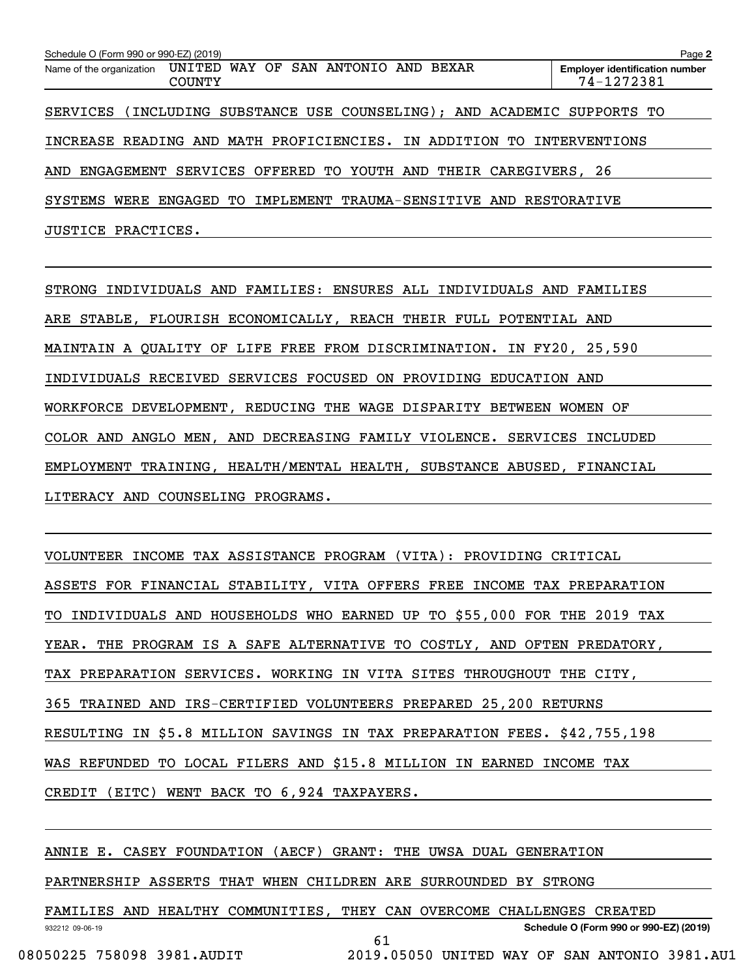| Schedule O (Form 990 or 990-EZ) (2019) |                                |                                                      |                                                                         | Page 2                                              |
|----------------------------------------|--------------------------------|------------------------------------------------------|-------------------------------------------------------------------------|-----------------------------------------------------|
| Name of the organization               | UNITED WAY OF<br><b>COUNTY</b> | SAN ANTONIO                                          | BEXAR<br>AND                                                            | <b>Employer identification number</b><br>74-1272381 |
|                                        |                                |                                                      | SERVICES (INCLUDING SUBSTANCE USE COUNSELING); AND ACADEMIC SUPPORTS TO |                                                     |
|                                        |                                | INCREASE READING AND MATH PROFICIENCIES. IN ADDITION | TO.                                                                     | INTERVENTIONS                                       |
| AND<br>ENGAGEMENT                      |                                | SERVICES OFFERED TO YOUTH AND                        | THEIR CAREGIVERS, 26                                                    |                                                     |
| SYSTEMS<br>WERE                        | ENGAGED TO                     |                                                      | IMPLEMENT TRAUMA-SENSITIVE AND RESTORATIVE                              |                                                     |
| JUSTICE PRACTICES.                     |                                |                                                      |                                                                         |                                                     |

STRONG INDIVIDUALS AND FAMILIES: ENSURES ALL INDIVIDUALS AND FAMILIES ARE STABLE, FLOURISH ECONOMICALLY, REACH THEIR FULL POTENTIAL AND MAINTAIN A QUALITY OF LIFE FREE FROM DISCRIMINATION. IN FY20, 25,590 INDIVIDUALS RECEIVED SERVICES FOCUSED ON PROVIDING EDUCATION AND WORKFORCE DEVELOPMENT, REDUCING THE WAGE DISPARITY BETWEEN WOMEN OF COLOR AND ANGLO MEN, AND DECREASING FAMILY VIOLENCE. SERVICES INCLUDED EMPLOYMENT TRAINING, HEALTH/MENTAL HEALTH, SUBSTANCE ABUSED, FINANCIAL LITERACY AND COUNSELING PROGRAMS.

VOLUNTEER INCOME TAX ASSISTANCE PROGRAM (VITA): PROVIDING CRITICAL ASSETS FOR FINANCIAL STABILITY, VITA OFFERS FREE INCOME TAX PREPARATION TO INDIVIDUALS AND HOUSEHOLDS WHO EARNED UP TO \$55,000 FOR THE 2019 TAX YEAR. THE PROGRAM IS A SAFE ALTERNATIVE TO COSTLY, AND OFTEN PREDATORY, TAX PREPARATION SERVICES. WORKING IN VITA SITES THROUGHOUT THE CITY, 365 TRAINED AND IRS-CERTIFIED VOLUNTEERS PREPARED 25,200 RETURNS RESULTING IN \$5.8 MILLION SAVINGS IN TAX PREPARATION FEES. \$42,755,198 WAS REFUNDED TO LOCAL FILERS AND \$15.8 MILLION IN EARNED INCOME TAX CREDIT (EITC) WENT BACK TO 6,924 TAXPAYERS.

ANNIE E. CASEY FOUNDATION (AECF) GRANT: THE UWSA DUAL GENERATION

PARTNERSHIP ASSERTS THAT WHEN CHILDREN ARE SURROUNDED BY STRONG

FAMILIES AND HEALTHY COMMUNITIES, THEY CAN OVERCOME CHALLENGES CREATED

61

932212 09-06-19

**Schedule O (Form 990 or 990-EZ) (2019)**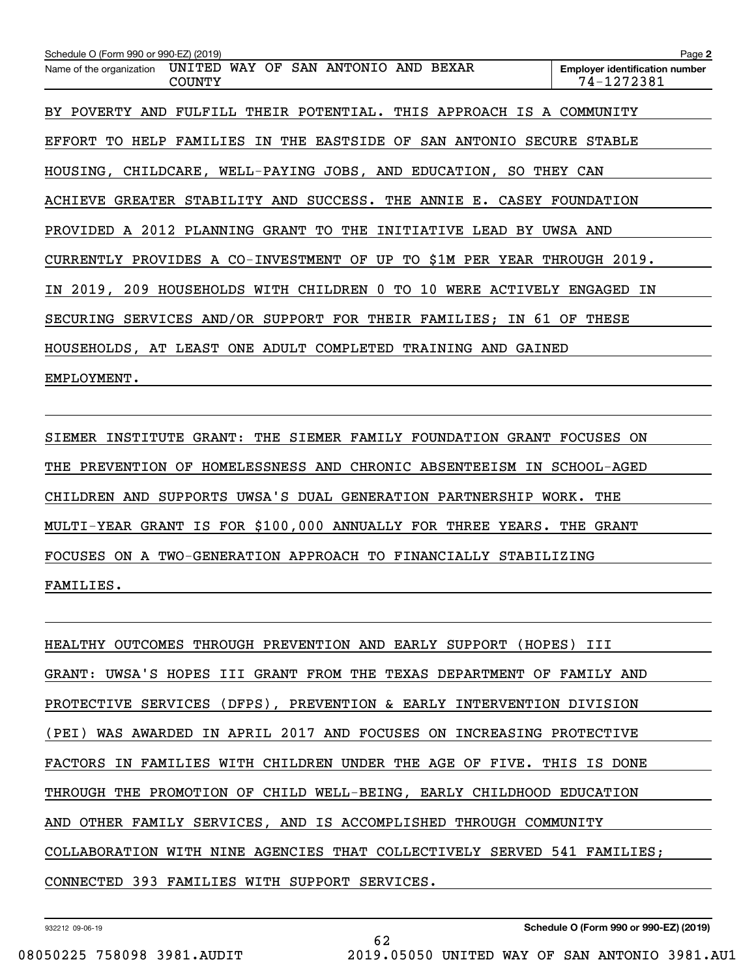| Schedule O (Form 990 or 990-EZ) (2019)                                        | Page 2                                              |
|-------------------------------------------------------------------------------|-----------------------------------------------------|
| Name of the organization UNITED WAY OF SAN ANTONIO AND BEXAR<br><b>COUNTY</b> | <b>Employer identification number</b><br>74-1272381 |
| BY POVERTY AND FULFILL THEIR POTENTIAL. THIS APPROACH IS A COMMUNITY          |                                                     |
| EFFORT TO HELP FAMILIES IN THE EASTSIDE OF SAN ANTONIO SECURE STABLE          |                                                     |
| HOUSING, CHILDCARE, WELL-PAYING JOBS, AND EDUCATION, SO THEY CAN              |                                                     |
| ACHIEVE GREATER STABILITY AND SUCCESS. THE ANNIE E. CASEY FOUNDATION          |                                                     |
| PROVIDED A 2012 PLANNING GRANT TO THE INITIATIVE LEAD BY UWSA AND             |                                                     |
| CURRENTLY PROVIDES A CO-INVESTMENT OF UP TO \$1M PER YEAR THROUGH 2019.       |                                                     |
| IN 2019, 209 HOUSEHOLDS WITH CHILDREN 0 TO 10 WERE ACTIVELY ENGAGED IN        |                                                     |
| SECURING SERVICES AND/OR SUPPORT FOR THEIR FAMILIES; IN 61 OF THESE           |                                                     |
| HOUSEHOLDS, AT LEAST ONE ADULT COMPLETED TRAINING AND GAINED                  |                                                     |
| EMPLOYMENT.                                                                   |                                                     |
|                                                                               |                                                     |

SIEMER INSTITUTE GRANT: THE SIEMER FAMILY FOUNDATION GRANT FOCUSES ON THE PREVENTION OF HOMELESSNESS AND CHRONIC ABSENTEEISM IN SCHOOL-AGED CHILDREN AND SUPPORTS UWSA'S DUAL GENERATION PARTNERSHIP WORK. THE MULTI-YEAR GRANT IS FOR \$100,000 ANNUALLY FOR THREE YEARS. THE GRANT FOCUSES ON A TWO-GENERATION APPROACH TO FINANCIALLY STABILIZING FAMILIES.

HEALTHY OUTCOMES THROUGH PREVENTION AND EARLY SUPPORT (HOPES) III GRANT: UWSA'S HOPES III GRANT FROM THE TEXAS DEPARTMENT OF FAMILY AND PROTECTIVE SERVICES (DFPS), PREVENTION & EARLY INTERVENTION DIVISION (PEI) WAS AWARDED IN APRIL 2017 AND FOCUSES ON INCREASING PROTECTIVE FACTORS IN FAMILIES WITH CHILDREN UNDER THE AGE OF FIVE. THIS IS DONE THROUGH THE PROMOTION OF CHILD WELL-BEING, EARLY CHILDHOOD EDUCATION AND OTHER FAMILY SERVICES, AND IS ACCOMPLISHED THROUGH COMMUNITY COLLABORATION WITH NINE AGENCIES THAT COLLECTIVELY SERVED 541 FAMILIES; CONNECTED 393 FAMILIES WITH SUPPORT SERVICES.

62

932212 09-06-19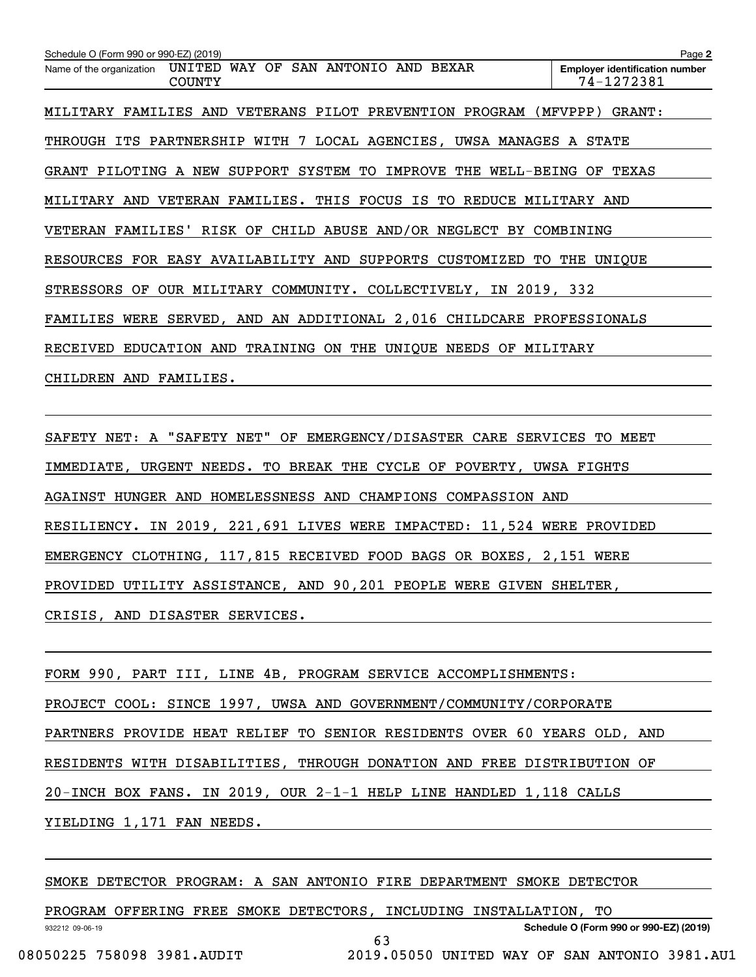| Schedule O (Form 990 or 990-EZ) (2019)                                           | Page 2                                              |
|----------------------------------------------------------------------------------|-----------------------------------------------------|
| UNITED WAY OF SAN ANTONIO AND BEXAR<br>Name of the organization<br><b>COUNTY</b> | <b>Employer identification number</b><br>74-1272381 |
| MILITARY FAMILIES AND VETERANS PILOT PREVENTION PROGRAM (MFVPPP)                 | GRANT:                                              |
| THROUGH ITS PARTNERSHIP WITH 7 LOCAL AGENCIES, UWSA MANAGES A STATE              |                                                     |
| GRANT PILOTING A NEW SUPPORT SYSTEM TO IMPROVE THE WELL-BEING OF                 | TEXAS                                               |
| MILITARY AND VETERAN FAMILIES. THIS FOCUS IS TO REDUCE MILITARY AND              |                                                     |
| VETERAN FAMILIES' RISK OF CHILD ABUSE AND/OR NEGLECT BY COMBINING                |                                                     |
| RESOURCES FOR EASY AVAILABILITY AND SUPPORTS CUSTOMIZED                          | TO THE UNIOUE                                       |
| OUR MILITARY COMMUNITY. COLLECTIVELY, IN 2019, 332<br>STRESSORS OF               |                                                     |
| FAMILIES WERE SERVED, AND AN ADDITIONAL 2,016 CHILDCARE PROFESSIONALS            |                                                     |
| RECEIVED EDUCATION AND TRAINING ON THE UNIQUE NEEDS OF MILITARY                  |                                                     |
| CHILDREN AND FAMILIES.                                                           |                                                     |
|                                                                                  |                                                     |

SAFETY NET: A "SAFETY NET" OF EMERGENCY/DISASTER CARE SERVICES TO MEET IMMEDIATE, URGENT NEEDS. TO BREAK THE CYCLE OF POVERTY, UWSA FIGHTS AGAINST HUNGER AND HOMELESSNESS AND CHAMPIONS COMPASSION AND RESILIENCY. IN 2019, 221,691 LIVES WERE IMPACTED: 11,524 WERE PROVIDED EMERGENCY CLOTHING, 117,815 RECEIVED FOOD BAGS OR BOXES, 2,151 WERE PROVIDED UTILITY ASSISTANCE, AND 90,201 PEOPLE WERE GIVEN SHELTER, CRISIS, AND DISASTER SERVICES.

FORM 990, PART III, LINE 4B, PROGRAM SERVICE ACCOMPLISHMENTS: PROJECT COOL: SINCE 1997, UWSA AND GOVERNMENT/COMMUNITY/CORPORATE PARTNERS PROVIDE HEAT RELIEF TO SENIOR RESIDENTS OVER 60 YEARS OLD, AND RESIDENTS WITH DISABILITIES, THROUGH DONATION AND FREE DISTRIBUTION OF 20-INCH BOX FANS. IN 2019, OUR 2-1-1 HELP LINE HANDLED 1,118 CALLS YIELDING 1,171 FAN NEEDS.

SMOKE DETECTOR PROGRAM: A SAN ANTONIO FIRE DEPARTMENT SMOKE DETECTOR

932212 09-06-19 **Schedule O (Form 990 or 990-EZ) (2019)** PROGRAM OFFERING FREE SMOKE DETECTORS, INCLUDING INSTALLATION, TO 63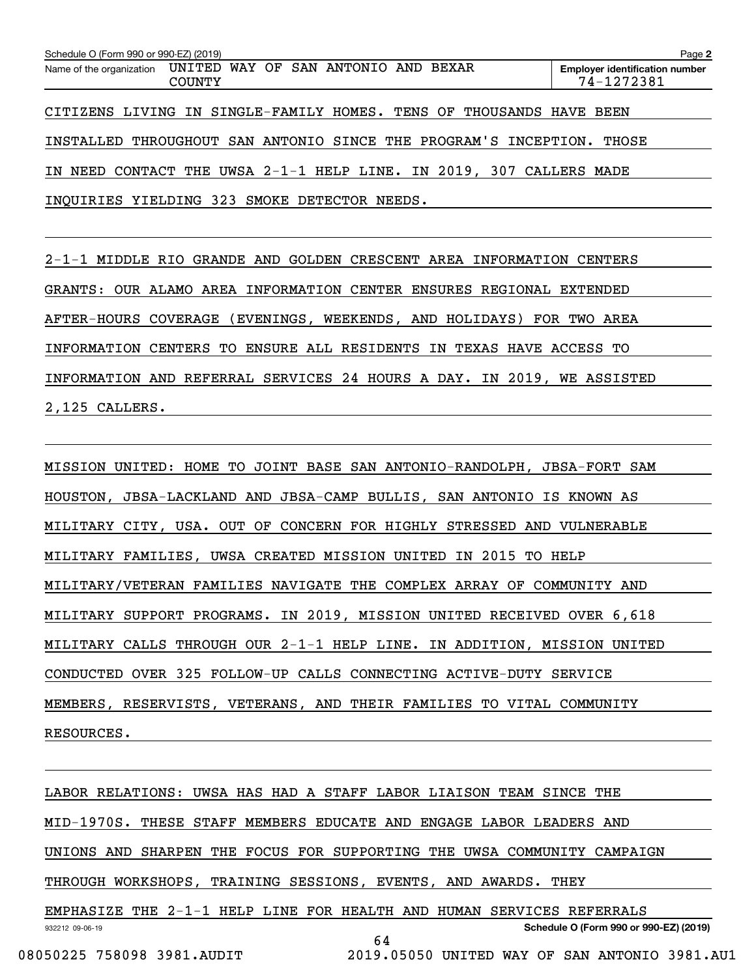| Schedule O (Form 990 or 990-EZ) (2019)                              |               |  |  |  | Page 2                                              |
|---------------------------------------------------------------------|---------------|--|--|--|-----------------------------------------------------|
| Name of the organization UNITED WAY OF SAN ANTONIO AND BEXAR        | <b>COUNTY</b> |  |  |  | <b>Employer identification number</b><br>74-1272381 |
| CITIZENS LIVING IN SINGLE-FAMILY HOMES. TENS OF THOUSANDS HAVE BEEN |               |  |  |  |                                                     |
| INSTALLED THROUGHOUT SAN ANTONIO SINCE THE PROGRAM'S INCEPTION.     |               |  |  |  | THOSE                                               |
| IN NEED CONTACT THE UWSA 2-1-1 HELP LINE. IN 2019, 307 CALLERS MADE |               |  |  |  |                                                     |
| INQUIRIES YIELDING 323 SMOKE DETECTOR NEEDS.                        |               |  |  |  |                                                     |

2-1-1 MIDDLE RIO GRANDE AND GOLDEN CRESCENT AREA INFORMATION CENTERS GRANTS: OUR ALAMO AREA INFORMATION CENTER ENSURES REGIONAL EXTENDED AFTER-HOURS COVERAGE (EVENINGS, WEEKENDS, AND HOLIDAYS) FOR TWO AREA INFORMATION CENTERS TO ENSURE ALL RESIDENTS IN TEXAS HAVE ACCESS TO INFORMATION AND REFERRAL SERVICES 24 HOURS A DAY. IN 2019, WE ASSISTED 2,125 CALLERS.

MISSION UNITED: HOME TO JOINT BASE SAN ANTONIO-RANDOLPH, JBSA-FORT SAM HOUSTON, JBSA-LACKLAND AND JBSA-CAMP BULLIS, SAN ANTONIO IS KNOWN AS MILITARY CITY, USA. OUT OF CONCERN FOR HIGHLY STRESSED AND VULNERABLE MILITARY FAMILIES, UWSA CREATED MISSION UNITED IN 2015 TO HELP MILITARY/VETERAN FAMILIES NAVIGATE THE COMPLEX ARRAY OF COMMUNITY AND MILITARY SUPPORT PROGRAMS. IN 2019, MISSION UNITED RECEIVED OVER 6,618 MILITARY CALLS THROUGH OUR 2-1-1 HELP LINE. IN ADDITION, MISSION UNITED CONDUCTED OVER 325 FOLLOW-UP CALLS CONNECTING ACTIVE-DUTY SERVICE MEMBERS, RESERVISTS, VETERANS, AND THEIR FAMILIES TO VITAL COMMUNITY RESOURCES.

932212 09-06-19 **Schedule O (Form 990 or 990-EZ) (2019)** LABOR RELATIONS: UWSA HAS HAD A STAFF LABOR LIAISON TEAM SINCE THE MID-1970S. THESE STAFF MEMBERS EDUCATE AND ENGAGE LABOR LEADERS AND UNIONS AND SHARPEN THE FOCUS FOR SUPPORTING THE UWSA COMMUNITY CAMPAIGN THROUGH WORKSHOPS, TRAINING SESSIONS, EVENTS, AND AWARDS. THEY EMPHASIZE THE 2-1-1 HELP LINE FOR HEALTH AND HUMAN SERVICES REFERRALS 64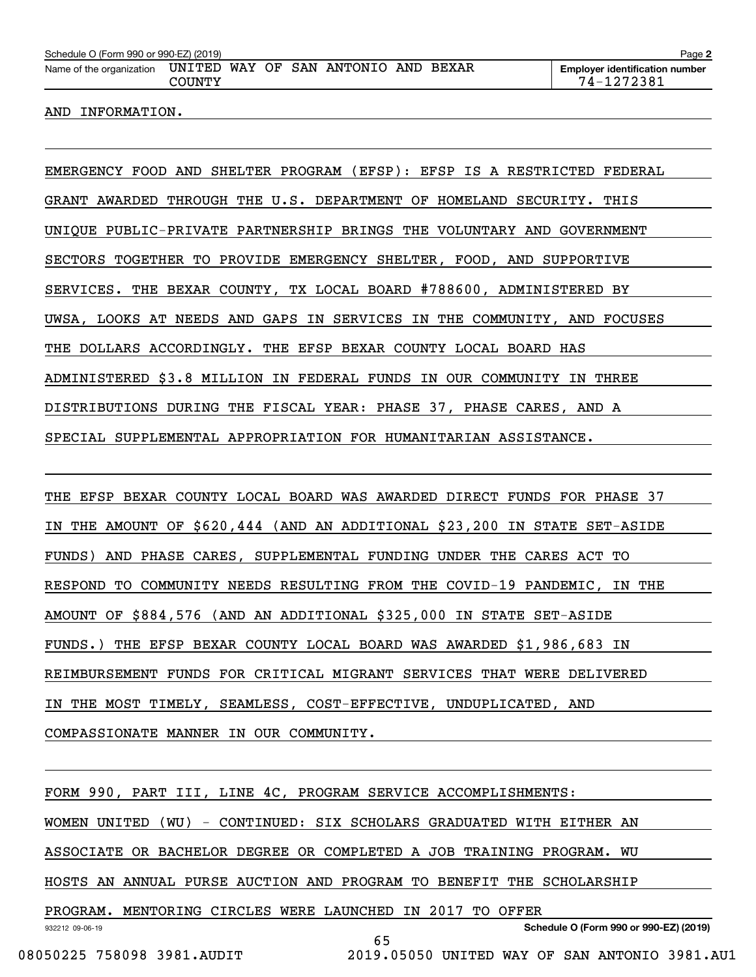| Schedule O (Form 990 or 990-EZ) (2019) |        |  |                                     |  | Page 2                                              |
|----------------------------------------|--------|--|-------------------------------------|--|-----------------------------------------------------|
| Name of the organization               | COUNTY |  | UNITED WAY OF SAN ANTONIO AND BEXAR |  | <b>Employer identification number</b><br>74-1272381 |

AND INFORMATION.

EMERGENCY FOOD AND SHELTER PROGRAM (EFSP): EFSP IS A RESTRICTED FEDERAL GRANT AWARDED THROUGH THE U.S. DEPARTMENT OF HOMELAND SECURITY. THIS UNIQUE PUBLIC-PRIVATE PARTNERSHIP BRINGS THE VOLUNTARY AND GOVERNMENT SECTORS TOGETHER TO PROVIDE EMERGENCY SHELTER, FOOD, AND SUPPORTIVE SERVICES. THE BEXAR COUNTY, TX LOCAL BOARD #788600, ADMINISTERED BY UWSA, LOOKS AT NEEDS AND GAPS IN SERVICES IN THE COMMUNITY, AND FOCUSES THE DOLLARS ACCORDINGLY. THE EFSP BEXAR COUNTY LOCAL BOARD HAS ADMINISTERED \$3.8 MILLION IN FEDERAL FUNDS IN OUR COMMUNITY IN THREE DISTRIBUTIONS DURING THE FISCAL YEAR: PHASE 37, PHASE CARES, AND A SPECIAL SUPPLEMENTAL APPROPRIATION FOR HUMANITARIAN ASSISTANCE.

THE EFSP BEXAR COUNTY LOCAL BOARD WAS AWARDED DIRECT FUNDS FOR PHASE 37 IN THE AMOUNT OF \$620,444 (AND AN ADDITIONAL \$23,200 IN STATE SET-ASIDE FUNDS) AND PHASE CARES, SUPPLEMENTAL FUNDING UNDER THE CARES ACT TO RESPOND TO COMMUNITY NEEDS RESULTING FROM THE COVID-19 PANDEMIC, IN THE AMOUNT OF \$884,576 (AND AN ADDITIONAL \$325,000 IN STATE SET-ASIDE FUNDS.) THE EFSP BEXAR COUNTY LOCAL BOARD WAS AWARDED \$1,986,683 IN REIMBURSEMENT FUNDS FOR CRITICAL MIGRANT SERVICES THAT WERE DELIVERED IN THE MOST TIMELY, SEAMLESS, COST-EFFECTIVE, UNDUPLICATED, AND COMPASSIONATE MANNER IN OUR COMMUNITY.

932212 09-06-19 **Schedule O (Form 990 or 990-EZ) (2019)** FORM 990, PART III, LINE 4C, PROGRAM SERVICE ACCOMPLISHMENTS: WOMEN UNITED (WU) - CONTINUED: SIX SCHOLARS GRADUATED WITH EITHER AN ASSOCIATE OR BACHELOR DEGREE OR COMPLETED A JOB TRAINING PROGRAM. WU HOSTS AN ANNUAL PURSE AUCTION AND PROGRAM TO BENEFIT THE SCHOLARSHIP PROGRAM. MENTORING CIRCLES WERE LAUNCHED IN 2017 TO OFFER 65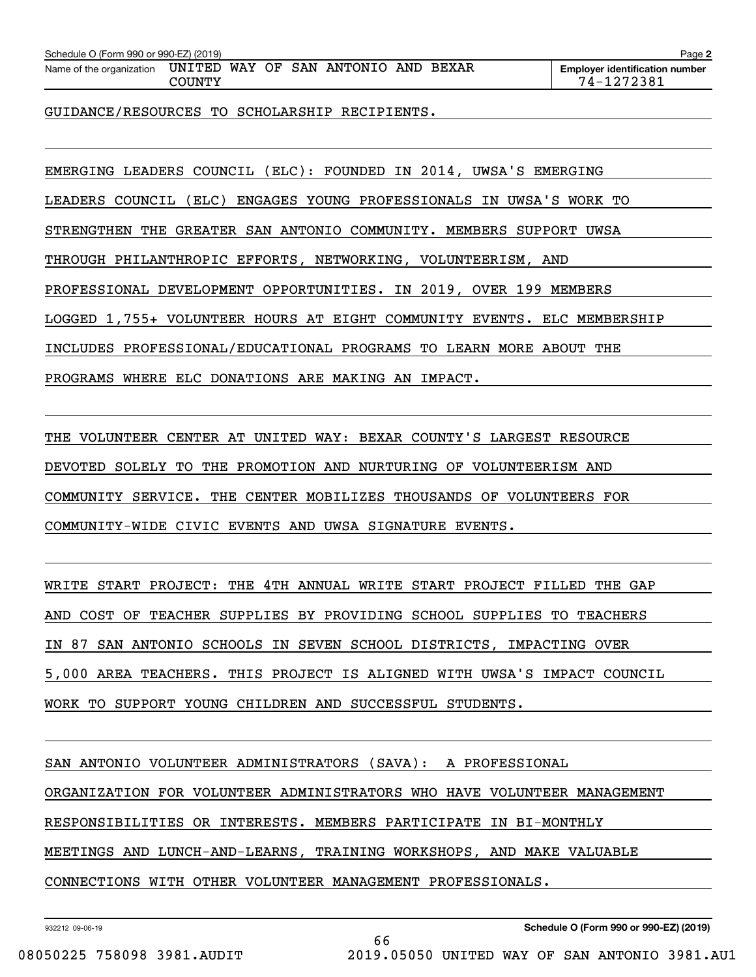| Schedule O (Form 990 or 990-EZ) (2019) |        |  |                                     |  | Page 2                                              |
|----------------------------------------|--------|--|-------------------------------------|--|-----------------------------------------------------|
| Name of the organization               | COUNTY |  | UNITED WAY OF SAN ANTONIO AND BEXAR |  | <b>Employer identification number</b><br>74-1272381 |

GUIDANCE/RESOURCES TO SCHOLARSHIP RECIPIENTS.

EMERGING LEADERS COUNCIL (ELC): FOUNDED IN 2014, UWSA'S EMERGING LEADERS COUNCIL (ELC) ENGAGES YOUNG PROFESSIONALS IN UWSA'S WORK TO STRENGTHEN THE GREATER SAN ANTONIO COMMUNITY. MEMBERS SUPPORT UWSA THROUGH PHILANTHROPIC EFFORTS, NETWORKING, VOLUNTEERISM, AND PROFESSIONAL DEVELOPMENT OPPORTUNITIES. IN 2019, OVER 199 MEMBERS LOGGED 1,755+ VOLUNTEER HOURS AT EIGHT COMMUNITY EVENTS. ELC MEMBERSHIP INCLUDES PROFESSIONAL/EDUCATIONAL PROGRAMS TO LEARN MORE ABOUT THE PROGRAMS WHERE ELC DONATIONS ARE MAKING AN IMPACT.

THE VOLUNTEER CENTER AT UNITED WAY: BEXAR COUNTY'S LARGEST RESOURCE DEVOTED SOLELY TO THE PROMOTION AND NURTURING OF VOLUNTEERISM AND COMMUNITY SERVICE. THE CENTER MOBILIZES THOUSANDS OF VOLUNTEERS FOR COMMUNITY-WIDE CIVIC EVENTS AND UWSA SIGNATURE EVENTS.

WRITE START PROJECT: THE 4TH ANNUAL WRITE START PROJECT FILLED THE GAP AND COST OF TEACHER SUPPLIES BY PROVIDING SCHOOL SUPPLIES TO TEACHERS IN 87 SAN ANTONIO SCHOOLS IN SEVEN SCHOOL DISTRICTS, IMPACTING OVER 5,000 AREA TEACHERS. THIS PROJECT IS ALIGNED WITH UWSA'S IMPACT COUNCIL WORK TO SUPPORT YOUNG CHILDREN AND SUCCESSFUL STUDENTS.

SAN ANTONIO VOLUNTEER ADMINISTRATORS (SAVA): A PROFESSIONAL

ORGANIZATION FOR VOLUNTEER ADMINISTRATORS WHO HAVE VOLUNTEER MANAGEMENT

66

RESPONSIBILITIES OR INTERESTS. MEMBERS PARTICIPATE IN BI-MONTHLY

MEETINGS AND LUNCH-AND-LEARNS, TRAINING WORKSHOPS, AND MAKE VALUABLE

CONNECTIONS WITH OTHER VOLUNTEER MANAGEMENT PROFESSIONALS.

932212 09-06-19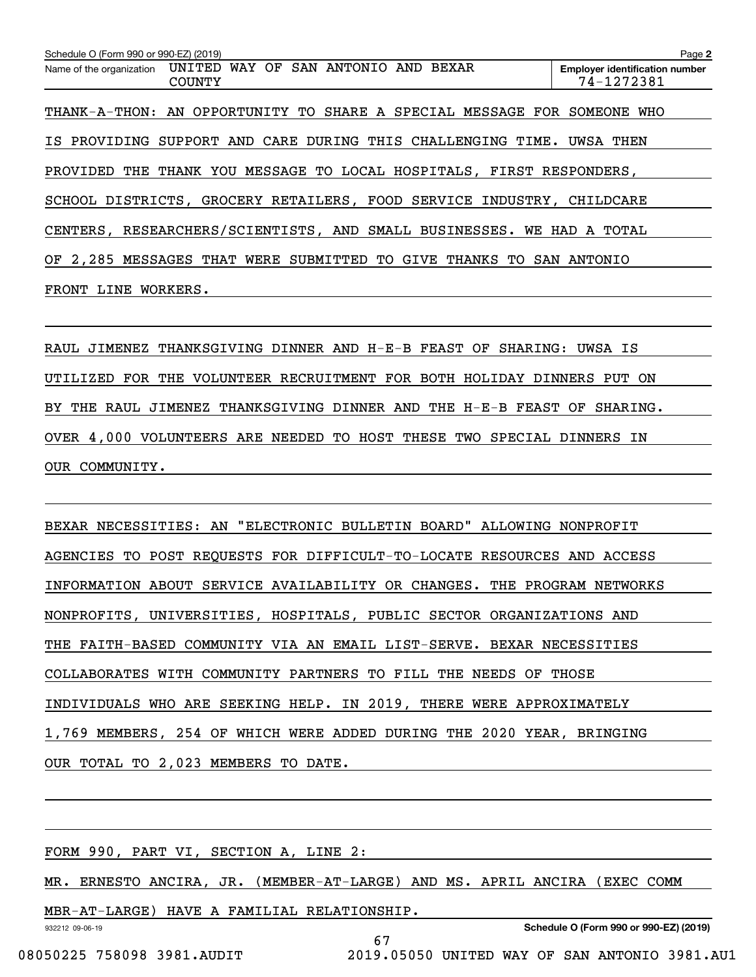| Schedule O (Form 990 or 990-EZ) (2019)                                        | Page 2                                              |
|-------------------------------------------------------------------------------|-----------------------------------------------------|
| Name of the organization UNITED WAY OF SAN ANTONIO AND BEXAR<br><b>COUNTY</b> | <b>Employer identification number</b><br>74-1272381 |
| THANK-A-THON: AN OPPORTUNITY TO SHARE A SPECIAL MESSAGE FOR SOMEONE WHO       |                                                     |
| IS PROVIDING SUPPORT AND CARE DURING THIS CHALLENGING TIME. UWSA THEN         |                                                     |
| PROVIDED THE THANK YOU MESSAGE TO LOCAL HOSPITALS, FIRST RESPONDERS,          |                                                     |
| SCHOOL DISTRICTS, GROCERY RETAILERS, FOOD SERVICE INDUSTRY, CHILDCARE         |                                                     |
| CENTERS, RESEARCHERS/SCIENTISTS, AND SMALL BUSINESSES. WE HAD A TOTAL         |                                                     |
| OF 2,285 MESSAGES THAT WERE SUBMITTED TO GIVE THANKS<br>TO<br>SAN             | ANTONIO                                             |
| <b>FRONT</b><br>LINE<br>WORKERS.                                              |                                                     |

RAUL JIMENEZ THANKSGIVING DINNER AND H-E-B FEAST OF SHARING: UWSA IS UTILIZED FOR THE VOLUNTEER RECRUITMENT FOR BOTH HOLIDAY DINNERS PUT ON BY THE RAUL JIMENEZ THANKSGIVING DINNER AND THE H-E-B FEAST OF SHARING. OVER 4,000 VOLUNTEERS ARE NEEDED TO HOST THESE TWO SPECIAL DINNERS IN OUR COMMUNITY.

BEXAR NECESSITIES: AN "ELECTRONIC BULLETIN BOARD" ALLOWING NONPROFIT AGENCIES TO POST REQUESTS FOR DIFFICULT-TO-LOCATE RESOURCES AND ACCESS INFORMATION ABOUT SERVICE AVAILABILITY OR CHANGES. THE PROGRAM NETWORKS NONPROFITS, UNIVERSITIES, HOSPITALS, PUBLIC SECTOR ORGANIZATIONS AND THE FAITH-BASED COMMUNITY VIA AN EMAIL LIST-SERVE. BEXAR NECESSITIES COLLABORATES WITH COMMUNITY PARTNERS TO FILL THE NEEDS OF THOSE INDIVIDUALS WHO ARE SEEKING HELP. IN 2019, THERE WERE APPROXIMATELY 1,769 MEMBERS, 254 OF WHICH WERE ADDED DURING THE 2020 YEAR, BRINGING OUR TOTAL TO 2,023 MEMBERS TO DATE.

FORM 990, PART VI, SECTION A, LINE 2:

MR. ERNESTO ANCIRA, JR. (MEMBER-AT-LARGE) AND MS. APRIL ANCIRA (EXEC COMM

67

MBR-AT-LARGE) HAVE A FAMILIAL RELATIONSHIP.

932212 09-06-19

**Schedule O (Form 990 or 990-EZ) (2019)**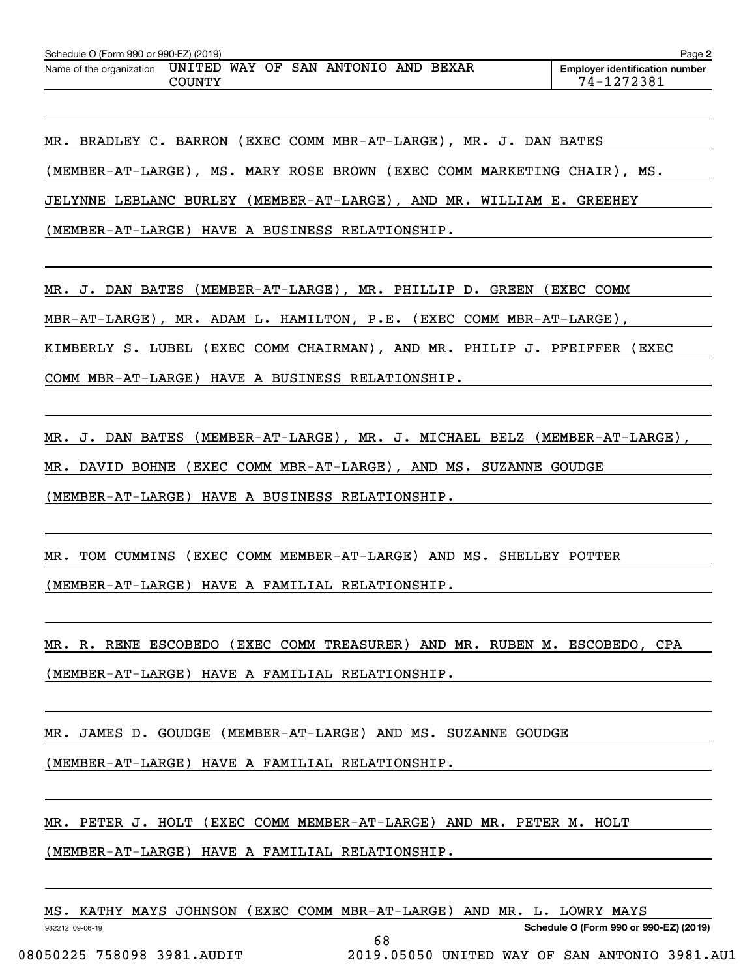| Schedule O (Form 990 or 990-EZ) (2019) |                  |  |                              |  | Page 2                                              |
|----------------------------------------|------------------|--|------------------------------|--|-----------------------------------------------------|
| Name of the organization               | UNITED<br>COUNTY |  | WAY OF SAN ANTONIO AND BEXAR |  | <b>Employer identification number</b><br>74-1272381 |

MR. BRADLEY C. BARRON (EXEC COMM MBR-AT-LARGE), MR. J. DAN BATES (MEMBER-AT-LARGE), MS. MARY ROSE BROWN (EXEC COMM MARKETING CHAIR), MS. JELYNNE LEBLANC BURLEY (MEMBER-AT-LARGE), AND MR. WILLIAM E. GREEHEY (MEMBER-AT-LARGE) HAVE A BUSINESS RELATIONSHIP.

MR. J. DAN BATES (MEMBER-AT-LARGE), MR. PHILLIP D. GREEN (EXEC COMM MBR-AT-LARGE), MR. ADAM L. HAMILTON, P.E. (EXEC COMM MBR-AT-LARGE), KIMBERLY S. LUBEL (EXEC COMM CHAIRMAN), AND MR. PHILIP J. PFEIFFER (EXEC COMM MBR-AT-LARGE) HAVE A BUSINESS RELATIONSHIP.

MR. J. DAN BATES (MEMBER-AT-LARGE), MR. J. MICHAEL BELZ (MEMBER-AT-LARGE),

MR. DAVID BOHNE (EXEC COMM MBR-AT-LARGE), AND MS. SUZANNE GOUDGE

(MEMBER-AT-LARGE) HAVE A BUSINESS RELATIONSHIP.

MR. TOM CUMMINS (EXEC COMM MEMBER-AT-LARGE) AND MS. SHELLEY POTTER (MEMBER-AT-LARGE) HAVE A FAMILIAL RELATIONSHIP.

MR. R. RENE ESCOBEDO (EXEC COMM TREASURER) AND MR. RUBEN M. ESCOBEDO, CPA (MEMBER-AT-LARGE) HAVE A FAMILIAL RELATIONSHIP.

MR. JAMES D. GOUDGE (MEMBER-AT-LARGE) AND MS. SUZANNE GOUDGE

(MEMBER-AT-LARGE) HAVE A FAMILIAL RELATIONSHIP.

MR. PETER J. HOLT (EXEC COMM MEMBER-AT-LARGE) AND MR. PETER M. HOLT

(MEMBER-AT-LARGE) HAVE A FAMILIAL RELATIONSHIP.

|  |  |  | MS. KATHY MAYS JOHNSON (EXEC COMM MBR-AT-LARGE) AND MR. L. LOWRY MAYS |  |  |  |  |  |  |  |  |  |
|--|--|--|-----------------------------------------------------------------------|--|--|--|--|--|--|--|--|--|
|--|--|--|-----------------------------------------------------------------------|--|--|--|--|--|--|--|--|--|

68

932212 09-06-19

**Schedule O (Form 990 or 990-EZ) (2019)**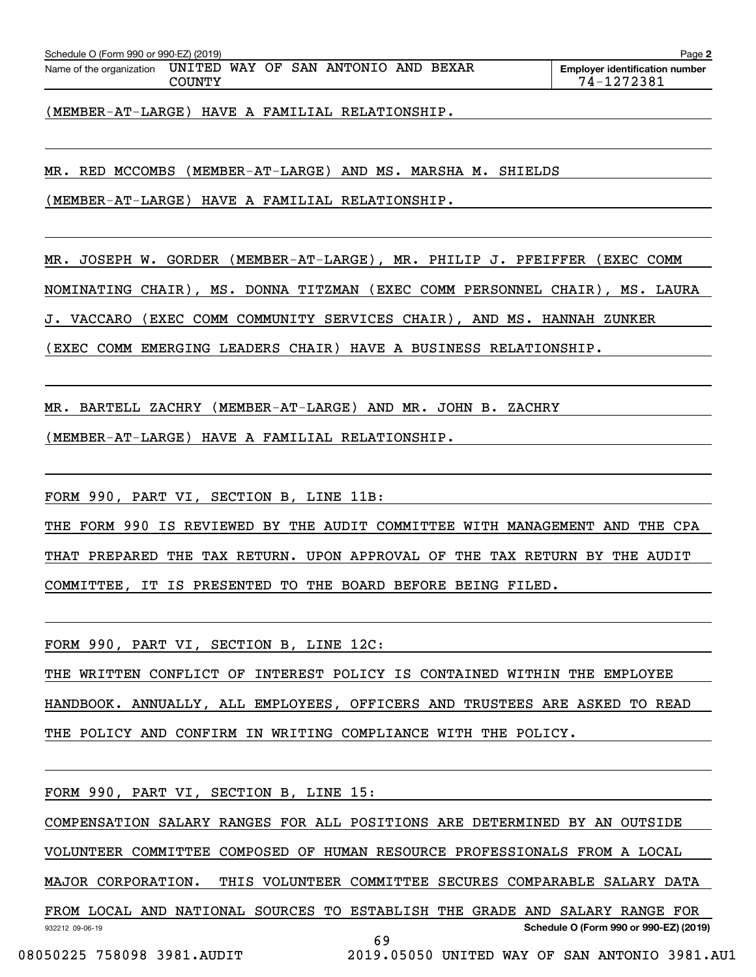| Schedule O (Form 990 or 990-EZ) (2019) |        |  |                              |  |                                       | Page 2 |
|----------------------------------------|--------|--|------------------------------|--|---------------------------------------|--------|
| Name of the organization               | UNITED |  | WAY OF SAN ANTONIO AND BEXAR |  | <b>Employer identification number</b> |        |
|                                        | COUNTY |  |                              |  | 74-1272381                            |        |

(MEMBER-AT-LARGE) HAVE A FAMILIAL RELATIONSHIP.

MR. RED MCCOMBS (MEMBER-AT-LARGE) AND MS. MARSHA M. SHIELDS

(MEMBER-AT-LARGE) HAVE A FAMILIAL RELATIONSHIP.

MR. JOSEPH W. GORDER (MEMBER-AT-LARGE), MR. PHILIP J. PFEIFFER (EXEC COMM NOMINATING CHAIR), MS. DONNA TITZMAN (EXEC COMM PERSONNEL CHAIR), MS. LAURA

J. VACCARO (EXEC COMM COMMUNITY SERVICES CHAIR), AND MS. HANNAH ZUNKER

(EXEC COMM EMERGING LEADERS CHAIR) HAVE A BUSINESS RELATIONSHIP.

MR. BARTELL ZACHRY (MEMBER-AT-LARGE) AND MR. JOHN B. ZACHRY

(MEMBER-AT-LARGE) HAVE A FAMILIAL RELATIONSHIP.

FORM 990, PART VI, SECTION B, LINE 11B:

THE FORM 990 IS REVIEWED BY THE AUDIT COMMITTEE WITH MANAGEMENT AND THE CPA THAT PREPARED THE TAX RETURN. UPON APPROVAL OF THE TAX RETURN BY THE AUDIT COMMITTEE, IT IS PRESENTED TO THE BOARD BEFORE BEING FILED.

FORM 990, PART VI, SECTION B, LINE 12C:

THE WRITTEN CONFLICT OF INTEREST POLICY IS CONTAINED WITHIN THE EMPLOYEE HANDBOOK. ANNUALLY, ALL EMPLOYEES, OFFICERS AND TRUSTEES ARE ASKED TO READ THE POLICY AND CONFIRM IN WRITING COMPLIANCE WITH THE POLICY.

FORM 990, PART VI, SECTION B, LINE 15:

COMPENSATION SALARY RANGES FOR ALL POSITIONS ARE DETERMINED BY AN OUTSIDE

VOLUNTEER COMMITTEE COMPOSED OF HUMAN RESOURCE PROFESSIONALS FROM A LOCAL

MAJOR CORPORATION. THIS VOLUNTEER COMMITTEE SECURES COMPARABLE SALARY DATA

932212 09-06-19 **Schedule O (Form 990 or 990-EZ) (2019)** FROM LOCAL AND NATIONAL SOURCES TO ESTABLISH THE GRADE AND SALARY RANGE FOR 69

```
 08050225 758098 3981.AUDIT 2019.05050 UNITED WAY OF SAN ANTONIO 3981.AU1
```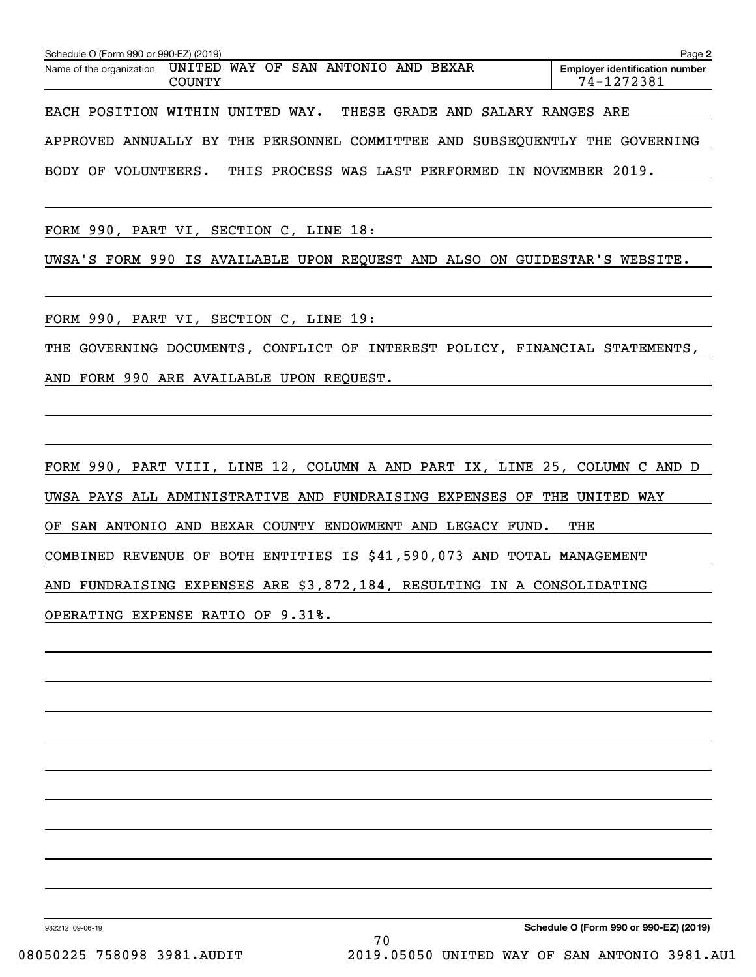| Schedule O (Form 990 or 990-EZ) (2019) |                                         |                             |                            |     |              |        |                                                                            | Page 2 |
|----------------------------------------|-----------------------------------------|-----------------------------|----------------------------|-----|--------------|--------|----------------------------------------------------------------------------|--------|
| Name of the organization               | UNITED<br><b>COUNTY</b>                 | WAY OF                      | SAN ANTONIO                | AND | <b>BEXAR</b> |        | <b>Employer identification number</b><br>74-1272381                        |        |
| EACH POSITION                          | WITHIN                                  | UNITED WAY. THESE GRADE AND |                            |     |              | SALARY | RANGES ARE                                                                 |        |
| APPROVED                               | ANNUALLY BY THE PERSONNEL COMMITTEE AND |                             |                            |     |              |        | SUBSEOUENTLY THE<br>GOVERNING                                              |        |
| <b>BODY</b><br>OF                      | VOLUNTEERS.                             | THIS                        | PROCESS WAS LAST PERFORMED |     |              |        | IN NOVEMBER 2019.                                                          |        |
|                                        |                                         |                             |                            |     |              |        |                                                                            |        |
| FORM 990, PART VI, SECTION C, LINE 18: |                                         |                             |                            |     |              |        |                                                                            |        |
|                                        |                                         |                             |                            |     |              |        | UWSA'S FORM 990 IS AVAILABLE UPON REOUEST AND ALSO ON GUIDESTAR'S WEBSITE. |        |

FORM 990, PART VI, SECTION C, LINE 19:

THE GOVERNING DOCUMENTS, CONFLICT OF INTEREST POLICY, FINANCIAL STATEMENTS, AND FORM 990 ARE AVAILABLE UPON REQUEST.

FORM 990, PART VIII, LINE 12, COLUMN A AND PART IX, LINE 25, COLUMN C AND D UWSA PAYS ALL ADMINISTRATIVE AND FUNDRAISING EXPENSES OF THE UNITED WAY OF SAN ANTONIO AND BEXAR COUNTY ENDOWMENT AND LEGACY FUND. THE COMBINED REVENUE OF BOTH ENTITIES IS \$41,590,073 AND TOTAL MANAGEMENT AND FUNDRAISING EXPENSES ARE \$3,872,184, RESULTING IN A CONSOLIDATING OPERATING EXPENSE RATIO OF 9.31%.

932212 09-06-19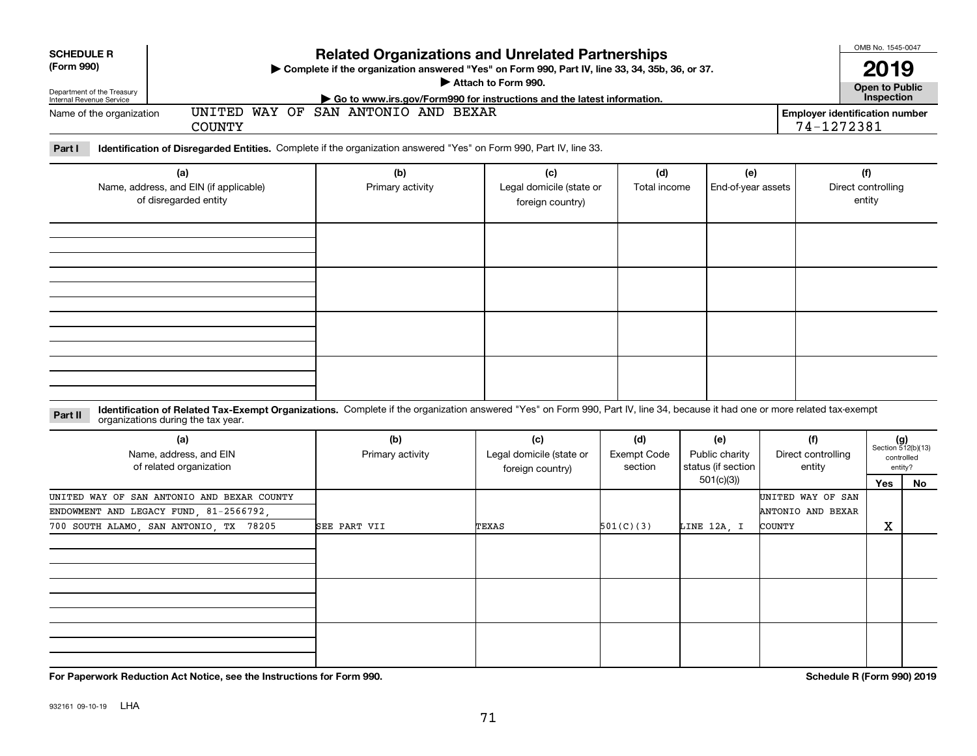| <b>SCHEDULE R</b><br>(Form 990)<br>Department of the Treasury<br>Internal Revenue Service<br>Name of the organization | <b>COUNTY</b>                                                                                                                                                                                                      | <b>Related Organizations and Unrelated Partnerships</b><br>> Complete if the organization answered "Yes" on Form 990, Part IV, line 33, 34, 35b, 36, or 37.<br>Go to www.irs.gov/Form990 for instructions and the latest information.<br>UNITED WAY OF SAN ANTONIO AND BEXAR | Attach to Form 990.                                 |                                      |                                                          | <b>Employer identification number</b><br>74-1272381 | OMB No. 1545-0047<br>2019<br><b>Open to Public</b><br>Inspection |    |
|-----------------------------------------------------------------------------------------------------------------------|--------------------------------------------------------------------------------------------------------------------------------------------------------------------------------------------------------------------|------------------------------------------------------------------------------------------------------------------------------------------------------------------------------------------------------------------------------------------------------------------------------|-----------------------------------------------------|--------------------------------------|----------------------------------------------------------|-----------------------------------------------------|------------------------------------------------------------------|----|
| Part I                                                                                                                | Identification of Disregarded Entities. Complete if the organization answered "Yes" on Form 990, Part IV, line 33.                                                                                                 |                                                                                                                                                                                                                                                                              |                                                     |                                      |                                                          |                                                     |                                                                  |    |
|                                                                                                                       | (a)<br>Name, address, and EIN (if applicable)<br>of disregarded entity                                                                                                                                             | (b)<br>Primary activity                                                                                                                                                                                                                                                      | (c)<br>Legal domicile (state or<br>foreign country) | (d)<br>Total income                  | (e)<br>End-of-year assets                                |                                                     | (f)<br>Direct controlling<br>entity                              |    |
|                                                                                                                       |                                                                                                                                                                                                                    |                                                                                                                                                                                                                                                                              |                                                     |                                      |                                                          |                                                     |                                                                  |    |
|                                                                                                                       |                                                                                                                                                                                                                    |                                                                                                                                                                                                                                                                              |                                                     |                                      |                                                          |                                                     |                                                                  |    |
|                                                                                                                       |                                                                                                                                                                                                                    |                                                                                                                                                                                                                                                                              |                                                     |                                      |                                                          |                                                     |                                                                  |    |
| Part II                                                                                                               | Identification of Related Tax-Exempt Organizations. Complete if the organization answered "Yes" on Form 990, Part IV, line 34, because it had one or more related tax-exempt<br>organizations during the tax year. |                                                                                                                                                                                                                                                                              |                                                     |                                      |                                                          |                                                     |                                                                  |    |
|                                                                                                                       | (a)<br>Name, address, and EIN<br>of related organization                                                                                                                                                           | (b)<br>Primary activity                                                                                                                                                                                                                                                      | (c)<br>Legal domicile (state or<br>foreign country) | (d)<br><b>Exempt Code</b><br>section | (e)<br>Public charity<br>status (if section<br>501(c)(3) | (f)<br>Direct controlling<br>entity                 | $(g)$<br>Section 512(b)(13)<br>controlled<br>entity?<br>Yes      | No |
|                                                                                                                       | UNITED WAY OF SAN ANTONIO AND BEXAR COUNTY<br>$\mathbf{D}$                                                                                                                                                         |                                                                                                                                                                                                                                                                              |                                                     |                                      |                                                          | UNITED WAY OF SAN<br>$\frac{1}{2}$                  |                                                                  |    |

| $\ddot{\phantom{1}}$<br>Name, address, and EIN<br>of related organization | $\mathbf{v}$<br>Primary activity | $\ddot{\phantom{1}}$<br>Legal domicile (state or<br>foreign country) | $\mathbf{v}$<br><b>Exempt Code</b><br>section | $\sqrt{ }$<br>Public charity<br>status (if section | $\mathbf{v}$<br>Direct controlling<br>entity | Section 512(b)(13)<br>controlled<br>entity? |    |
|---------------------------------------------------------------------------|----------------------------------|----------------------------------------------------------------------|-----------------------------------------------|----------------------------------------------------|----------------------------------------------|---------------------------------------------|----|
|                                                                           |                                  |                                                                      |                                               | 501(c)(3))                                         |                                              | Yes                                         | No |
| UNITED WAY OF SAN ANTONIO AND BEXAR COUNTY                                |                                  |                                                                      |                                               |                                                    | UNITED WAY OF SAN                            |                                             |    |
| ENDOWMENT AND LEGACY FUND, 81-2566792,                                    |                                  |                                                                      |                                               |                                                    | ANTONIO AND BEXAR                            |                                             |    |
| 700 SOUTH ALAMO, SAN ANTONIO, TX 78205                                    | SEE PART VII                     | TEXAS                                                                | 501(C)(3)                                     | LINE 12A, I                                        | <b>COUNTY</b>                                | X                                           |    |
|                                                                           |                                  |                                                                      |                                               |                                                    |                                              |                                             |    |
|                                                                           |                                  |                                                                      |                                               |                                                    |                                              |                                             |    |
|                                                                           |                                  |                                                                      |                                               |                                                    |                                              |                                             |    |
|                                                                           |                                  |                                                                      |                                               |                                                    |                                              |                                             |    |
|                                                                           |                                  |                                                                      |                                               |                                                    |                                              |                                             |    |
|                                                                           |                                  |                                                                      |                                               |                                                    |                                              |                                             |    |
|                                                                           |                                  |                                                                      |                                               |                                                    |                                              |                                             |    |
|                                                                           |                                  |                                                                      |                                               |                                                    |                                              |                                             |    |
|                                                                           |                                  |                                                                      |                                               |                                                    |                                              |                                             |    |

**For Paperwork Reduction Act Notice, see the Instructions for Form 990. Schedule R (Form 990) 2019**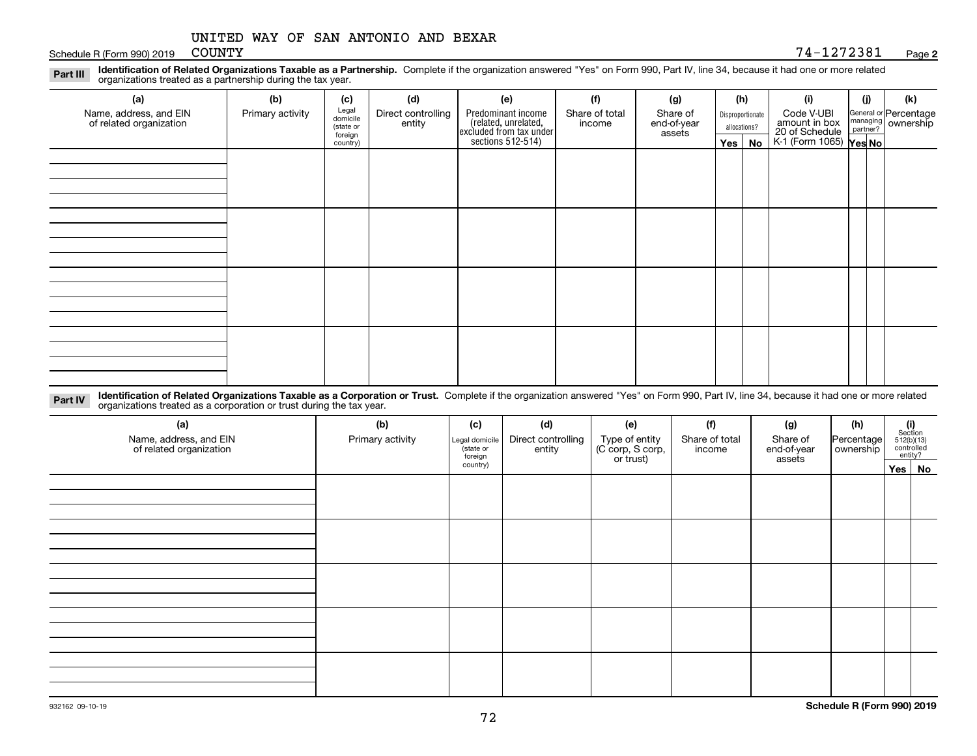Schedule R (Form 990) 2019 COUNTY

#### **2**COUNTY 74-1272381

**Identification of Related Organizations Taxable as a Partnership.** Complete if the organization answered "Yes" on Form 990, Part IV, line 34, because it had one or more related **Part III** organizations treated as a partnership during the tax year.

| (a)                                               | (b)              | (c)                  | (d)                          | (e)                                                                 | (f)                      | (g)                     |         | (h)              | (i)                                                       | (j) | (k)                                                       |
|---------------------------------------------------|------------------|----------------------|------------------------------|---------------------------------------------------------------------|--------------------------|-------------------------|---------|------------------|-----------------------------------------------------------|-----|-----------------------------------------------------------|
| Name, address, and EIN<br>of related organization | Primary activity | Legal<br>domicile    | Direct controlling<br>entity | Predominant income                                                  | Share of total<br>income | Share of<br>end-of-year |         | Disproportionate | Code V-UBI                                                |     | General or Percentage<br>managing<br>partner?<br>partner? |
|                                                   |                  | (state or<br>foreign |                              | related, unrelated,<br>excluded from tax under<br>sections 512-514) |                          | assets                  |         | allocations?     |                                                           |     |                                                           |
|                                                   |                  | country)             |                              |                                                                     |                          |                         | Yes $ $ | No               | amount in box<br>20 of Schedule<br>K-1 (Form 1065) Yes No |     |                                                           |
|                                                   |                  |                      |                              |                                                                     |                          |                         |         |                  |                                                           |     |                                                           |
|                                                   |                  |                      |                              |                                                                     |                          |                         |         |                  |                                                           |     |                                                           |
|                                                   |                  |                      |                              |                                                                     |                          |                         |         |                  |                                                           |     |                                                           |
|                                                   |                  |                      |                              |                                                                     |                          |                         |         |                  |                                                           |     |                                                           |
|                                                   |                  |                      |                              |                                                                     |                          |                         |         |                  |                                                           |     |                                                           |
|                                                   |                  |                      |                              |                                                                     |                          |                         |         |                  |                                                           |     |                                                           |
|                                                   |                  |                      |                              |                                                                     |                          |                         |         |                  |                                                           |     |                                                           |
|                                                   |                  |                      |                              |                                                                     |                          |                         |         |                  |                                                           |     |                                                           |
|                                                   |                  |                      |                              |                                                                     |                          |                         |         |                  |                                                           |     |                                                           |
|                                                   |                  |                      |                              |                                                                     |                          |                         |         |                  |                                                           |     |                                                           |
|                                                   |                  |                      |                              |                                                                     |                          |                         |         |                  |                                                           |     |                                                           |
|                                                   |                  |                      |                              |                                                                     |                          |                         |         |                  |                                                           |     |                                                           |
|                                                   |                  |                      |                              |                                                                     |                          |                         |         |                  |                                                           |     |                                                           |
|                                                   |                  |                      |                              |                                                                     |                          |                         |         |                  |                                                           |     |                                                           |
|                                                   |                  |                      |                              |                                                                     |                          |                         |         |                  |                                                           |     |                                                           |
|                                                   |                  |                      |                              |                                                                     |                          |                         |         |                  |                                                           |     |                                                           |

**Identification of Related Organizations Taxable as a Corporation or Trust.** Complete if the organization answered "Yes" on Form 990, Part IV, line 34, because it had one or more related **Part IV** organizations treated as a corporation or trust during the tax year.

| (a)<br>Name, address, and EIN<br>of related organization | (b)<br>Primary activity | (c)<br>Legal domicile<br>state or<br>foreign | (d)<br>Direct controlling<br>entity | (e)<br>Type of entity<br>(C corp, S corp,<br>or trust) | (f)<br>Share of total<br>income | (g)<br>Share of<br>end-of-year<br>assets | (h)<br>Percentage<br>ownership | $(i)$ Section<br>512(b)(13)<br>controlled<br>entity? |  |
|----------------------------------------------------------|-------------------------|----------------------------------------------|-------------------------------------|--------------------------------------------------------|---------------------------------|------------------------------------------|--------------------------------|------------------------------------------------------|--|
|                                                          |                         | country)                                     |                                     |                                                        |                                 |                                          |                                | Yes No                                               |  |
|                                                          |                         |                                              |                                     |                                                        |                                 |                                          |                                |                                                      |  |
|                                                          |                         |                                              |                                     |                                                        |                                 |                                          |                                |                                                      |  |
|                                                          |                         |                                              |                                     |                                                        |                                 |                                          |                                |                                                      |  |
|                                                          |                         |                                              |                                     |                                                        |                                 |                                          |                                |                                                      |  |
|                                                          |                         |                                              |                                     |                                                        |                                 |                                          |                                |                                                      |  |
|                                                          |                         |                                              |                                     |                                                        |                                 |                                          |                                |                                                      |  |
|                                                          |                         |                                              |                                     |                                                        |                                 |                                          |                                |                                                      |  |
|                                                          |                         |                                              |                                     |                                                        |                                 |                                          |                                |                                                      |  |
|                                                          |                         |                                              |                                     |                                                        |                                 |                                          |                                |                                                      |  |
|                                                          |                         |                                              |                                     |                                                        |                                 |                                          |                                |                                                      |  |
|                                                          |                         |                                              |                                     |                                                        |                                 |                                          |                                |                                                      |  |
|                                                          |                         |                                              |                                     |                                                        |                                 |                                          |                                |                                                      |  |
|                                                          |                         |                                              |                                     |                                                        |                                 |                                          |                                |                                                      |  |
|                                                          |                         |                                              |                                     |                                                        |                                 |                                          |                                |                                                      |  |
|                                                          |                         |                                              |                                     |                                                        |                                 |                                          |                                |                                                      |  |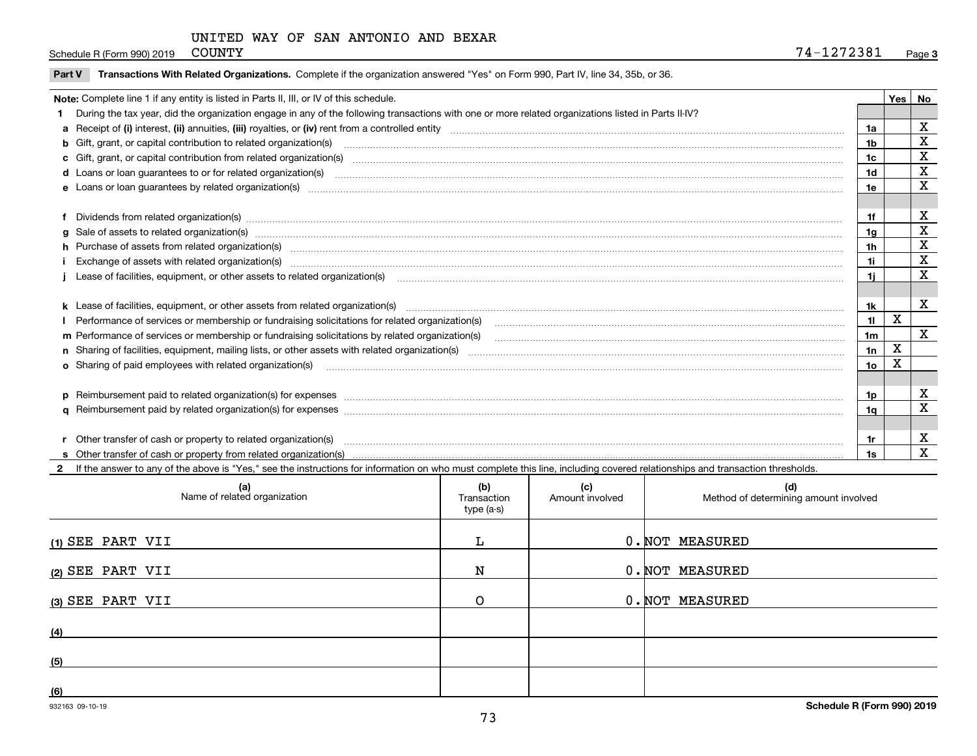Schedule R (Form 990) 2019 COUNTY

|  | Part V Transactions With Related Organizations. Complete if the organization answered "Yes" on Form 990, Part IV, line 34, 35b, or 36. |  |  |
|--|----------------------------------------------------------------------------------------------------------------------------------------|--|--|
|--|----------------------------------------------------------------------------------------------------------------------------------------|--|--|

| Note: Complete line 1 if any entity is listed in Parts II, III, or IV of this schedule.                                                                                                                                        |                | Yes | No                      |
|--------------------------------------------------------------------------------------------------------------------------------------------------------------------------------------------------------------------------------|----------------|-----|-------------------------|
| During the tax year, did the organization engage in any of the following transactions with one or more related organizations listed in Parts II-IV?                                                                            |                |     |                         |
|                                                                                                                                                                                                                                | 1a             |     | X                       |
| b Gift, grant, or capital contribution to related organization(s) manufaction contracts and contribution to related organization(s)                                                                                            | 1b             |     | X                       |
| c Gift, grant, or capital contribution from related organization(s) manufaction(s) and contribution from related organization(s) manufaction contribution from related organization(s) manufaction contribution from related o | 1c             |     | X                       |
|                                                                                                                                                                                                                                | 1d             |     | X                       |
| e Loans or loan guarantees by related organization(s) enconversements and construction of the construction of the constraint of the constraint of the constraint of the constraint of the constraint of the constraint of the  | 1e             |     | X                       |
|                                                                                                                                                                                                                                |                |     |                         |
| f Dividends from related organization(s) material contracts and contracts are contracted as a contract of the contract of the contract of the contract of the contract of the contract of the contract of the contract of the  | 1f             |     | X                       |
| g Sale of assets to related organization(s) www.assettion.com/www.assettion.com/www.assettion.com/www.assettion.com/www.assettion.com/www.assettion.com/www.assettion.com/www.assettion.com/www.assettion.com/www.assettion.co | 1a             |     | $\overline{\mathbf{X}}$ |
| h Purchase of assets from related organization(s) manufactured and content to content the content of assets from related organization(s)                                                                                       | 1 <sub>h</sub> |     | X                       |
| i Exchange of assets with related organization(s) match contains and contain a substantial contains and contains a substantial contains and contains a substantial contains and contains a substantial contains and contains a | 1i             |     | X                       |
| Lease of facilities, equipment, or other assets to related organization(s) [11] manufaction(singularam manufaction in the manufaction (singularam manufaction in the manufaction of facilities, equipment, or other assets to  | 1i.            |     | X                       |
|                                                                                                                                                                                                                                |                |     |                         |
| k Lease of facilities, equipment, or other assets from related organization(s) manufaction content and content to the assets from related organization(s) manufaction content and content and content and content and content  | 1k             |     | X                       |
|                                                                                                                                                                                                                                | 11             | X   |                         |
| m Performance of services or membership or fundraising solicitations by related organization(s)                                                                                                                                | 1 <sub>m</sub> |     | $\mathbf{x}$            |
|                                                                                                                                                                                                                                | 1n             | Х   |                         |
| o Sharing of paid employees with related organization(s) manufaction(since the manufacture of the manufacture of the manufacture of the manufacture of the manufacture of the manufacture of the manufacture of the manufactur | 1o             | Χ   |                         |
|                                                                                                                                                                                                                                |                |     |                         |
| p Reimbursement paid to related organization(s) for expenses [1111] and the content of the content of the content of the content of the content of the content of the content of the content of the content of the content of  | 1p             |     | X                       |
|                                                                                                                                                                                                                                | 1a             |     | X                       |
|                                                                                                                                                                                                                                |                |     |                         |
| r Other transfer of cash or property to related organization(s)                                                                                                                                                                | 1r             |     | х                       |
|                                                                                                                                                                                                                                |                |     | X                       |

**2**If the answer to any of the above is "Yes," see the instructions for information on who must complete this line, including covered relationships and transaction thresholds.

| (a)<br>Name of related organization | (b)<br>Transaction<br>type (a-s) | (c)<br>Amount involved | (d)<br>Method of determining amount involved |
|-------------------------------------|----------------------------------|------------------------|----------------------------------------------|
| (1) SEE PART VII                    |                                  |                        | 0. NOT MEASURED                              |
| (2) SEE PART VII                    | N                                |                        | 0. NOT MEASURED                              |
| (3) SEE PART VII                    | ∩                                |                        | 0. NOT MEASURED                              |
| (4)                                 |                                  |                        |                                              |
| (5)                                 |                                  |                        |                                              |
| (6)                                 |                                  |                        |                                              |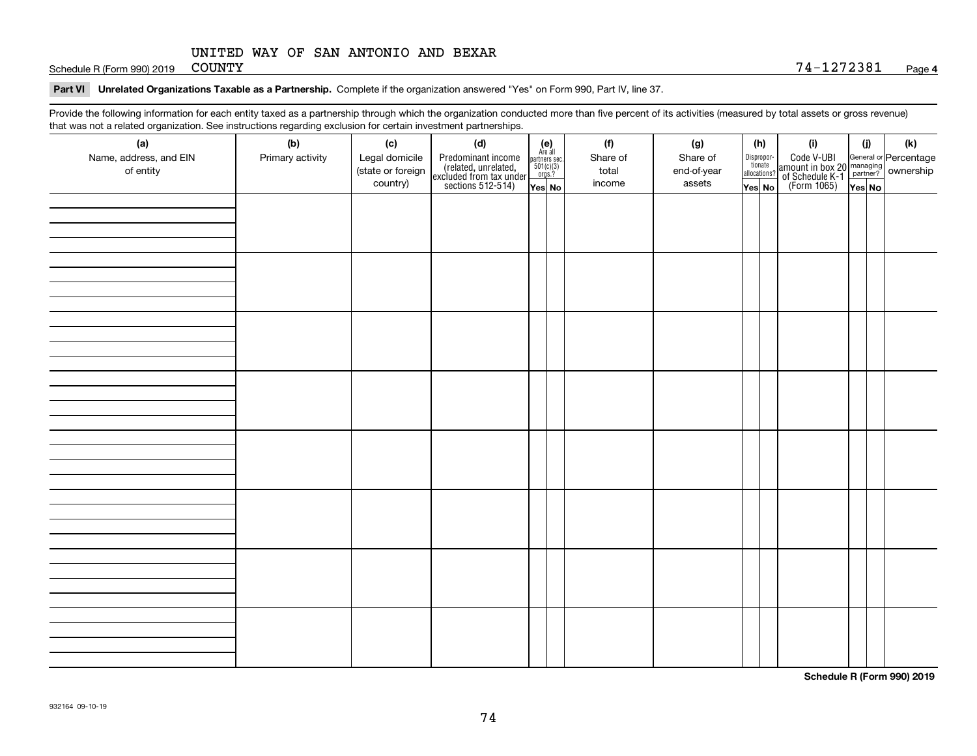Schedule R (Form 990) 2019 COUNTY

#### **Part VI Unrelated Organizations Taxable as a Partnership. Complete if the organization answered "Yes" on Form 990, Part IV, line 37.**

Provide the following information for each entity taxed as a partnership through which the organization conducted more than five percent of its activities (measured by total assets or gross revenue) that was not a related organization. See instructions regarding exclusion for certain investment partnerships.

| (a)                    | (b)              | (c)               | (d)                                                                                        |                                                          | (f)      | (g)         |  | (h)                   | (i)                                                                                          | (i) | (k) |
|------------------------|------------------|-------------------|--------------------------------------------------------------------------------------------|----------------------------------------------------------|----------|-------------|--|-----------------------|----------------------------------------------------------------------------------------------|-----|-----|
| Name, address, and EIN | Primary activity | Legal domicile    |                                                                                            | (e)<br>Are all<br>partners sec.<br>$501(c)(3)$<br>orgs.? | Share of | Share of    |  | Dispropor-<br>tionate |                                                                                              |     |     |
| of entity              |                  | (state or foreign |                                                                                            |                                                          | total    | end-of-year |  | allocations?          |                                                                                              |     |     |
|                        |                  | country)          | Predominant income<br>(related, unrelated,<br>excluded from tax under<br>sections 512-514) | Yes No                                                   | income   | assets      |  | Yes No                | Code V-UBI<br>amount in box 20 managing<br>of Schedule K-1 partner?<br>(Form 1065)<br>ves No |     |     |
|                        |                  |                   |                                                                                            |                                                          |          |             |  |                       |                                                                                              |     |     |
|                        |                  |                   |                                                                                            |                                                          |          |             |  |                       |                                                                                              |     |     |
|                        |                  |                   |                                                                                            |                                                          |          |             |  |                       |                                                                                              |     |     |
|                        |                  |                   |                                                                                            |                                                          |          |             |  |                       |                                                                                              |     |     |
|                        |                  |                   |                                                                                            |                                                          |          |             |  |                       |                                                                                              |     |     |
|                        |                  |                   |                                                                                            |                                                          |          |             |  |                       |                                                                                              |     |     |
|                        |                  |                   |                                                                                            |                                                          |          |             |  |                       |                                                                                              |     |     |
|                        |                  |                   |                                                                                            |                                                          |          |             |  |                       |                                                                                              |     |     |
|                        |                  |                   |                                                                                            |                                                          |          |             |  |                       |                                                                                              |     |     |
|                        |                  |                   |                                                                                            |                                                          |          |             |  |                       |                                                                                              |     |     |
|                        |                  |                   |                                                                                            |                                                          |          |             |  |                       |                                                                                              |     |     |
|                        |                  |                   |                                                                                            |                                                          |          |             |  |                       |                                                                                              |     |     |
|                        |                  |                   |                                                                                            |                                                          |          |             |  |                       |                                                                                              |     |     |
|                        |                  |                   |                                                                                            |                                                          |          |             |  |                       |                                                                                              |     |     |
|                        |                  |                   |                                                                                            |                                                          |          |             |  |                       |                                                                                              |     |     |
|                        |                  |                   |                                                                                            |                                                          |          |             |  |                       |                                                                                              |     |     |
|                        |                  |                   |                                                                                            |                                                          |          |             |  |                       |                                                                                              |     |     |
|                        |                  |                   |                                                                                            |                                                          |          |             |  |                       |                                                                                              |     |     |
|                        |                  |                   |                                                                                            |                                                          |          |             |  |                       |                                                                                              |     |     |
|                        |                  |                   |                                                                                            |                                                          |          |             |  |                       |                                                                                              |     |     |
|                        |                  |                   |                                                                                            |                                                          |          |             |  |                       |                                                                                              |     |     |
|                        |                  |                   |                                                                                            |                                                          |          |             |  |                       |                                                                                              |     |     |
|                        |                  |                   |                                                                                            |                                                          |          |             |  |                       |                                                                                              |     |     |
|                        |                  |                   |                                                                                            |                                                          |          |             |  |                       |                                                                                              |     |     |
|                        |                  |                   |                                                                                            |                                                          |          |             |  |                       |                                                                                              |     |     |
|                        |                  |                   |                                                                                            |                                                          |          |             |  |                       |                                                                                              |     |     |
|                        |                  |                   |                                                                                            |                                                          |          |             |  |                       |                                                                                              |     |     |
|                        |                  |                   |                                                                                            |                                                          |          |             |  |                       |                                                                                              |     |     |
|                        |                  |                   |                                                                                            |                                                          |          |             |  |                       |                                                                                              |     |     |
|                        |                  |                   |                                                                                            |                                                          |          |             |  |                       |                                                                                              |     |     |
|                        |                  |                   |                                                                                            |                                                          |          |             |  |                       |                                                                                              |     |     |
|                        |                  |                   |                                                                                            |                                                          |          |             |  |                       |                                                                                              |     |     |